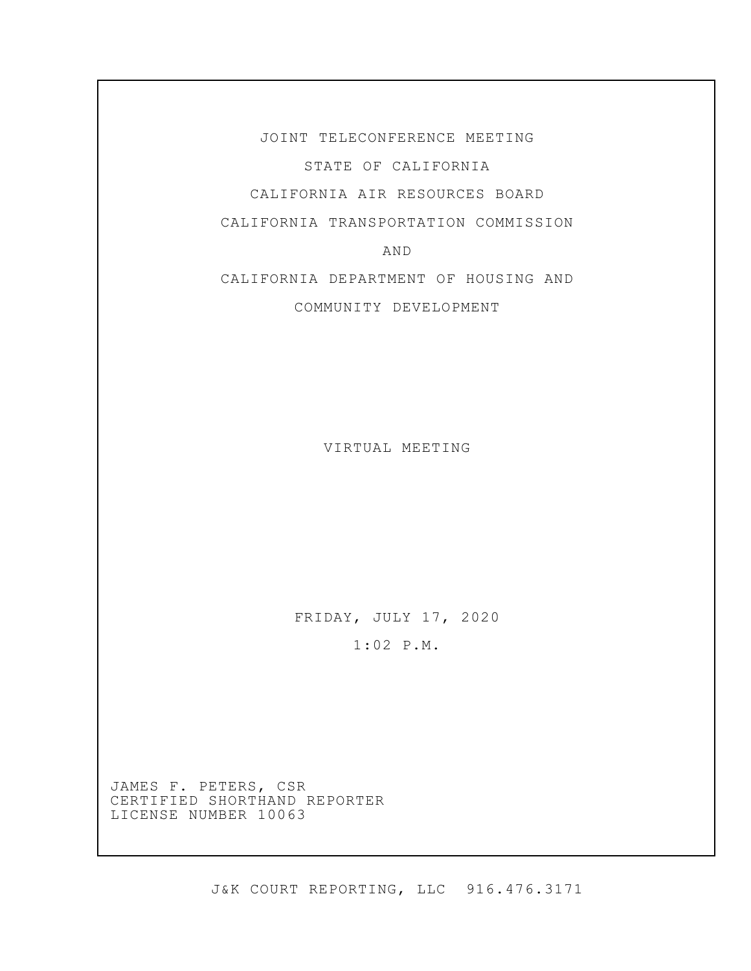JOINT TELECONFERENCE MEETING STATE OF CALIFORNIA CALIFORNIA AIR RESOURCES BOARD

CALIFORNIA TRANSPORTATION COMMISSION

AND

CALIFORNIA DEPARTMENT OF HOUSING AND

COMMUNITY DEVELOPMENT

VIRTUAL MEETING

FRIDAY, JULY 17, 2020

1:02 P.M.

JAMES F. PETERS, CSR CERTIFIED SHORTHAND REPORTER LICENSE NUMBER 10063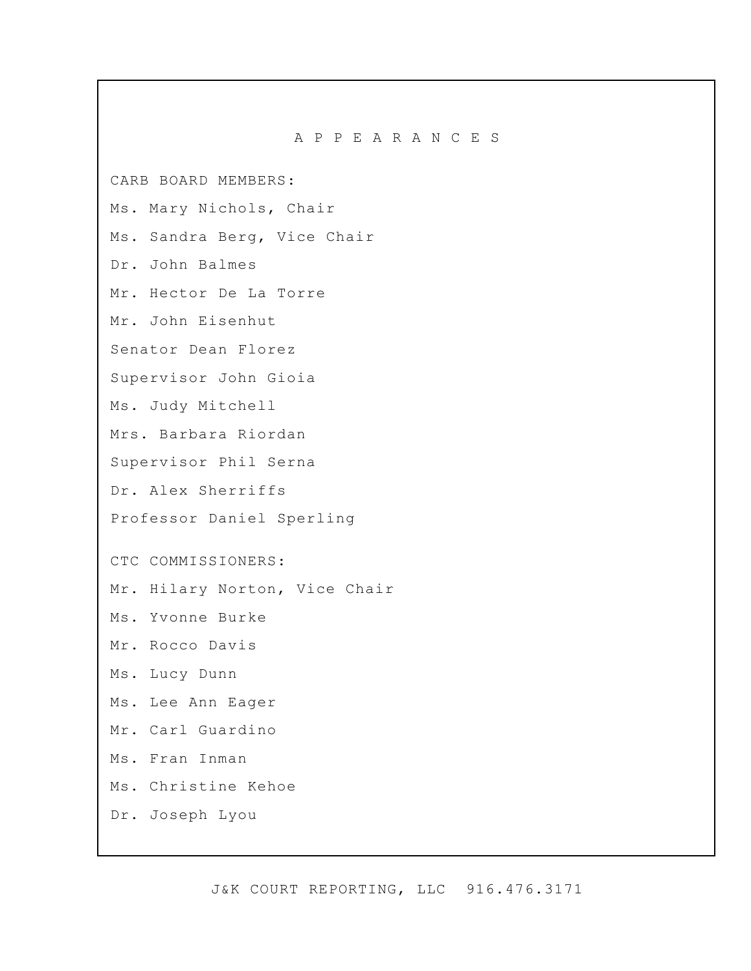A P P E A R A N C E S

CARB BOARD MEMBERS:

Ms. Mary Nichols, Chair

Ms. Sandra Berg, Vice Chair

Dr. John Balmes

Mr. Hector De La Torre

Mr. John Eisenhut

Senator Dean Florez

Supervisor John Gioia

Ms. Judy Mitchell

Mrs. Barbara Riordan

Supervisor Phil Serna

Dr. Alex Sherriffs

Professor Daniel Sperling

CTC COMMISSIONERS:

Mr. Hilary Norton, Vice Chair

Ms. Yvonne Burke

Mr. Rocco Davis

Ms. Lucy Dunn

Ms. Lee Ann Eager

Mr. Carl Guardino

Ms. Fran Inman

Ms. Christine Kehoe

Dr. Joseph Lyou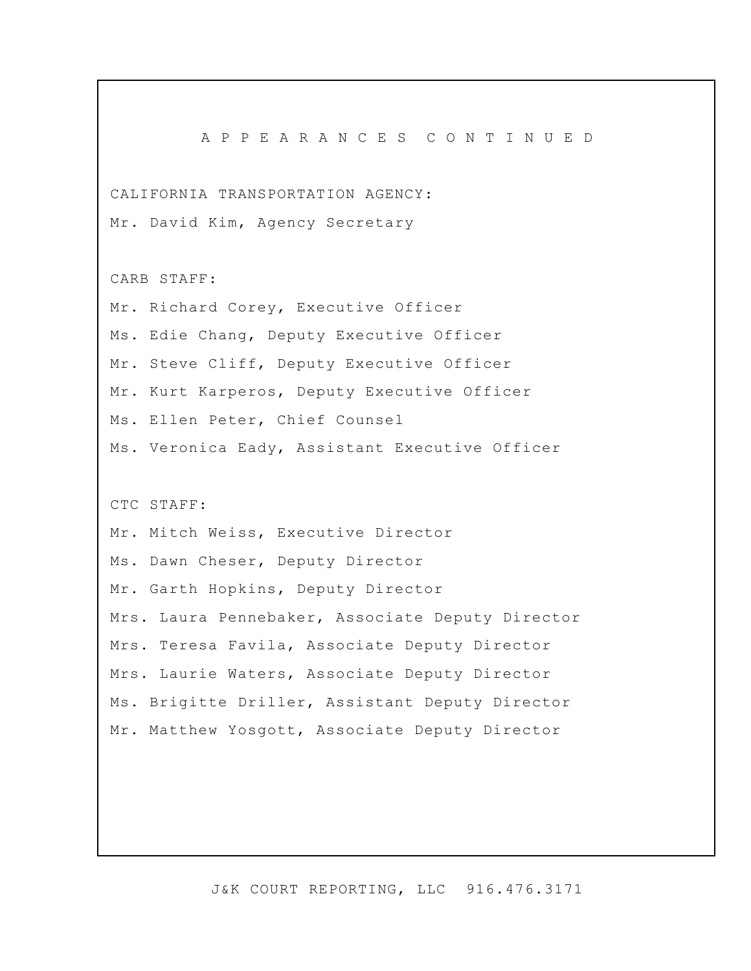A P P E A R A N C E S C O N T I N U E D CALIFORNIA TRANSPORTATION AGENCY: Mr. David Kim, Agency Secretary CARB STAFF: Mr. Richard Corey, Executive Officer Ms. Edie Chang, Deputy Executive Officer Mr. Steve Cliff, Deputy Executive Officer Mr. Kurt Karperos, Deputy Executive Officer Ms. Ellen Peter, Chief Counsel Ms. Veronica Eady, Assistant Executive Officer CTC STAFF: Mr. Mitch Weiss, Executive Director Ms. Dawn Cheser, Deputy Director Mr. Garth Hopkins, Deputy Director Mrs. Laura Pennebaker, Associate Deputy Director Mrs. Teresa Favila, Associate Deputy Director Mrs. Laurie Waters, Associate Deputy Director Ms. Brigitte Driller, Assistant Deputy Director Mr. Matthew Yosgott, Associate Deputy Director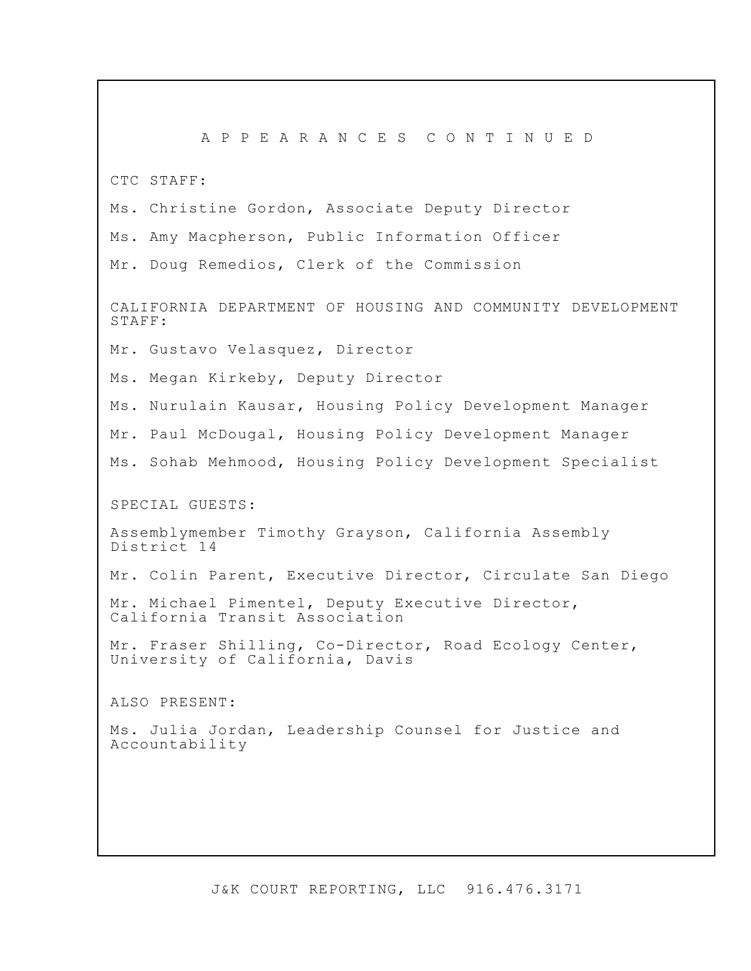A P P E A R A N C E S C O N T I N U E D CTC STAFF: Ms. Christine Gordon, Associate Deputy Director Ms. Amy Macpherson, Public Information Officer Mr. Doug Remedios, Clerk of the Commission CALIFORNIA DEPARTMENT OF HOUSING AND COMMUNITY DEVELOPMENT STAFF: Mr. Gustavo Velasquez, Director Ms. Megan Kirkeby, Deputy Director Ms. Nurulain Kausar, Housing Policy Development Manager Mr. Paul McDougal, Housing Policy Development Manager Ms. Sohab Mehmood, Housing Policy Development Specialist SPECIAL GUESTS: Assemblymember Timothy Grayson, California Assembly District 14 Mr. Colin Parent, Executive Director, Circulate San Diego Mr. Michael Pimentel, Deputy Executive Director, California Transit Association Mr. Fraser Shilling, Co-Director, Road Ecology Center, University of California, Davis ALSO PRESENT: Ms. Julia Jordan, Leadership Counsel for Justice and Accountability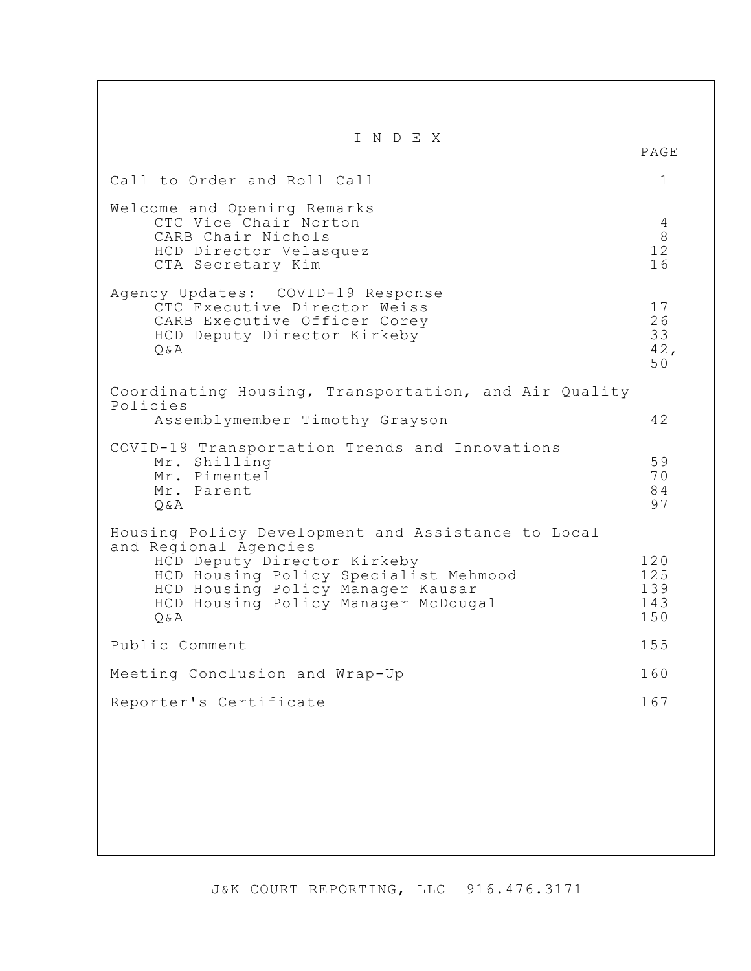I N D E X PAGE Call to Order and Roll Call 1 Welcome and Opening Remarks CTC Vice Chair Norton (1988) 2006 12:00 12:00 12:00 12:00 12:00 12:00 12:00 12:00 12:00 12:00 12:00 12:00 12:0<br>CARB Chair Nichols (1989) 2007 12:00 12:00 12:00 12:00 12:00 12:00 12:00 12:00 12:00 12:00 12:00 12:00 12:00 1 CARB Chair Nichols 8 HCD Director Velasquez 12<br>
CTA Secretary Kim 16 CTA Secretary Kim 16 Agency Updates: COVID-19 Response CTC Executive Director Weiss 17 CARB Executive Officer Corey<br>
HCD Deputy Director Kirkeby<br>
33 HCD Deputy Director Kirkeby 33<br>Q&A 42,  $Q\&A$  42, 50 Coordinating Housing, Transportation, and Air Quality Policies Assemblymember Timothy Grayson 42 COVID-19 Transportation Trends and Innovations Mr. Shilling 59<br>Mr. Pimentel 70 Mr. Pimentel 70<br>Mr. Parent 84 Mr. Parent 84<br>O&A 97  $Q\&A$  97 Housing Policy Development and Assistance to Local and Regional Agencies HCD Deputy Director Kirkeby 120<br>HCD Housing Policy Specialist Mehmood 125 HCD Housing Policy Specialist Mehmood 125 HCD Housing Policy Manager Kausar 139 HCD Housing Policy Manager McDougal 143<br>0&A 150  $Q\&A$  150 Public Comment 155 Meeting Conclusion and Wrap-Up 160 Reporter's Certificate 167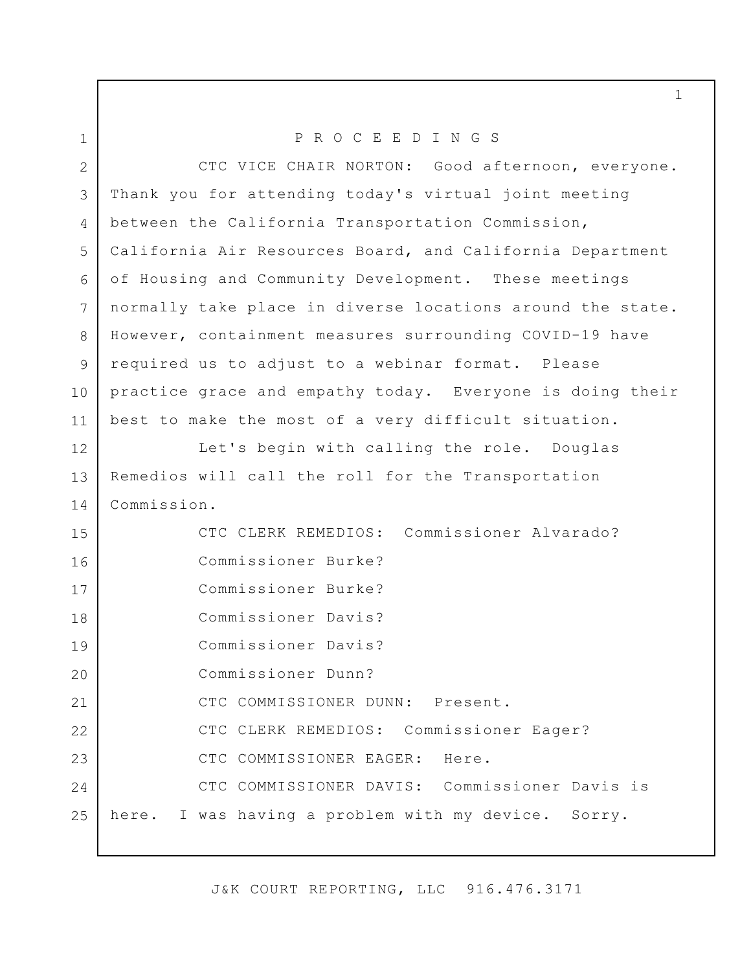| $\mathbf 1$  | PROCEEDINGS                                                |
|--------------|------------------------------------------------------------|
| $\mathbf{2}$ | CTC VICE CHAIR NORTON: Good afternoon, everyone.           |
| 3            | Thank you for attending today's virtual joint meeting      |
| 4            | between the California Transportation Commission,          |
| 5            | California Air Resources Board, and California Department  |
| 6            | of Housing and Community Development. These meetings       |
| 7            | normally take place in diverse locations around the state. |
| 8            | However, containment measures surrounding COVID-19 have    |
| 9            | required us to adjust to a webinar format. Please          |
| 10           | practice grace and empathy today. Everyone is doing their  |
| 11           | best to make the most of a very difficult situation.       |
| 12           | Let's begin with calling the role. Douglas                 |
| 13           | Remedios will call the roll for the Transportation         |
| 14           | Commission.                                                |
| 15           | CTC CLERK REMEDIOS: Commissioner Alvarado?                 |
| 16           | Commissioner Burke?                                        |
| 17           | Commissioner Burke?                                        |
| 18           | Commissioner Davis?                                        |
| 19           | Commissioner Davis?                                        |
| 20           | Commissioner Dunn?                                         |
| 21           | CTC COMMISSIONER DUNN: Present.                            |
| 22           | CTC CLERK REMEDIOS: Commissioner Eager?                    |
| 23           | CTC COMMISSIONER EAGER: Here.                              |
| 24           | CTC COMMISSIONER DAVIS: Commissioner Davis is              |
| 25           | here. I was having a problem with my device. Sorry.        |
|              |                                                            |

J&K COURT REPORTING, LLC 916.476.3171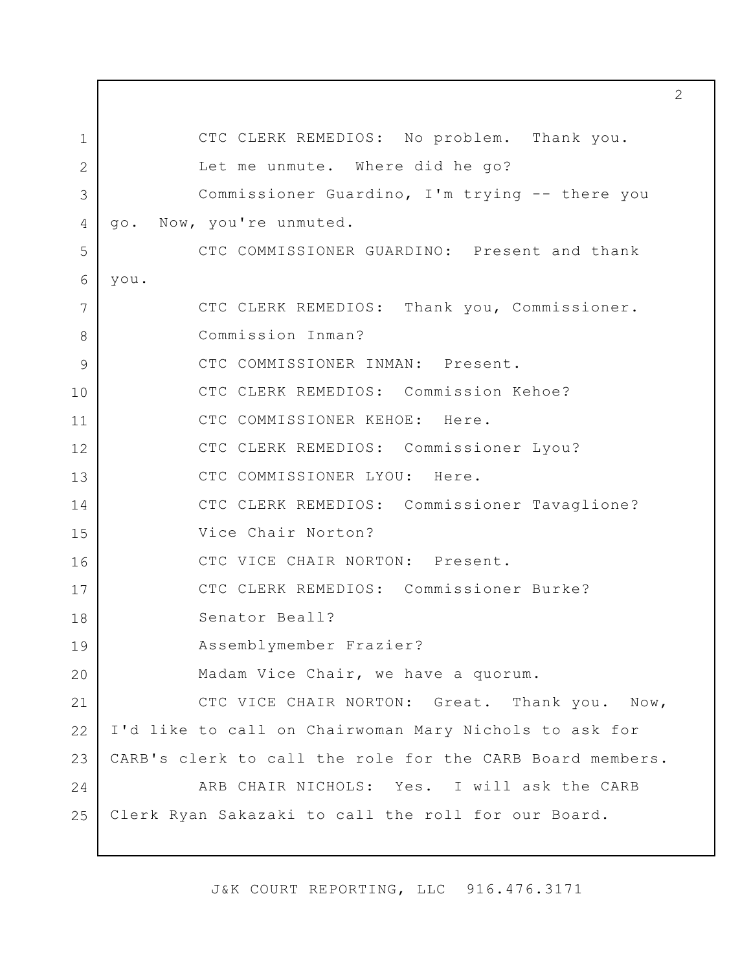1 2 3 4 5 6 7 8 9 10 11 12 13 14 15 16 17 18 19 20 21 22 23 24 25 CTC CLERK REMEDIOS: No problem. Thank you. Let me unmute. Where did he go? Commissioner Guardino, I'm trying -- there you go. Now, you're unmuted. CTC COMMISSIONER GUARDINO: Present and thank you. CTC CLERK REMEDIOS: Thank you, Commissioner. Commission Inman? CTC COMMISSIONER INMAN: Present. CTC CLERK REMEDIOS: Commission Kehoe? CTC COMMISSIONER KEHOE: Here. CTC CLERK REMEDIOS: Commissioner Lyou? CTC COMMISSIONER LYOU: Here. CTC CLERK REMEDIOS: Commissioner Tavaglione? Vice Chair Norton? CTC VICE CHAIR NORTON: Present. CTC CLERK REMEDIOS: Commissioner Burke? Senator Beall? Assemblymember Frazier? Madam Vice Chair, we have a quorum. CTC VICE CHAIR NORTON: Great. Thank you. Now, I'd like to call on Chairwoman Mary Nichols to ask for CARB's clerk to call the role for the CARB Board members. ARB CHAIR NICHOLS: Yes. I will ask the CARB Clerk Ryan Sakazaki to call the roll for our Board.

J&K COURT REPORTING, LLC 916.476.3171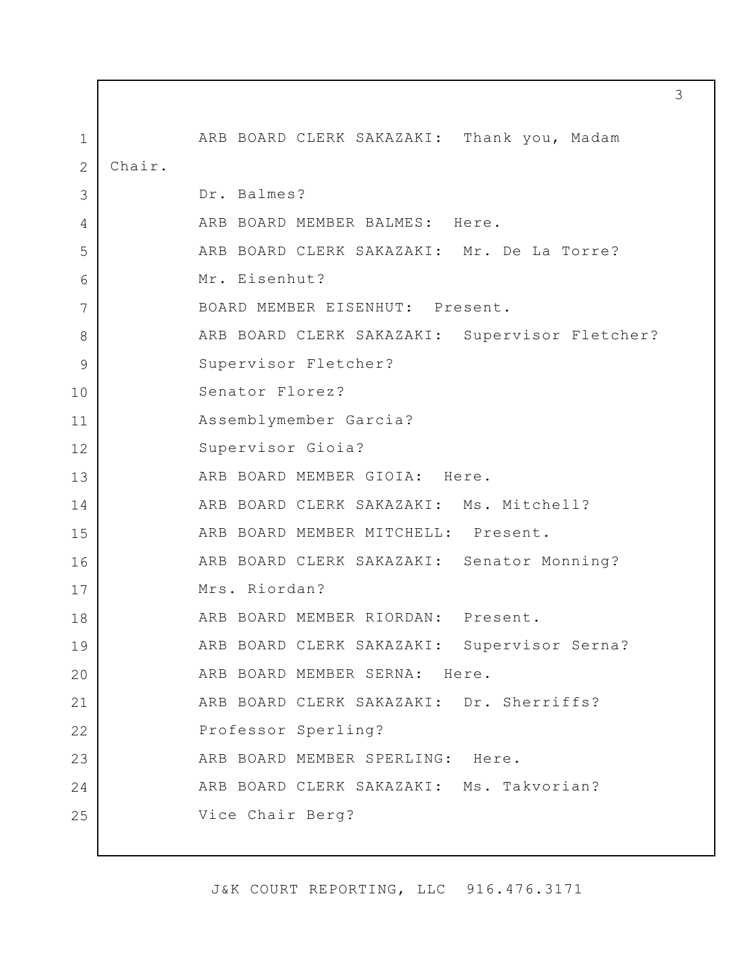1 2 3 4 5 6 7 8 9 10 11 12 13 14 15 16 17 18 19 20 21 22 23 24 25 ARB BOARD CLERK SAKAZAKI: Thank you, Madam Chair. Dr. Balmes? ARB BOARD MEMBER BALMES: Here. ARB BOARD CLERK SAKAZAKI: Mr. De La Torre? Mr. Eisenhut? BOARD MEMBER EISENHUT: Present. ARB BOARD CLERK SAKAZAKI: Supervisor Fletcher? Supervisor Fletcher? Senator Florez? Assemblymember Garcia? Supervisor Gioia? ARB BOARD MEMBER GIOIA: Here. ARB BOARD CLERK SAKAZAKI: Ms. Mitchell? ARB BOARD MEMBER MITCHELL: Present. ARB BOARD CLERK SAKAZAKI: Senator Monning? Mrs. Riordan? ARB BOARD MEMBER RIORDAN: Present. ARB BOARD CLERK SAKAZAKI: Supervisor Serna? ARB BOARD MEMBER SERNA: Here. ARB BOARD CLERK SAKAZAKI: Dr. Sherriffs? Professor Sperling? ARB BOARD MEMBER SPERLING: Here. ARB BOARD CLERK SAKAZAKI: Ms. Takvorian? Vice Chair Berg?

J&K COURT REPORTING, LLC 916.476.3171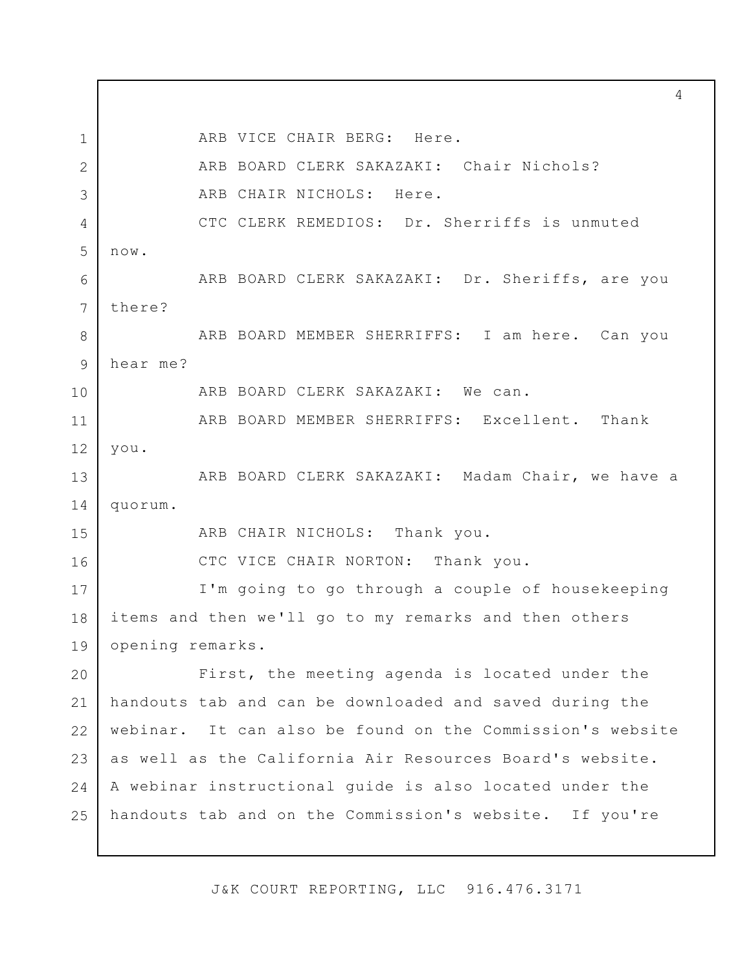1 2 3 4 5 6 7 8 9 10 11 12 13 14 15 16 17 18 19 20 21 22 23  $24$ 25 ARB VICE CHAIR BERG: Here. ARB BOARD CLERK SAKAZAKI: Chair Nichols? ARB CHAIR NICHOLS: Here. CTC CLERK REMEDIOS: Dr. Sherriffs is unmuted now. there? ARB BOARD CLERK SAKAZAKI: Dr. Sheriffs, are you hear me? ARB BOARD MEMBER SHERRIFFS: I am here. Can you ARB BOARD CLERK SAKAZAKI: We can. ARB BOARD MEMBER SHERRIFFS: Excellent. Thank you. ARB BOARD CLERK SAKAZAKI: Madam Chair, we have a quorum. ARB CHAIR NICHOLS: Thank you. CTC VICE CHAIR NORTON: Thank you. I'm going to go through a couple of housekeeping items and then we'll go to my remarks and then others opening remarks. First, the meeting agenda is located under the handouts tab and can be downloaded and saved during the webinar. It can also be found on the Commission's website as well as the California Air Resources Board's website. A webinar instructional guide is also located under the handouts tab and on the Commission's website. If you're

J&K COURT REPORTING, LLC 916.476.3171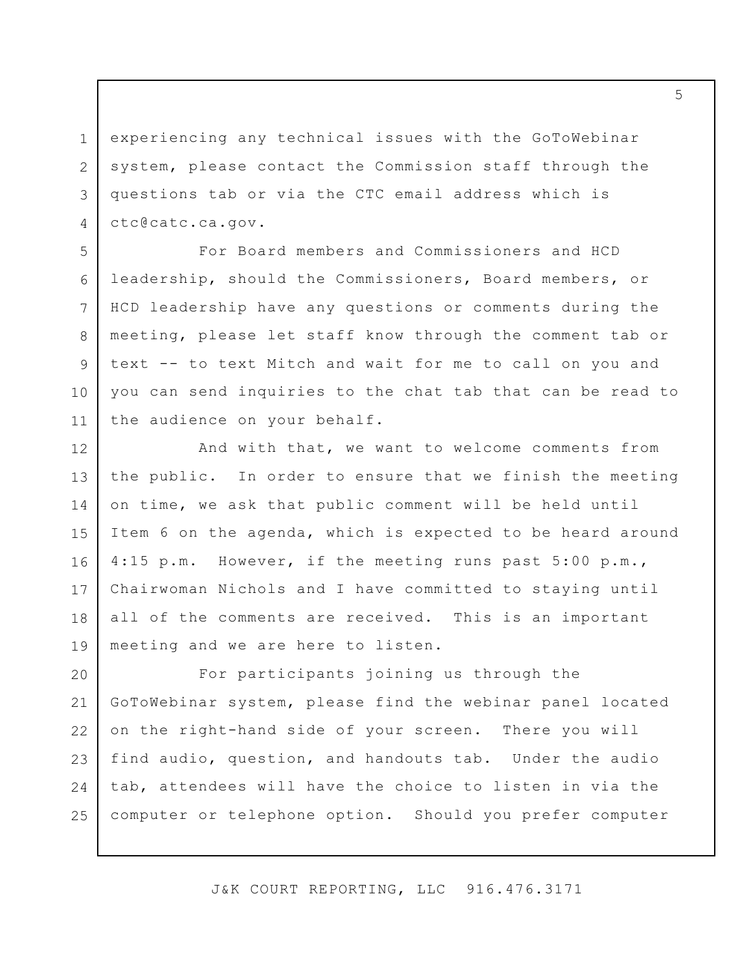experiencing any technical issues with the GoToWebinar system, please contact the Commission staff through the questions tab or via the CTC email address which is [ctc@catc.ca.gov](mailto:ctc@catc.ca.gov).

1

2

3

4

5

6

7

8

9

10

11

For Board members and Commissioners and HCD leadership, should the Commissioners, Board members, or HCD leadership have any questions or comments during the meeting, please let staff know through the comment tab or text -- to text Mitch and wait for me to call on you and you can send inquiries to the chat tab that can be read to the audience on your behalf.

12 13 14 15 16 17 18 19 And with that, we want to welcome comments from the public. In order to ensure that we finish the meeting on time, we ask that public comment will be held until Item 6 on the agenda, which is expected to be heard around 4:15 p.m. However, if the meeting runs past 5:00 p.m., Chairwoman Nichols and I have committed to staying until all of the comments are received. This is an important meeting and we are here to listen.

20 21 22 23 24 25 For participants joining us through the GoToWebinar system, please find the webinar panel located on the right-hand side of your screen. There you will find audio, question, and handouts tab. Under the audio tab, attendees will have the choice to listen in via the computer or telephone option. Should you prefer computer

J&K COURT REPORTING, LLC 916.476.3171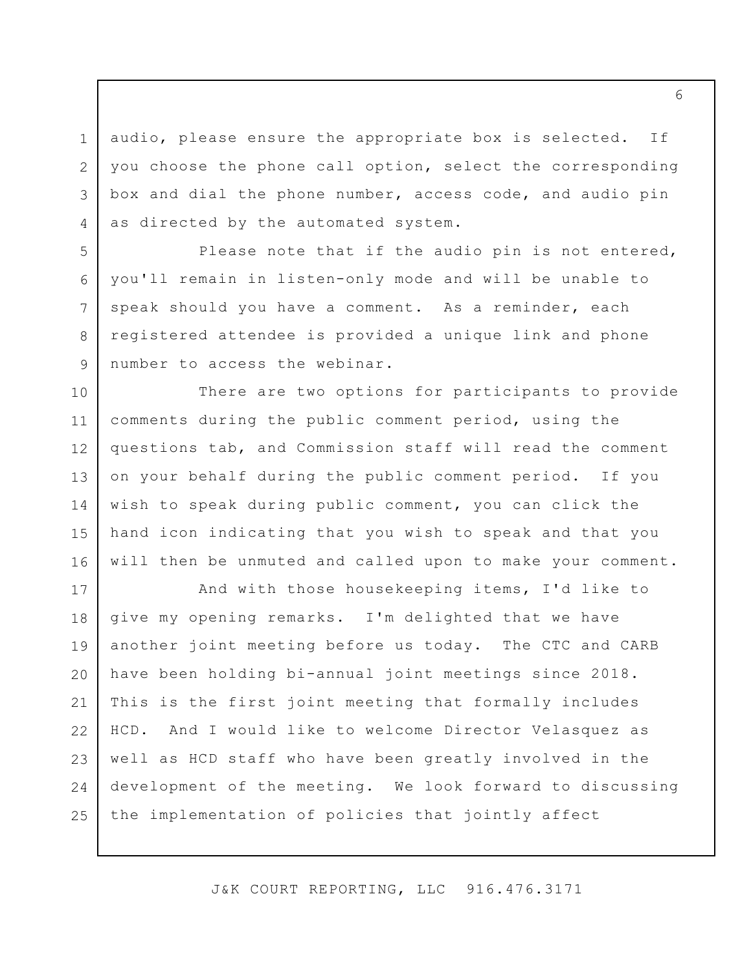3 audio, please ensure the appropriate box is selected. If you choose the phone call option, select the corresponding box and dial the phone number, access code, and audio pin as directed by the automated system.

1

2

4

5

6

7

8

9

Please note that if the audio pin is not entered, you'll remain in listen-only mode and will be unable to speak should you have a comment. As a reminder, each registered attendee is provided a unique link and phone number to access the webinar.

10 11 12 13 14 15 16 There are two options for participants to provide comments during the public comment period, using the questions tab, and Commission staff will read the comment on your behalf during the public comment period. If you wish to speak during public comment, you can click the hand icon indicating that you wish to speak and that you will then be unmuted and called upon to make your comment.

17 18 19 20 21 22 23 24 25 And with those housekeeping items, I'd like to give my opening remarks. I'm delighted that we have another joint meeting before us today. The CTC and CARB have been holding bi-annual joint meetings since 2018. This is the first joint meeting that formally includes HCD. And I would like to welcome Director Velasquez as well as HCD staff who have been greatly involved in the development of the meeting. We look forward to discussing the implementation of policies that jointly affect

J&K COURT REPORTING, LLC 916.476.3171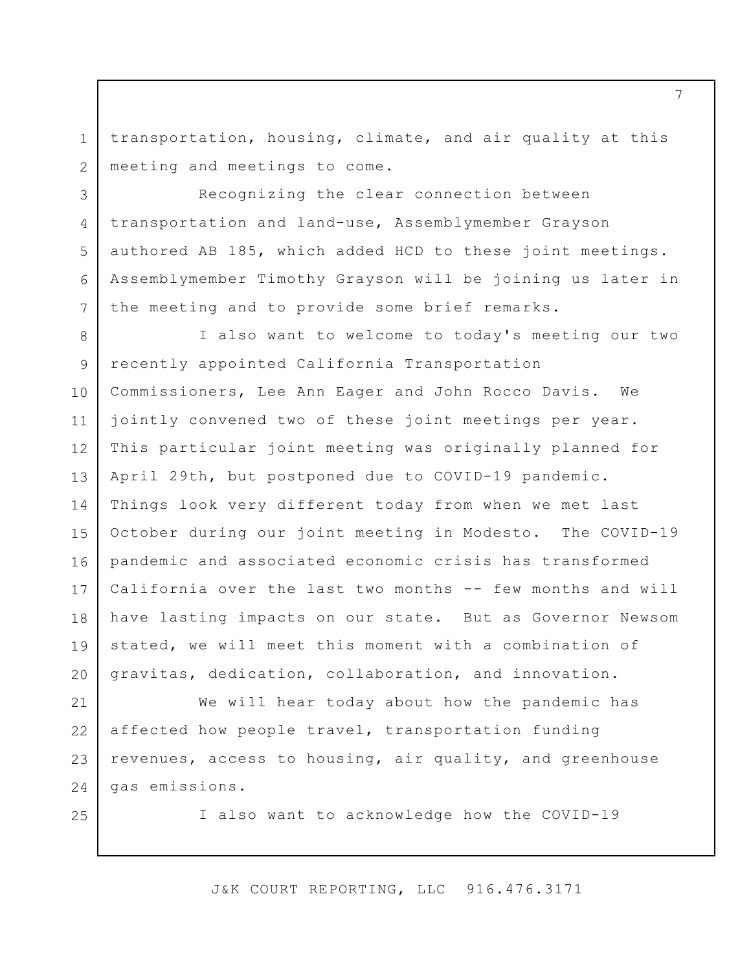transportation, housing, climate, and air quality at this meeting and meetings to come.

Recognizing the clear connection between transportation and land-use, Assemblymember Grayson authored AB 185, which added HCD to these joint meetings. Assemblymember Timothy Grayson will be joining us later in the meeting and to provide some brief remarks.

8 9 10 11 12 13 14 15 16 17 18 19 20 I also want to welcome to today's meeting our two recently appointed California Transportation Commissioners, Lee Ann Eager and John Rocco Davis. We jointly convened two of these joint meetings per year. This particular joint meeting was originally planned for April 29th, but postponed due to COVID-19 pandemic. Things look very different today from when we met last October during our joint meeting in Modesto. The COVID-19 pandemic and associated economic crisis has transformed California over the last two months -- few months and will have lasting impacts on our state. But as Governor Newsom stated, we will meet this moment with a combination of gravitas, dedication, collaboration, and innovation.

21 22 23 24 We will hear today about how the pandemic has affected how people travel, transportation funding revenues, access to housing, air quality, and greenhouse gas emissions.

25

1

2

3

4

5

6

7

I also want to acknowledge how the COVID-19

J&K COURT REPORTING, LLC 916.476.3171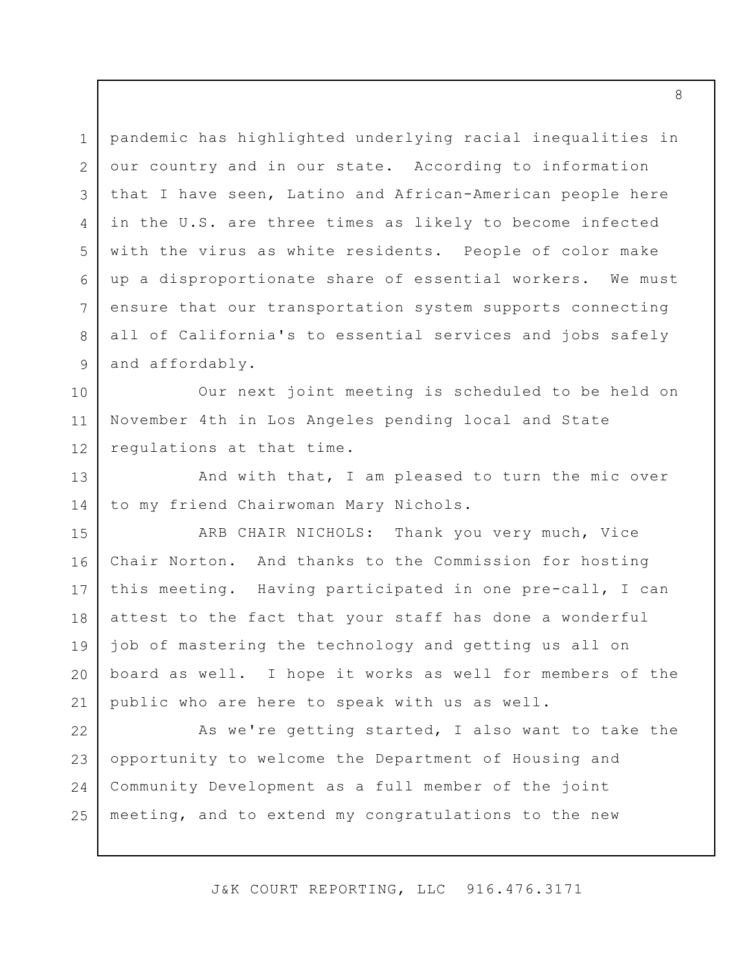1 2 3 4 5 6 7 8 9 pandemic has highlighted underlying racial inequalities in our country and in our state. According to information that I have seen, Latino and African-American people here in the U.S. are three times as likely to become infected with the virus as white residents. People of color make up a disproportionate share of essential workers. We must ensure that our transportation system supports connecting all of California's to essential services and jobs safely and affordably.

10 11 12 Our next joint meeting is scheduled to be held on November 4th in Los Angeles pending local and State regulations at that time.

13 14 And with that, I am pleased to turn the mic over to my friend Chairwoman Mary Nichols.

15 16 17 18 19 20 21 ARB CHAIR NICHOLS: Thank you very much, Vice Chair Norton. And thanks to the Commission for hosting this meeting. Having participated in one pre-call, I can attest to the fact that your staff has done a wonderful job of mastering the technology and getting us all on board as well. I hope it works as well for members of the public who are here to speak with us as well.

22 23 24 25 As we're getting started, I also want to take the opportunity to welcome the Department of Housing and Community Development as a full member of the joint meeting, and to extend my congratulations to the new

J&K COURT REPORTING, LLC 916.476.3171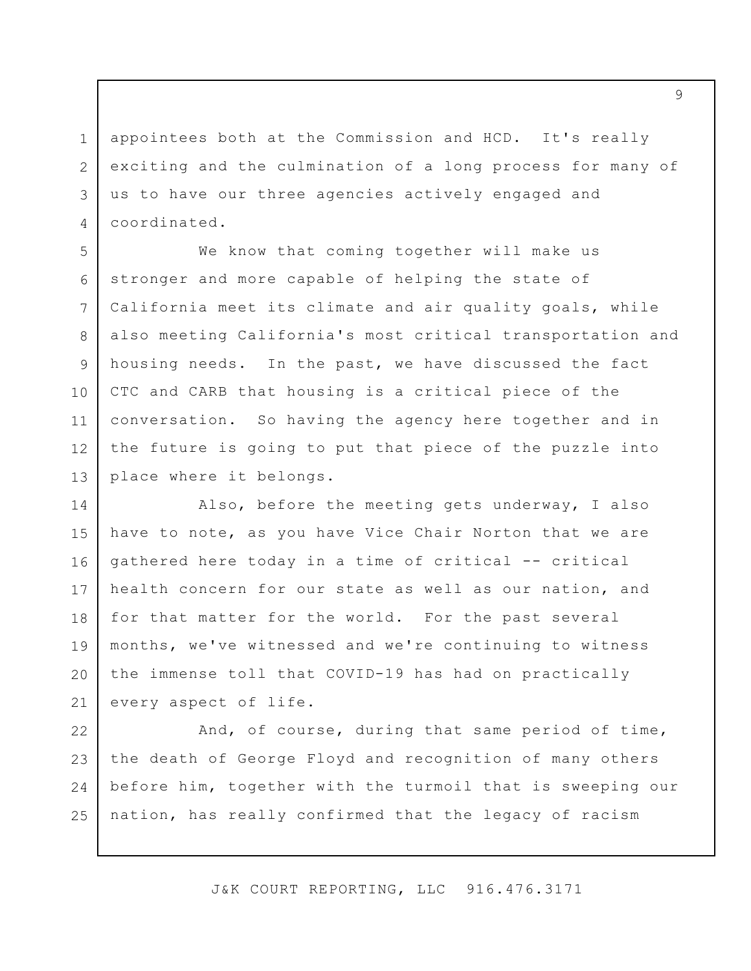appointees both at the Commission and HCD. It's really exciting and the culmination of a long process for many of us to have our three agencies actively engaged and coordinated.

1

2

3

4

5

6

7

8

9

10

11

12

13

We know that coming together will make us stronger and more capable of helping the state of California meet its climate and air quality goals, while also meeting California's most critical transportation and housing needs. In the past, we have discussed the fact CTC and CARB that housing is a critical piece of the conversation. So having the agency here together and in the future is going to put that piece of the puzzle into place where it belongs.

14 15 16 17 18 19 20 21 Also, before the meeting gets underway, I also have to note, as you have Vice Chair Norton that we are gathered here today in a time of critical -- critical health concern for our state as well as our nation, and for that matter for the world. For the past several months, we've witnessed and we're continuing to witness the immense toll that COVID-19 has had on practically every aspect of life.

22 23 24 25 And, of course, during that same period of time, the death of George Floyd and recognition of many others before him, together with the turmoil that is sweeping our nation, has really confirmed that the legacy of racism

J&K COURT REPORTING, LLC 916.476.3171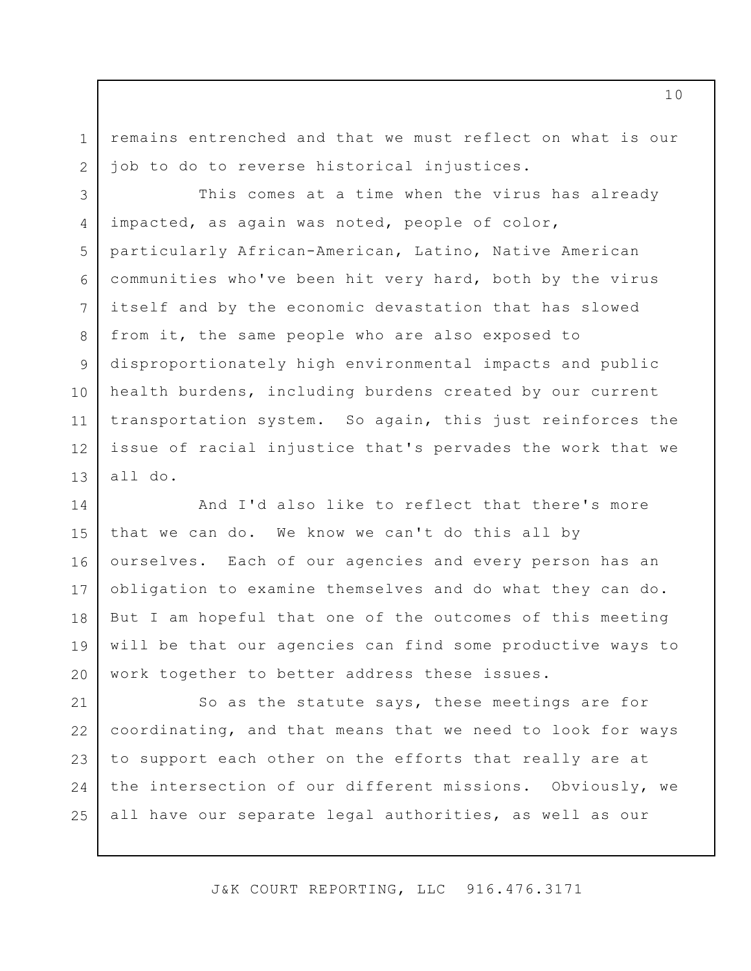1 2 remains entrenched and that we must reflect on what is our job to do to reverse historical injustices.

3 4 5 6 7 8 9 10 11 12 13 This comes at a time when the virus has already impacted, as again was noted, people of color, particularly African-American, Latino, Native American communities who've been hit very hard, both by the virus itself and by the economic devastation that has slowed from it, the same people who are also exposed to disproportionately high environmental impacts and public health burdens, including burdens created by our current transportation system. So again, this just reinforces the issue of racial injustice that's pervades the work that we all do.

14 15 16 17 18 19 20 And I'd also like to reflect that there's more that we can do. We know we can't do this all by ourselves. Each of our agencies and every person has an obligation to examine themselves and do what they can do. But I am hopeful that one of the outcomes of this meeting will be that our agencies can find some productive ways to work together to better address these issues.

21 22 23 24 25 So as the statute says, these meetings are for coordinating, and that means that we need to look for ways to support each other on the efforts that really are at the intersection of our different missions. Obviously, we all have our separate legal authorities, as well as our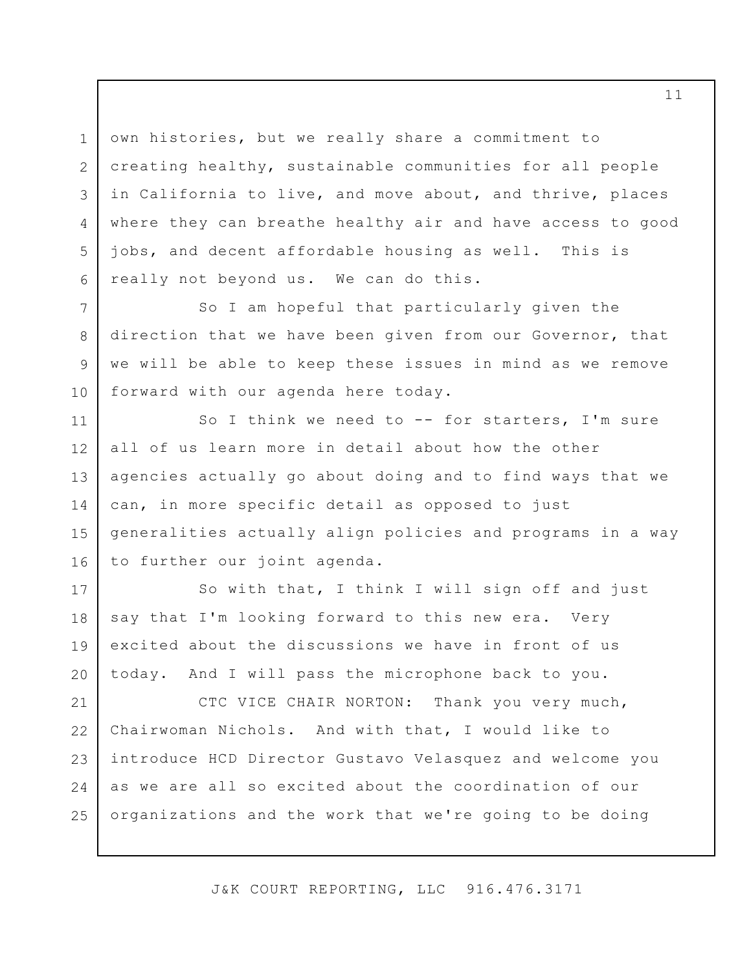own histories, but we really share a commitment to creating healthy, sustainable communities for all people in California to live, and move about, and thrive, places where they can breathe healthy air and have access to good jobs, and decent affordable housing as well. This is really not beyond us. We can do this.

1

2

3

4

5

6

7

8

9

10

So I am hopeful that particularly given the direction that we have been given from our Governor, that we will be able to keep these issues in mind as we remove forward with our agenda here today.

11 12 13 14 15 16 So I think we need to -- for starters, I'm sure all of us learn more in detail about how the other agencies actually go about doing and to find ways that we can, in more specific detail as opposed to just generalities actually align policies and programs in a way to further our joint agenda.

17 18 19 20 So with that, I think I will sign off and just say that I'm looking forward to this new era. Very excited about the discussions we have in front of us today. And I will pass the microphone back to you.

21 22 23 24 25 CTC VICE CHAIR NORTON: Thank you very much, Chairwoman Nichols. And with that, I would like to introduce HCD Director Gustavo Velasquez and welcome you as we are all so excited about the coordination of our organizations and the work that we're going to be doing

J&K COURT REPORTING, LLC 916.476.3171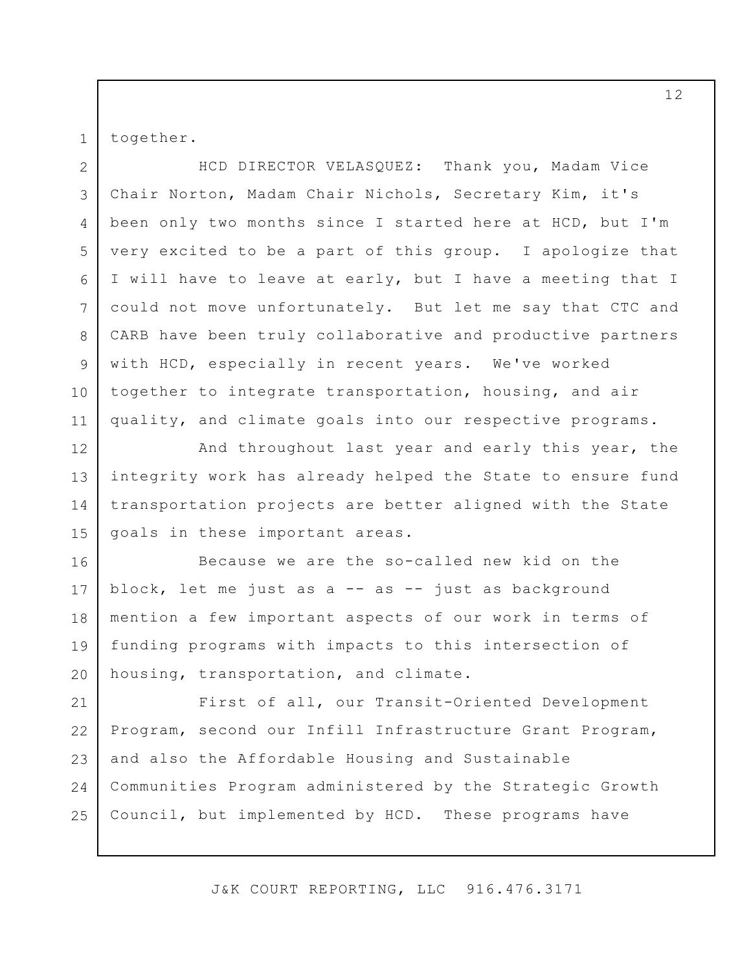together.

1

2 3 4 5 6 7 8 9 10 11 HCD DIRECTOR VELASQUEZ: Thank you, Madam Vice Chair Norton, Madam Chair Nichols, Secretary Kim, it's been only two months since I started here at HCD, but I'm very excited to be a part of this group. I apologize that I will have to leave at early, but I have a meeting that I could not move unfortunately. But let me say that CTC and CARB have been truly collaborative and productive partners with HCD, especially in recent years. We've worked together to integrate transportation, housing, and air quality, and climate goals into our respective programs.

12 13 14 15 And throughout last year and early this year, the integrity work has already helped the State to ensure fund transportation projects are better aligned with the State goals in these important areas.

16 17 18 19 20 Because we are the so-called new kid on the block, let me just as a -- as -- just as background mention a few important aspects of our work in terms of funding programs with impacts to this intersection of housing, transportation, and climate.

21 22 23 24 25 First of all, our Transit-Oriented Development Program, second our Infill Infrastructure Grant Program, and also the Affordable Housing and Sustainable Communities Program administered by the Strategic Growth Council, but implemented by HCD. These programs have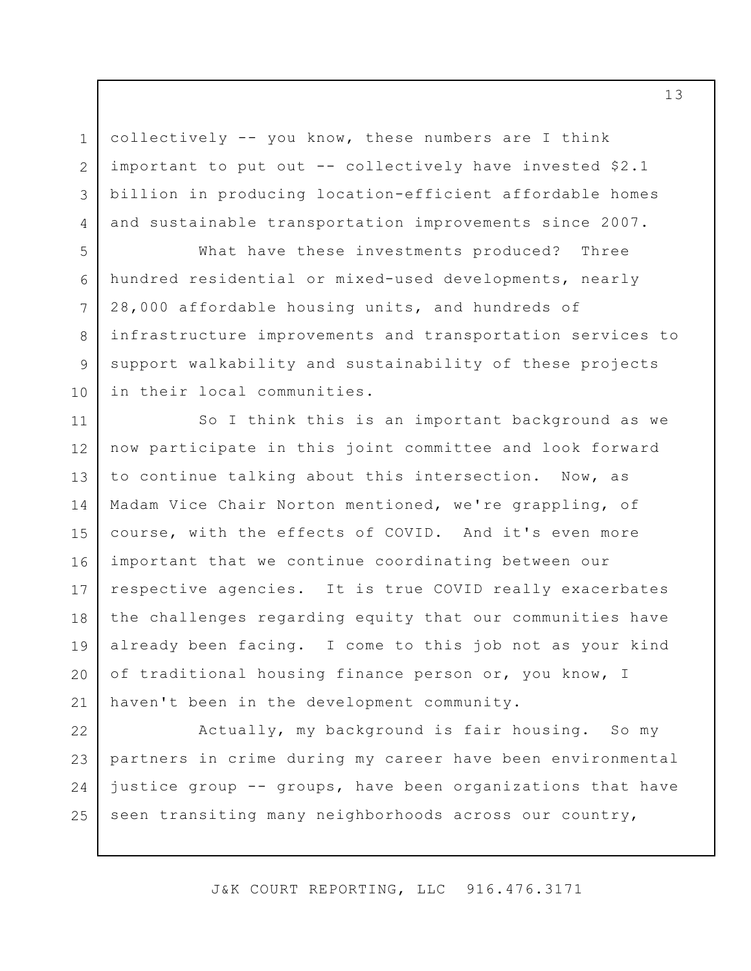collectively -- you know, these numbers are I think important to put out -- collectively have invested \$2.1 billion in producing location-efficient affordable homes and sustainable transportation improvements since 2007.

1

2

3

4

5

6

7

8

9

10

What have these investments produced? Three hundred residential or mixed-used developments, nearly 28,000 affordable housing units, and hundreds of infrastructure improvements and transportation services to support walkability and sustainability of these projects in their local communities.

11 12 13 14 15 16 17 18 19 20 21 So I think this is an important background as we now participate in this joint committee and look forward to continue talking about this intersection. Now, as Madam Vice Chair Norton mentioned, we're grappling, of course, with the effects of COVID. And it's even more important that we continue coordinating between our respective agencies. It is true COVID really exacerbates the challenges regarding equity that our communities have already been facing. I come to this job not as your kind of traditional housing finance person or, you know, I haven't been in the development community.

22 23 24 25 Actually, my background is fair housing. So my partners in crime during my career have been environmental justice group -- groups, have been organizations that have seen transiting many neighborhoods across our country,

J&K COURT REPORTING, LLC 916.476.3171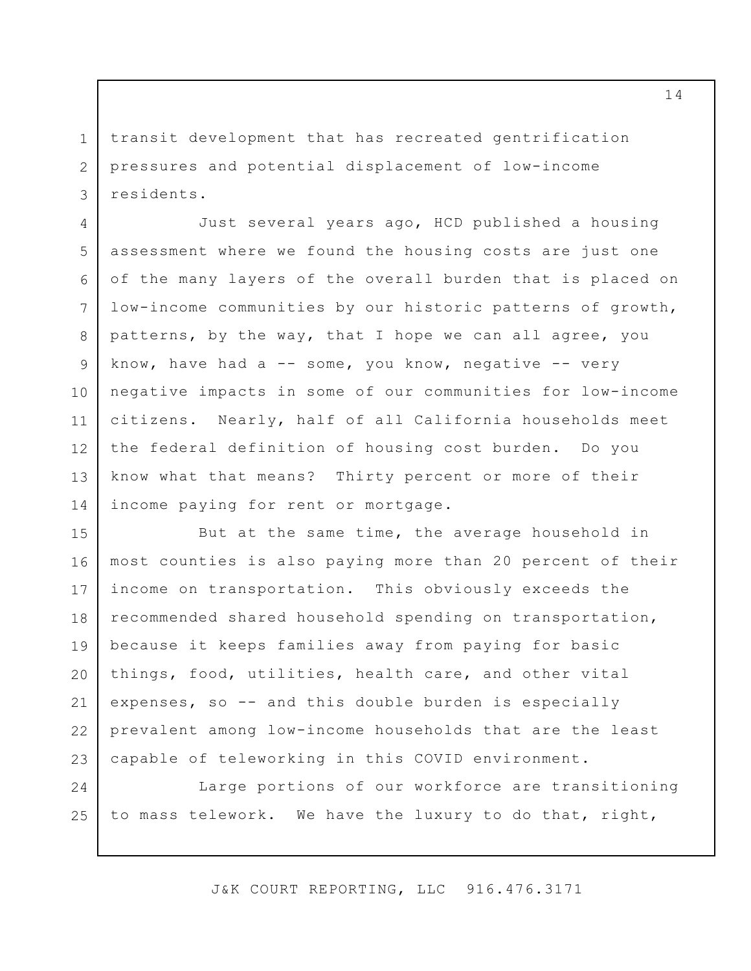transit development that has recreated gentrification pressures and potential displacement of low-income residents.

1

2

3

4 5 6 7 8 9 10 11 12 13 14 Just several years ago, HCD published a housing assessment where we found the housing costs are just one of the many layers of the overall burden that is placed on low-income communities by our historic patterns of growth, patterns, by the way, that I hope we can all agree, you know, have had a  $-$  some, you know, negative  $-$  very negative impacts in some of our communities for low-income citizens. Nearly, half of all California households meet the federal definition of housing cost burden. Do you know what that means? Thirty percent or more of their income paying for rent or mortgage.

15 16 17 18 19 20 21 22 23 But at the same time, the average household in most counties is also paying more than 20 percent of their income on transportation. This obviously exceeds the recommended shared household spending on transportation, because it keeps families away from paying for basic things, food, utilities, health care, and other vital expenses, so -- and this double burden is especially prevalent among low-income households that are the least capable of teleworking in this COVID environment.

24 25 Large portions of our workforce are transitioning to mass telework. We have the luxury to do that, right,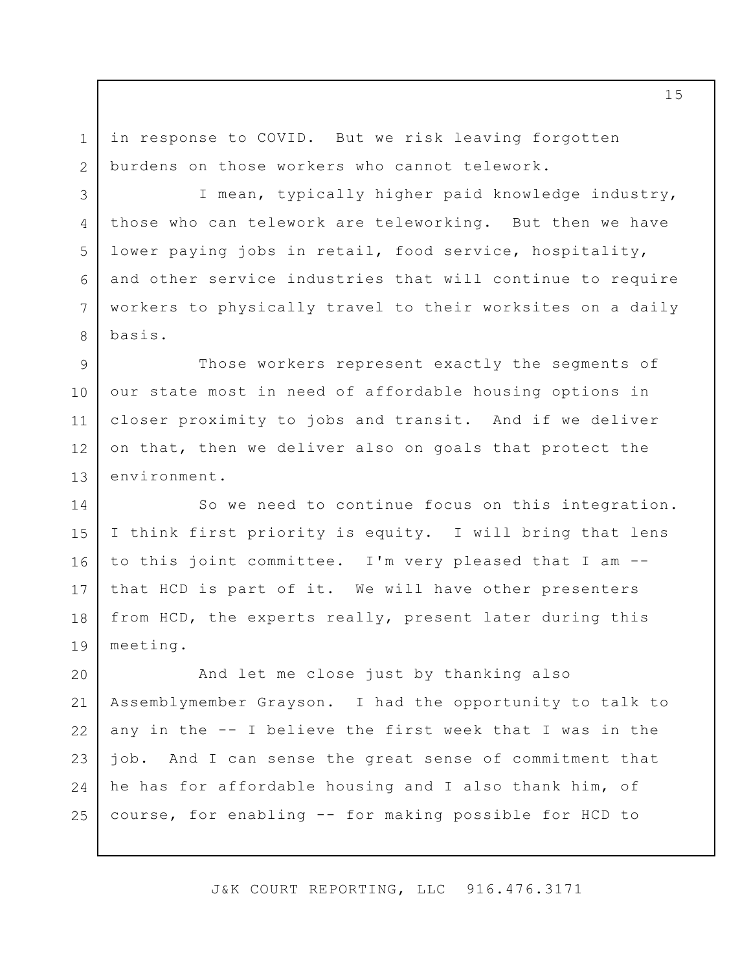in response to COVID. But we risk leaving forgotten burdens on those workers who cannot telework.

1

2

3

4

5

6

7

8

I mean, typically higher paid knowledge industry, those who can telework are teleworking. But then we have lower paying jobs in retail, food service, hospitality, and other service industries that will continue to require workers to physically travel to their worksites on a daily basis.

9 10 11 12 13 Those workers represent exactly the segments of our state most in need of affordable housing options in closer proximity to jobs and transit. And if we deliver on that, then we deliver also on goals that protect the environment.

14 15 16 17 18 19 So we need to continue focus on this integration. I think first priority is equity. I will bring that lens to this joint committee. I'm very pleased that I am - that HCD is part of it. We will have other presenters from HCD, the experts really, present later during this meeting.

20 21 22 23 24 25 And let me close just by thanking also Assemblymember Grayson. I had the opportunity to talk to any in the -- I believe the first week that I was in the job. And I can sense the great sense of commitment that he has for affordable housing and I also thank him, of course, for enabling -- for making possible for HCD to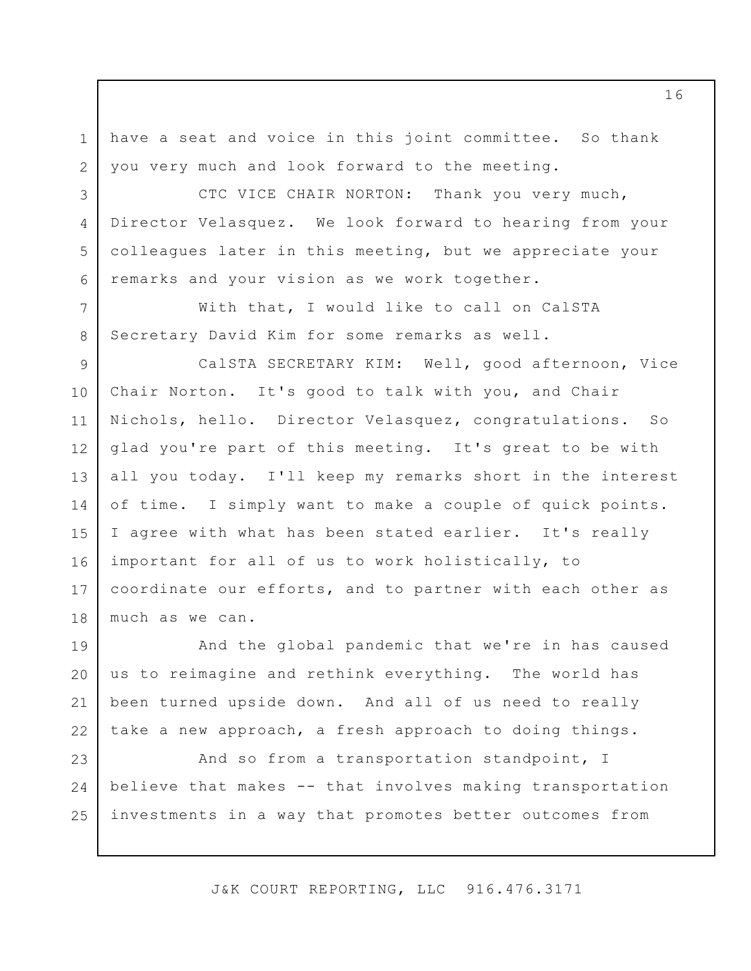have a seat and voice in this joint committee. So thank you very much and look forward to the meeting.

1

2

3

4

5

6

7

8

CTC VICE CHAIR NORTON: Thank you very much, Director Velasquez. We look forward to hearing from your colleagues later in this meeting, but we appreciate your remarks and your vision as we work together.

With that, I would like to call on CalSTA Secretary David Kim for some remarks as well.

9 10 11 12 13 14 15 16 17 18 CalSTA SECRETARY KIM: Well, good afternoon, Vice Chair Norton. It's good to talk with you, and Chair Nichols, hello. Director Velasquez, congratulations. So glad you're part of this meeting. It's great to be with all you today. I'll keep my remarks short in the interest of time. I simply want to make a couple of quick points. I agree with what has been stated earlier. It's really important for all of us to work holistically, to coordinate our efforts, and to partner with each other as much as we can.

19 20 21 22 And the global pandemic that we're in has caused us to reimagine and rethink everything. The world has been turned upside down. And all of us need to really take a new approach, a fresh approach to doing things.

23 24 25 And so from a transportation standpoint, I believe that makes -- that involves making transportation investments in a way that promotes better outcomes from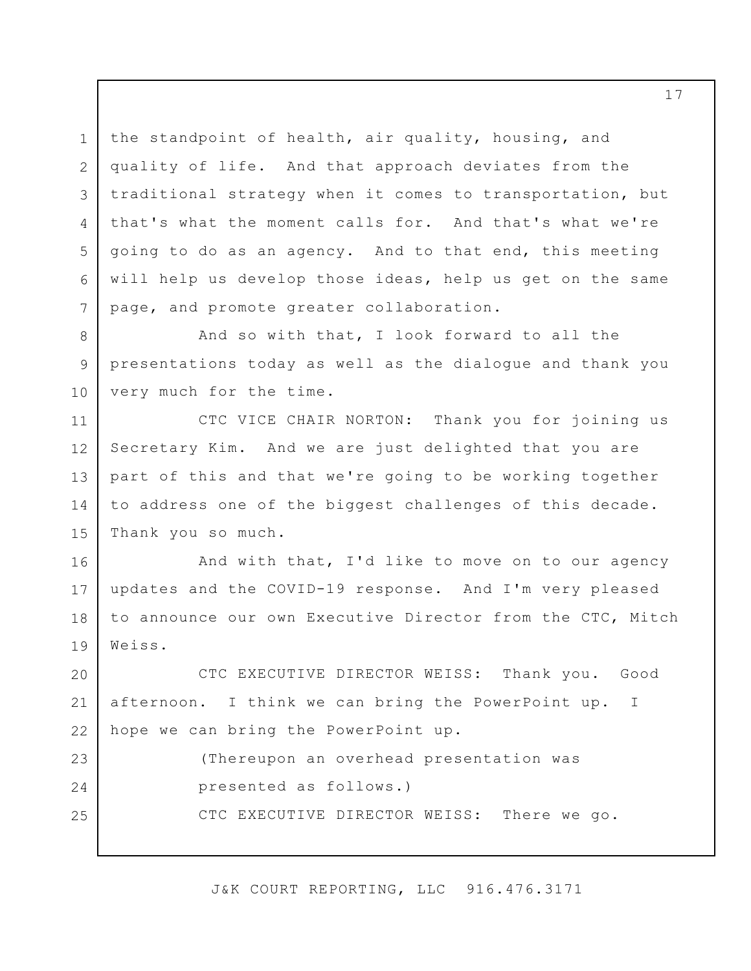the standpoint of health, air quality, housing, and quality of life. And that approach deviates from the traditional strategy when it comes to transportation, but that's what the moment calls for. And that's what we're going to do as an agency. And to that end, this meeting will help us develop those ideas, help us get on the same page, and promote greater collaboration.

1

2

3

4

5

6

7

8 9 10 And so with that, I look forward to all the presentations today as well as the dialogue and thank you very much for the time.

11 12 13 14 15 CTC VICE CHAIR NORTON: Thank you for joining us Secretary Kim. And we are just delighted that you are part of this and that we're going to be working together to address one of the biggest challenges of this decade. Thank you so much.

16 17 18 19 And with that, I'd like to move on to our agency updates and the COVID-19 response. And I'm very pleased to announce our own Executive Director from the CTC, Mitch Weiss.

20 21 22 CTC EXECUTIVE DIRECTOR WEISS: Thank you. Good afternoon. I think we can bring the PowerPoint up. I hope we can bring the PowerPoint up.

23 24 25 (Thereupon an overhead presentation was presented as follows.) CTC EXECUTIVE DIRECTOR WEISS: There we go.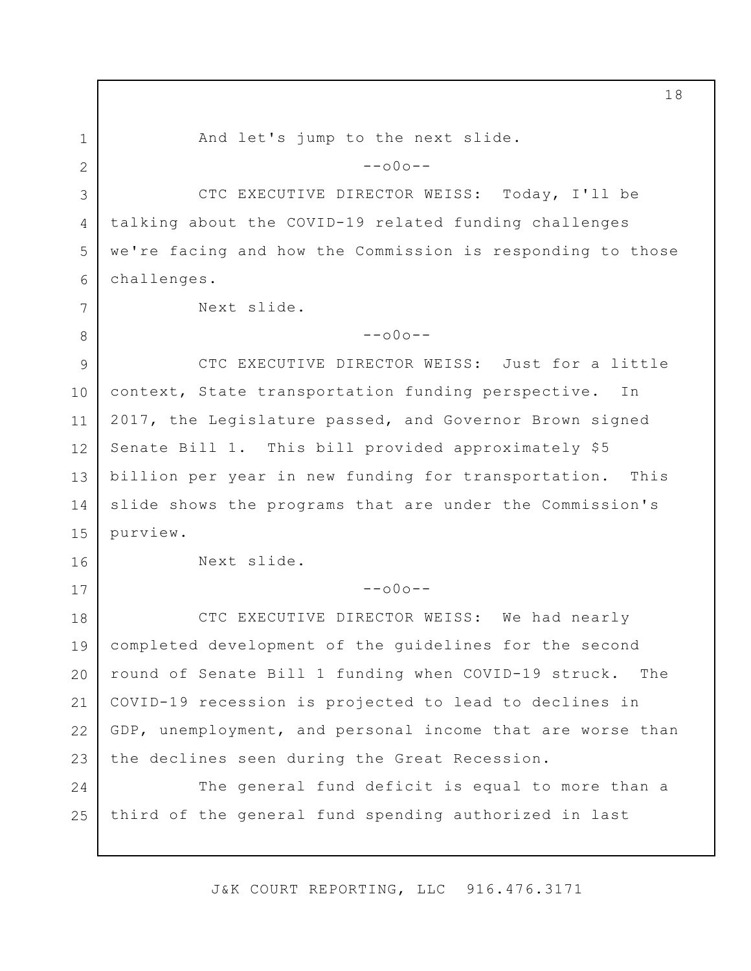1 2 3 4 5 6 7 8 9 10 11 12 13 14 15 16 17 18 19 20 21 22 23 24 25 And let's jump to the next slide.  $--000--$ CTC EXECUTIVE DIRECTOR WEISS: Today, I'll be talking about the COVID-19 related funding challenges we're facing and how the Commission is responding to those challenges. Next slide.  $--000--$ CTC EXECUTIVE DIRECTOR WEISS: Just for a little context, State transportation funding perspective. In 2017, the Legislature passed, and Governor Brown signed Senate Bill 1. This bill provided approximately \$5 billion per year in new funding for transportation. This slide shows the programs that are under the Commission's purview. Next slide.  $--000--$ CTC EXECUTIVE DIRECTOR WEISS: We had nearly completed development of the guidelines for the second round of Senate Bill 1 funding when COVID-19 struck. The COVID-19 recession is projected to lead to declines in GDP, unemployment, and personal income that are worse than the declines seen during the Great Recession. The general fund deficit is equal to more than a third of the general fund spending authorized in last

J&K COURT REPORTING, LLC 916.476.3171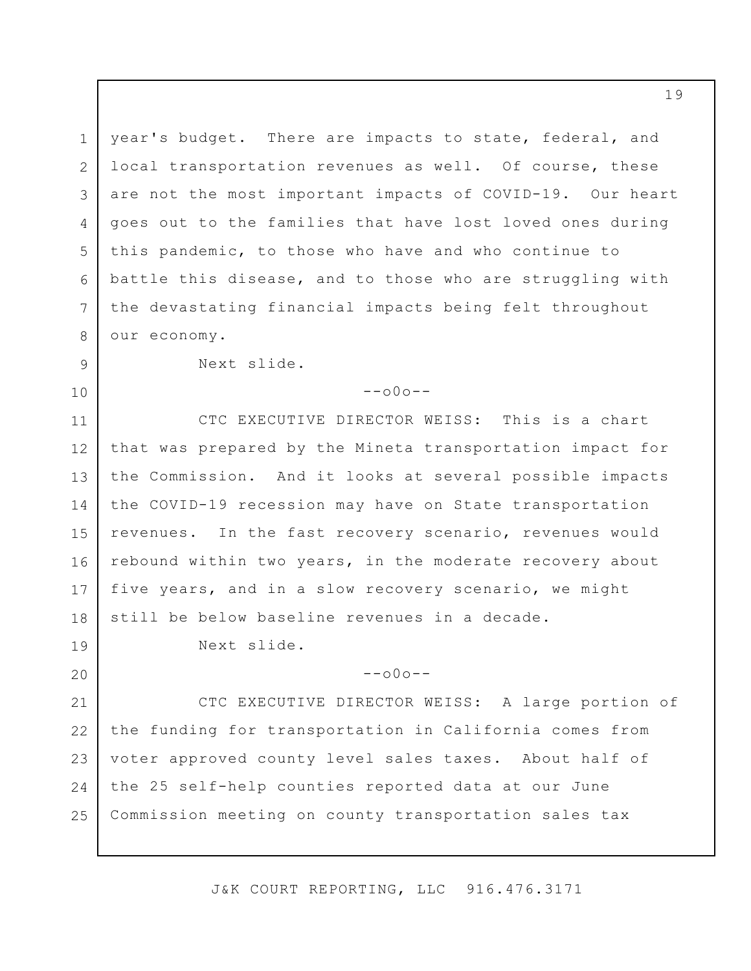1 2 3 4 5 6 7 8 year's budget. There are impacts to state, federal, and local transportation revenues as well. Of course, these are not the most important impacts of COVID-19. Our heart goes out to the families that have lost loved ones during this pandemic, to those who have and who continue to battle this disease, and to those who are struggling with the devastating financial impacts being felt throughout our economy.

9

10

19

20

 $--000--$ 

11 12 13 14 15 16 17 18 CTC EXECUTIVE DIRECTOR WEISS: This is a chart that was prepared by the Mineta transportation impact for the Commission. And it looks at several possible impacts the COVID-19 recession may have on State transportation revenues. In the fast recovery scenario, revenues would rebound within two years, in the moderate recovery about five years, and in a slow recovery scenario, we might still be below baseline revenues in a decade.

Next slide.

Next slide.

 $--000--$ 

21 22 23 24 25 CTC EXECUTIVE DIRECTOR WEISS: A large portion of the funding for transportation in California comes from voter approved county level sales taxes. About half of the 25 self-help counties reported data at our June Commission meeting on county transportation sales tax

J&K COURT REPORTING, LLC 916.476.3171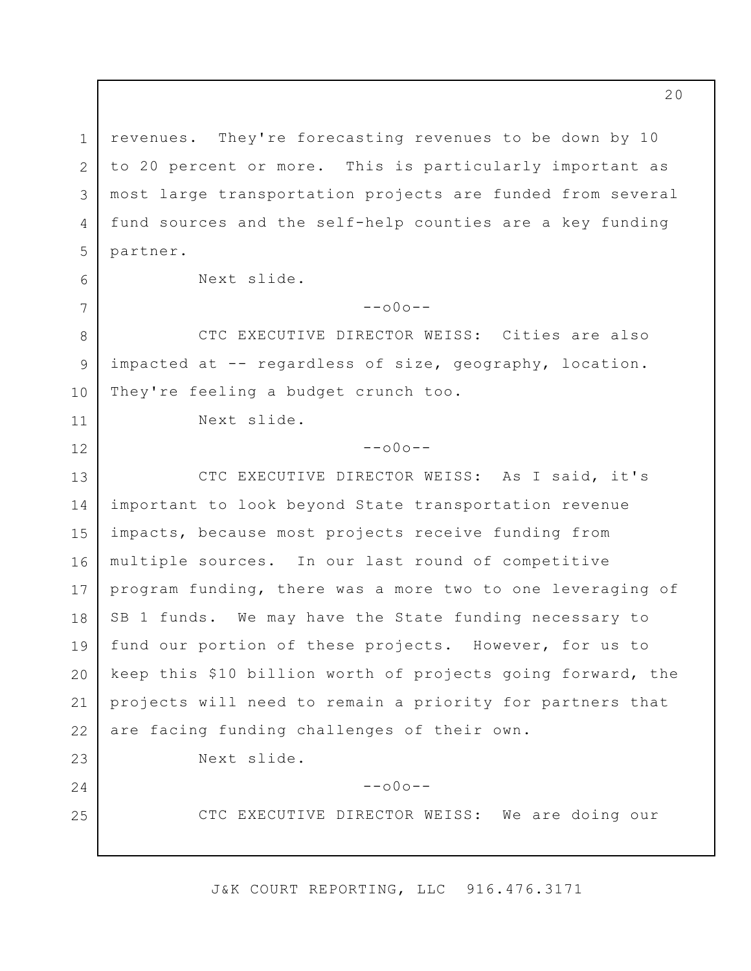1 2 3 4 5 revenues. They're forecasting revenues to be down by 10 to 20 percent or more. This is particularly important as most large transportation projects are funded from several fund sources and the self-help counties are a key funding partner.

6

7

11

12

24

25

Next slide.

 $--000--$ 

8 9 10 CTC EXECUTIVE DIRECTOR WEISS: Cities are also impacted at -- regardless of size, geography, location. They're feeling a budget crunch too.

Next slide.

## $--000--$

13 14 15 16 17 18 19 20 21 22 23 CTC EXECUTIVE DIRECTOR WEISS: As I said, it's important to look beyond State transportation revenue impacts, because most projects receive funding from multiple sources. In our last round of competitive program funding, there was a more two to one leveraging of SB 1 funds. We may have the State funding necessary to fund our portion of these projects. However, for us to keep this \$10 billion worth of projects going forward, the projects will need to remain a priority for partners that are facing funding challenges of their own.

Next slide.

 $--000--$ 

CTC EXECUTIVE DIRECTOR WEISS: We are doing our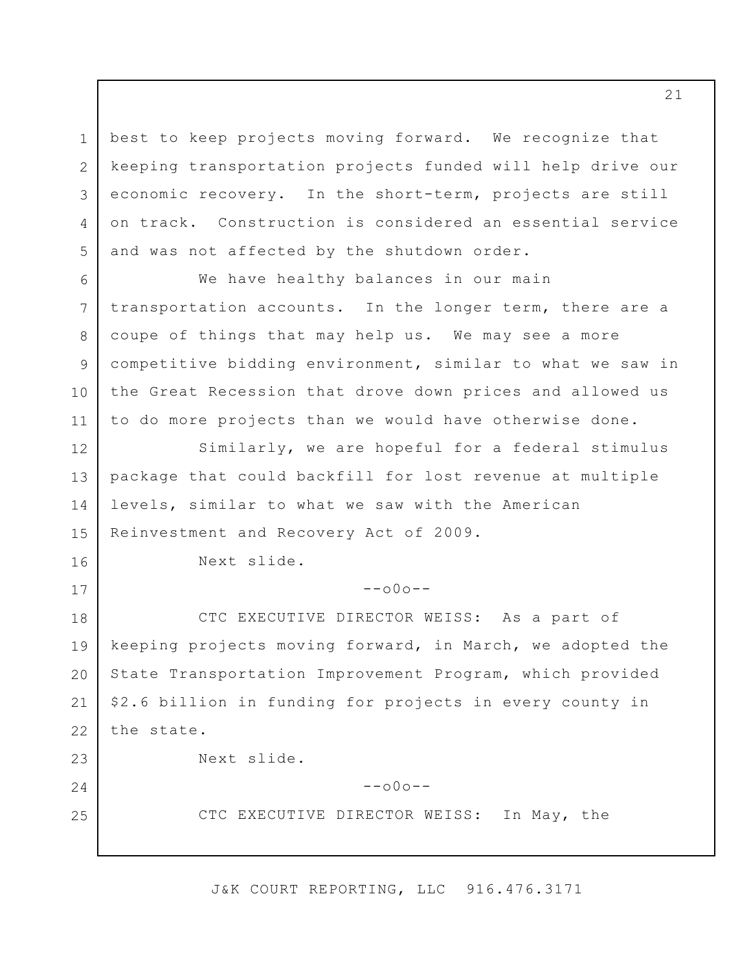1 2 3 4 5 best to keep projects moving forward. We recognize that keeping transportation projects funded will help drive our economic recovery. In the short-term, projects are still on track. Construction is considered an essential service and was not affected by the shutdown order.

6 7 8 9 10 11 We have healthy balances in our main transportation accounts. In the longer term, there are a coupe of things that may help us. We may see a more competitive bidding environment, similar to what we saw in the Great Recession that drove down prices and allowed us to do more projects than we would have otherwise done.

12 13 14 15 Similarly, we are hopeful for a federal stimulus package that could backfill for lost revenue at multiple levels, similar to what we saw with the American Reinvestment and Recovery Act of 2009.

Next slide.

16

17

24

25

 $--000--$ 

18 19 20 21 22 23 CTC EXECUTIVE DIRECTOR WEISS: As a part of keeping projects moving forward, in March, we adopted the State Transportation Improvement Program, which provided \$2.6 billion in funding for projects in every county in the state.

Next slide.

 $--000--$ 

CTC EXECUTIVE DIRECTOR WEISS: In May, the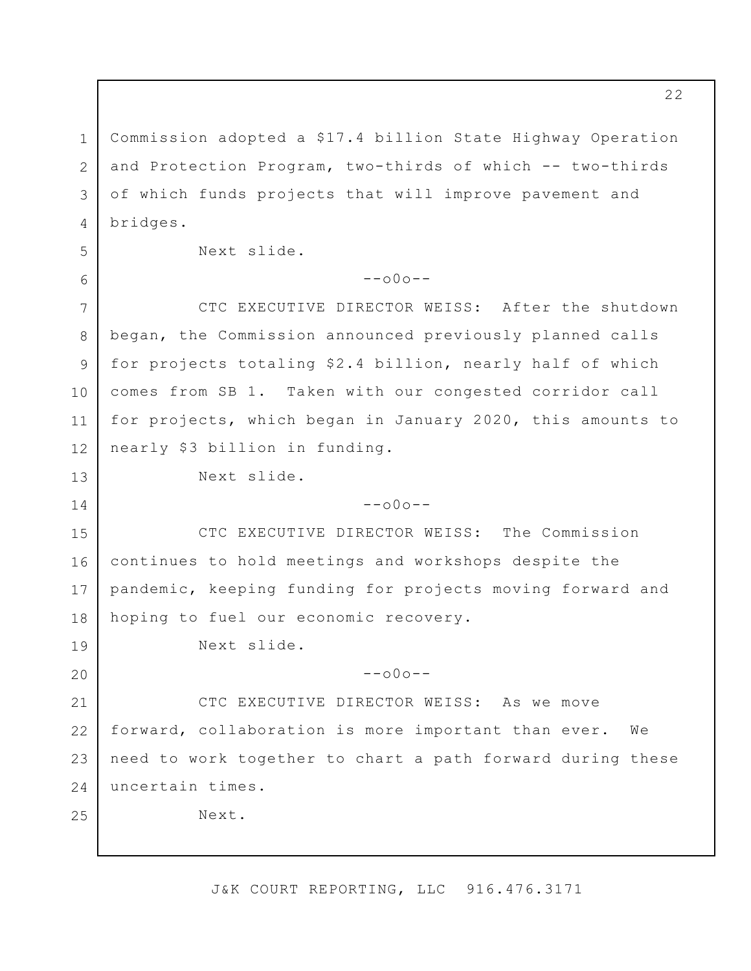1 2 3 4 5 6 7 8 9 10 11 12 13 14 15 16 17 18 19 20 21 22 23 24 25 Commission adopted a \$17.4 billion State Highway Operation and Protection Program, two-thirds of which -- two-thirds of which funds projects that will improve pavement and bridges. Next slide.  $--000--$ CTC EXECUTIVE DIRECTOR WEISS: After the shutdown began, the Commission announced previously planned calls for projects totaling \$2.4 billion, nearly half of which comes from SB 1. Taken with our congested corridor call for projects, which began in January 2020, this amounts to nearly \$3 billion in funding. Next slide.  $--000--$ CTC EXECUTIVE DIRECTOR WEISS: The Commission continues to hold meetings and workshops despite the pandemic, keeping funding for projects moving forward and hoping to fuel our economic recovery. Next slide.  $--000--$ CTC EXECUTIVE DIRECTOR WEISS: As we move forward, collaboration is more important than ever. We need to work together to chart a path forward during these uncertain times. Next.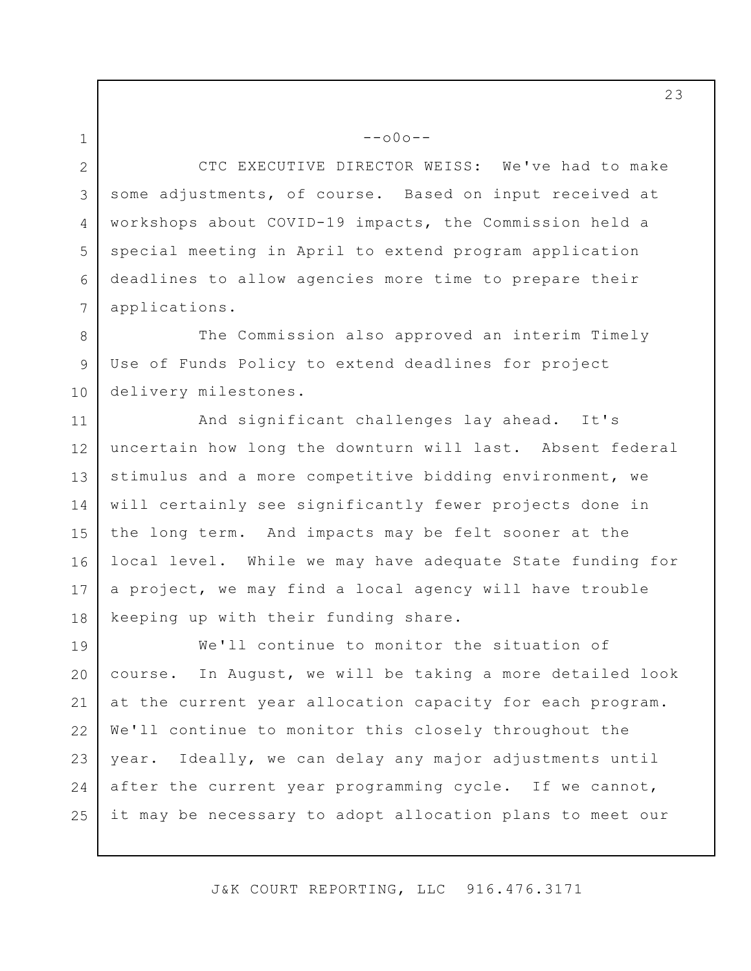2 3 4 5 6 7 CTC EXECUTIVE DIRECTOR WEISS: We've had to make some adjustments, of course. Based on input received at workshops about COVID-19 impacts, the Commission held a special meeting in April to extend program application deadlines to allow agencies more time to prepare their applications.

--o0o--

1

8 9 10 The Commission also approved an interim Timely Use of Funds Policy to extend deadlines for project delivery milestones.

11 12 13 14 15 16 17 18 And significant challenges lay ahead. It's uncertain how long the downturn will last. Absent federal stimulus and a more competitive bidding environment, we will certainly see significantly fewer projects done in the long term. And impacts may be felt sooner at the local level. While we may have adequate State funding for a project, we may find a local agency will have trouble keeping up with their funding share.

19 20 21 22 23 24 25 We'll continue to monitor the situation of course. In August, we will be taking a more detailed look at the current year allocation capacity for each program. We'll continue to monitor this closely throughout the year. Ideally, we can delay any major adjustments until after the current year programming cycle. If we cannot, it may be necessary to adopt allocation plans to meet our

J&K COURT REPORTING, LLC 916.476.3171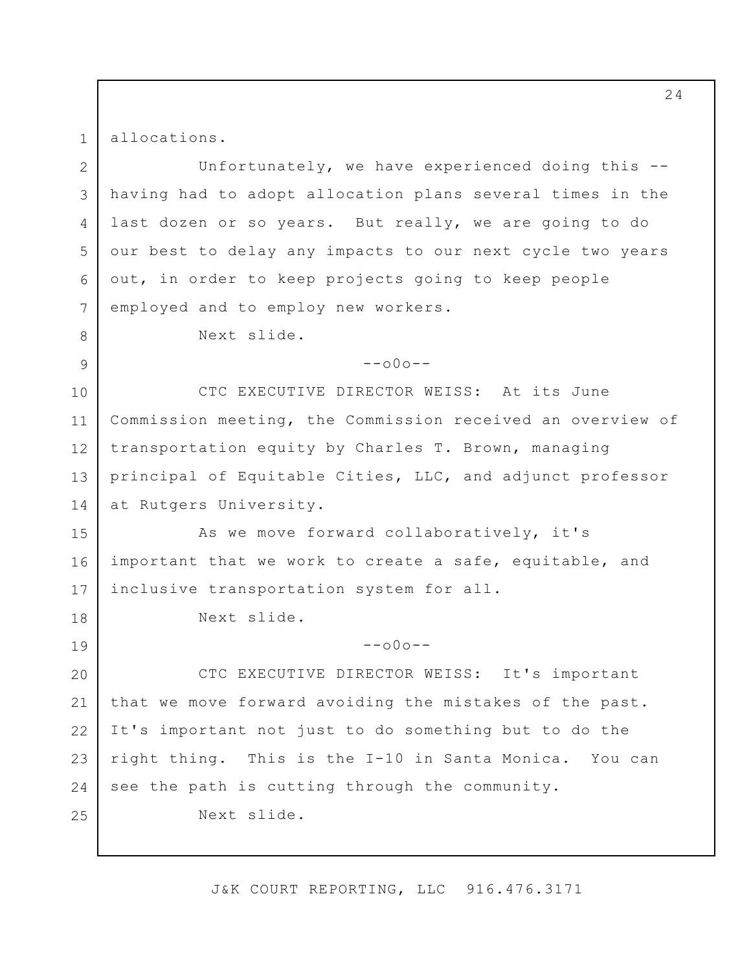allocations.

1

8

9

18

19

2 3 4 5 6 7 Unfortunately, we have experienced doing this - having had to adopt allocation plans several times in the last dozen or so years. But really, we are going to do our best to delay any impacts to our next cycle two years out, in order to keep projects going to keep people employed and to employ new workers.

Next slide.

 $--000--$ 

10 11 12 13 14 CTC EXECUTIVE DIRECTOR WEISS: At its June Commission meeting, the Commission received an overview of transportation equity by Charles T. Brown, managing principal of Equitable Cities, LLC, and adjunct professor at Rutgers University.

15 16 17 As we move forward collaboratively, it's important that we work to create a safe, equitable, and inclusive transportation system for all.

Next slide.

 $--000--$ 

20 21 22 23 24 25 CTC EXECUTIVE DIRECTOR WEISS: It's important that we move forward avoiding the mistakes of the past. It's important not just to do something but to do the right thing. This is the I-10 in Santa Monica. You can see the path is cutting through the community. Next slide.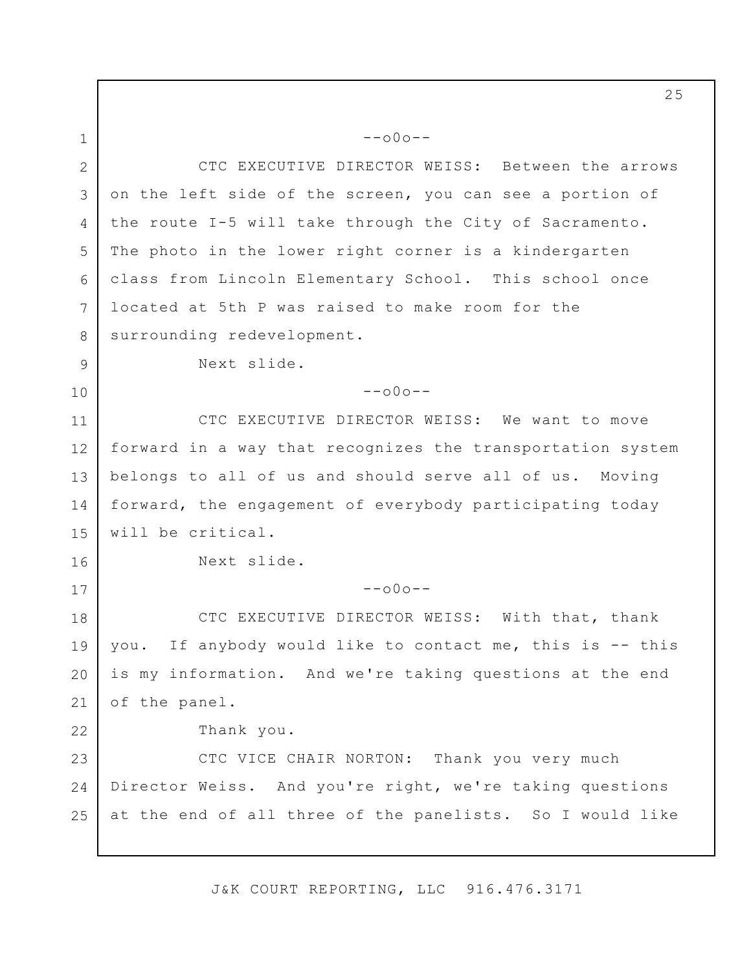1 2 3 4 5 6 7 8 9 10 11 12 13 14 15 16 17 18 19 20 21 22 23 24 25 --o0o-- CTC EXECUTIVE DIRECTOR WEISS: Between the arrows on the left side of the screen, you can see a portion of the route I-5 will take through the City of Sacramento. The photo in the lower right corner is a kindergarten class from Lincoln Elementary School. This school once located at 5th P was raised to make room for the surrounding redevelopment. Next slide.  $--000--$ CTC EXECUTIVE DIRECTOR WEISS: We want to move forward in a way that recognizes the transportation system belongs to all of us and should serve all of us. Moving forward, the engagement of everybody participating today will be critical. Next slide.  $--000--$ CTC EXECUTIVE DIRECTOR WEISS: With that, thank you. If anybody would like to contact me, this is -- this is my information. And we're taking questions at the end of the panel. Thank you. CTC VICE CHAIR NORTON: Thank you very much Director Weiss. And you're right, we're taking questions at the end of all three of the panelists. So I would like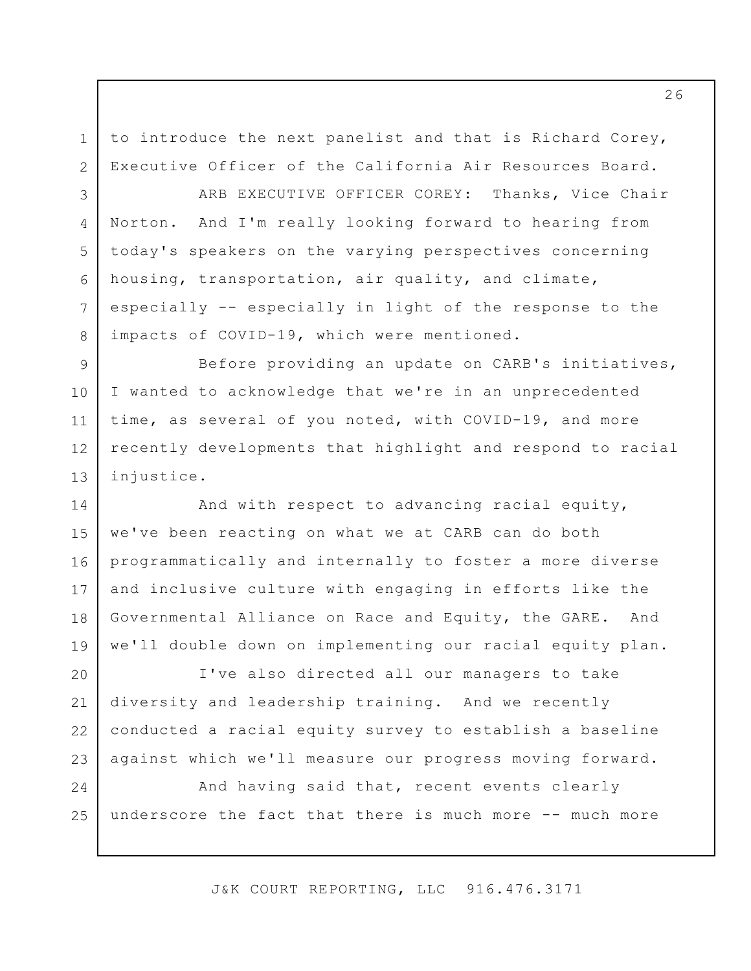to introduce the next panelist and that is Richard Corey, Executive Officer of the California Air Resources Board.

1

2

3

4

5

7

8

6 ARB EXECUTIVE OFFICER COREY: Thanks, Vice Chair Norton. And I'm really looking forward to hearing from today's speakers on the varying perspectives concerning housing, transportation, air quality, and climate, especially -- especially in light of the response to the impacts of COVID-19, which were mentioned.

9 10 11 12 13 Before providing an update on CARB's initiatives, I wanted to acknowledge that we're in an unprecedented time, as several of you noted, with COVID-19, and more recently developments that highlight and respond to racial injustice.

14 15 16 17 18 19 And with respect to advancing racial equity, we've been reacting on what we at CARB can do both programmatically and internally to foster a more diverse and inclusive culture with engaging in efforts like the Governmental Alliance on Race and Equity, the GARE. And we'll double down on implementing our racial equity plan.

20 21 22 23 I've also directed all our managers to take diversity and leadership training. And we recently conducted a racial equity survey to establish a baseline against which we'll measure our progress moving forward.

24 25 And having said that, recent events clearly underscore the fact that there is much more -- much more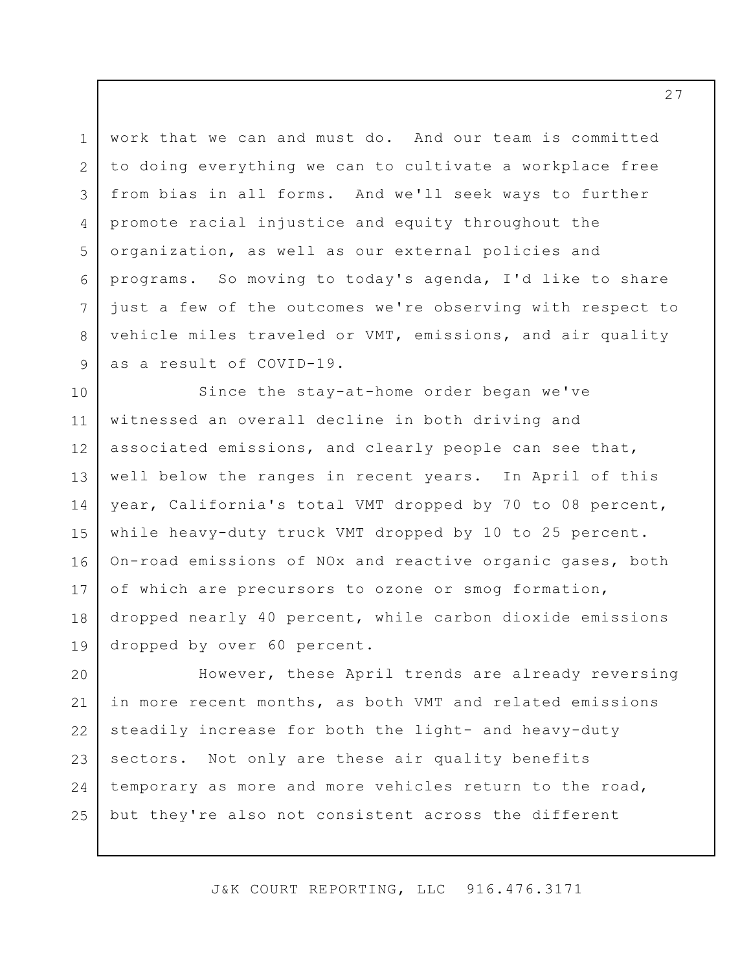1 2 3 4 5 6 7 8 9 work that we can and must do. And our team is committed to doing everything we can to cultivate a workplace free from bias in all forms. And we'll seek ways to further promote racial injustice and equity throughout the organization, as well as our external policies and programs. So moving to today's agenda, I'd like to share just a few of the outcomes we're observing with respect to vehicle miles traveled or VMT, emissions, and air quality as a result of COVID-19.

10 11 12 13 14 15 16 17 18 19 Since the stay-at-home order began we've witnessed an overall decline in both driving and associated emissions, and clearly people can see that, well below the ranges in recent years. In April of this year, California's total VMT dropped by 70 to 08 percent, while heavy-duty truck VMT dropped by 10 to 25 percent. On-road emissions of NOx and reactive organic gases, both of which are precursors to ozone or smog formation, dropped nearly 40 percent, while carbon dioxide emissions dropped by over 60 percent.

20 21 22 23 24 25 However, these April trends are already reversing in more recent months, as both VMT and related emissions steadily increase for both the light- and heavy-duty sectors. Not only are these air quality benefits temporary as more and more vehicles return to the road, but they're also not consistent across the different

J&K COURT REPORTING, LLC 916.476.3171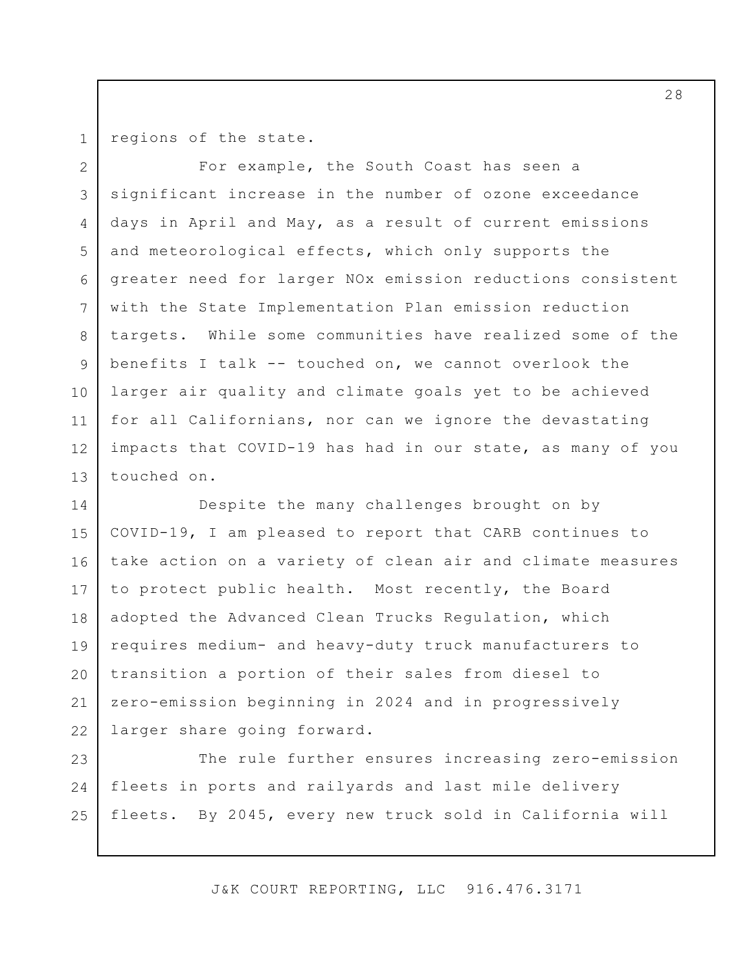1

regions of the state.

2 3 4 5 6 7 8 9 10 11 12 13 For example, the South Coast has seen a significant increase in the number of ozone exceedance days in April and May, as a result of current emissions and meteorological effects, which only supports the greater need for larger NOx emission reductions consistent with the State Implementation Plan emission reduction targets. While some communities have realized some of the benefits I talk -- touched on, we cannot overlook the larger air quality and climate goals yet to be achieved for all Californians, nor can we ignore the devastating impacts that COVID-19 has had in our state, as many of you touched on.

14 15 16 17 18 19 20 21 22 Despite the many challenges brought on by COVID-19, I am pleased to report that CARB continues to take action on a variety of clean air and climate measures to protect public health. Most recently, the Board adopted the Advanced Clean Trucks Regulation, which requires medium- and heavy-duty truck manufacturers to transition a portion of their sales from diesel to zero-emission beginning in 2024 and in progressively larger share going forward.

23 24 25 The rule further ensures increasing zero-emission fleets in ports and railyards and last mile delivery fleets. By 2045, every new truck sold in California will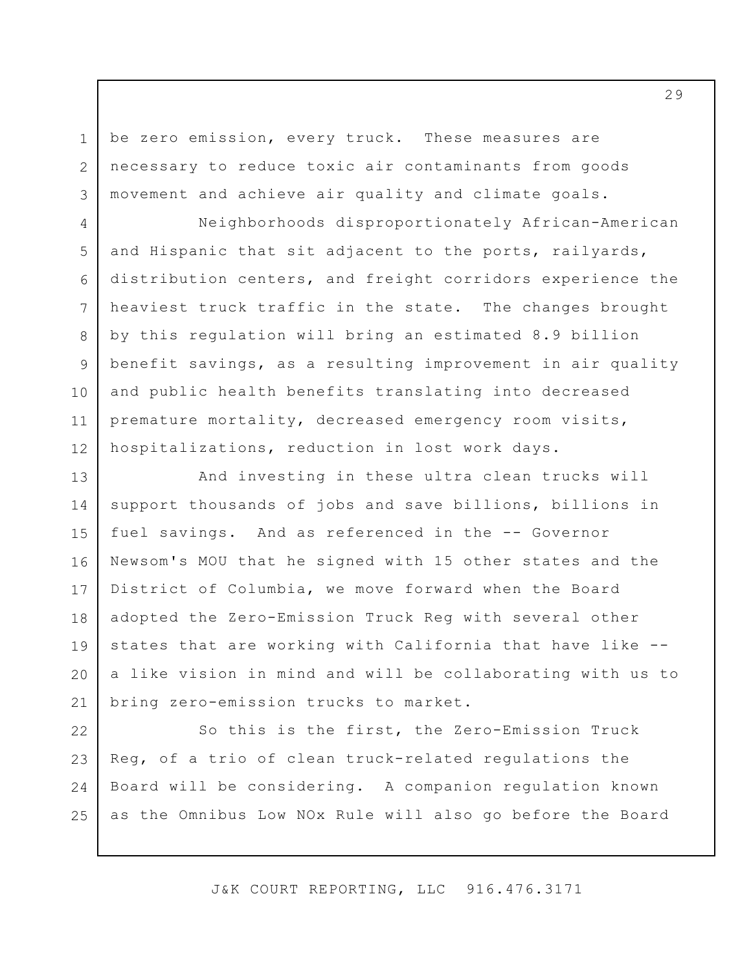be zero emission, every truck. These measures are necessary to reduce toxic air contaminants from goods movement and achieve air quality and climate goals.

1

2

3

4

7

8

9

10

11

5 6 12 Neighborhoods disproportionately African-American and Hispanic that sit adjacent to the ports, railyards, distribution centers, and freight corridors experience the heaviest truck traffic in the state. The changes brought by this regulation will bring an estimated 8.9 billion benefit savings, as a resulting improvement in air quality and public health benefits translating into decreased premature mortality, decreased emergency room visits, hospitalizations, reduction in lost work days.

13 14 15 16 17 18 19 20 21 And investing in these ultra clean trucks will support thousands of jobs and save billions, billions in fuel savings. And as referenced in the -- Governor Newsom's MOU that he signed with 15 other states and the District of Columbia, we move forward when the Board adopted the Zero-Emission Truck Reg with several other states that are working with California that have like - a like vision in mind and will be collaborating with us to bring zero-emission trucks to market.

22 23 24 25 So this is the first, the Zero-Emission Truck Reg, of a trio of clean truck-related regulations the Board will be considering. A companion regulation known as the Omnibus Low NOx Rule will also go before the Board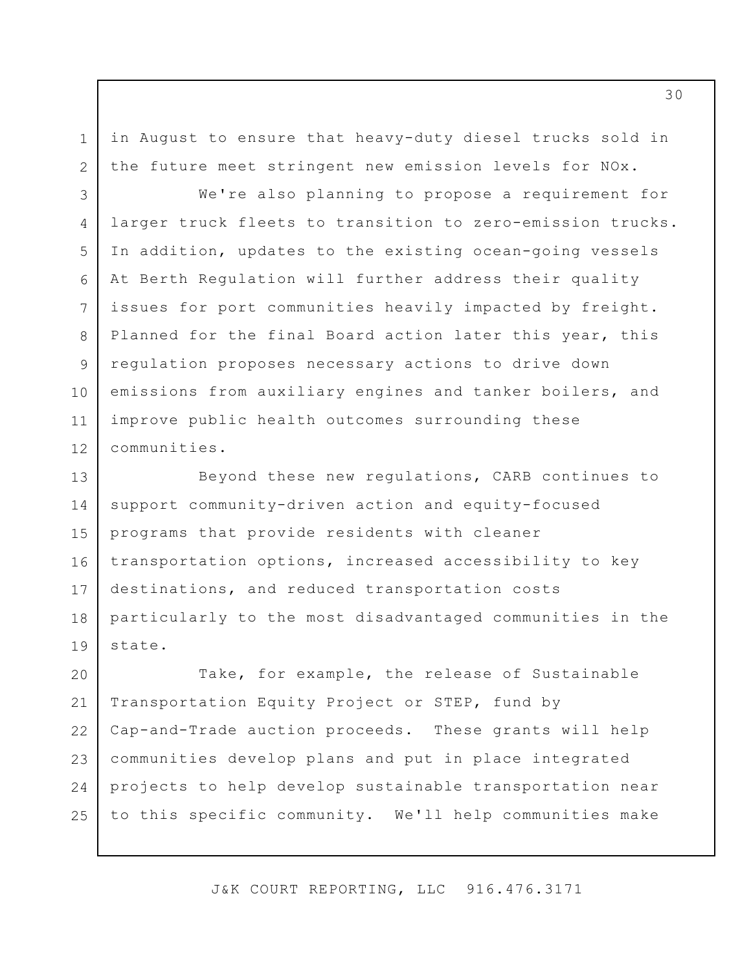in August to ensure that heavy-duty diesel trucks sold in the future meet stringent new emission levels for NOx.

1

2

8

9

11

3 4 5 6 7 10 12 We're also planning to propose a requirement for larger truck fleets to transition to zero-emission trucks. In addition, updates to the existing ocean-going vessels At Berth Regulation will further address their quality issues for port communities heavily impacted by freight. Planned for the final Board action later this year, this regulation proposes necessary actions to drive down emissions from auxiliary engines and tanker boilers, and improve public health outcomes surrounding these communities.

13 14 15 16 17 18 19 Beyond these new regulations, CARB continues to support community-driven action and equity-focused programs that provide residents with cleaner transportation options, increased accessibility to key destinations, and reduced transportation costs particularly to the most disadvantaged communities in the state.

20 21 22 23 24 25 Take, for example, the release of Sustainable Transportation Equity Project or STEP, fund by Cap-and-Trade auction proceeds. These grants will help communities develop plans and put in place integrated projects to help develop sustainable transportation near to this specific community. We'll help communities make

J&K COURT REPORTING, LLC 916.476.3171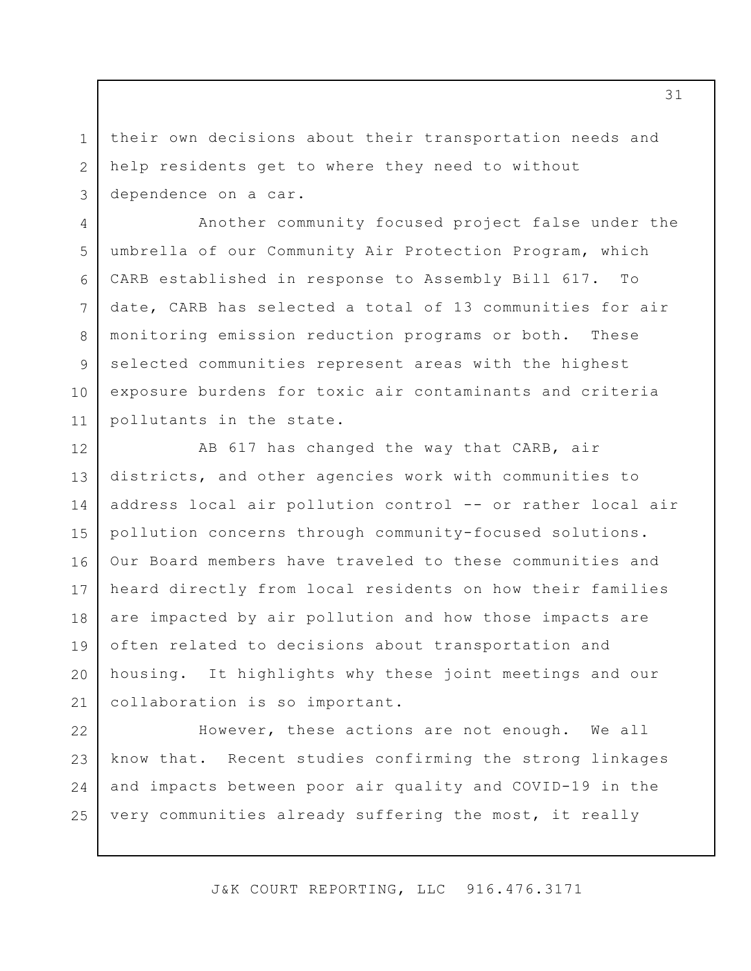their own decisions about their transportation needs and help residents get to where they need to without dependence on a car.

1

2

3

4 5 6 7 8 9 10 11 Another community focused project false under the umbrella of our Community Air Protection Program, which CARB established in response to Assembly Bill 617. To date, CARB has selected a total of 13 communities for air monitoring emission reduction programs or both. These selected communities represent areas with the highest exposure burdens for toxic air contaminants and criteria pollutants in the state.

12 13 14 15 16 17 18 19 20 21 AB 617 has changed the way that CARB, air districts, and other agencies work with communities to address local air pollution control -- or rather local air pollution concerns through community-focused solutions. Our Board members have traveled to these communities and heard directly from local residents on how their families are impacted by air pollution and how those impacts are often related to decisions about transportation and housing. It highlights why these joint meetings and our collaboration is so important.

22 23 24 25 However, these actions are not enough. We all know that. Recent studies confirming the strong linkages and impacts between poor air quality and COVID-19 in the very communities already suffering the most, it really

J&K COURT REPORTING, LLC 916.476.3171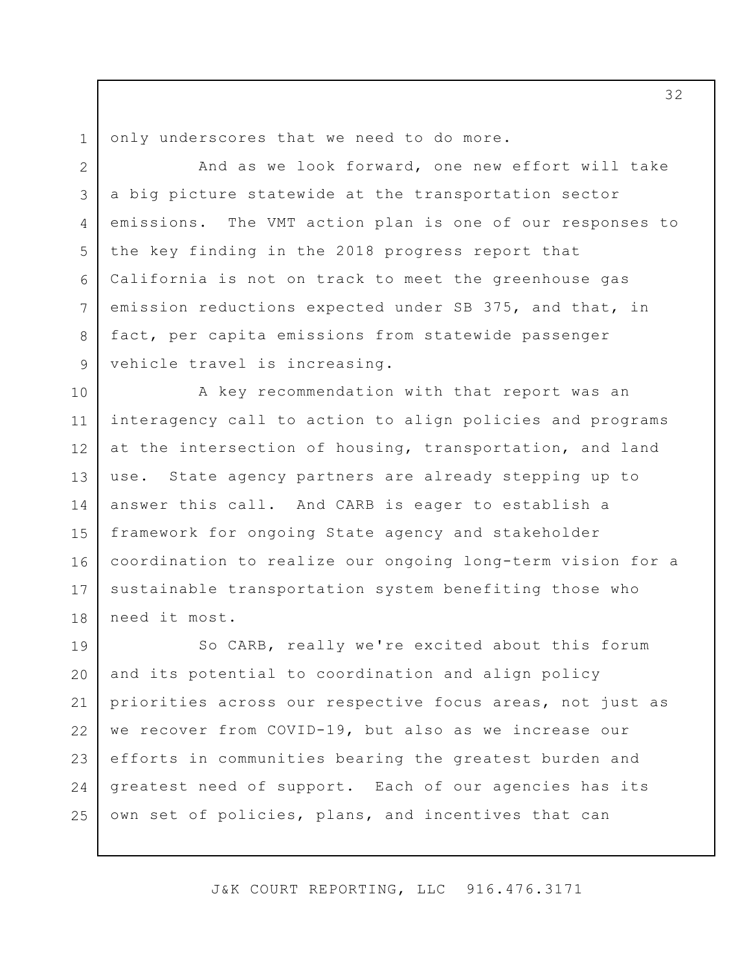1 only underscores that we need to do more.

2

3

4

5

6

7

8

9

And as we look forward, one new effort will take a big picture statewide at the transportation sector emissions. The VMT action plan is one of our responses to the key finding in the 2018 progress report that California is not on track to meet the greenhouse gas emission reductions expected under SB 375, and that, in fact, per capita emissions from statewide passenger vehicle travel is increasing.

10 11 12 13 14 15 16 17 18 A key recommendation with that report was an interagency call to action to align policies and programs at the intersection of housing, transportation, and land use. State agency partners are already stepping up to answer this call. And CARB is eager to establish a framework for ongoing State agency and stakeholder coordination to realize our ongoing long-term vision for a sustainable transportation system benefiting those who need it most.

19 20 21 22 23 24 25 So CARB, really we're excited about this forum and its potential to coordination and align policy priorities across our respective focus areas, not just as we recover from COVID-19, but also as we increase our efforts in communities bearing the greatest burden and greatest need of support. Each of our agencies has its own set of policies, plans, and incentives that can

J&K COURT REPORTING, LLC 916.476.3171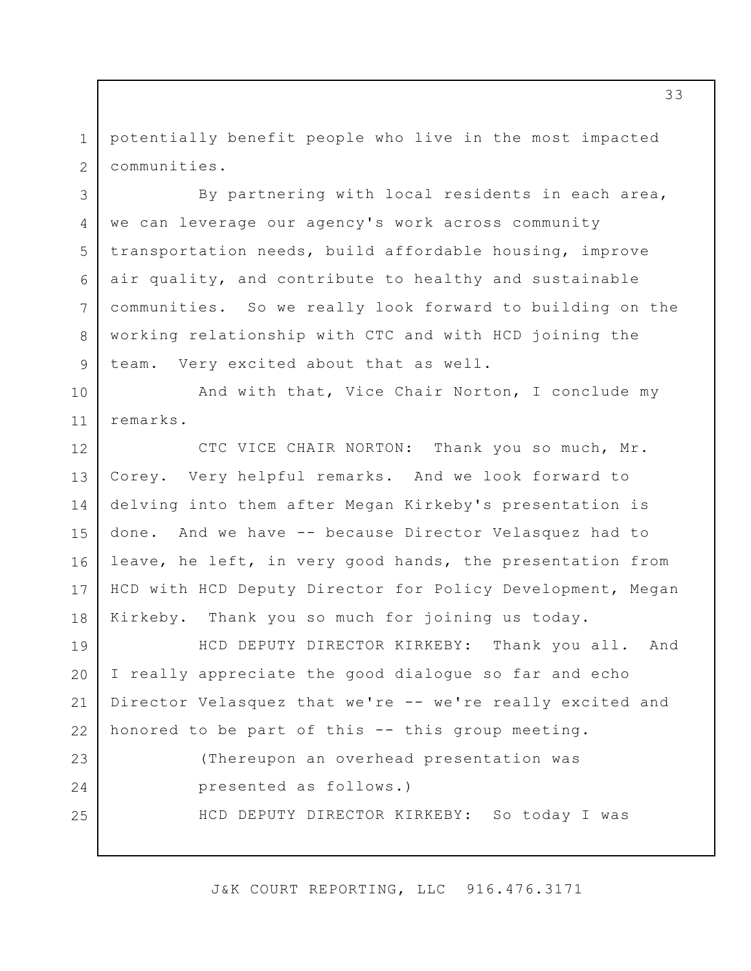1 2 potentially benefit people who live in the most impacted communities.

3

4

5

6

7

8

9

By partnering with local residents in each area, we can leverage our agency's work across community transportation needs, build affordable housing, improve air quality, and contribute to healthy and sustainable communities. So we really look forward to building on the working relationship with CTC and with HCD joining the team. Very excited about that as well.

10 11 And with that, Vice Chair Norton, I conclude my remarks.

12 13 14 15 16 17 18 CTC VICE CHAIR NORTON: Thank you so much, Mr. Corey. Very helpful remarks. And we look forward to delving into them after Megan Kirkeby's presentation is done. And we have -- because Director Velasquez had to leave, he left, in very good hands, the presentation from HCD with HCD Deputy Director for Policy Development, Megan Kirkeby. Thank you so much for joining us today.

19 20 21 22 HCD DEPUTY DIRECTOR KIRKEBY: Thank you all. And I really appreciate the good dialogue so far and echo Director Velasquez that we're -- we're really excited and honored to be part of this -- this group meeting.

23 24 25 (Thereupon an overhead presentation was presented as follows.) HCD DEPUTY DIRECTOR KIRKEBY: So today I was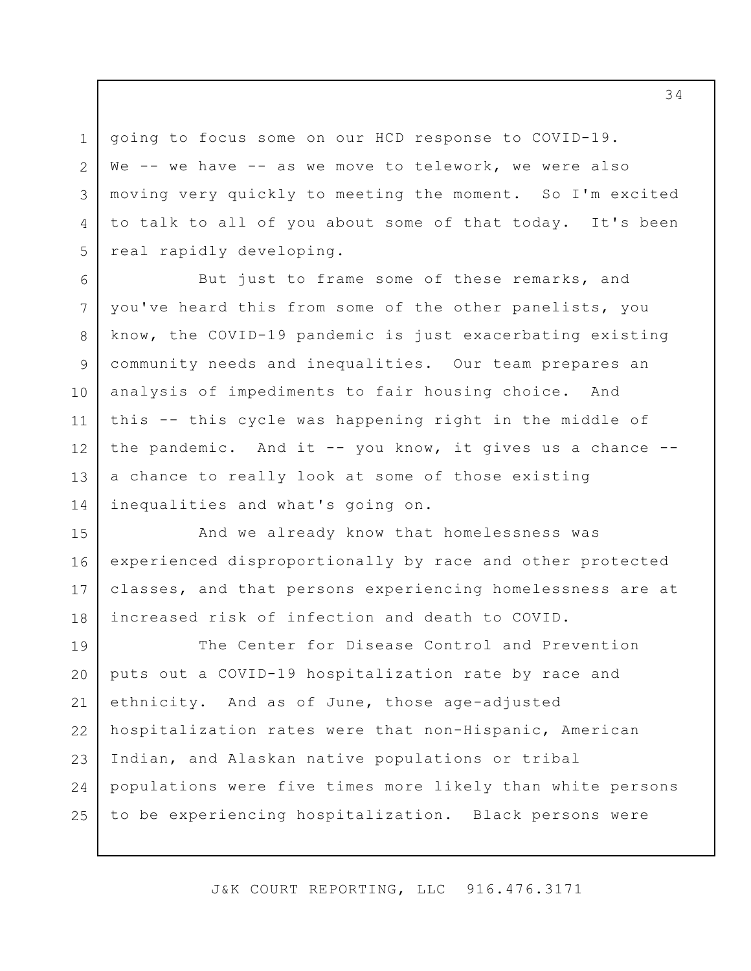going to focus some on our HCD response to COVID-19. We -- we have -- as we move to telework, we were also moving very quickly to meeting the moment. So I'm excited to talk to all of you about some of that today. It's been real rapidly developing.

1

2

3

4

5

6

7

8

9

10

11

12

13

14

But just to frame some of these remarks, and you've heard this from some of the other panelists, you know, the COVID-19 pandemic is just exacerbating existing community needs and inequalities. Our team prepares an analysis of impediments to fair housing choice. And this -- this cycle was happening right in the middle of the pandemic. And it  $--$  you know, it gives us a chance  $-$ a chance to really look at some of those existing inequalities and what's going on.

15 16 17 18 And we already know that homelessness was experienced disproportionally by race and other protected classes, and that persons experiencing homelessness are at increased risk of infection and death to COVID.

19 20 21 22 23 24 25 The Center for Disease Control and Prevention puts out a COVID-19 hospitalization rate by race and ethnicity. And as of June, those age-adjusted hospitalization rates were that non-Hispanic, American Indian, and Alaskan native populations or tribal populations were five times more likely than white persons to be experiencing hospitalization. Black persons were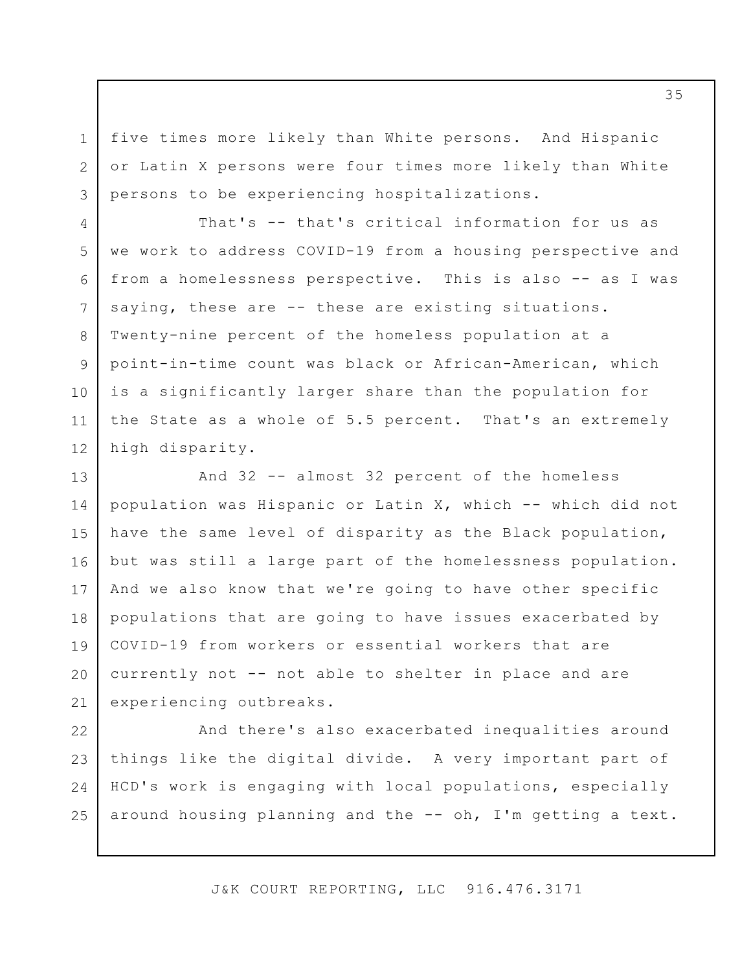five times more likely than White persons. And Hispanic or Latin X persons were four times more likely than White persons to be experiencing hospitalizations.

1

2

3

4

5

6

7

8

9

10

11

12

That's -- that's critical information for us as we work to address COVID-19 from a housing perspective and from a homelessness perspective. This is also -- as I was saying, these are -- these are existing situations. Twenty-nine percent of the homeless population at a point-in-time count was black or African-American, which is a significantly larger share than the population for the State as a whole of 5.5 percent. That's an extremely high disparity.

13 14 15 16 17 18 19 20 21 And 32 -- almost 32 percent of the homeless population was Hispanic or Latin X, which -- which did not have the same level of disparity as the Black population, but was still a large part of the homelessness population. And we also know that we're going to have other specific populations that are going to have issues exacerbated by COVID-19 from workers or essential workers that are currently not -- not able to shelter in place and are experiencing outbreaks.

22 23 24 25 And there's also exacerbated inequalities around things like the digital divide. A very important part of HCD's work is engaging with local populations, especially around housing planning and the -- oh, I'm getting a text.

J&K COURT REPORTING, LLC 916.476.3171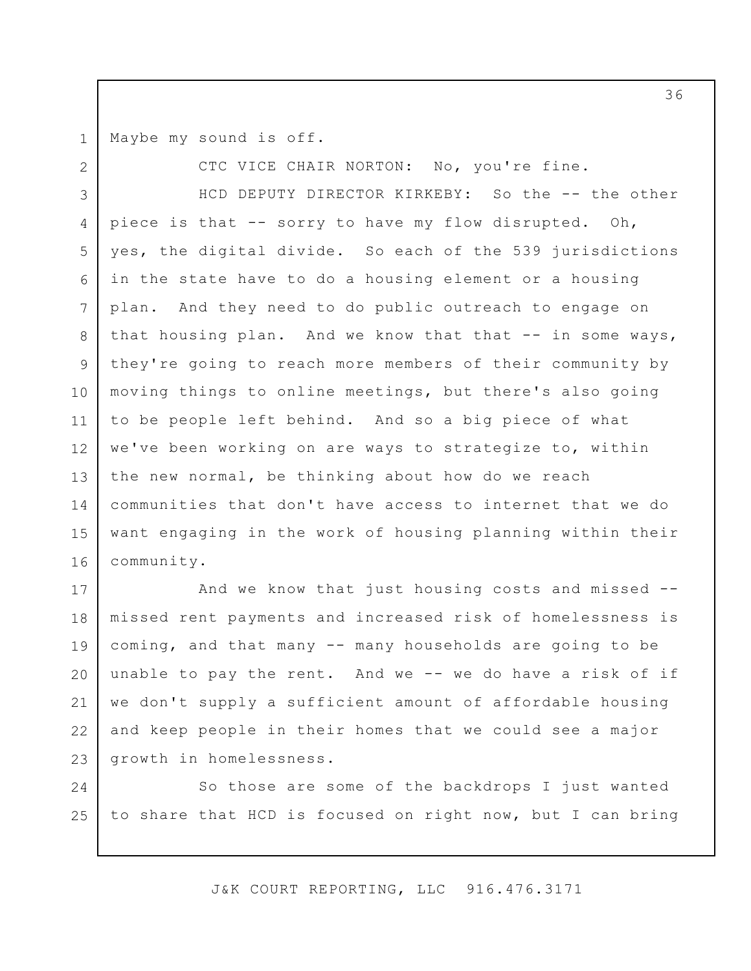Maybe my sound is off.

2

CTC VICE CHAIR NORTON: No, you're fine.

3 4 5 6 7 8 9 10 11 12 13 14 15 16 HCD DEPUTY DIRECTOR KIRKEBY: So the -- the other piece is that -- sorry to have my flow disrupted. Oh, yes, the digital divide. So each of the 539 jurisdictions in the state have to do a housing element or a housing plan. And they need to do public outreach to engage on that housing plan. And we know that that  $-$  in some ways, they're going to reach more members of their community by moving things to online meetings, but there's also going to be people left behind. And so a big piece of what we've been working on are ways to strategize to, within the new normal, be thinking about how do we reach communities that don't have access to internet that we do want engaging in the work of housing planning within their community.

17 18 19 20 21 22 23 And we know that just housing costs and missed - missed rent payments and increased risk of homelessness is coming, and that many -- many households are going to be unable to pay the rent. And we -- we do have a risk of if we don't supply a sufficient amount of affordable housing and keep people in their homes that we could see a major growth in homelessness.

24 25 So those are some of the backdrops I just wanted to share that HCD is focused on right now, but I can bring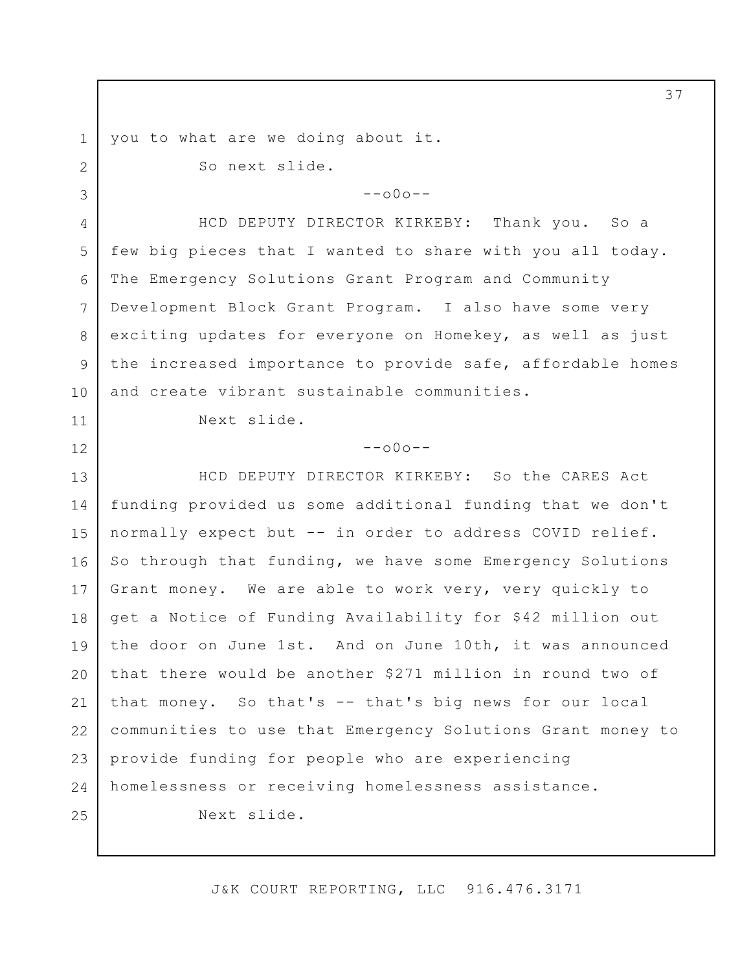you to what are we doing about it.

1

2

3

11

12

So next slide.

 $--000--$ 

4 5  $6 \overline{6}$ 7 8 9 10 HCD DEPUTY DIRECTOR KIRKEBY: Thank you. So a few big pieces that I wanted to share with you all today. The Emergency Solutions Grant Program and Community Development Block Grant Program. I also have some very exciting updates for everyone on Homekey, as well as just the increased importance to provide safe, affordable homes and create vibrant sustainable communities.

Next slide.

## $--000--$

13 14 15 16 17 18 19 20 21 22 23 24 25 HCD DEPUTY DIRECTOR KIRKEBY: So the CARES Act funding provided us some additional funding that we don't normally expect but -- in order to address COVID relief. So through that funding, we have some Emergency Solutions Grant money. We are able to work very, very quickly to get a Notice of Funding Availability for \$42 million out the door on June 1st. And on June 10th, it was announced that there would be another \$271 million in round two of that money. So that's -- that's big news for our local communities to use that Emergency Solutions Grant money to provide funding for people who are experiencing homelessness or receiving homelessness assistance. Next slide.

J&K COURT REPORTING, LLC 916.476.3171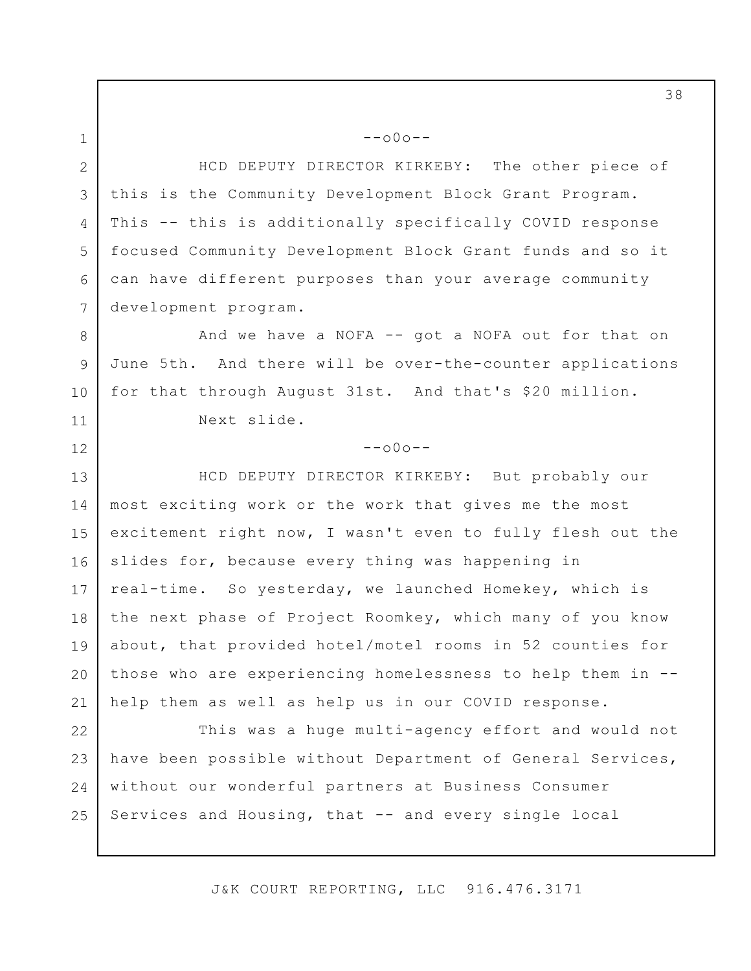2 3 4 5 6 7 HCD DEPUTY DIRECTOR KIRKEBY: The other piece of this is the Community Development Block Grant Program. This -- this is additionally specifically COVID response focused Community Development Block Grant funds and so it can have different purposes than your average community development program.

--o0o--

1

12

8 9 10 11 And we have a NOFA -- got a NOFA out for that on June 5th. And there will be over-the-counter applications for that through August 31st. And that's \$20 million. Next slide.

## $--000--$

13 14 15 16 17 18 19 20 21 HCD DEPUTY DIRECTOR KIRKEBY: But probably our most exciting work or the work that gives me the most excitement right now, I wasn't even to fully flesh out the slides for, because every thing was happening in real-time. So yesterday, we launched Homekey, which is the next phase of Project Roomkey, which many of you know about, that provided hotel/motel rooms in 52 counties for those who are experiencing homelessness to help them in - help them as well as help us in our COVID response.

22 23 24 25 This was a huge multi-agency effort and would not have been possible without Department of General Services, without our wonderful partners at Business Consumer Services and Housing, that -- and every single local

J&K COURT REPORTING, LLC 916.476.3171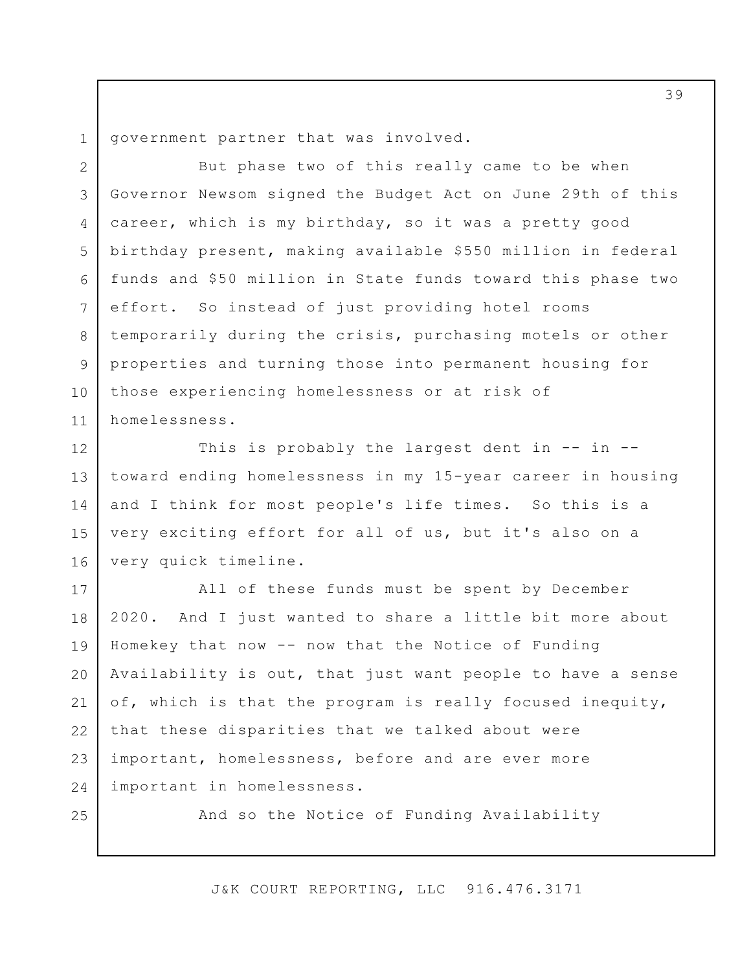3

4

5

6

7

8

9

10

11

government partner that was involved.

But phase two of this really came to be when Governor Newsom signed the Budget Act on June 29th of this career, which is my birthday, so it was a pretty good birthday present, making available \$550 million in federal funds and \$50 million in State funds toward this phase two effort. So instead of just providing hotel rooms temporarily during the crisis, purchasing motels or other properties and turning those into permanent housing for those experiencing homelessness or at risk of homelessness.

12 13 14 15 16 This is probably the largest dent in -- in -toward ending homelessness in my 15-year career in housing and I think for most people's life times. So this is a very exciting effort for all of us, but it's also on a very quick timeline.

17 18 19 20 21 22 23 24 All of these funds must be spent by December 2020. And I just wanted to share a little bit more about Homekey that now -- now that the Notice of Funding Availability is out, that just want people to have a sense of, which is that the program is really focused inequity, that these disparities that we talked about were important, homelessness, before and are ever more important in homelessness.

25

And so the Notice of Funding Availability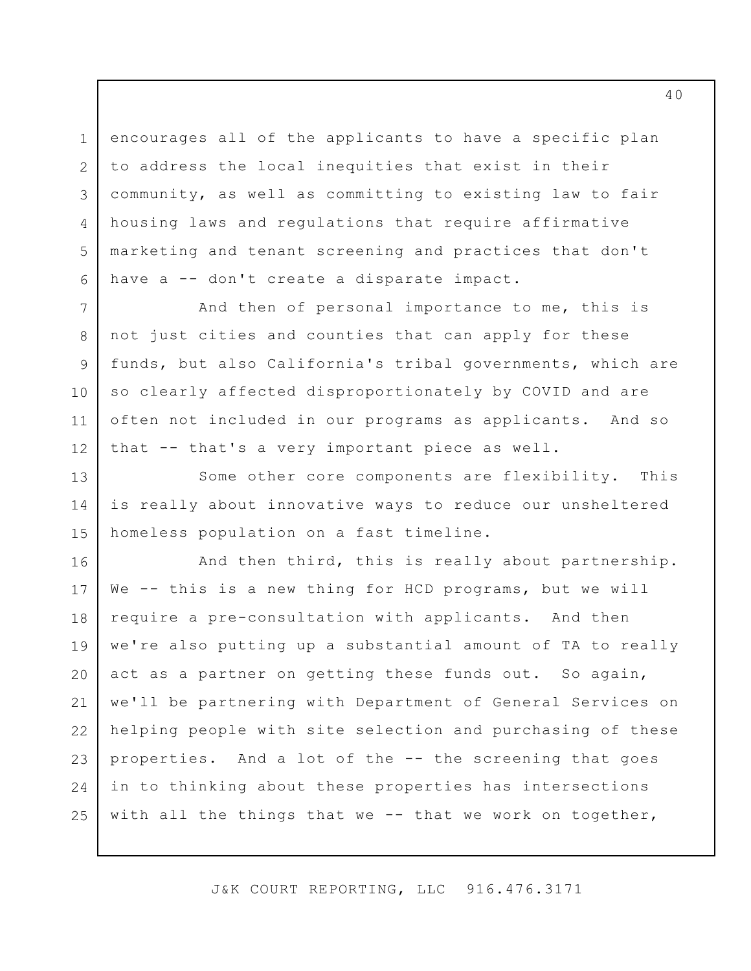1 2 3 4 5 6 encourages all of the applicants to have a specific plan to address the local inequities that exist in their community, as well as committing to existing law to fair housing laws and regulations that require affirmative marketing and tenant screening and practices that don't have a -- don't create a disparate impact.

7

8

9

10

11

12

13

14

15

And then of personal importance to me, this is not just cities and counties that can apply for these funds, but also California's tribal governments, which are so clearly affected disproportionately by COVID and are often not included in our programs as applicants. And so that -- that's a very important piece as well.

Some other core components are flexibility. This is really about innovative ways to reduce our unsheltered homeless population on a fast timeline.

16 17 18 19 20 21 22 23 24 25 And then third, this is really about partnership. We -- this is a new thing for HCD programs, but we will require a pre-consultation with applicants. And then we're also putting up a substantial amount of TA to really act as a partner on getting these funds out. So again, we'll be partnering with Department of General Services on helping people with site selection and purchasing of these properties. And a lot of the -- the screening that goes in to thinking about these properties has intersections with all the things that we -- that we work on together,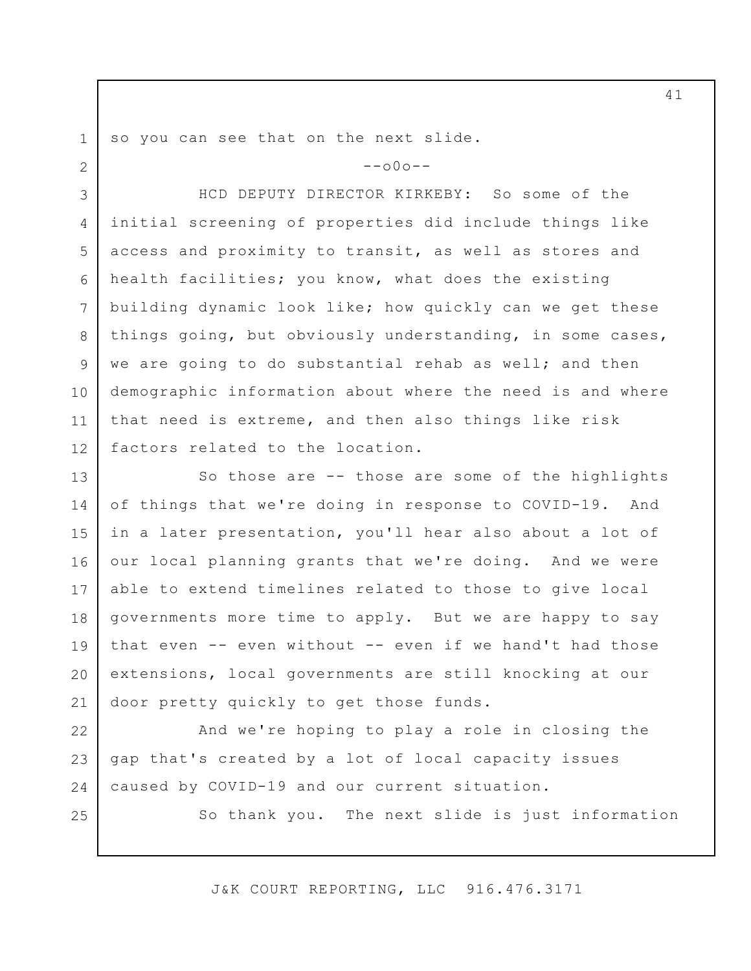so you can see that on the next slide.

1

2

25

 $--000--$ 

3 4 5 6 7 8 9 10 11 12 HCD DEPUTY DIRECTOR KIRKEBY: So some of the initial screening of properties did include things like access and proximity to transit, as well as stores and health facilities; you know, what does the existing building dynamic look like; how quickly can we get these things going, but obviously understanding, in some cases, we are going to do substantial rehab as well; and then demographic information about where the need is and where that need is extreme, and then also things like risk factors related to the location.

13 14 15 16 17 18 19 20 21 So those are -- those are some of the highlights of things that we're doing in response to COVID-19. And in a later presentation, you'll hear also about a lot of our local planning grants that we're doing. And we were able to extend timelines related to those to give local governments more time to apply. But we are happy to say that even -- even without -- even if we hand't had those extensions, local governments are still knocking at our door pretty quickly to get those funds.

22 23 24 And we're hoping to play a role in closing the gap that's created by a lot of local capacity issues caused by COVID-19 and our current situation.

So thank you. The next slide is just information

J&K COURT REPORTING, LLC 916.476.3171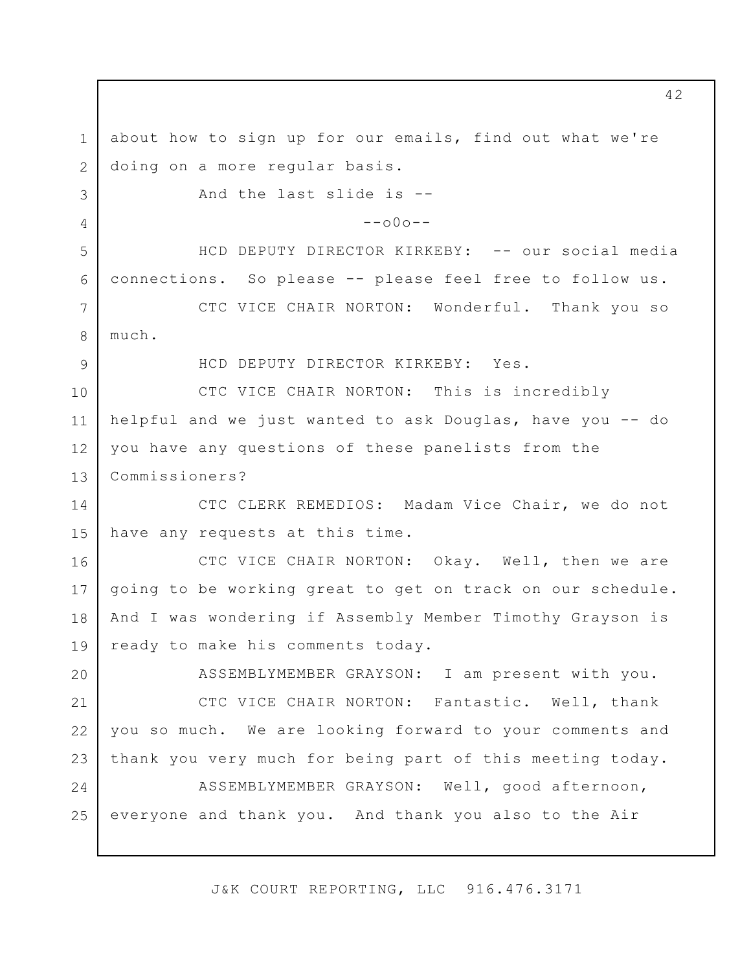1 2 3 4 5 6 7 8 9 10 11 12 13 14 15 16 17 18 19 20 21 22 23 24 25 about how to sign up for our emails, find out what we're doing on a more regular basis. And the last slide is --  $--000--$ HCD DEPUTY DIRECTOR KIRKEBY: -- our social media connections. So please -- please feel free to follow us. CTC VICE CHAIR NORTON: Wonderful. Thank you so much. HCD DEPUTY DIRECTOR KIRKEBY: Yes. CTC VICE CHAIR NORTON: This is incredibly helpful and we just wanted to ask Douglas, have you -- do you have any questions of these panelists from the Commissioners? CTC CLERK REMEDIOS: Madam Vice Chair, we do not have any requests at this time. CTC VICE CHAIR NORTON: Okay. Well, then we are going to be working great to get on track on our schedule. And I was wondering if Assembly Member Timothy Grayson is ready to make his comments today. ASSEMBLYMEMBER GRAYSON: I am present with you. CTC VICE CHAIR NORTON: Fantastic. Well, thank you so much. We are looking forward to your comments and thank you very much for being part of this meeting today. ASSEMBLYMEMBER GRAYSON: Well, good afternoon, everyone and thank you. And thank you also to the Air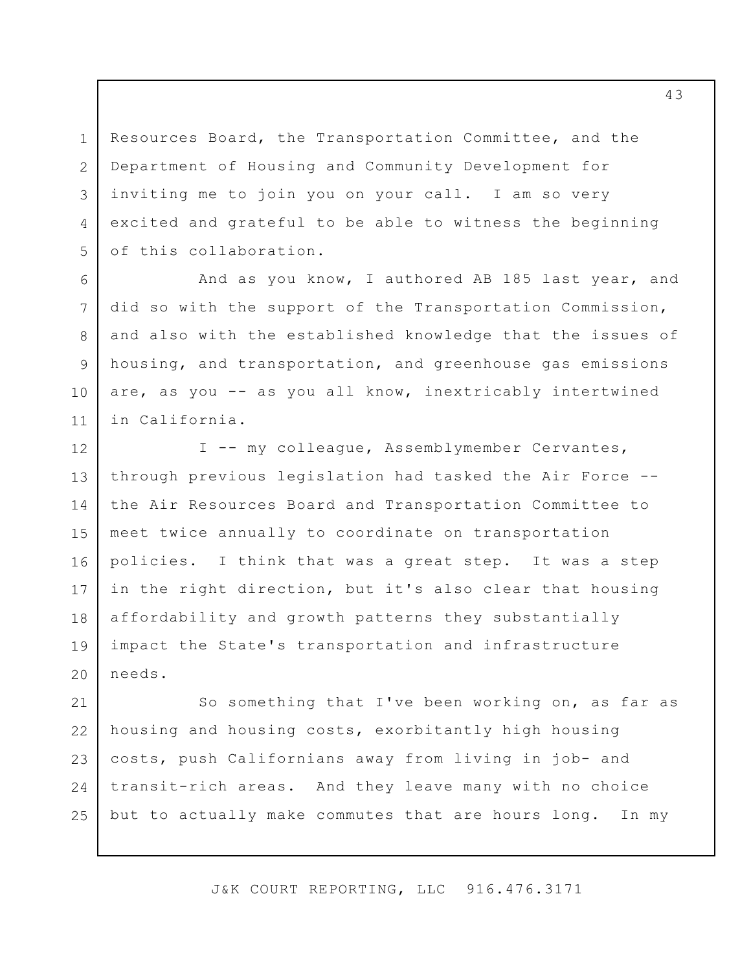Resources Board, the Transportation Committee, and the Department of Housing and Community Development for inviting me to join you on your call. I am so very excited and grateful to be able to witness the beginning of this collaboration.

1

2

3

4

5

6

7

8

9

10

11

And as you know, I authored AB 185 last year, and did so with the support of the Transportation Commission, and also with the established knowledge that the issues of housing, and transportation, and greenhouse gas emissions are, as you -- as you all know, inextricably intertwined in California.

12 13 14 15 16 17 18 19 20 I -- my colleague, Assemblymember Cervantes, through previous legislation had tasked the Air Force - the Air Resources Board and Transportation Committee to meet twice annually to coordinate on transportation policies. I think that was a great step. It was a step in the right direction, but it's also clear that housing affordability and growth patterns they substantially impact the State's transportation and infrastructure needs.

21 22 23 24 25 So something that I've been working on, as far as housing and housing costs, exorbitantly high housing costs, push Californians away from living in job- and transit-rich areas. And they leave many with no choice but to actually make commutes that are hours long. In my

J&K COURT REPORTING, LLC 916.476.3171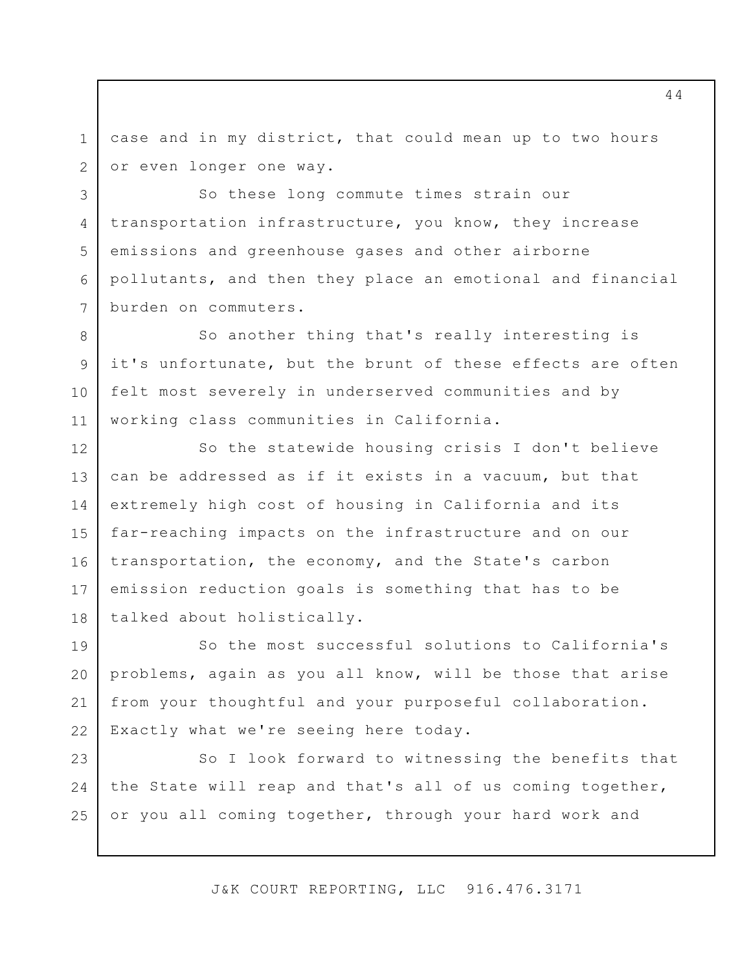1 2 case and in my district, that could mean up to two hours or even longer one way.

3

4

5

6

7

So these long commute times strain our transportation infrastructure, you know, they increase emissions and greenhouse gases and other airborne pollutants, and then they place an emotional and financial burden on commuters.

8 9 10 11 So another thing that's really interesting is it's unfortunate, but the brunt of these effects are often felt most severely in underserved communities and by working class communities in California.

12 13 14 15 16 17 18 So the statewide housing crisis I don't believe can be addressed as if it exists in a vacuum, but that extremely high cost of housing in California and its far-reaching impacts on the infrastructure and on our transportation, the economy, and the State's carbon emission reduction goals is something that has to be talked about holistically.

19 20 21 22 So the most successful solutions to California's problems, again as you all know, will be those that arise from your thoughtful and your purposeful collaboration. Exactly what we're seeing here today.

23 24 25 So I look forward to witnessing the benefits that the State will reap and that's all of us coming together, or you all coming together, through your hard work and

J&K COURT REPORTING, LLC 916.476.3171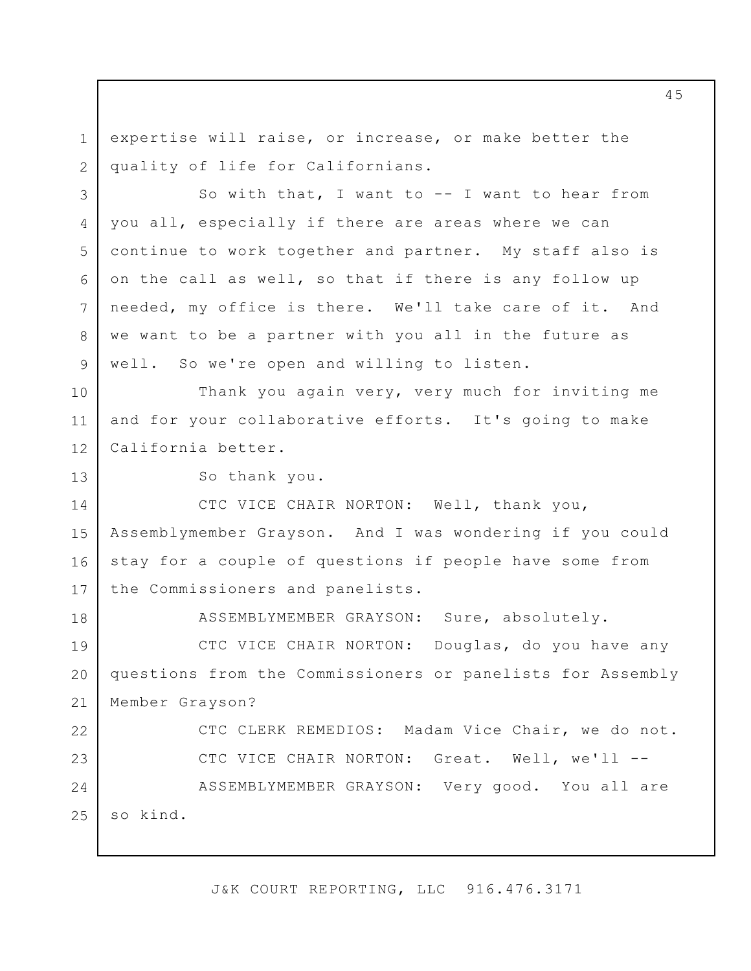1 2 expertise will raise, or increase, or make better the quality of life for Californians.

3 4 5 6 7 8 9 So with that, I want to -- I want to hear from you all, especially if there are areas where we can continue to work together and partner. My staff also is on the call as well, so that if there is any follow up needed, my office is there. We'll take care of it. And we want to be a partner with you all in the future as well. So we're open and willing to listen.

10 11 12 Thank you again very, very much for inviting me and for your collaborative efforts. It's going to make California better.

So thank you.

13

18

14 15 16 17 CTC VICE CHAIR NORTON: Well, thank you, Assemblymember Grayson. And I was wondering if you could stay for a couple of questions if people have some from the Commissioners and panelists.

ASSEMBLYMEMBER GRAYSON: Sure, absolutely.

19 20 21 CTC VICE CHAIR NORTON: Douglas, do you have any questions from the Commissioners or panelists for Assembly Member Grayson?

22 23 24 25 CTC CLERK REMEDIOS: Madam Vice Chair, we do not. CTC VICE CHAIR NORTON: Great. Well, we'll -- ASSEMBLYMEMBER GRAYSON: Very good. You all are so kind.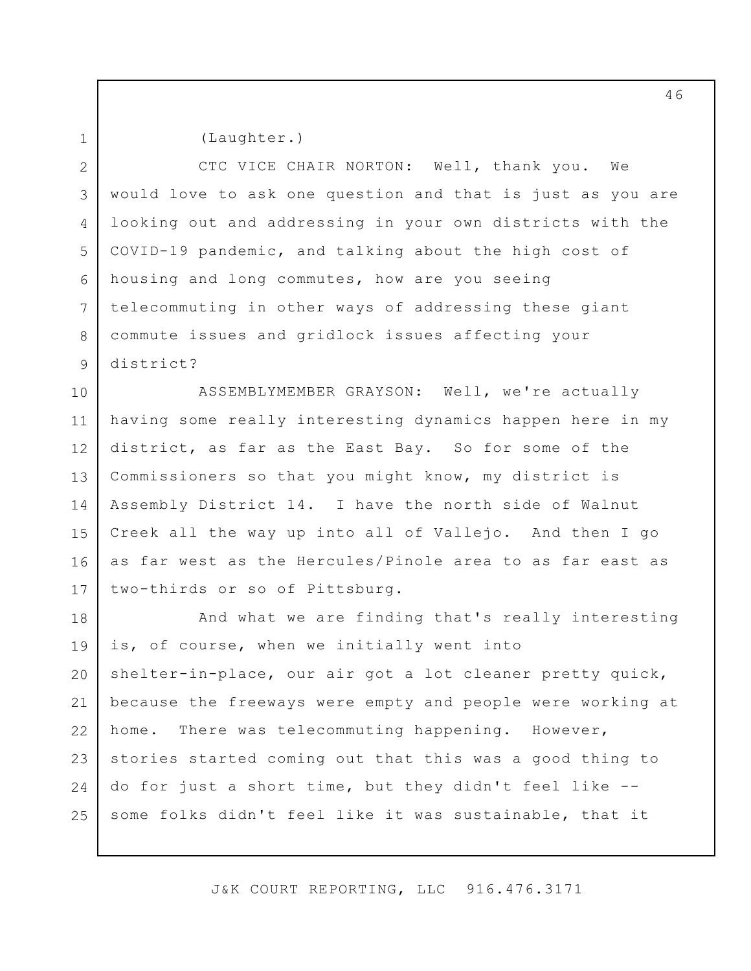(Laughter.)

2 3 4 5 6 7 8 9 CTC VICE CHAIR NORTON: Well, thank you. We would love to ask one question and that is just as you are looking out and addressing in your own districts with the COVID-19 pandemic, and talking about the high cost of housing and long commutes, how are you seeing telecommuting in other ways of addressing these giant commute issues and gridlock issues affecting your district?

10 11 12 13 14 15 16 17 ASSEMBLYMEMBER GRAYSON: Well, we're actually having some really interesting dynamics happen here in my district, as far as the East Bay. So for some of the Commissioners so that you might know, my district is Assembly District 14. I have the north side of Walnut Creek all the way up into all of Vallejo. And then I go as far west as the Hercules/Pinole area to as far east as two-thirds or so of Pittsburg.

18 19 20 21 22 23 24 25 And what we are finding that's really interesting is, of course, when we initially went into shelter-in-place, our air got a lot cleaner pretty quick, because the freeways were empty and people were working at home. There was telecommuting happening. However, stories started coming out that this was a good thing to do for just a short time, but they didn't feel like - some folks didn't feel like it was sustainable, that it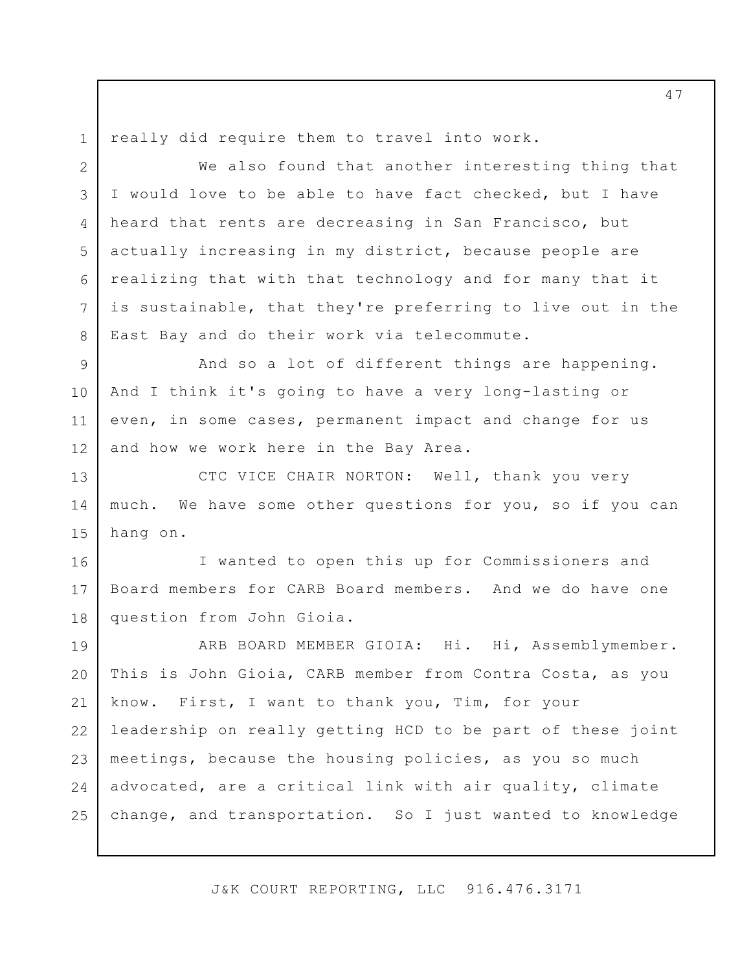3

4

5

6

7

8

really did require them to travel into work.

We also found that another interesting thing that I would love to be able to have fact checked, but I have heard that rents are decreasing in San Francisco, but actually increasing in my district, because people are realizing that with that technology and for many that it is sustainable, that they're preferring to live out in the East Bay and do their work via telecommute.

9 10 11 12 And so a lot of different things are happening. And I think it's going to have a very long-lasting or even, in some cases, permanent impact and change for us and how we work here in the Bay Area.

13 14 15 CTC VICE CHAIR NORTON: Well, thank you very much. We have some other questions for you, so if you can hang on.

16 17 18 I wanted to open this up for Commissioners and Board members for CARB Board members. And we do have one question from John Gioia.

19 20 21 22 23 24 25 ARB BOARD MEMBER GIOIA: Hi. Hi, Assemblymember. This is John Gioia, CARB member from Contra Costa, as you know. First, I want to thank you, Tim, for your leadership on really getting HCD to be part of these joint meetings, because the housing policies, as you so much advocated, are a critical link with air quality, climate change, and transportation. So I just wanted to knowledge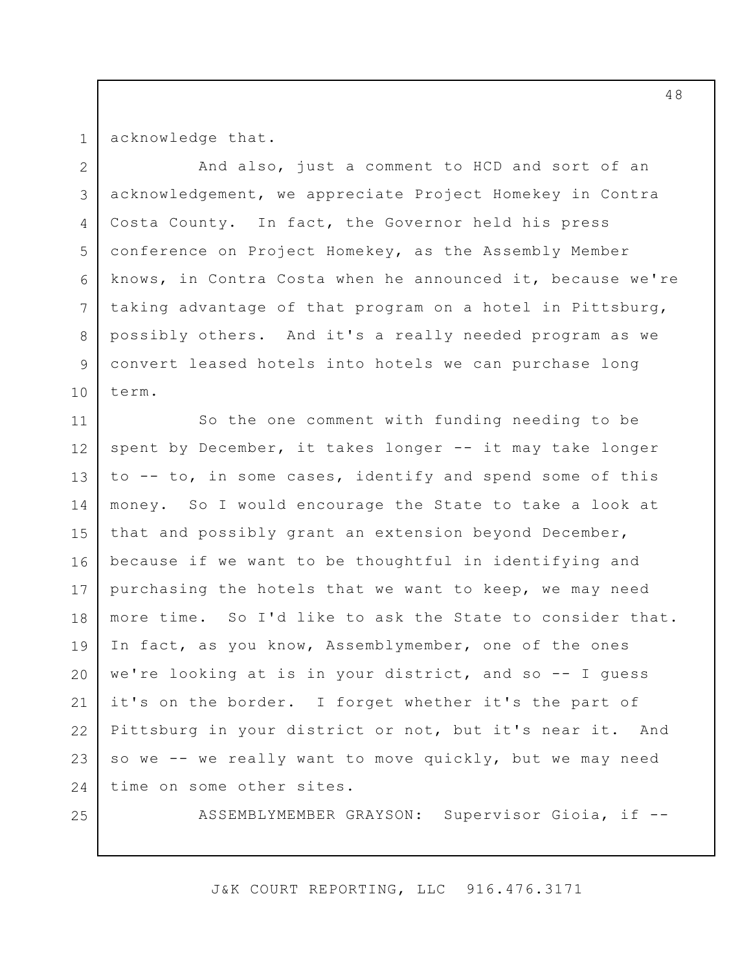acknowledge that.

2 3 4 5 6 7 8 9 10 And also, just a comment to HCD and sort of an acknowledgement, we appreciate Project Homekey in Contra Costa County. In fact, the Governor held his press conference on Project Homekey, as the Assembly Member knows, in Contra Costa when he announced it, because we're taking advantage of that program on a hotel in Pittsburg, possibly others. And it's a really needed program as we convert leased hotels into hotels we can purchase long term.

11 12 13 14 15 16 17 18 19 20 21 22 23 24 So the one comment with funding needing to be spent by December, it takes longer -- it may take longer to -- to, in some cases, identify and spend some of this money. So I would encourage the State to take a look at that and possibly grant an extension beyond December, because if we want to be thoughtful in identifying and purchasing the hotels that we want to keep, we may need more time. So I'd like to ask the State to consider that. In fact, as you know, Assemblymember, one of the ones we're looking at is in your district, and so -- I guess it's on the border. I forget whether it's the part of Pittsburg in your district or not, but it's near it. And so we -- we really want to move quickly, but we may need time on some other sites.

25

ASSEMBLYMEMBER GRAYSON: Supervisor Gioia, if --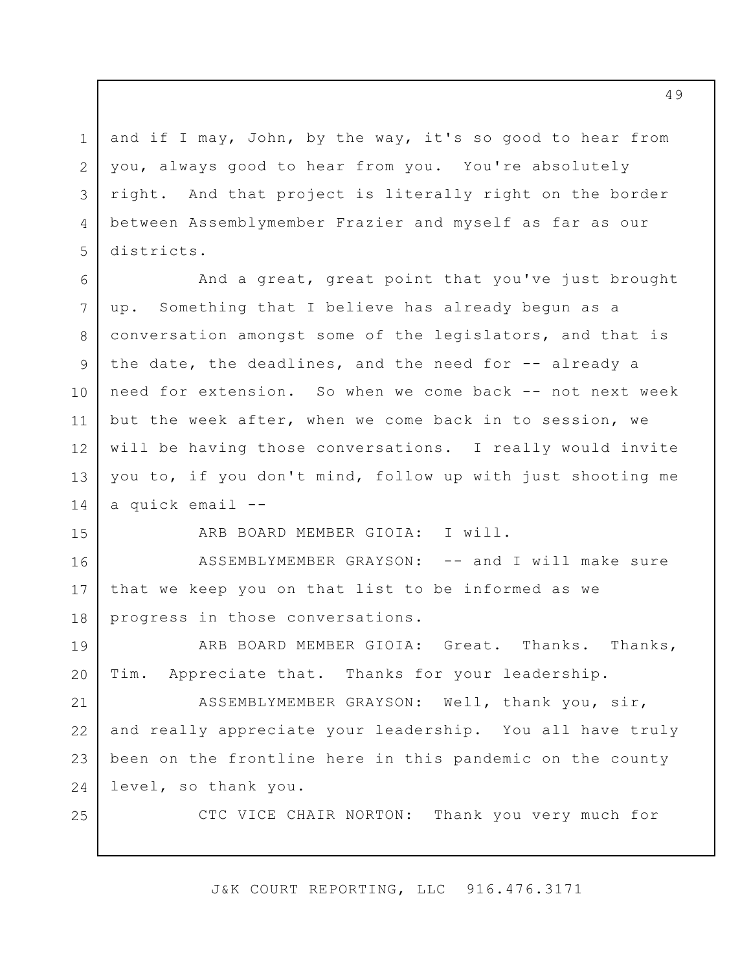and if I may, John, by the way, it's so good to hear from you, always good to hear from you. You're absolutely right. And that project is literally right on the border between Assemblymember Frazier and myself as far as our districts.

1

2

3

4

5

15

25

6 7 8 9 10 11 12 13 14 And a great, great point that you've just brought up. Something that I believe has already begun as a conversation amongst some of the legislators, and that is the date, the deadlines, and the need for -- already a need for extension. So when we come back -- not next week but the week after, when we come back in to session, we will be having those conversations. I really would invite you to, if you don't mind, follow up with just shooting me a quick email --

ARB BOARD MEMBER GIOIA: I will.

16 17 18 ASSEMBLYMEMBER GRAYSON: -- and I will make sure that we keep you on that list to be informed as we progress in those conversations.

19 20 ARB BOARD MEMBER GIOIA: Great. Thanks. Thanks, Tim. Appreciate that. Thanks for your leadership.

21 22 23 24 ASSEMBLYMEMBER GRAYSON: Well, thank you, sir, and really appreciate your leadership. You all have truly been on the frontline here in this pandemic on the county level, so thank you.

CTC VICE CHAIR NORTON: Thank you very much for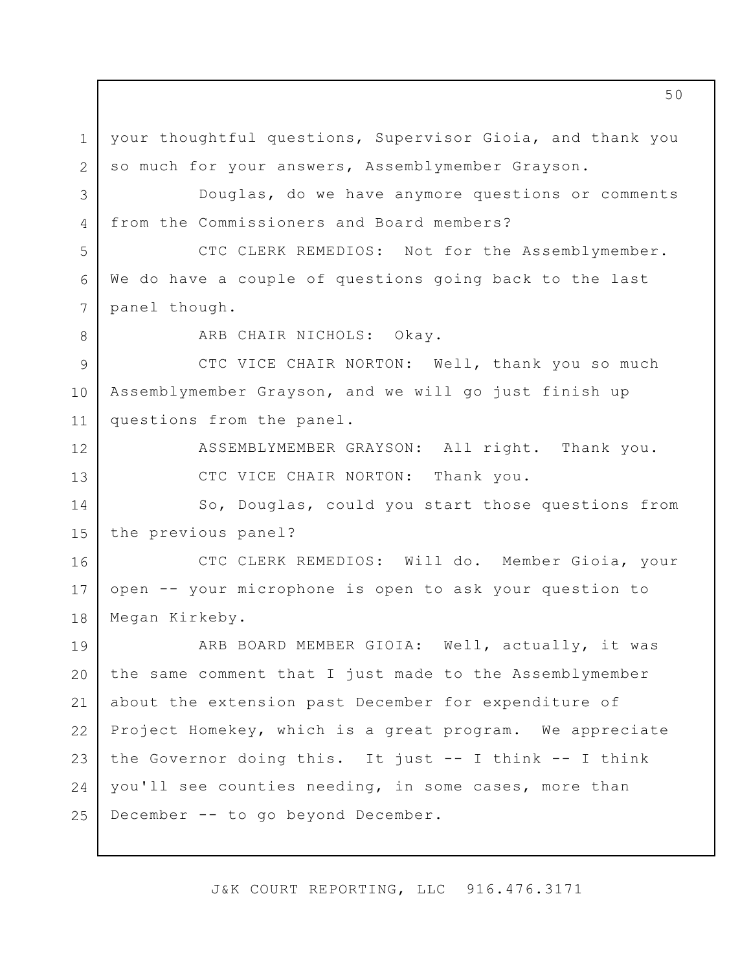1 2 your thoughtful questions, Supervisor Gioia, and thank you so much for your answers, Assemblymember Grayson.

3 4 Douglas, do we have anymore questions or comments from the Commissioners and Board members?

5 6 7 CTC CLERK REMEDIOS: Not for the Assemblymember. We do have a couple of questions going back to the last panel though.

8

12

13

ARB CHAIR NICHOLS: Okay.

9 10 11 CTC VICE CHAIR NORTON: Well, thank you so much Assemblymember Grayson, and we will go just finish up questions from the panel.

> ASSEMBLYMEMBER GRAYSON: All right. Thank you. CTC VICE CHAIR NORTON: Thank you.

14 15 So, Douglas, could you start those questions from the previous panel?

16 17 18 CTC CLERK REMEDIOS: Will do. Member Gioia, your open -- your microphone is open to ask your question to Megan Kirkeby.

19 20 21 22 23 24 25 ARB BOARD MEMBER GIOIA: Well, actually, it was the same comment that I just made to the Assemblymember about the extension past December for expenditure of Project Homekey, which is a great program. We appreciate the Governor doing this. It just -- I think -- I think you'll see counties needing, in some cases, more than December -- to go beyond December.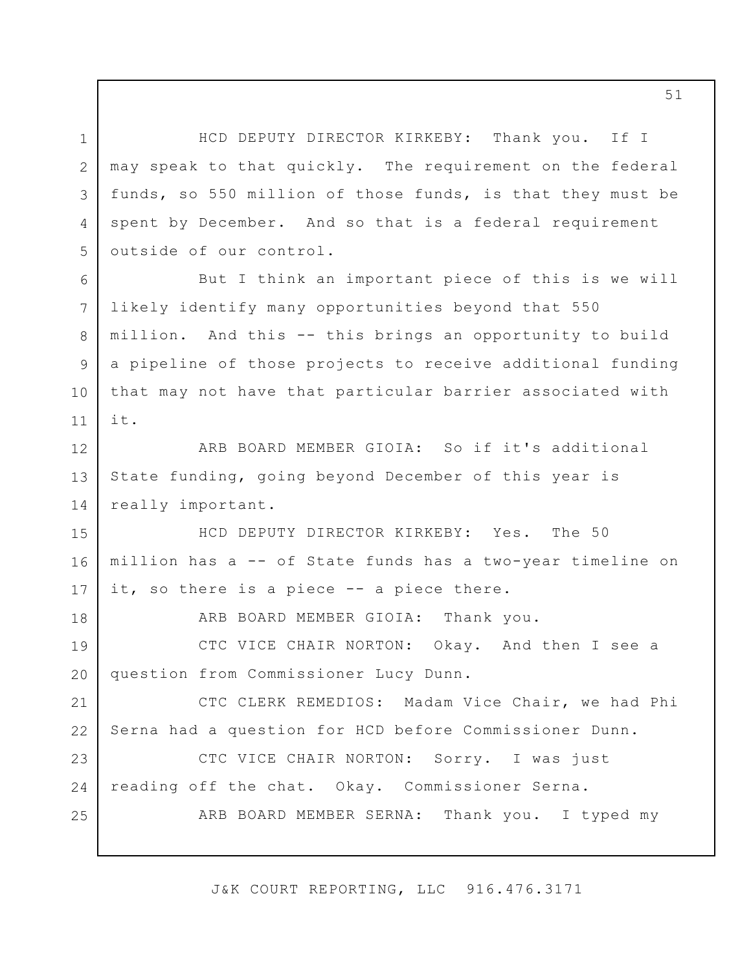3 HCD DEPUTY DIRECTOR KIRKEBY: Thank you. If I may speak to that quickly. The requirement on the federal funds, so 550 million of those funds, is that they must be spent by December. And so that is a federal requirement outside of our control.

1

2

4

5

6

7

8

9

10

11

18

But I think an important piece of this is we will likely identify many opportunities beyond that 550 million. And this -- this brings an opportunity to build a pipeline of those projects to receive additional funding that may not have that particular barrier associated with it.

12 13 14 ARB BOARD MEMBER GIOIA: So if it's additional State funding, going beyond December of this year is really important.

15 16 17 HCD DEPUTY DIRECTOR KIRKEBY: Yes. The 50 million has a -- of State funds has a two-year timeline on it, so there is a piece -- a piece there.

ARB BOARD MEMBER GIOIA: Thank you.

19 20 CTC VICE CHAIR NORTON: Okay. And then I see a question from Commissioner Lucy Dunn.

21 22 CTC CLERK REMEDIOS: Madam Vice Chair, we had Phi Serna had a question for HCD before Commissioner Dunn.

23 24 25 CTC VICE CHAIR NORTON: Sorry. I was just reading off the chat. Okay. Commissioner Serna. ARB BOARD MEMBER SERNA: Thank you. I typed my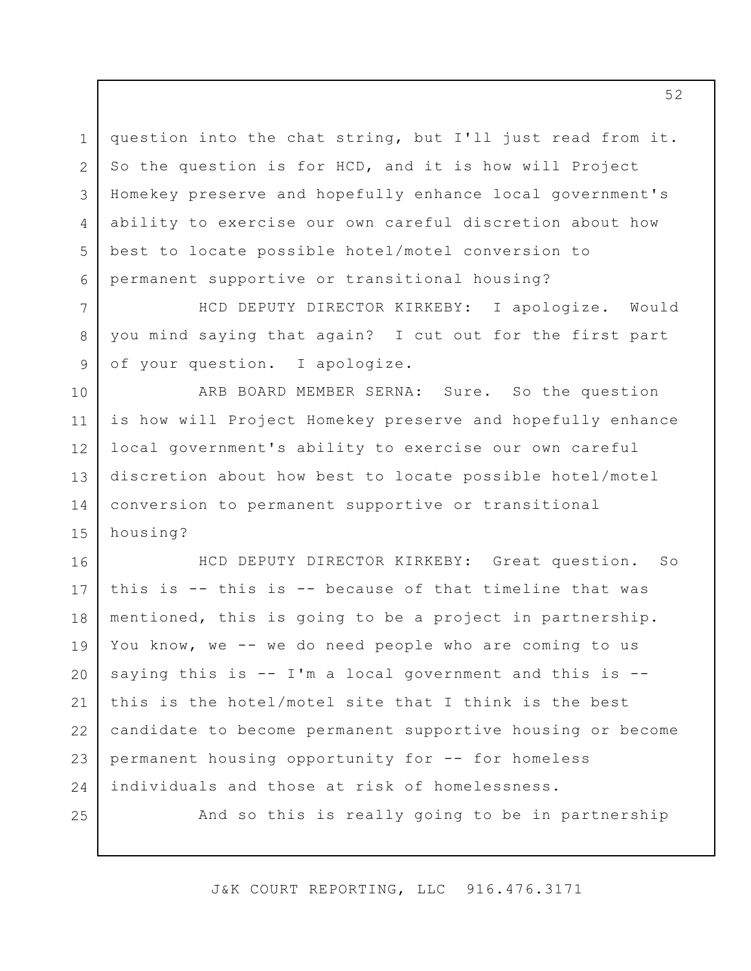1 2 3 4 5 6 question into the chat string, but I'll just read from it. So the question is for HCD, and it is how will Project Homekey preserve and hopefully enhance local government's ability to exercise our own careful discretion about how best to locate possible hotel/motel conversion to permanent supportive or transitional housing?

HCD DEPUTY DIRECTOR KIRKEBY: I apologize. Would you mind saying that again? I cut out for the first part of your question. I apologize.

7

8

9

25

10 11 12 13 14 15 ARB BOARD MEMBER SERNA: Sure. So the question is how will Project Homekey preserve and hopefully enhance local government's ability to exercise our own careful discretion about how best to locate possible hotel/motel conversion to permanent supportive or transitional housing?

16 17 18 19 20 21 22 23 24 HCD DEPUTY DIRECTOR KIRKEBY: Great question. So this is -- this is -- because of that timeline that was mentioned, this is going to be a project in partnership. You know, we -- we do need people who are coming to us saying this is -- I'm a local government and this is - this is the hotel/motel site that I think is the best candidate to become permanent supportive housing or become permanent housing opportunity for -- for homeless individuals and those at risk of homelessness.

And so this is really going to be in partnership

J&K COURT REPORTING, LLC 916.476.3171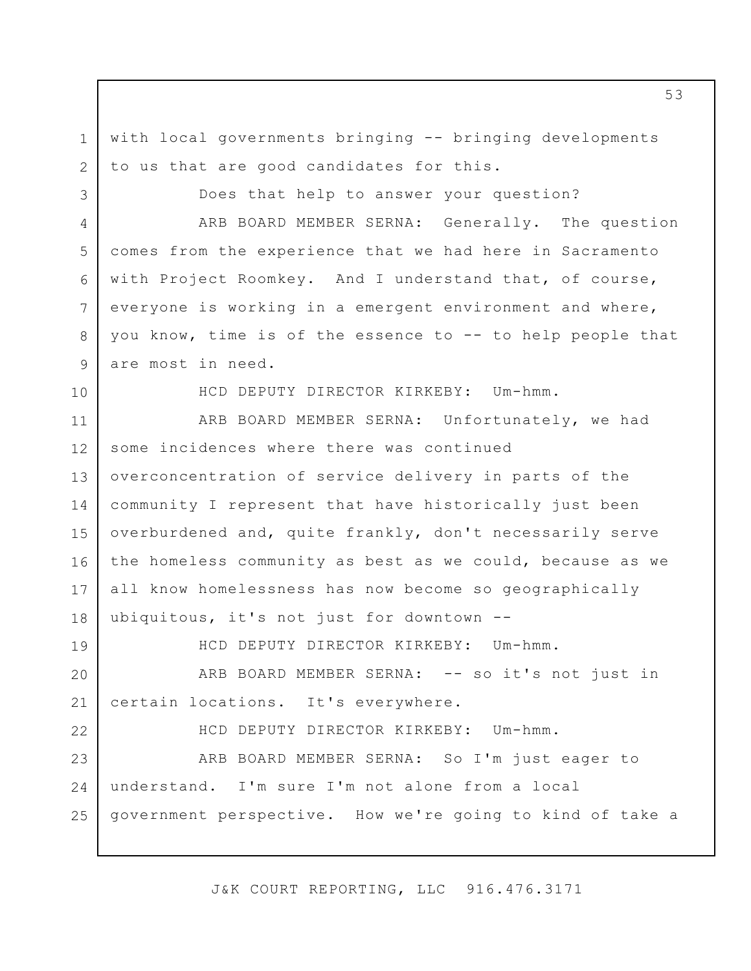with local governments bringing -- bringing developments to us that are good candidates for this.

3 4 5 6 7 8 9 Does that help to answer your question? ARB BOARD MEMBER SERNA: Generally. The question comes from the experience that we had here in Sacramento with Project Roomkey. And I understand that, of course, everyone is working in a emergent environment and where, you know, time is of the essence to -- to help people that are most in need.

10

19

22

1

2

HCD DEPUTY DIRECTOR KIRKEBY: Um-hmm.

11 12 13 14 15 16 17 18 ARB BOARD MEMBER SERNA: Unfortunately, we had some incidences where there was continued overconcentration of service delivery in parts of the community I represent that have historically just been overburdened and, quite frankly, don't necessarily serve the homeless community as best as we could, because as we all know homelessness has now become so geographically ubiquitous, it's not just for downtown --

HCD DEPUTY DIRECTOR KIRKEBY: Um-hmm.

20 21 ARB BOARD MEMBER SERNA: -- so it's not just in certain locations. It's everywhere.

HCD DEPUTY DIRECTOR KIRKEBY: Um-hmm.

23 24 25 ARB BOARD MEMBER SERNA: So I'm just eager to understand. I'm sure I'm not alone from a local government perspective. How we're going to kind of take a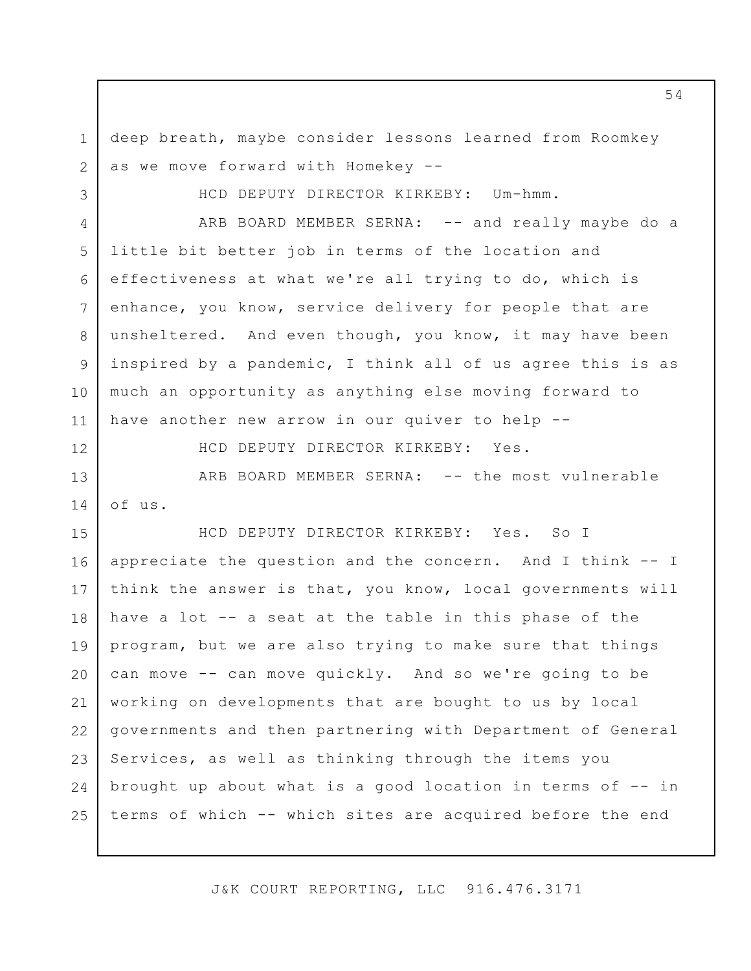deep breath, maybe consider lessons learned from Roomkey as we move forward with Homekey --

HCD DEPUTY DIRECTOR KIRKEBY: Um-hmm.

4 5 6 7 8 9 10 11 ARB BOARD MEMBER SERNA: -- and really maybe do a little bit better job in terms of the location and effectiveness at what we're all trying to do, which is enhance, you know, service delivery for people that are unsheltered. And even though, you know, it may have been inspired by a pandemic, I think all of us agree this is as much an opportunity as anything else moving forward to have another new arrow in our quiver to help --

12

1

2

3

HCD DEPUTY DIRECTOR KIRKEBY: Yes.

13 14 ARB BOARD MEMBER SERNA: -- the most vulnerable of us.

15 16 17 18 19 20 21 22 23 24 25 HCD DEPUTY DIRECTOR KIRKEBY: Yes. So I appreciate the question and the concern. And I think -- I think the answer is that, you know, local governments will have a lot -- a seat at the table in this phase of the program, but we are also trying to make sure that things can move -- can move quickly. And so we're going to be working on developments that are bought to us by local governments and then partnering with Department of General Services, as well as thinking through the items you brought up about what is a good location in terms of -- in terms of which -- which sites are acquired before the end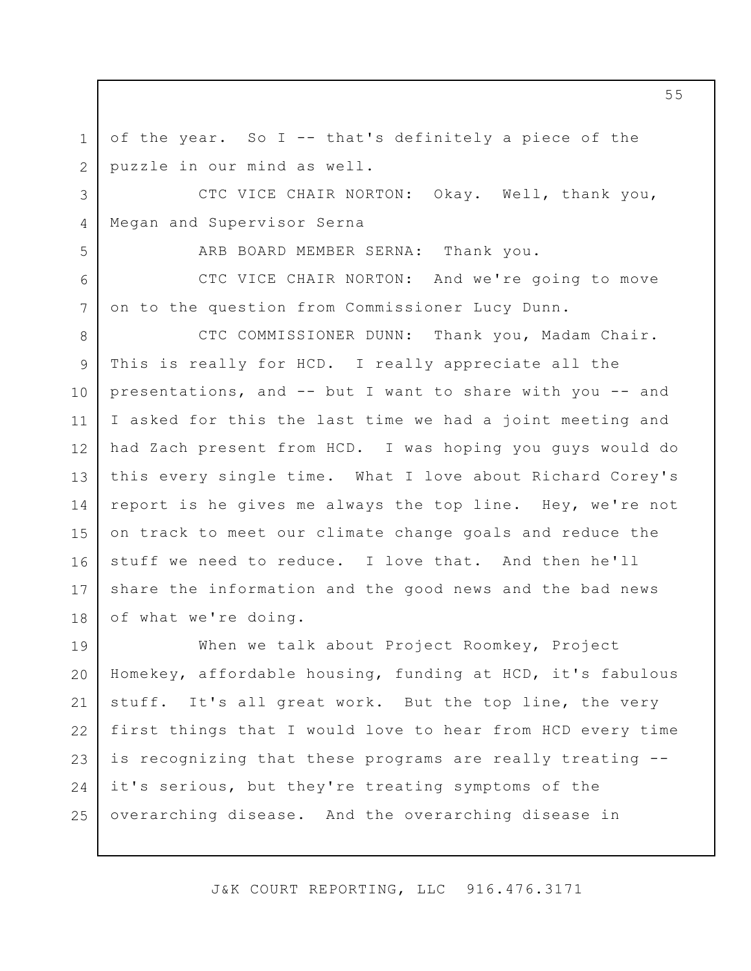of the year. So I -- that's definitely a piece of the puzzle in our mind as well.

1

2

5

6

7

3 4 CTC VICE CHAIR NORTON: Okay. Well, thank you, Megan and Supervisor Serna

ARB BOARD MEMBER SERNA: Thank you.

CTC VICE CHAIR NORTON: And we're going to move on to the question from Commissioner Lucy Dunn.

8 9 10 11 12 13 14 15 16 17 18 CTC COMMISSIONER DUNN: Thank you, Madam Chair. This is really for HCD. I really appreciate all the presentations, and -- but I want to share with you -- and I asked for this the last time we had a joint meeting and had Zach present from HCD. I was hoping you guys would do this every single time. What I love about Richard Corey's report is he gives me always the top line. Hey, we're not on track to meet our climate change goals and reduce the stuff we need to reduce. I love that. And then he'll share the information and the good news and the bad news of what we're doing.

19 20 21 22 23 24 25 When we talk about Project Roomkey, Project Homekey, affordable housing, funding at HCD, it's fabulous stuff. It's all great work. But the top line, the very first things that I would love to hear from HCD every time is recognizing that these programs are really treating - it's serious, but they're treating symptoms of the overarching disease. And the overarching disease in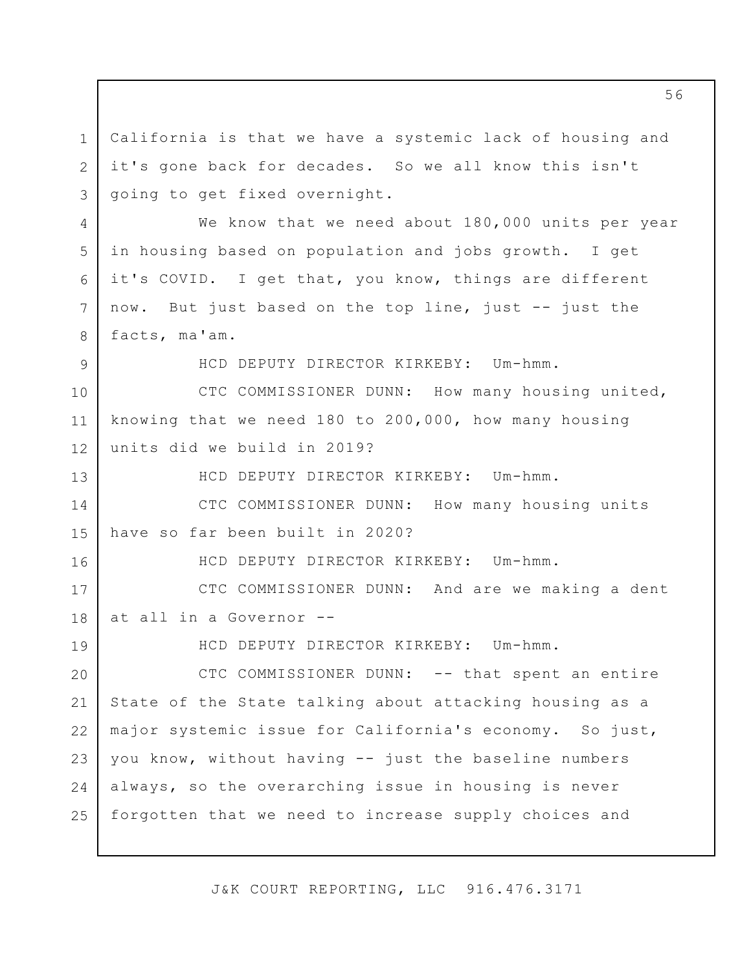1 2 3 4 5 6 7 8 9 10 11 12 13 14 15 16 17 18 19 20 21 22 23 24 25 California is that we have a systemic lack of housing and it's gone back for decades. So we all know this isn't going to get fixed overnight. We know that we need about 180,000 units per year in housing based on population and jobs growth. I get it's COVID. I get that, you know, things are different now. But just based on the top line, just -- just the facts, ma'am. HCD DEPUTY DIRECTOR KIRKEBY: Um-hmm. CTC COMMISSIONER DUNN: How many housing united, knowing that we need 180 to 200,000, how many housing units did we build in 2019? HCD DEPUTY DIRECTOR KIRKEBY: Um-hmm. CTC COMMISSIONER DUNN: How many housing units have so far been built in 2020? HCD DEPUTY DIRECTOR KIRKEBY: Um-hmm. CTC COMMISSIONER DUNN: And are we making a dent at all in a Governor -- HCD DEPUTY DIRECTOR KIRKEBY: Um-hmm. CTC COMMISSIONER DUNN: -- that spent an entire State of the State talking about attacking housing as a major systemic issue for California's economy. So just, you know, without having -- just the baseline numbers always, so the overarching issue in housing is never forgotten that we need to increase supply choices and

J&K COURT REPORTING, LLC 916.476.3171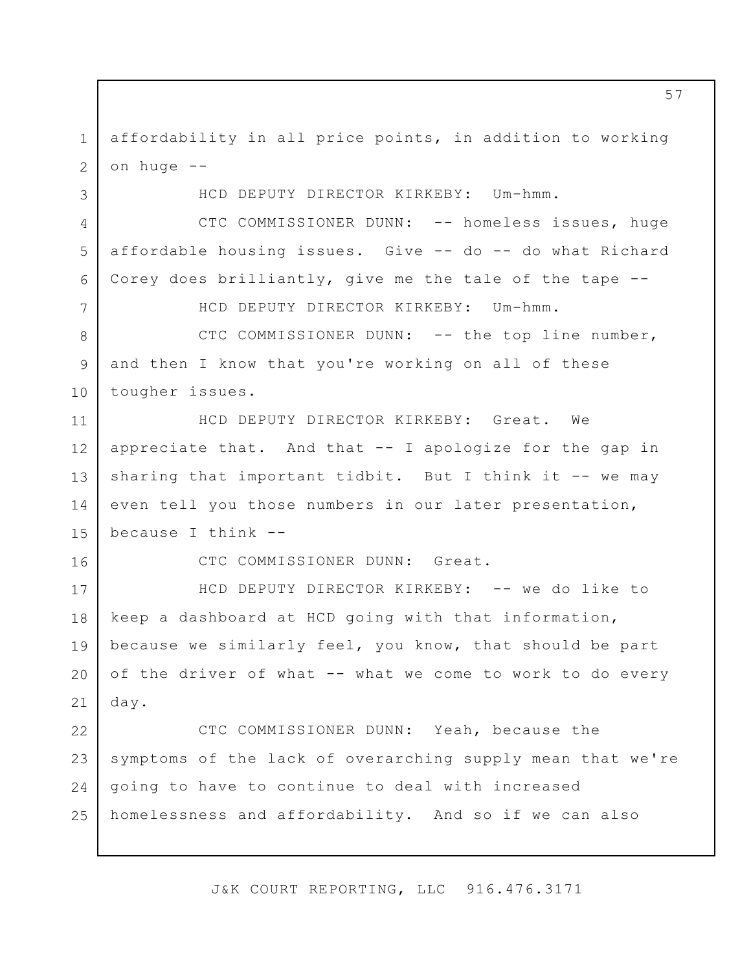1 2 affordability in all price points, in addition to working on huge --

HCD DEPUTY DIRECTOR KIRKEBY: Um-hmm.

3

4

5

6

7

16

CTC COMMISSIONER DUNN: -- homeless issues, huge affordable housing issues. Give -- do -- do what Richard Corey does brilliantly, give me the tale of the tape --

HCD DEPUTY DIRECTOR KIRKEBY: Um-hmm.

8 9 10 CTC COMMISSIONER DUNN: -- the top line number, and then I know that you're working on all of these tougher issues.

11 12 13 14 15 HCD DEPUTY DIRECTOR KIRKEBY: Great. We appreciate that. And that -- I apologize for the gap in sharing that important tidbit. But I think it  $-$ - we may even tell you those numbers in our later presentation, because I think --

CTC COMMISSIONER DUNN: Great.

17 18 19 20 21 HCD DEPUTY DIRECTOR KIRKEBY: -- we do like to keep a dashboard at HCD going with that information, because we similarly feel, you know, that should be part of the driver of what -- what we come to work to do every day.

22 23 24 25 CTC COMMISSIONER DUNN: Yeah, because the symptoms of the lack of overarching supply mean that we're going to have to continue to deal with increased homelessness and affordability. And so if we can also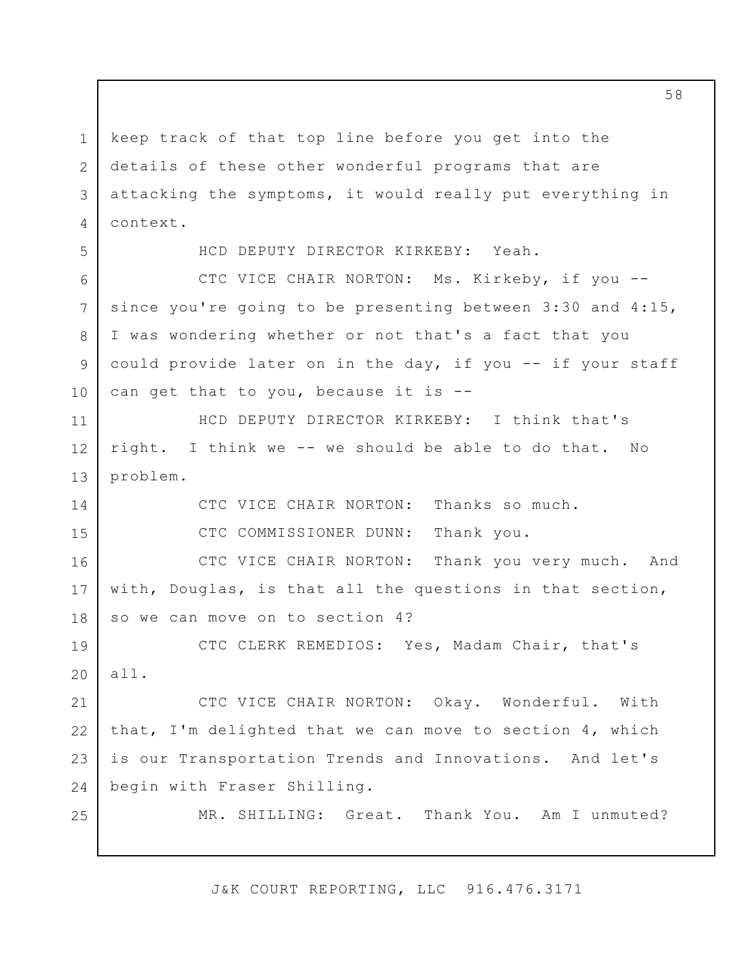1 2 3 4 keep track of that top line before you get into the details of these other wonderful programs that are attacking the symptoms, it would really put everything in context.

5

6

7

8

9

14

15

25

HCD DEPUTY DIRECTOR KIRKEBY: Yeah.

10 CTC VICE CHAIR NORTON: Ms. Kirkeby, if you - since you're going to be presenting between 3:30 and 4:15, I was wondering whether or not that's a fact that you could provide later on in the day, if you -- if your staff can get that to you, because it is --

11 12 13 HCD DEPUTY DIRECTOR KIRKEBY: I think that's right. I think we -- we should be able to do that. No problem.

> CTC VICE CHAIR NORTON: Thanks so much. CTC COMMISSIONER DUNN: Thank you.

16 17 18 CTC VICE CHAIR NORTON: Thank you very much. And with, Douglas, is that all the questions in that section, so we can move on to section 4?

19 20 CTC CLERK REMEDIOS: Yes, Madam Chair, that's all.

21 22 23 24 CTC VICE CHAIR NORTON: Okay. Wonderful. With that, I'm delighted that we can move to section 4, which is our Transportation Trends and Innovations. And let's begin with Fraser Shilling.

MR. SHILLING: Great. Thank You. Am I unmuted?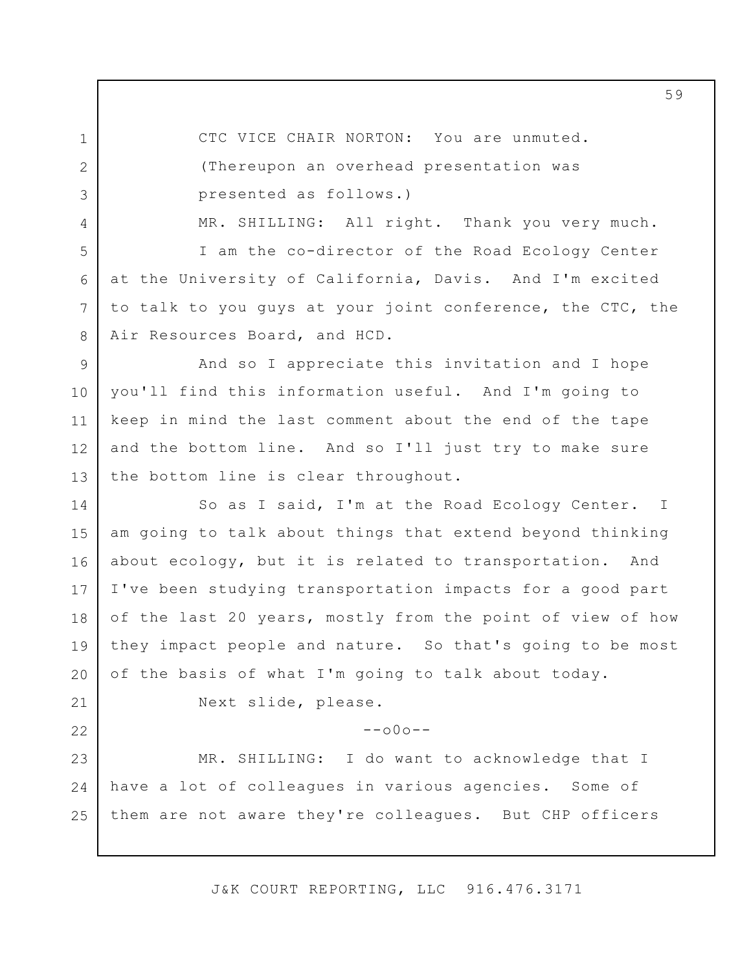CTC VICE CHAIR NORTON: You are unmuted. (Thereupon an overhead presentation was presented as follows.)

1

2

3

4

5

6

7

8

21

22

MR. SHILLING: All right. Thank you very much.

I am the co-director of the Road Ecology Center at the University of California, Davis. And I'm excited to talk to you guys at your joint conference, the CTC, the Air Resources Board, and HCD.

9 10 11 12 13 And so I appreciate this invitation and I hope you'll find this information useful. And I'm going to keep in mind the last comment about the end of the tape and the bottom line. And so I'll just try to make sure the bottom line is clear throughout.

14 15 16 17 18 19 20 So as I said, I'm at the Road Ecology Center. am going to talk about things that extend beyond thinking about ecology, but it is related to transportation. And I've been studying transportation impacts for a good part of the last 20 years, mostly from the point of view of how they impact people and nature. So that's going to be most of the basis of what I'm going to talk about today. I

Next slide, please.

 $--000--$ 

23 24 25 MR. SHILLING: I do want to acknowledge that I have a lot of colleagues in various agencies. Some of them are not aware they're colleagues. But CHP officers

J&K COURT REPORTING, LLC 916.476.3171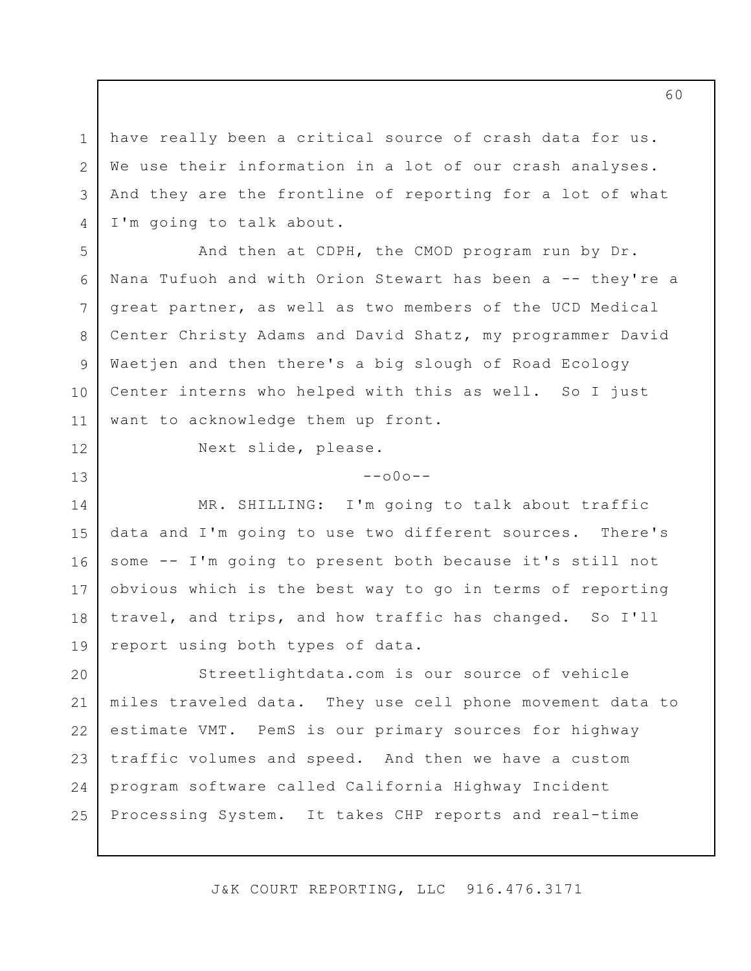3 have really been a critical source of crash data for us. We use their information in a lot of our crash analyses. And they are the frontline of reporting for a lot of what I'm going to talk about.

7 And then at CDPH, the CMOD program run by Dr. Nana Tufuoh and with Orion Stewart has been a -- they're a great partner, as well as two members of the UCD Medical Center Christy Adams and David Shatz, my programmer David Waetjen and then there's a big slough of Road Ecology Center interns who helped with this as well. So I just want to acknowledge them up front.

12

1

2

4

5

6

8

9

10

11

13

Next slide, please.

 $--000--$ 

14 15 16 17 18 19 MR. SHILLING: I'm going to talk about traffic data and I'm going to use two different sources. There's some -- I'm going to present both because it's still not obvious which is the best way to go in terms of reporting travel, and trips, and how traffic has changed. So I'll report using both types of data.

20 21 22 23 24 25 [Streetlightdata.com](https://Streetlightdata.com) is our source of vehicle miles traveled data. They use cell phone movement data to estimate VMT. PemS is our primary sources for highway traffic volumes and speed. And then we have a custom program software called California Highway Incident Processing System. It takes CHP reports and real-time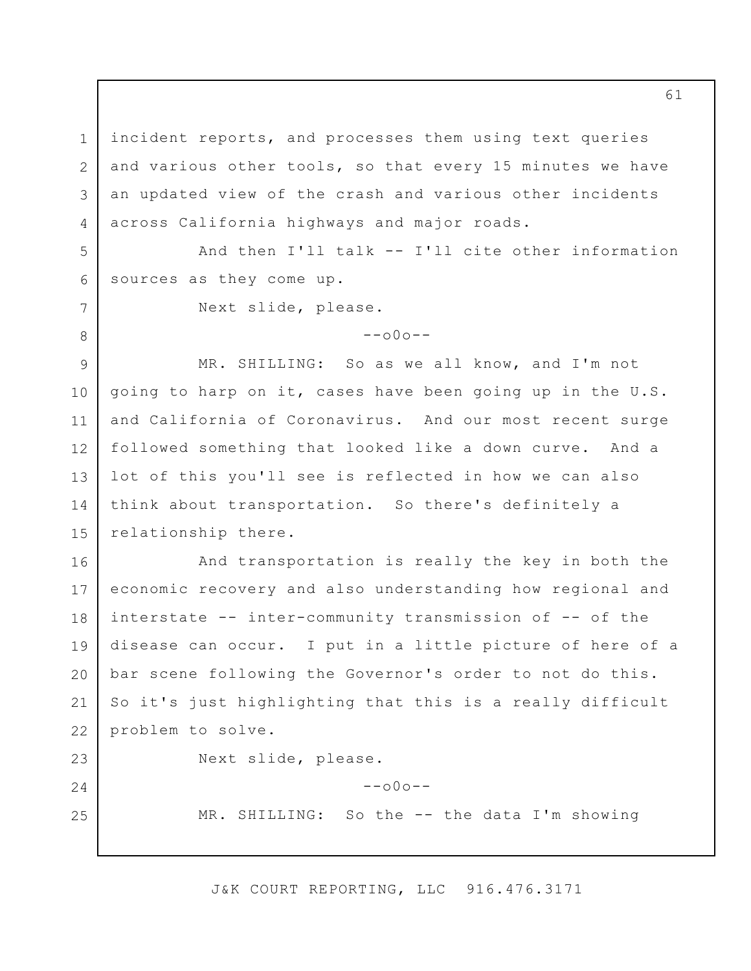1 2 3 4 incident reports, and processes them using text queries and various other tools, so that every 15 minutes we have an updated view of the crash and various other incidents across California highways and major roads.

5 6 And then I'll talk -- I'll cite other information sources as they come up.

Next slide, please.

7

8

23

24

25

 $--000--$ 

9 10 11 12 13 14 15 MR. SHILLING: So as we all know, and I'm not going to harp on it, cases have been going up in the U.S. and California of Coronavirus. And our most recent surge followed something that looked like a down curve. And a lot of this you'll see is reflected in how we can also think about transportation. So there's definitely a relationship there.

16 17 18 19 20 21 22 And transportation is really the key in both the economic recovery and also understanding how regional and interstate -- inter-community transmission of -- of the disease can occur. I put in a little picture of here of a bar scene following the Governor's order to not do this. So it's just highlighting that this is a really difficult problem to solve.

Next slide, please.

MR. SHILLING: So the -- the data I'm showing

J&K COURT REPORTING, LLC 916.476.3171

 $--000--$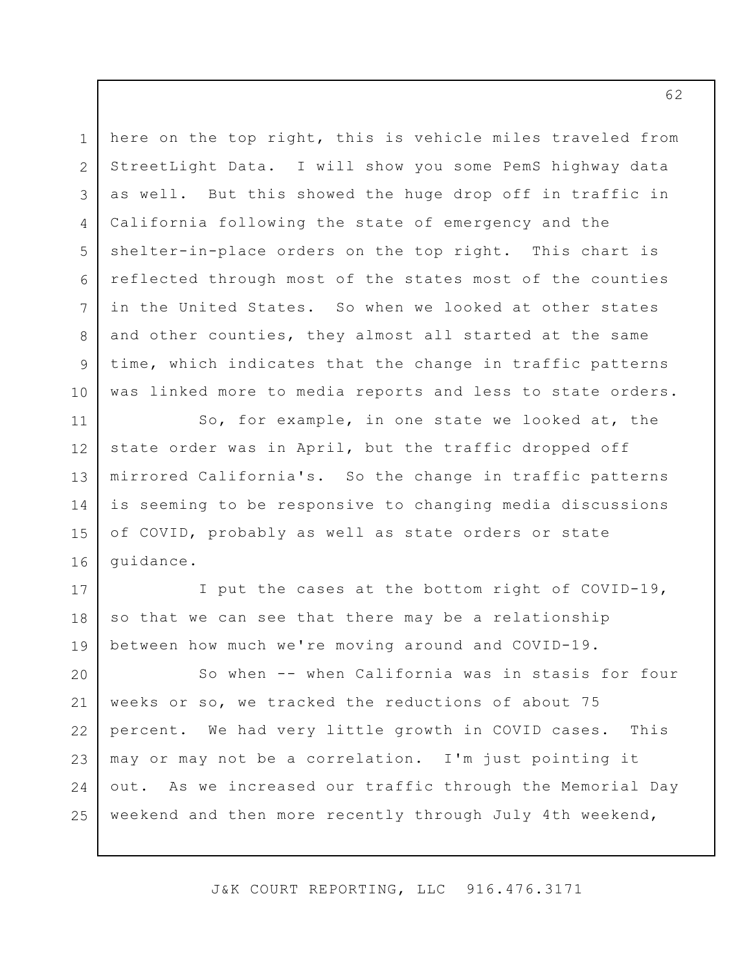1 2 3 4 5 6 7 8 9 10 here on the top right, this is vehicle miles traveled from StreetLight Data. I will show you some PemS highway data as well. But this showed the huge drop off in traffic in California following the state of emergency and the shelter-in-place orders on the top right. This chart is reflected through most of the states most of the counties in the United States. So when we looked at other states and other counties, they almost all started at the same time, which indicates that the change in traffic patterns was linked more to media reports and less to state orders.

11 12 13 14 15 16 So, for example, in one state we looked at, the state order was in April, but the traffic dropped off mirrored California's. So the change in traffic patterns is seeming to be responsive to changing media discussions of COVID, probably as well as state orders or state guidance.

17 18 19 I put the cases at the bottom right of COVID-19, so that we can see that there may be a relationship between how much we're moving around and COVID-19.

20 21 22 23 24 25 So when -- when California was in stasis for four weeks or so, we tracked the reductions of about 75 percent. We had very little growth in COVID cases. This may or may not be a correlation. I'm just pointing it out. As we increased our traffic through the Memorial Day weekend and then more recently through July 4th weekend,

J&K COURT REPORTING, LLC 916.476.3171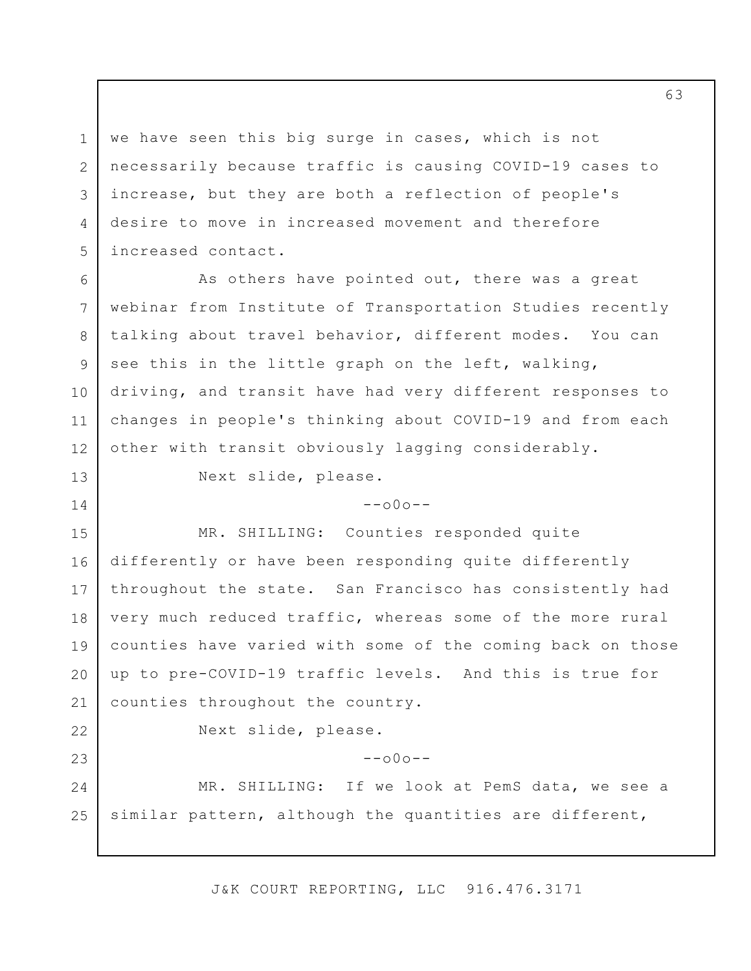3 we have seen this big surge in cases, which is not necessarily because traffic is causing COVID-19 cases to increase, but they are both a reflection of people's desire to move in increased movement and therefore increased contact.

6 7 8 9 10 11 12 As others have pointed out, there was a great webinar from Institute of Transportation Studies recently talking about travel behavior, different modes. You can see this in the little graph on the left, walking, driving, and transit have had very different responses to changes in people's thinking about COVID-19 and from each other with transit obviously lagging considerably.

Next slide, please.

 $--000--$ 

15 16 17 18 19 20 21 MR. SHILLING: Counties responded quite differently or have been responding quite differently throughout the state. San Francisco has consistently had very much reduced traffic, whereas some of the more rural counties have varied with some of the coming back on those up to pre-COVID-19 traffic levels. And this is true for counties throughout the country.

22

23

1

2

4

5

13

14

Next slide, please.

 $--000--$ 

24 25 MR. SHILLING: If we look at PemS data, we see a similar pattern, although the quantities are different,

J&K COURT REPORTING, LLC 916.476.3171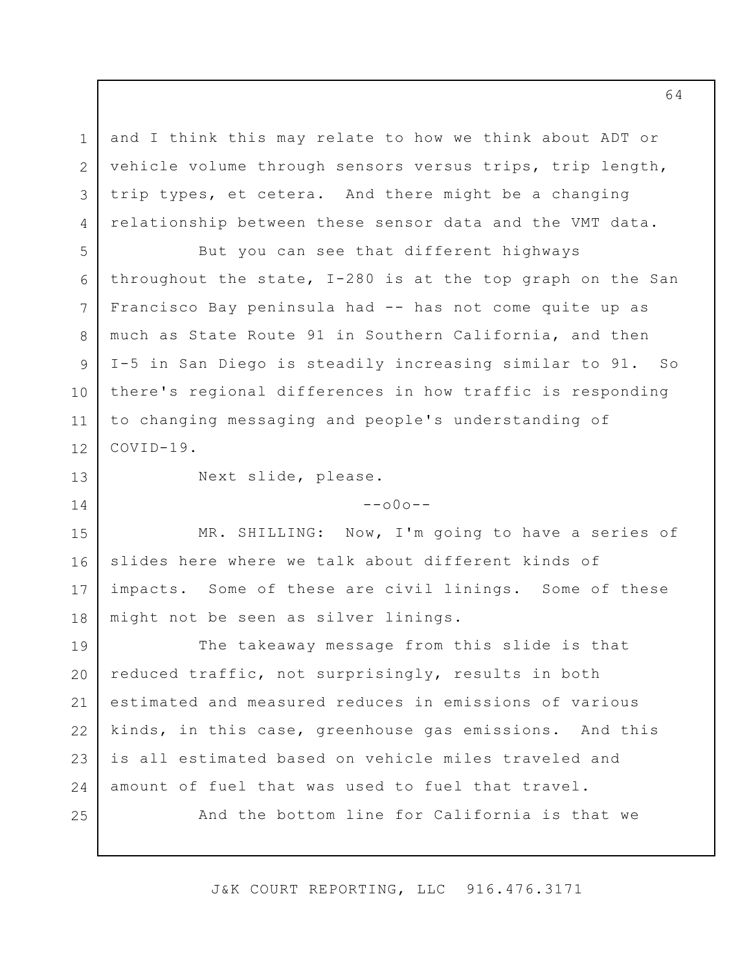and I think this may relate to how we think about ADT or vehicle volume through sensors versus trips, trip length, trip types, et cetera. And there might be a changing relationship between these sensor data and the VMT data.

But you can see that different highways throughout the state, I-280 is at the top graph on the San Francisco Bay peninsula had -- has not come quite up as much as State Route 91 in Southern California, and then I-5 in San Diego is steadily increasing similar to 91. So there's regional differences in how traffic is responding to changing messaging and people's understanding of COVID-19.

13

14

1

2

3

4

5

6

7

8

9

10

11

12

Next slide, please.

 $--000--$ 

15 16 17 18 MR. SHILLING: Now, I'm going to have a series of slides here where we talk about different kinds of impacts. Some of these are civil linings. Some of these might not be seen as silver linings.

19 20 21 22 23 24 The takeaway message from this slide is that reduced traffic, not surprisingly, results in both estimated and measured reduces in emissions of various kinds, in this case, greenhouse gas emissions. And this is all estimated based on vehicle miles traveled and amount of fuel that was used to fuel that travel.

25

And the bottom line for California is that we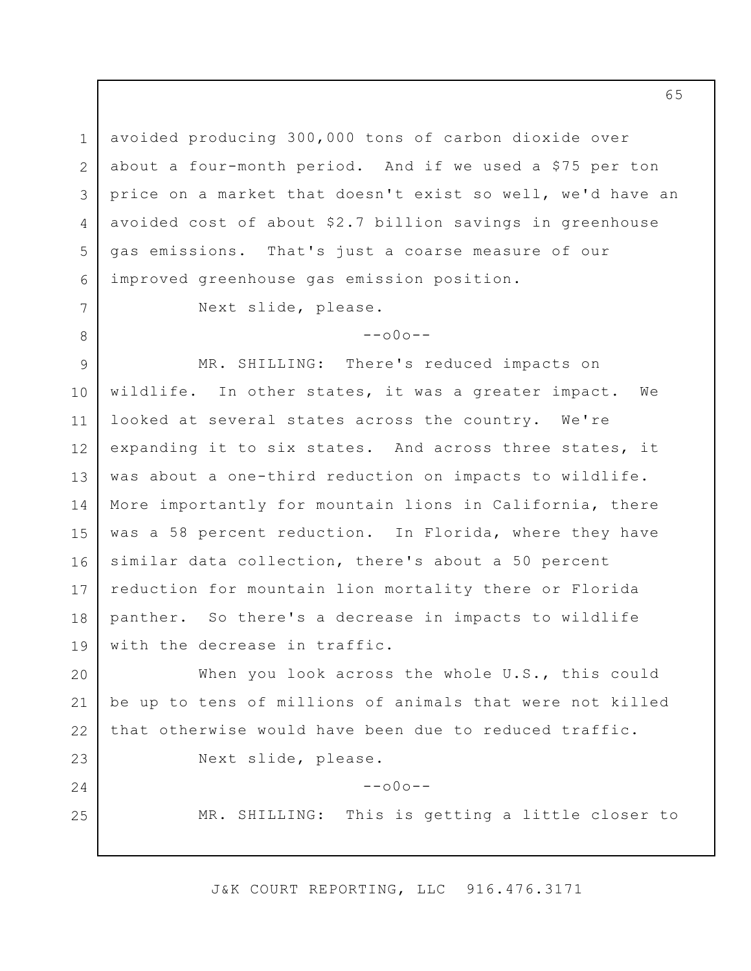1 2 3 4 5 6 avoided producing 300,000 tons of carbon dioxide over about a four-month period. And if we used a \$75 per ton price on a market that doesn't exist so well, we'd have an avoided cost of about \$2.7 billion savings in greenhouse gas emissions. That's just a coarse measure of our improved greenhouse gas emission position.

Next slide, please.

7

8

23

24

25

 $--000--$ 

9 10 11 12 13 14 15 16 17 18 19 MR. SHILLING: There's reduced impacts on wildlife. In other states, it was a greater impact. We looked at several states across the country. We're expanding it to six states. And across three states, it was about a one-third reduction on impacts to wildlife. More importantly for mountain lions in California, there was a 58 percent reduction. In Florida, where they have similar data collection, there's about a 50 percent reduction for mountain lion mortality there or Florida panther. So there's a decrease in impacts to wildlife with the decrease in traffic.

20 21 22 When you look across the whole U.S., this could be up to tens of millions of animals that were not killed that otherwise would have been due to reduced traffic.

Next slide, please.

 $--000--$ 

MR. SHILLING: This is getting a little closer to

J&K COURT REPORTING, LLC 916.476.3171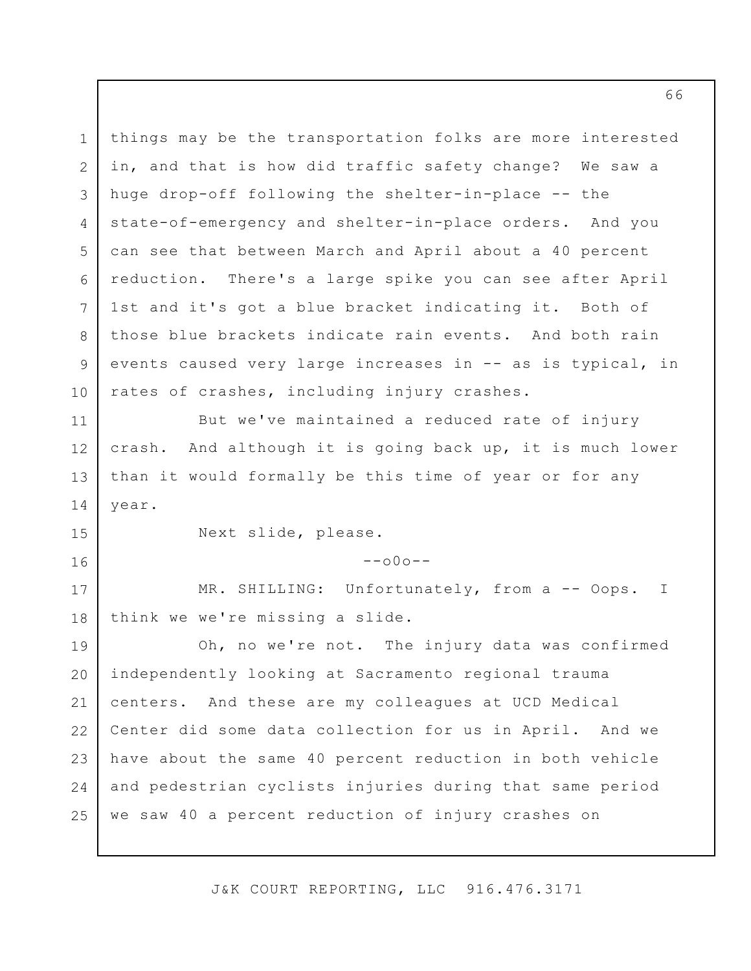1 2 3 4 5 6 7 8 9 10 11 12 13 14 15 16 17 18 19 20 21 22 23 24 25 things may be the transportation folks are more interested in, and that is how did traffic safety change? We saw a huge drop-off following the shelter-in-place -- the state-of-emergency and shelter-in-place orders. And you can see that between March and April about a 40 percent reduction. There's a large spike you can see after April 1st and it's got a blue bracket indicating it. Both of those blue brackets indicate rain events. And both rain events caused very large increases in -- as is typical, in rates of crashes, including injury crashes. But we've maintained a reduced rate of injury crash. And although it is going back up, it is much lower than it would formally be this time of year or for any year. Next slide, please.  $--000--$ MR. SHILLING: Unfortunately, from a -- Oops. I think we we're missing a slide. Oh, no we're not. The injury data was confirmed independently looking at Sacramento regional trauma centers. And these are my colleagues at UCD Medical Center did some data collection for us in April. And we have about the same 40 percent reduction in both vehicle and pedestrian cyclists injuries during that same period we saw 40 a percent reduction of injury crashes on

J&K COURT REPORTING, LLC 916.476.3171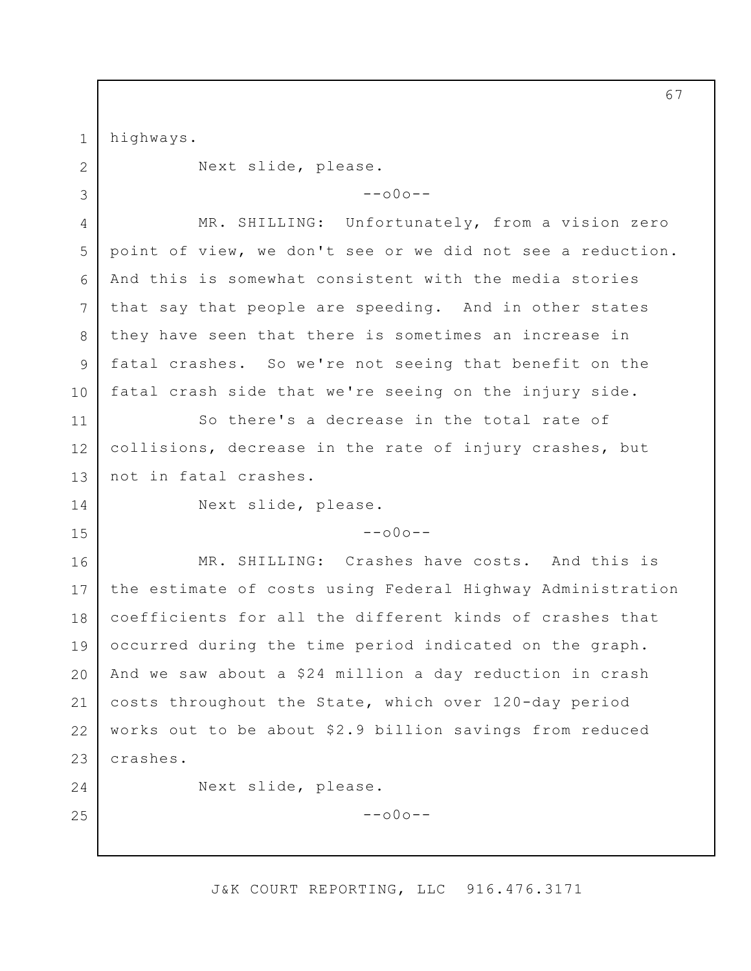1 2 3 4 5 6 7 8 9 10 11 12 13 14 15 16 17 18 19 20 21 22 23 24 25 highways. Next slide, please.  $--000--$ MR. SHILLING: Unfortunately, from a vision zero point of view, we don't see or we did not see a reduction. And this is somewhat consistent with the media stories that say that people are speeding. And in other states they have seen that there is sometimes an increase in fatal crashes. So we're not seeing that benefit on the fatal crash side that we're seeing on the injury side. So there's a decrease in the total rate of collisions, decrease in the rate of injury crashes, but not in fatal crashes. Next slide, please.  $--000--$ MR. SHILLING: Crashes have costs. And this is the estimate of costs using Federal Highway Administration coefficients for all the different kinds of crashes that occurred during the time period indicated on the graph. And we saw about a \$24 million a day reduction in crash costs throughout the State, which over 120-day period works out to be about \$2.9 billion savings from reduced crashes. Next slide, please.  $--$ o $0$ o $--$ 

J&K COURT REPORTING, LLC 916.476.3171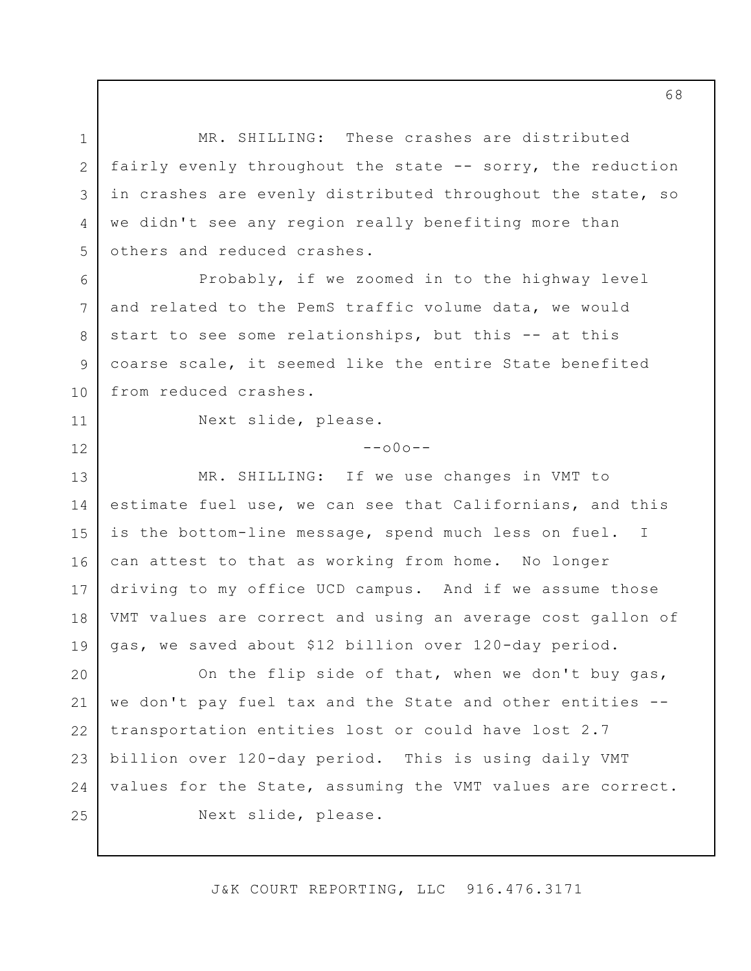1 2 3 4 5 6 7 8 9 10 11 12 13 14 15 16 17 18 19 20 21 22 23 24 25 MR. SHILLING: These crashes are distributed fairly evenly throughout the state -- sorry, the reduction in crashes are evenly distributed throughout the state, so we didn't see any region really benefiting more than others and reduced crashes. Probably, if we zoomed in to the highway level and related to the PemS traffic volume data, we would start to see some relationships, but this -- at this coarse scale, it seemed like the entire State benefited from reduced crashes. Next slide, please.  $--000--$ MR. SHILLING: If we use changes in VMT to estimate fuel use, we can see that Californians, and this is the bottom-line message, spend much less on fuel. I can attest to that as working from home. No longer driving to my office UCD campus. And if we assume those VMT values are correct and using an average cost gallon of gas, we saved about \$12 billion over 120-day period. On the flip side of that, when we don't buy gas, we don't pay fuel tax and the State and other entities - transportation entities lost or could have lost 2.7 billion over 120-day period. This is using daily VMT values for the State, assuming the VMT values are correct. Next slide, please.

J&K COURT REPORTING, LLC 916.476.3171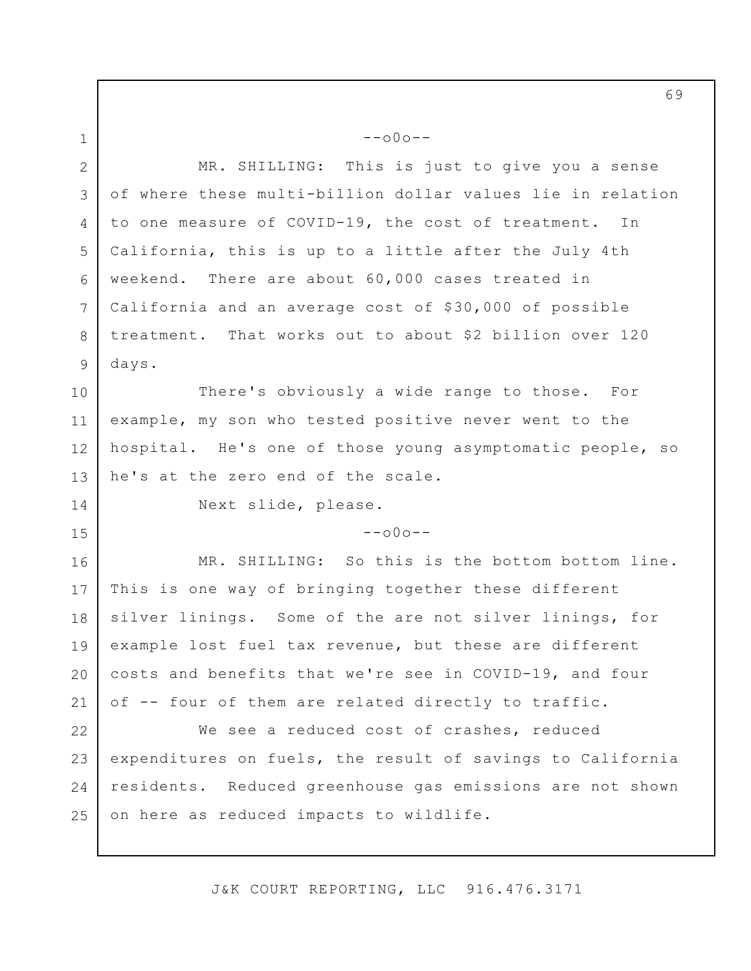2 3 4 5 6 7 8 9 MR. SHILLING: This is just to give you a sense of where these multi-billion dollar values lie in relation to one measure of COVID-19, the cost of treatment. In California, this is up to a little after the July 4th weekend. There are about 60,000 cases treated in California and an average cost of \$30,000 of possible treatment. That works out to about \$2 billion over 120 days.

 $--000--$ 

10 11 12 13 There's obviously a wide range to those. For example, my son who tested positive never went to the hospital. He's one of those young asymptomatic people, so he's at the zero end of the scale.

1

14

15

Next slide, please.

 $--000--$ 

16 17 18 19 20 21 MR. SHILLING: So this is the bottom bottom line. This is one way of bringing together these different silver linings. Some of the are not silver linings, for example lost fuel tax revenue, but these are different costs and benefits that we're see in COVID-19, and four of -- four of them are related directly to traffic.

22 23 24 25 We see a reduced cost of crashes, reduced expenditures on fuels, the result of savings to California residents. Reduced greenhouse gas emissions are not shown on here as reduced impacts to wildlife.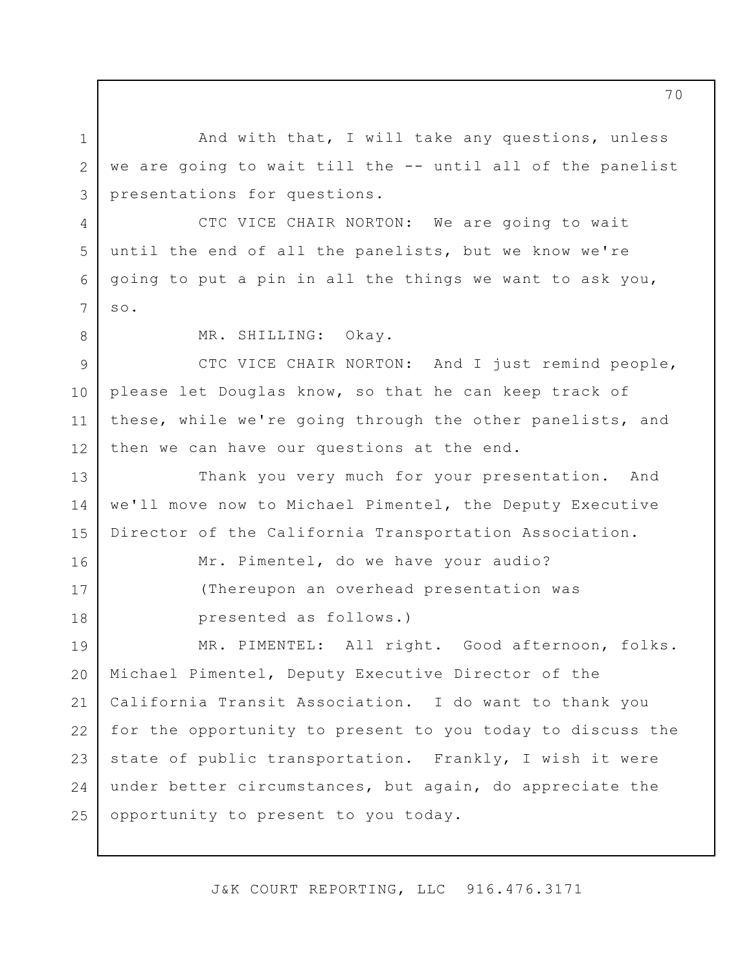And with that, I will take any questions, unless we are going to wait till the -- until all of the panelist presentations for questions.

CTC VICE CHAIR NORTON: We are going to wait until the end of all the panelists, but we know we're going to put a pin in all the things we want to ask you, so.

8

1

2

3

4

5

6

7

16

17

18

MR. SHILLING: Okay.

9 10 11 12 CTC VICE CHAIR NORTON: And I just remind people, please let Douglas know, so that he can keep track of these, while we're going through the other panelists, and then we can have our questions at the end.

13 14 15 Thank you very much for your presentation. And we'll move now to Michael Pimentel, the Deputy Executive Director of the California Transportation Association.

> Mr. Pimentel, do we have your audio? (Thereupon an overhead presentation was presented as follows.)

19 20 21 22 23 24 25 MR. PIMENTEL: All right. Good afternoon, folks. Michael Pimentel, Deputy Executive Director of the California Transit Association. I do want to thank you for the opportunity to present to you today to discuss the state of public transportation. Frankly, I wish it were under better circumstances, but again, do appreciate the opportunity to present to you today.

J&K COURT REPORTING, LLC 916.476.3171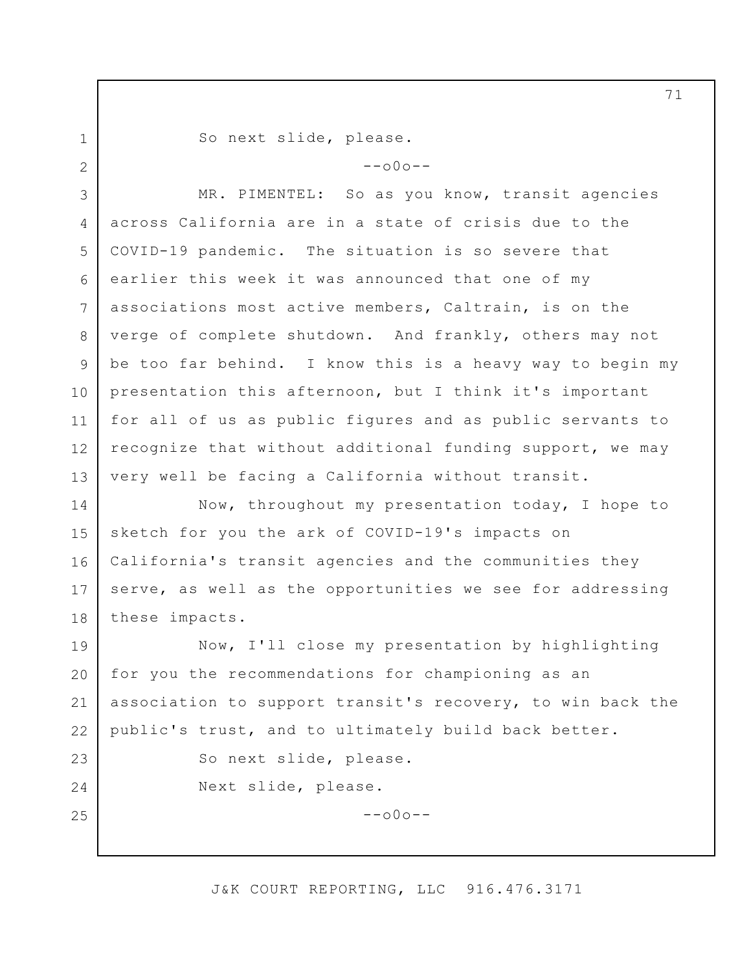1 2

23

24

25

So next slide, please.

 $--\cap 0 \cap --$ 

3 4 5 6 7 8 9 10 11 12 13 MR. PIMENTEL: So as you know, transit agencies across California are in a state of crisis due to the COVID-19 pandemic. The situation is so severe that earlier this week it was announced that one of my associations most active members, Caltrain, is on the verge of complete shutdown. And frankly, others may not be too far behind. I know this is a heavy way to begin my presentation this afternoon, but I think it's important for all of us as public figures and as public servants to recognize that without additional funding support, we may very well be facing a California without transit.

14 15 16 17 18 Now, throughout my presentation today, I hope to sketch for you the ark of COVID-19's impacts on California's transit agencies and the communities they serve, as well as the opportunities we see for addressing these impacts.

19 20 21 22 Now, I'll close my presentation by highlighting for you the recommendations for championing as an association to support transit's recovery, to win back the public's trust, and to ultimately build back better.

So next slide, please.

Next slide, please.

 $--000--$ 

#### J&K COURT REPORTING, LLC 916.476.3171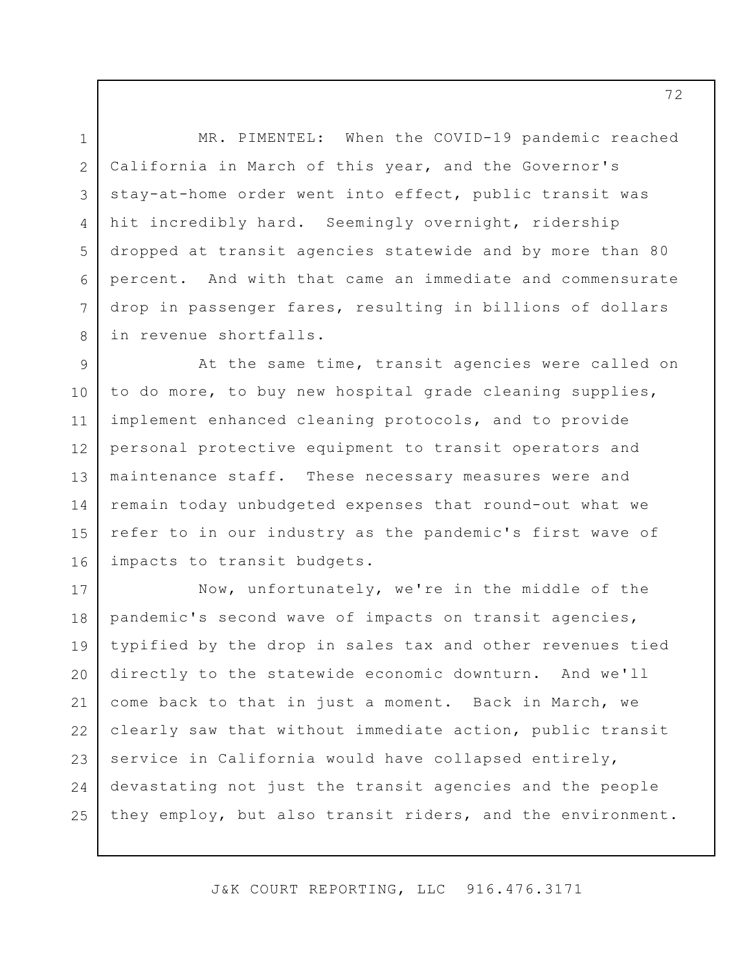MR. PIMENTEL: When the COVID-19 pandemic reached California in March of this year, and the Governor's stay-at-home order went into effect, public transit was hit incredibly hard. Seemingly overnight, ridership dropped at transit agencies statewide and by more than 80 percent. And with that came an immediate and commensurate drop in passenger fares, resulting in billions of dollars in revenue shortfalls.

1

2

3

4

5

6

7

8

9 10 11 12 13 14 15 16 At the same time, transit agencies were called on to do more, to buy new hospital grade cleaning supplies, implement enhanced cleaning protocols, and to provide personal protective equipment to transit operators and maintenance staff. These necessary measures were and remain today unbudgeted expenses that round-out what we refer to in our industry as the pandemic's first wave of impacts to transit budgets.

17 18 19 20 21 22 23 24 25 Now, unfortunately, we're in the middle of the pandemic's second wave of impacts on transit agencies, typified by the drop in sales tax and other revenues tied directly to the statewide economic downturn. And we'll come back to that in just a moment. Back in March, we clearly saw that without immediate action, public transit service in California would have collapsed entirely, devastating not just the transit agencies and the people they employ, but also transit riders, and the environment.

J&K COURT REPORTING, LLC 916.476.3171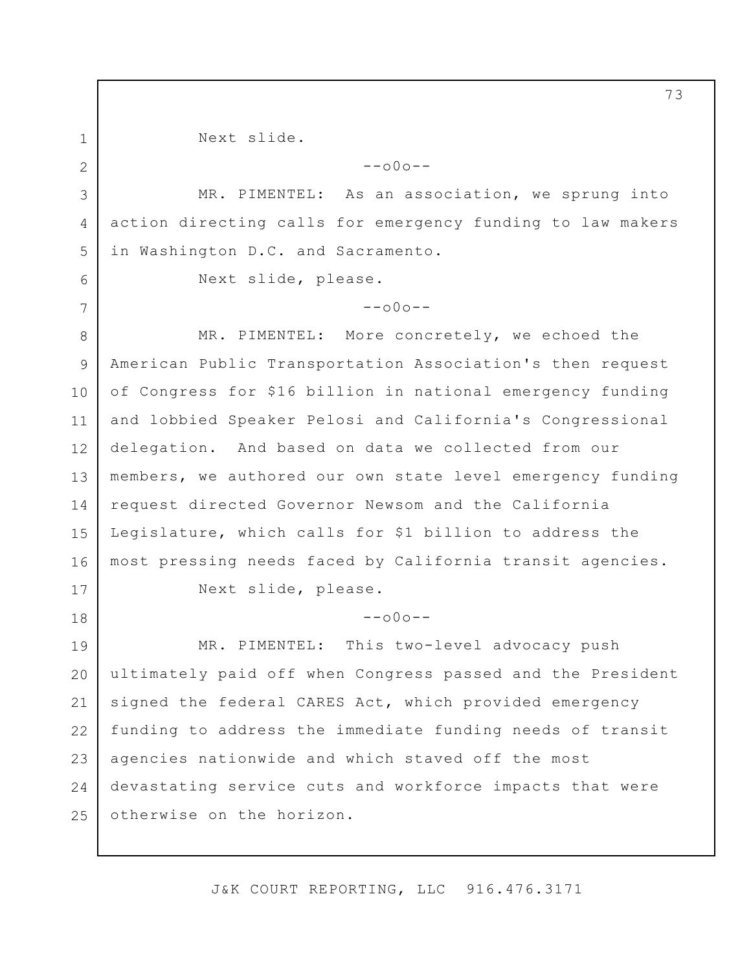2 3

6

7

18

1

Next slide.

 $--000--$ 

4 5 MR. PIMENTEL: As an association, we sprung into action directing calls for emergency funding to law makers in Washington D.C. and Sacramento.

Next slide, please.

 $--000--$ 

8 9 10 11 12 13 14 15 16 17 MR. PIMENTEL: More concretely, we echoed the American Public Transportation Association's then request of Congress for \$16 billion in national emergency funding and lobbied Speaker Pelosi and California's Congressional delegation. And based on data we collected from our members, we authored our own state level emergency funding request directed Governor Newsom and the California Legislature, which calls for \$1 billion to address the most pressing needs faced by California transit agencies. Next slide, please.

 $--000--$ 

19 20 21 22 23 24 25 MR. PIMENTEL: This two-level advocacy push ultimately paid off when Congress passed and the President signed the federal CARES Act, which provided emergency funding to address the immediate funding needs of transit agencies nationwide and which staved off the most devastating service cuts and workforce impacts that were otherwise on the horizon.

J&K COURT REPORTING, LLC 916.476.3171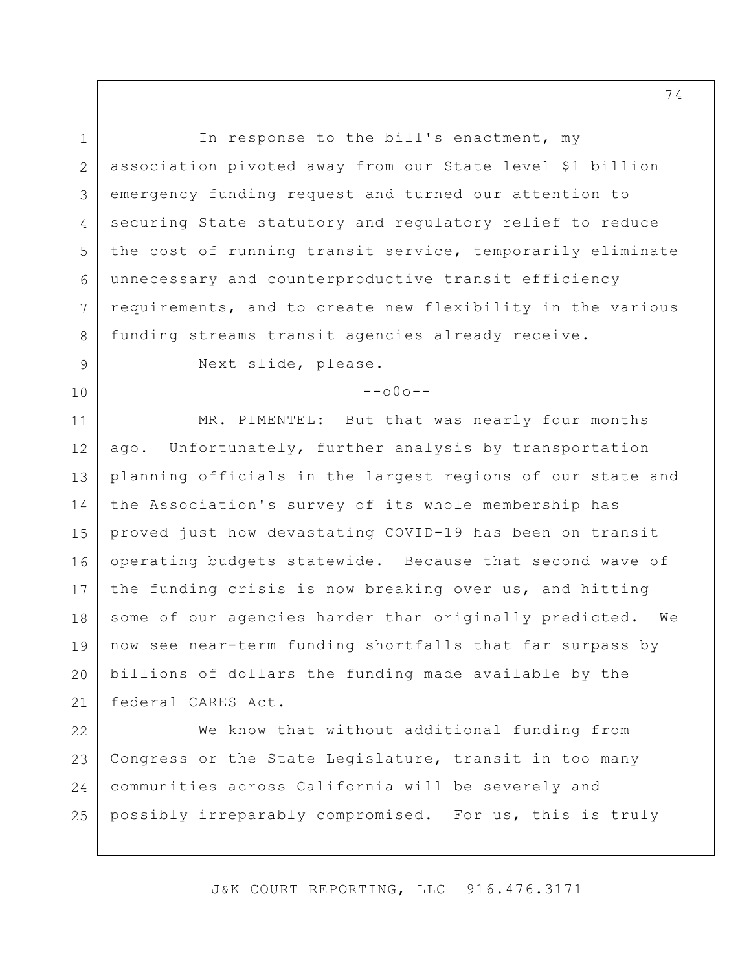1 2 3 4 5 6 7 8 In response to the bill's enactment, my association pivoted away from our State level \$1 billion emergency funding request and turned our attention to securing State statutory and regulatory relief to reduce the cost of running transit service, temporarily eliminate unnecessary and counterproductive transit efficiency requirements, and to create new flexibility in the various funding streams transit agencies already receive.

9

10

Next slide, please.

 $--000--$ 

11 12 13 14 15 16 17 18 19 20 21 MR. PIMENTEL: But that was nearly four months ago. Unfortunately, further analysis by transportation planning officials in the largest regions of our state and the Association's survey of its whole membership has proved just how devastating COVID-19 has been on transit operating budgets statewide. Because that second wave of the funding crisis is now breaking over us, and hitting some of our agencies harder than originally predicted. We now see near-term funding shortfalls that far surpass by billions of dollars the funding made available by the federal CARES Act.

22 23 24 25 We know that without additional funding from Congress or the State Legislature, transit in too many communities across California will be severely and possibly irreparably compromised. For us, this is truly

J&K COURT REPORTING, LLC 916.476.3171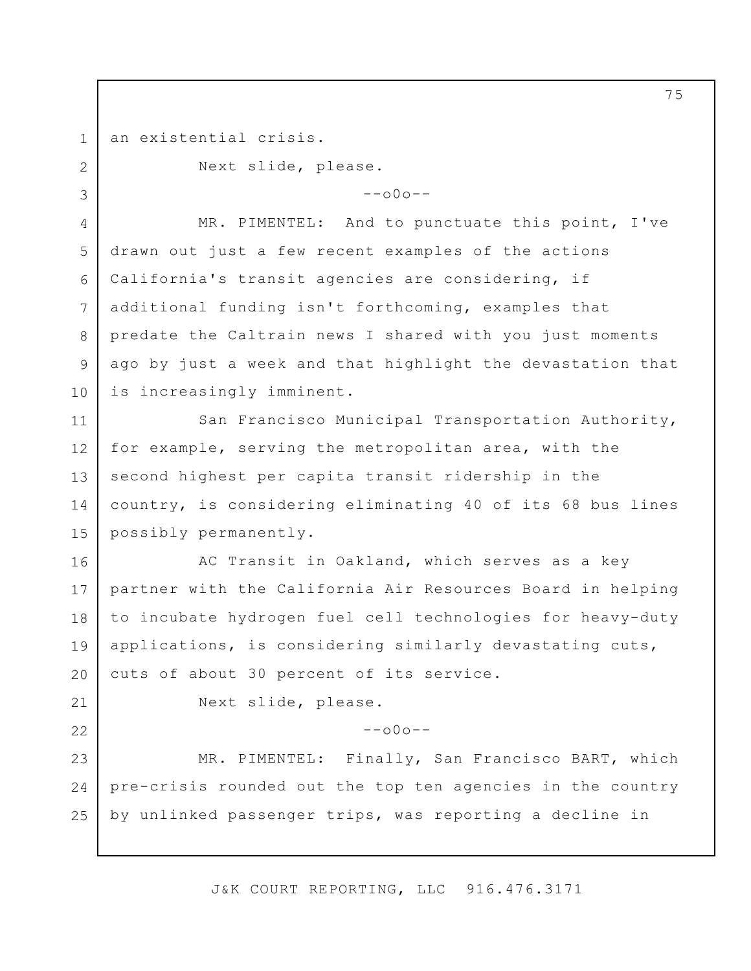an existential crisis.

Next slide, please.

 $--000--$ 

4 5 6 7 8 9 10 MR. PIMENTEL: And to punctuate this point, I've drawn out just a few recent examples of the actions California's transit agencies are considering, if additional funding isn't forthcoming, examples that predate the Caltrain news I shared with you just moments ago by just a week and that highlight the devastation that is increasingly imminent.

11 12 13 14 15 San Francisco Municipal Transportation Authority, for example, serving the metropolitan area, with the second highest per capita transit ridership in the country, is considering eliminating 40 of its 68 bus lines possibly permanently.

16 17 18 19 20 AC Transit in Oakland, which serves as a key partner with the California Air Resources Board in helping to incubate hydrogen fuel cell technologies for heavy-duty applications, is considering similarly devastating cuts, cuts of about 30 percent of its service.

21 22

1

2

3

Next slide, please.

 $--000--$ 

23 24 25 MR. PIMENTEL: Finally, San Francisco BART, which pre-crisis rounded out the top ten agencies in the country by unlinked passenger trips, was reporting a decline in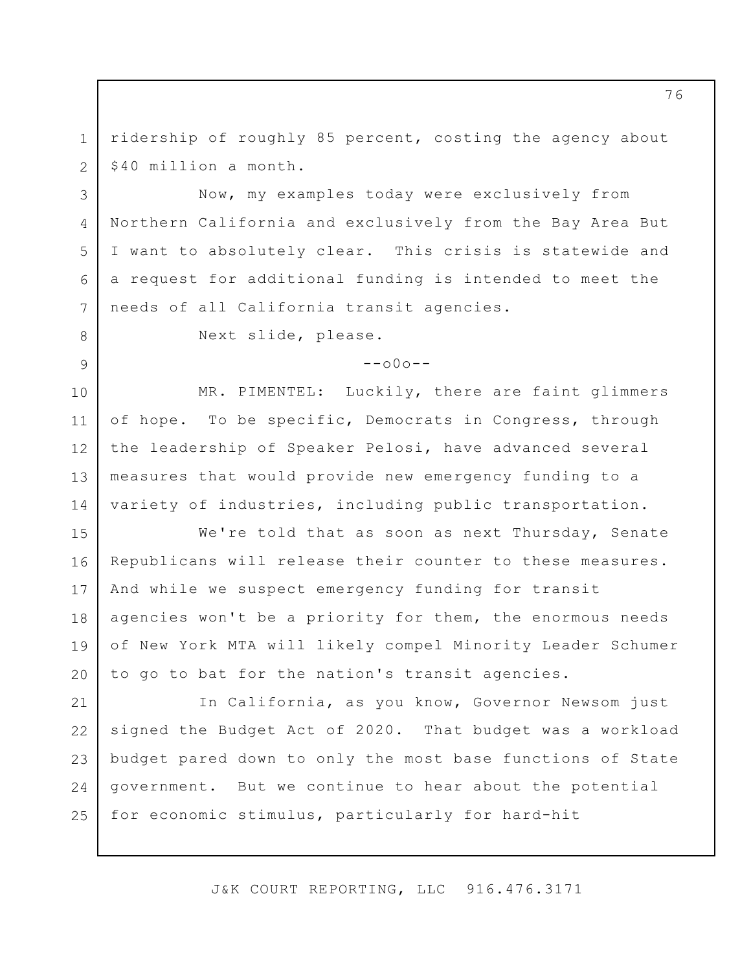1 2 ridership of roughly 85 percent, costing the agency about \$40 million a month.

Now, my examples today were exclusively from Northern California and exclusively from the Bay Area But I want to absolutely clear. This crisis is statewide and a request for additional funding is intended to meet the needs of all California transit agencies.

3

4

5

6

7

8

9

Next slide, please.

 $--000--$ 

10 11 12 13 14 MR. PIMENTEL: Luckily, there are faint glimmers of hope. To be specific, Democrats in Congress, through the leadership of Speaker Pelosi, have advanced several measures that would provide new emergency funding to a variety of industries, including public transportation.

15 16 17 18 19 20 We're told that as soon as next Thursday, Senate Republicans will release their counter to these measures. And while we suspect emergency funding for transit agencies won't be a priority for them, the enormous needs of New York MTA will likely compel Minority Leader Schumer to go to bat for the nation's transit agencies.

21 22 23 24 25 In California, as you know, Governor Newsom just signed the Budget Act of 2020. That budget was a workload budget pared down to only the most base functions of State government. But we continue to hear about the potential for economic stimulus, particularly for hard-hit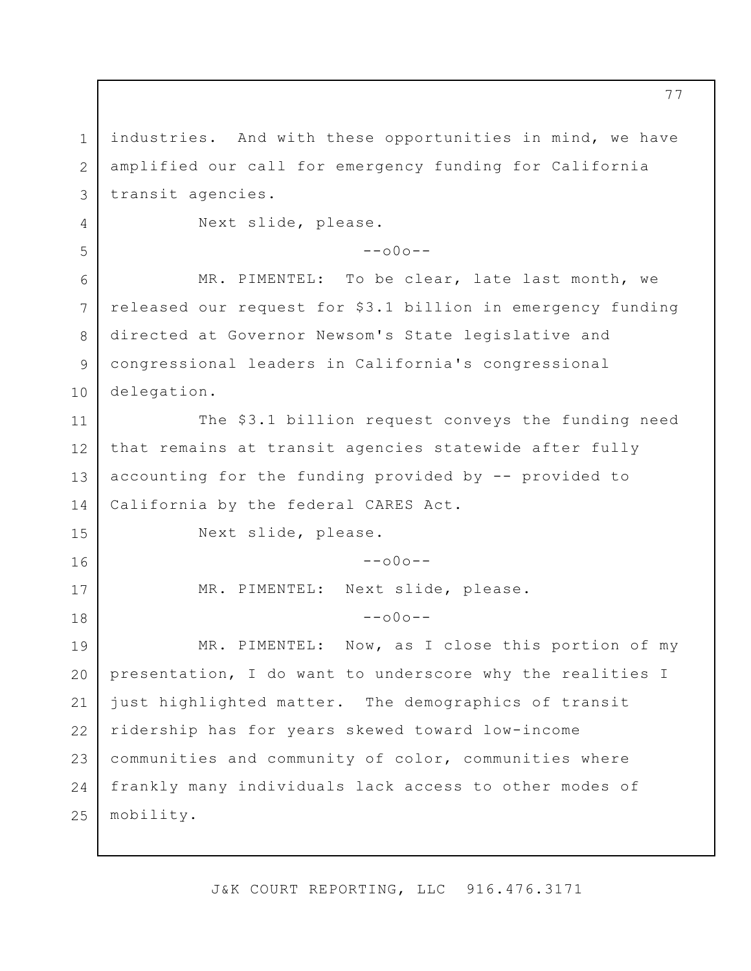1 2 3 4 5 6 7 8 9 10 11 12 13 14 15 16 17 18 19 20 21 22 23 24 25 industries. And with these opportunities in mind, we have amplified our call for emergency funding for California transit agencies. Next slide, please.  $--000--$ MR. PIMENTEL: To be clear, late last month, we released our request for \$3.1 billion in emergency funding directed at Governor Newsom's State legislative and congressional leaders in California's congressional delegation. The \$3.1 billion request conveys the funding need that remains at transit agencies statewide after fully accounting for the funding provided by -- provided to California by the federal CARES Act. Next slide, please.  $--000--$ MR. PIMENTEL: Next slide, please.  $--000--$ MR. PIMENTEL: Now, as I close this portion of my presentation, I do want to underscore why the realities I just highlighted matter. The demographics of transit ridership has for years skewed toward low-income communities and community of color, communities where frankly many individuals lack access to other modes of mobility.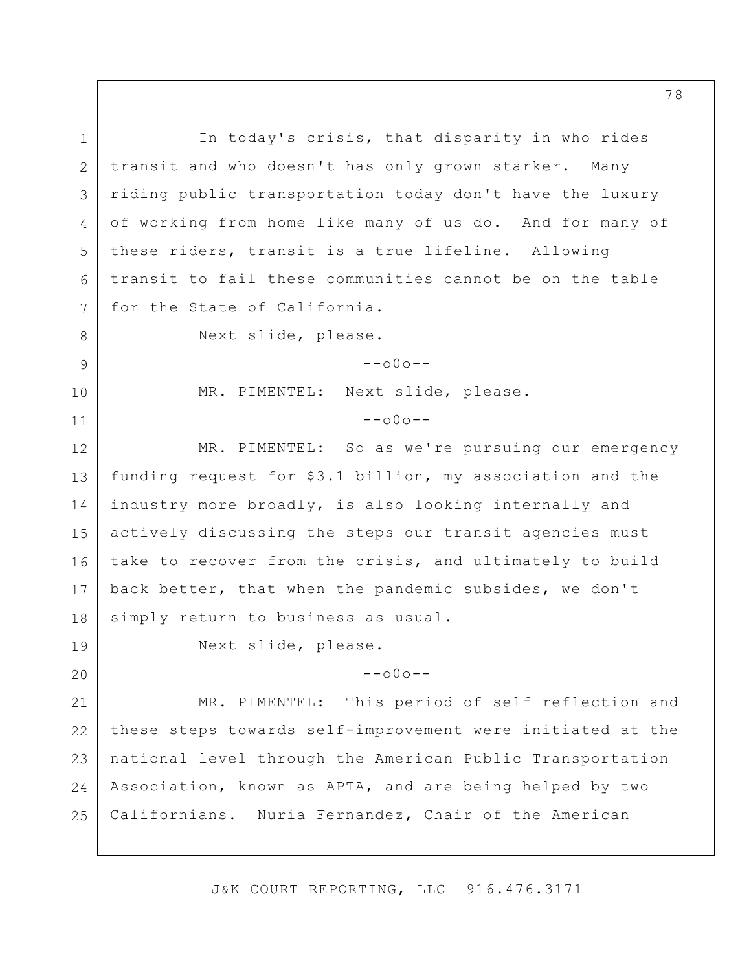1 2 3 4 5 6 7 8 9 10 11 12 13 14 15 16 17 18 19 20 21 22 23 24 25 In today's crisis, that disparity in who rides transit and who doesn't has only grown starker. Many riding public transportation today don't have the luxury of working from home like many of us do. And for many of these riders, transit is a true lifeline. Allowing transit to fail these communities cannot be on the table for the State of California. Next slide, please.  $--000--$ MR. PIMENTEL: Next slide, please.  $--000--$ MR. PIMENTEL: So as we're pursuing our emergency funding request for \$3.1 billion, my association and the industry more broadly, is also looking internally and actively discussing the steps our transit agencies must take to recover from the crisis, and ultimately to build back better, that when the pandemic subsides, we don't simply return to business as usual. Next slide, please.  $--000--$ MR. PIMENTEL: This period of self reflection and these steps towards self-improvement were initiated at the national level through the American Public Transportation Association, known as APTA, and are being helped by two Californians. Nuria Fernandez, Chair of the American

J&K COURT REPORTING, LLC 916.476.3171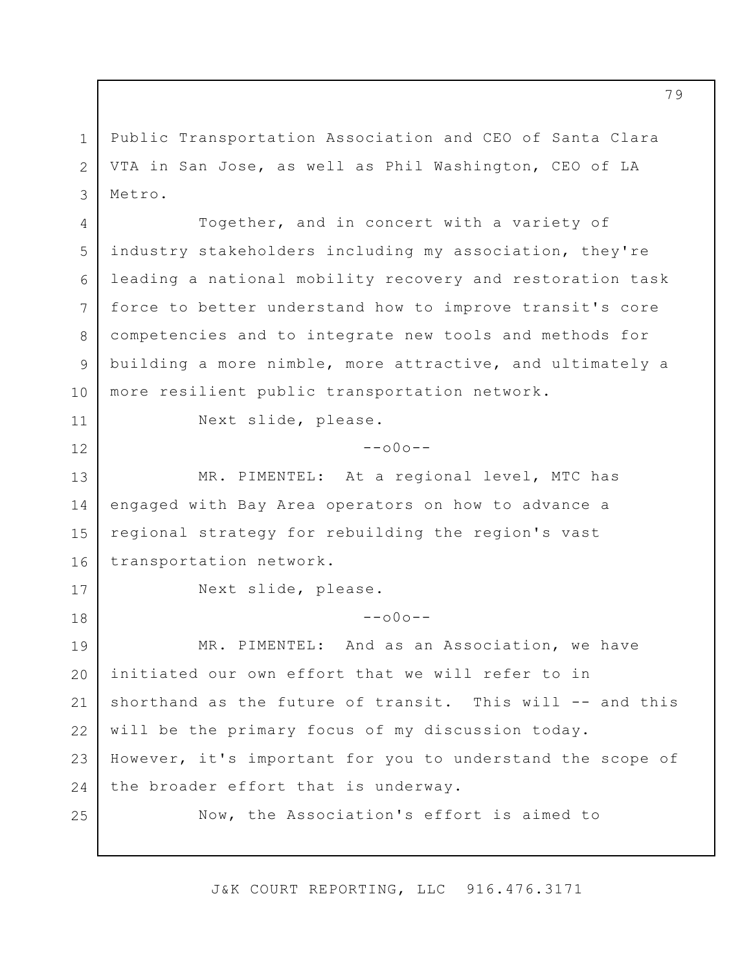1 2 3 Public Transportation Association and CEO of Santa Clara VTA in San Jose, as well as Phil Washington, CEO of LA Metro.

4 5 6 7 8 9 10 Together, and in concert with a variety of industry stakeholders including my association, they're leading a national mobility recovery and restoration task force to better understand how to improve transit's core competencies and to integrate new tools and methods for building a more nimble, more attractive, and ultimately a more resilient public transportation network.

Next slide, please.

## $-000-$

13 14 15 16 MR. PIMENTEL: At a regional level, MTC has engaged with Bay Area operators on how to advance a regional strategy for rebuilding the region's vast transportation network.

11

12

17

18

Next slide, please.

 $--000--$ 

19 20 21 22 23 24 25 MR. PIMENTEL: And as an Association, we have initiated our own effort that we will refer to in shorthand as the future of transit. This will -- and this will be the primary focus of my discussion today. However, it's important for you to understand the scope of the broader effort that is underway.

Now, the Association's effort is aimed to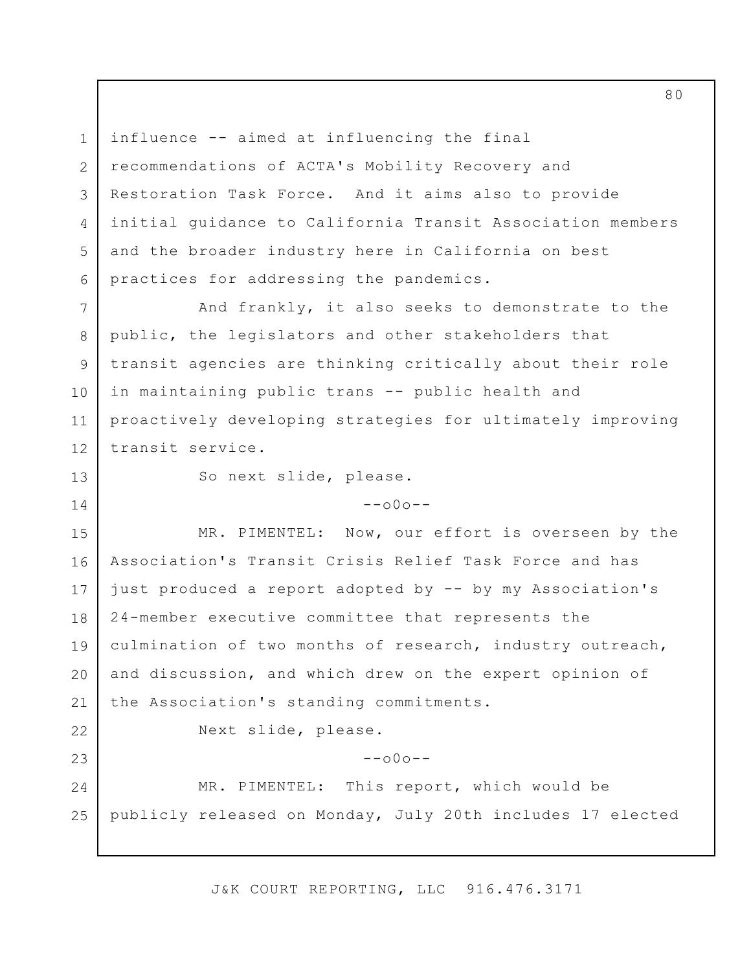influence -- aimed at influencing the final recommendations of ACTA's Mobility Recovery and Restoration Task Force. And it aims also to provide initial guidance to California Transit Association members and the broader industry here in California on best practices for addressing the pandemics.

7 8 9 10 11 12 And frankly, it also seeks to demonstrate to the public, the legislators and other stakeholders that transit agencies are thinking critically about their role in maintaining public trans -- public health and proactively developing strategies for ultimately improving transit service.

So next slide, please.

1

2

3

4

5

6

13

14

 $--000--$ 

15 16 17 18 19 20 21 22 23 MR. PIMENTEL: Now, our effort is overseen by the Association's Transit Crisis Relief Task Force and has just produced a report adopted by -- by my Association's 24-member executive committee that represents the culmination of two months of research, industry outreach, and discussion, and which drew on the expert opinion of the Association's standing commitments. Next slide, please.  $--000--$ 

24 25 MR. PIMENTEL: This report, which would be publicly released on Monday, July 20th includes 17 elected

J&K COURT REPORTING, LLC 916.476.3171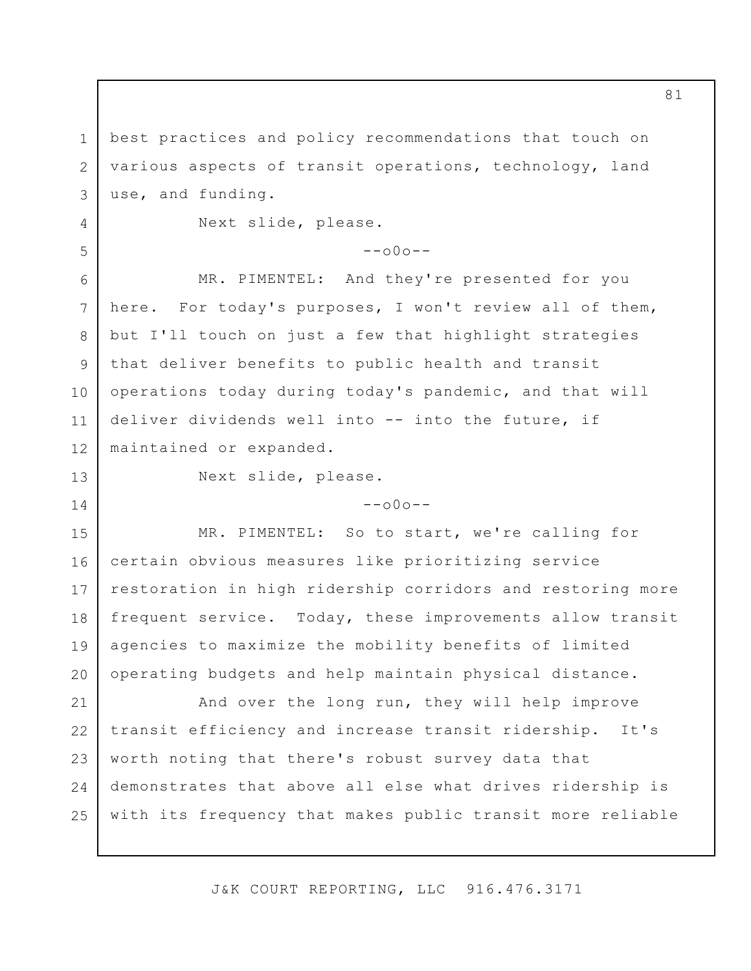1 2 3 best practices and policy recommendations that touch on various aspects of transit operations, technology, land use, and funding.

Next slide, please.

## $--000--$

MR. PIMENTEL: And they're presented for you here. For today's purposes, I won't review all of them, but I'll touch on just a few that highlight strategies that deliver benefits to public health and transit operations today during today's pandemic, and that will deliver dividends well into -- into the future, if maintained or expanded.

4

5

6

7

8

9

10

11

12

13

14

Next slide, please.

 $--000--$ 

15 16 17 18 19 20 MR. PIMENTEL: So to start, we're calling for certain obvious measures like prioritizing service restoration in high ridership corridors and restoring more frequent service. Today, these improvements allow transit agencies to maximize the mobility benefits of limited operating budgets and help maintain physical distance.

21 22 23 24 25 And over the long run, they will help improve transit efficiency and increase transit ridership. It's worth noting that there's robust survey data that demonstrates that above all else what drives ridership is with its frequency that makes public transit more reliable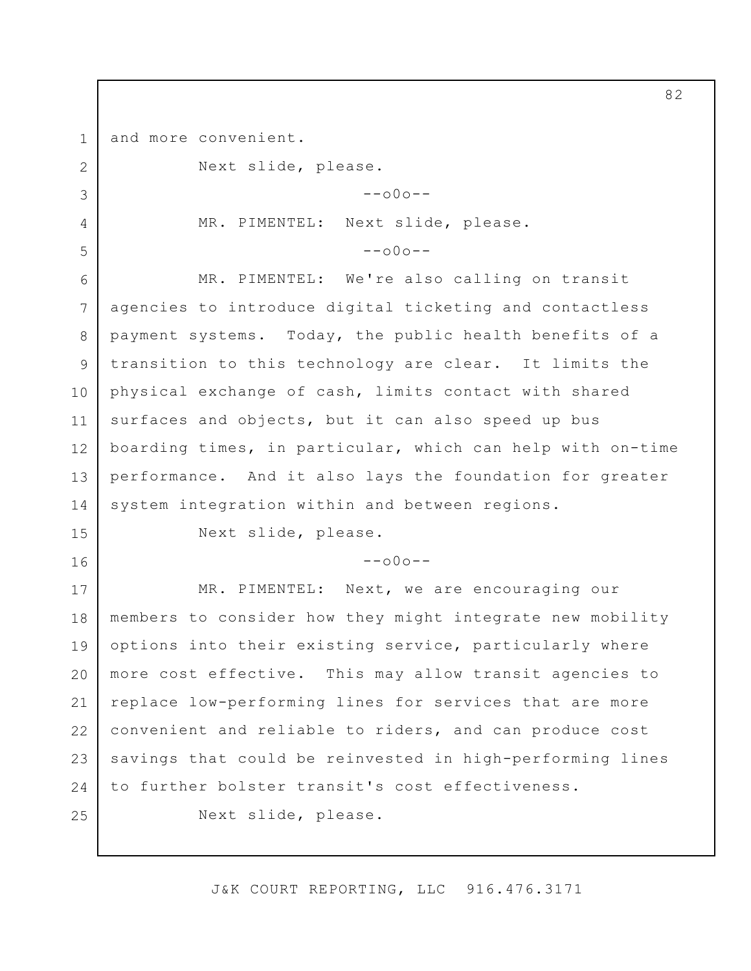1 and more convenient.

Next slide, please.

 $--000--$ 

MR. PIMENTEL: Next slide, please.

 $--000--$ 

6 7 8 9 10 11 12 13 14 MR. PIMENTEL: We're also calling on transit agencies to introduce digital ticketing and contactless payment systems. Today, the public health benefits of a transition to this technology are clear. It limits the physical exchange of cash, limits contact with shared surfaces and objects, but it can also speed up bus boarding times, in particular, which can help with on-time performance. And it also lays the foundation for greater system integration within and between regions.

15

16

2

3

4

5

Next slide, please.

 $--000--$ 

17 18 19 20 21 22 23 24 25 MR. PIMENTEL: Next, we are encouraging our members to consider how they might integrate new mobility options into their existing service, particularly where more cost effective. This may allow transit agencies to replace low-performing lines for services that are more convenient and reliable to riders, and can produce cost savings that could be reinvested in high-performing lines to further bolster transit's cost effectiveness. Next slide, please.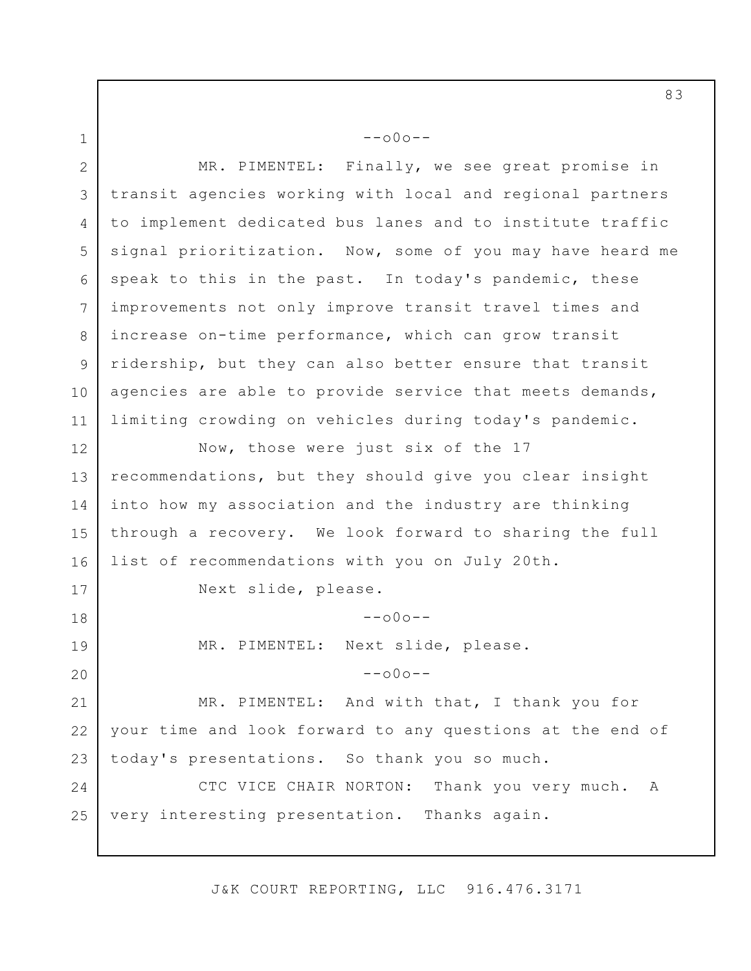1 2 3 4 5 6 7 8 9 10 11 12 13 14 15 16 17 18 19 20 21 22 23 24 25  $--000--$ MR. PIMENTEL: Finally, we see great promise in transit agencies working with local and regional partners to implement dedicated bus lanes and to institute traffic signal prioritization. Now, some of you may have heard me speak to this in the past. In today's pandemic, these improvements not only improve transit travel times and increase on-time performance, which can grow transit ridership, but they can also better ensure that transit agencies are able to provide service that meets demands, limiting crowding on vehicles during today's pandemic. Now, those were just six of the 17 recommendations, but they should give you clear insight into how my association and the industry are thinking through a recovery. We look forward to sharing the full list of recommendations with you on July 20th. Next slide, please.  $--000--$ MR. PIMENTEL: Next slide, please.  $--000--$ MR. PIMENTEL: And with that, I thank you for your time and look forward to any questions at the end of today's presentations. So thank you so much. CTC VICE CHAIR NORTON: Thank you very much. A very interesting presentation. Thanks again.

J&K COURT REPORTING, LLC 916.476.3171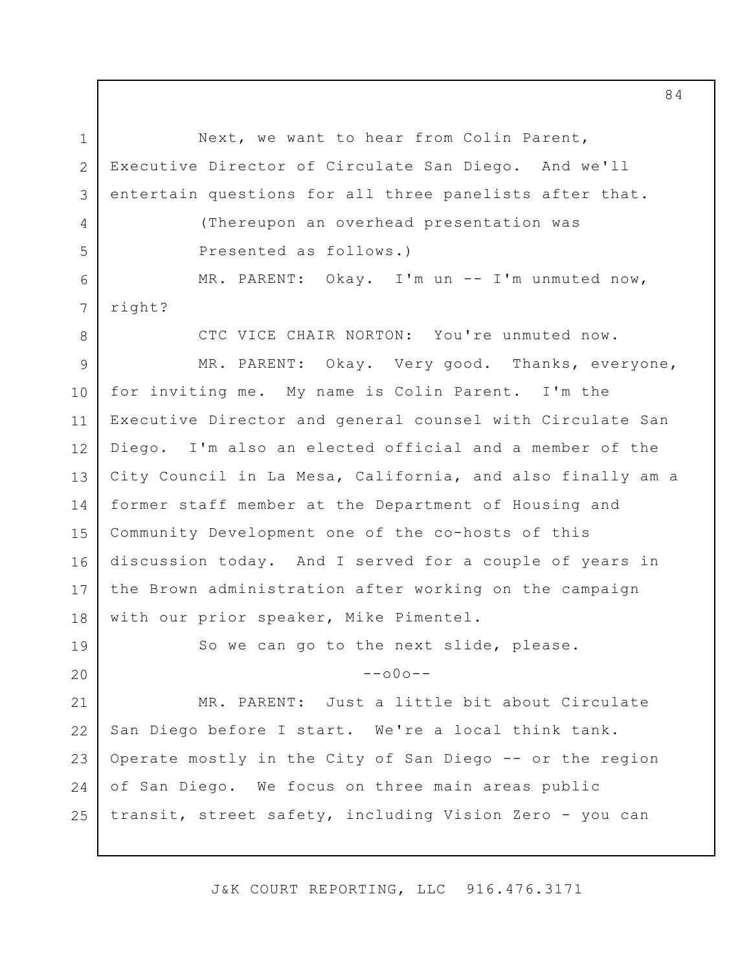1 2 3 4 5 6 7 8 9 10 11 12 13 14 15 16 17 18 19 20 21 22 23 24 25 Next, we want to hear from Colin Parent, Executive Director of Circulate San Diego. And we'll entertain questions for all three panelists after that. (Thereupon an overhead presentation was Presented as follows.) MR. PARENT: Okay. I'm un -- I'm unmuted now, right? CTC VICE CHAIR NORTON: You're unmuted now. MR. PARENT: Okay. Very good. Thanks, everyone, for inviting me. My name is Colin Parent. I'm the Executive Director and general counsel with Circulate San Diego. I'm also an elected official and a member of the City Council in La Mesa, California, and also finally am a former staff member at the Department of Housing and Community Development one of the co-hosts of this discussion today. And I served for a couple of years in the Brown administration after working on the campaign with our prior speaker, Mike Pimentel. So we can go to the next slide, please.  $--000--$ MR. PARENT: Just a little bit about Circulate San Diego before I start. We're a local think tank. Operate mostly in the City of San Diego -- or the region of San Diego. We focus on three main areas public transit, street safety, including Vision Zero - you can

J&K COURT REPORTING, LLC 916.476.3171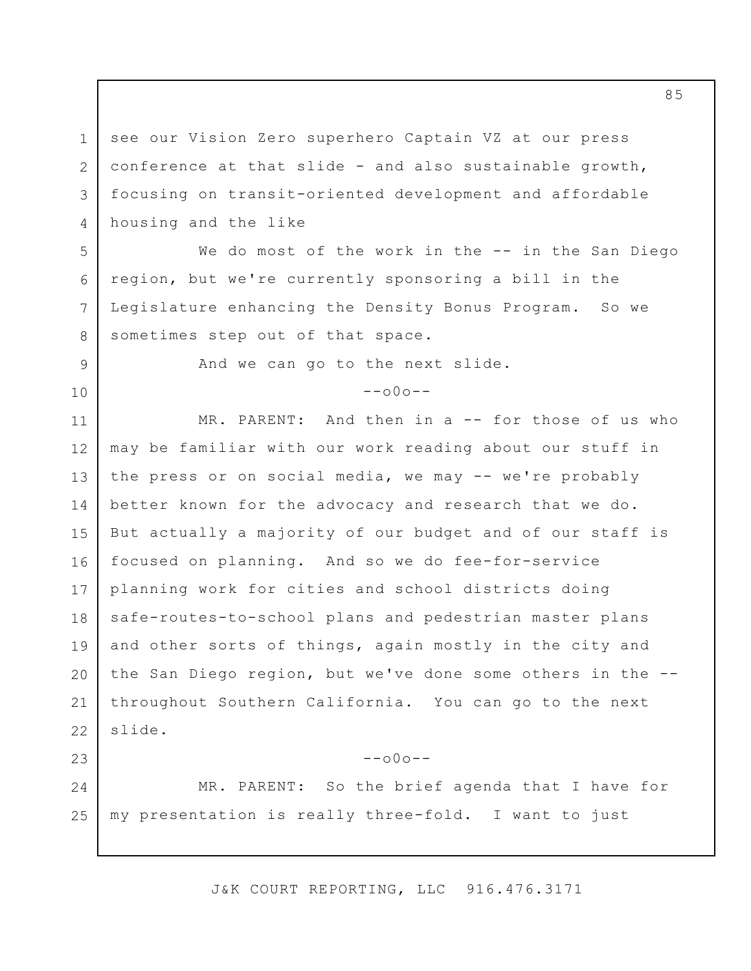1 2 3 4 see our Vision Zero superhero Captain VZ at our press conference at that slide - and also sustainable growth, focusing on transit-oriented development and affordable housing and the like

6 We do most of the work in the -- in the San Diego region, but we're currently sponsoring a bill in the Legislature enhancing the Density Bonus Program. So we sometimes step out of that space.

And we can go to the next slide.

5

7

8

9

10

23

 $--000--$ 

11 12 13 14 15 16 17 18 19 20 21 22 MR. PARENT: And then in a -- for those of us who may be familiar with our work reading about our stuff in the press or on social media, we may -- we're probably better known for the advocacy and research that we do. But actually a majority of our budget and of our staff is focused on planning. And so we do fee-for-service planning work for cities and school districts doing safe-routes-to-school plans and pedestrian master plans and other sorts of things, again mostly in the city and the San Diego region, but we've done some others in the - throughout Southern California. You can go to the next slide.

24 25 MR. PARENT: So the brief agenda that I have for my presentation is really three-fold. I want to just

 $--000--$ 

J&K COURT REPORTING, LLC 916.476.3171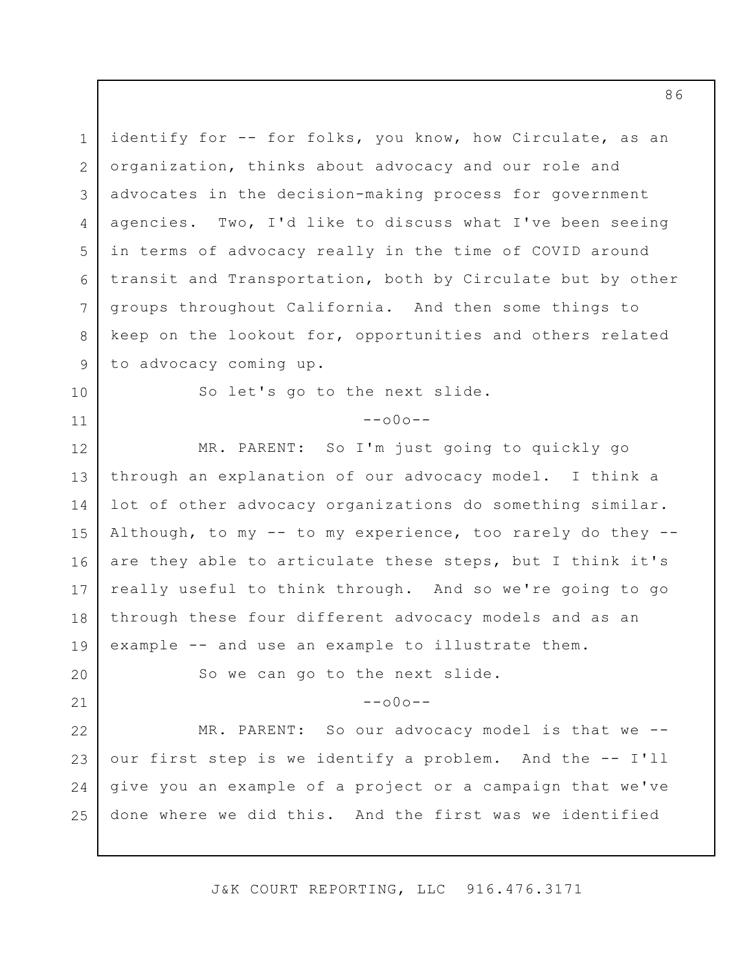1 2 3 4 5 6 7 8 9 identify for -- for folks, you know, how Circulate, as an organization, thinks about advocacy and our role and advocates in the decision-making process for government agencies. Two, I'd like to discuss what I've been seeing in terms of advocacy really in the time of COVID around transit and Transportation, both by Circulate but by other groups throughout California. And then some things to keep on the lookout for, opportunities and others related to advocacy coming up.

10 11

20

21

So let's go to the next slide.

 $--000--$ 

12 13 14 15 16 17 18 19 MR. PARENT: So I'm just going to quickly go through an explanation of our advocacy model. I think a lot of other advocacy organizations do something similar. Although, to my  $--$  to my experience, too rarely do they  $-$ are they able to articulate these steps, but I think it's really useful to think through. And so we're going to go through these four different advocacy models and as an example -- and use an example to illustrate them.

So we can go to the next slide.

 $--000--$ 

22 23 24 25 MR. PARENT: So our advocacy model is that we - our first step is we identify a problem. And the -- I'll give you an example of a project or a campaign that we've done where we did this. And the first was we identified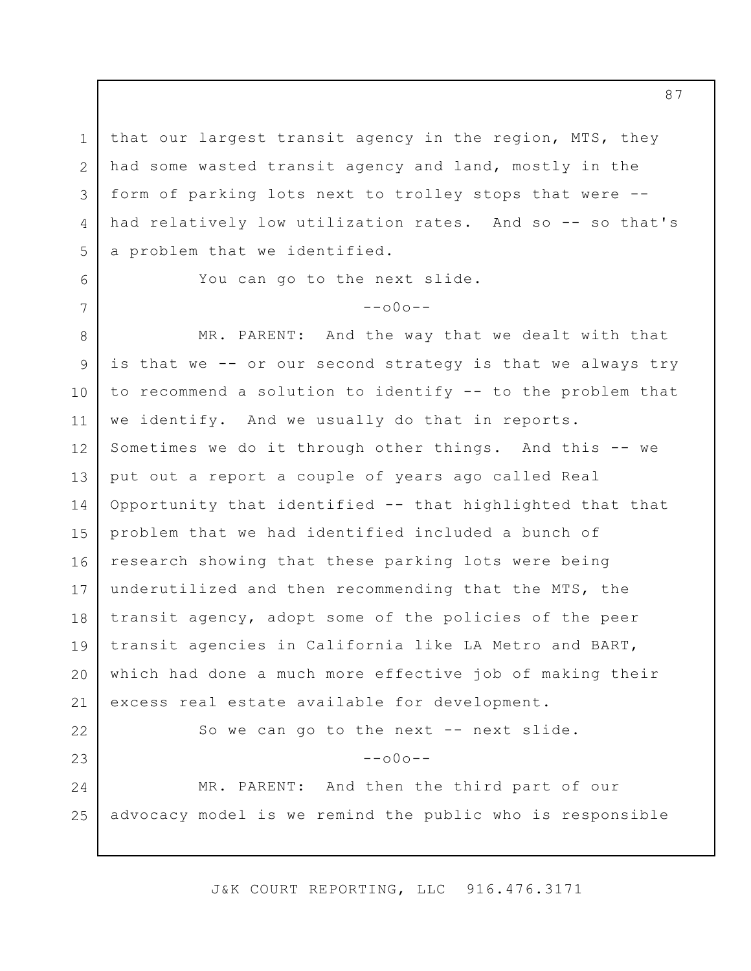1 2 3 4 5 that our largest transit agency in the region, MTS, they had some wasted transit agency and land, mostly in the form of parking lots next to trolley stops that were - had relatively low utilization rates. And so -- so that's a problem that we identified.

You can go to the next slide.

6

7

# $--000--$

8 9 10 11 12 13 14 15 16 17 18 19 20 21 22 23 24 25 MR. PARENT: And the way that we dealt with that is that we -- or our second strategy is that we always try to recommend a solution to identify -- to the problem that we identify. And we usually do that in reports. Sometimes we do it through other things. And this -- we put out a report a couple of years ago called Real Opportunity that identified -- that highlighted that that problem that we had identified included a bunch of research showing that these parking lots were being underutilized and then recommending that the MTS, the transit agency, adopt some of the policies of the peer transit agencies in California like LA Metro and BART, which had done a much more effective job of making their excess real estate available for development. So we can go to the next -- next slide.  $--\cap 0 \cap --$ MR. PARENT: And then the third part of our advocacy model is we remind the public who is responsible

J&K COURT REPORTING, LLC 916.476.3171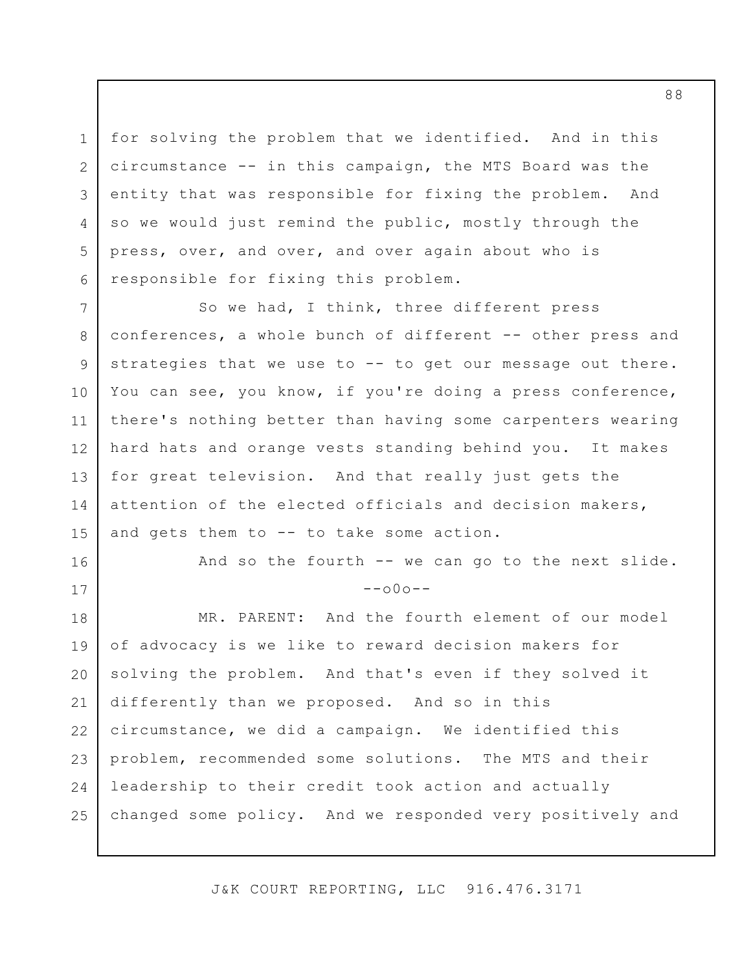1 2 3 4 5 6 for solving the problem that we identified. And in this circumstance -- in this campaign, the MTS Board was the entity that was responsible for fixing the problem. And so we would just remind the public, mostly through the press, over, and over, and over again about who is responsible for fixing this problem.

7 8 9 10 11 12 13 14 15 So we had, I think, three different press conferences, a whole bunch of different -- other press and strategies that we use to -- to get our message out there. You can see, you know, if you're doing a press conference, there's nothing better than having some carpenters wearing hard hats and orange vests standing behind you. It makes for great television. And that really just gets the attention of the elected officials and decision makers, and gets them to -- to take some action.

16

17

And so the fourth -- we can go to the next slide.  $--000--$ 

18 19 20 21 22 23 24 25 MR. PARENT: And the fourth element of our model of advocacy is we like to reward decision makers for solving the problem. And that's even if they solved it differently than we proposed. And so in this circumstance, we did a campaign. We identified this problem, recommended some solutions. The MTS and their leadership to their credit took action and actually changed some policy. And we responded very positively and

J&K COURT REPORTING, LLC 916.476.3171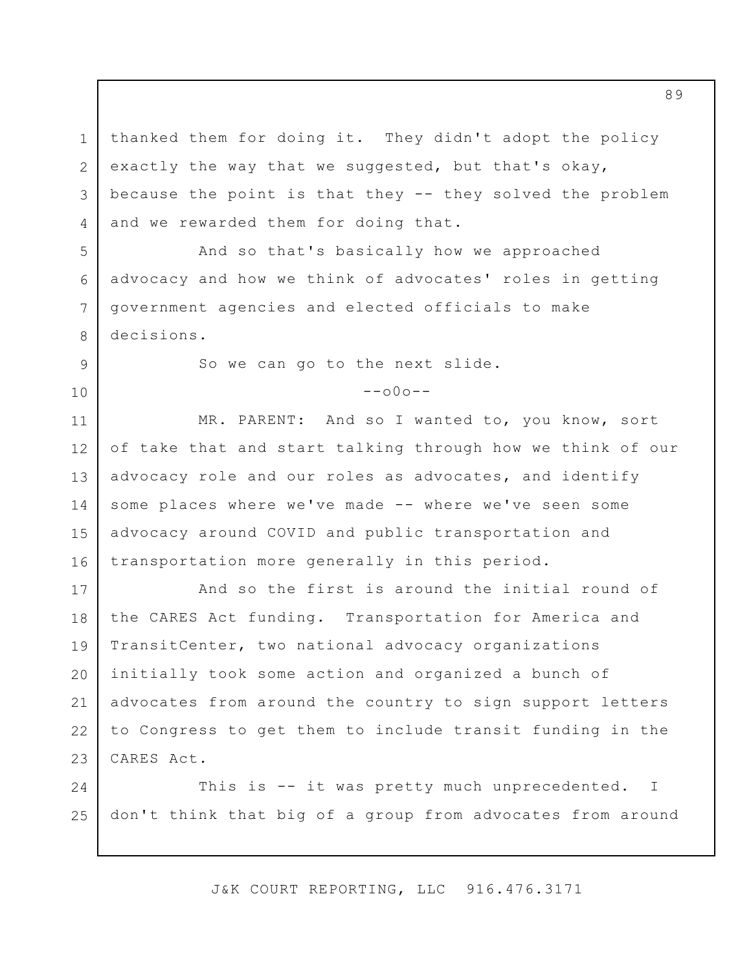1 2 3 4 thanked them for doing it. They didn't adopt the policy exactly the way that we suggested, but that's okay, because the point is that they -- they solved the problem and we rewarded them for doing that.

And so that's basically how we approached advocacy and how we think of advocates' roles in getting government agencies and elected officials to make decisions.

So we can go to the next slide.

5

6

7

8

9

10

 $--000--$ 

11 12 13 14 15 16 MR. PARENT: And so I wanted to, you know, sort of take that and start talking through how we think of our advocacy role and our roles as advocates, and identify some places where we've made -- where we've seen some advocacy around COVID and public transportation and transportation more generally in this period.

17 18 19 20 21 22 23 And so the first is around the initial round of the CARES Act funding. Transportation for America and TransitCenter, two national advocacy organizations initially took some action and organized a bunch of advocates from around the country to sign support letters to Congress to get them to include transit funding in the CARES Act.

24 25 This is -- it was pretty much unprecedented. don't think that big of a group from advocates from around I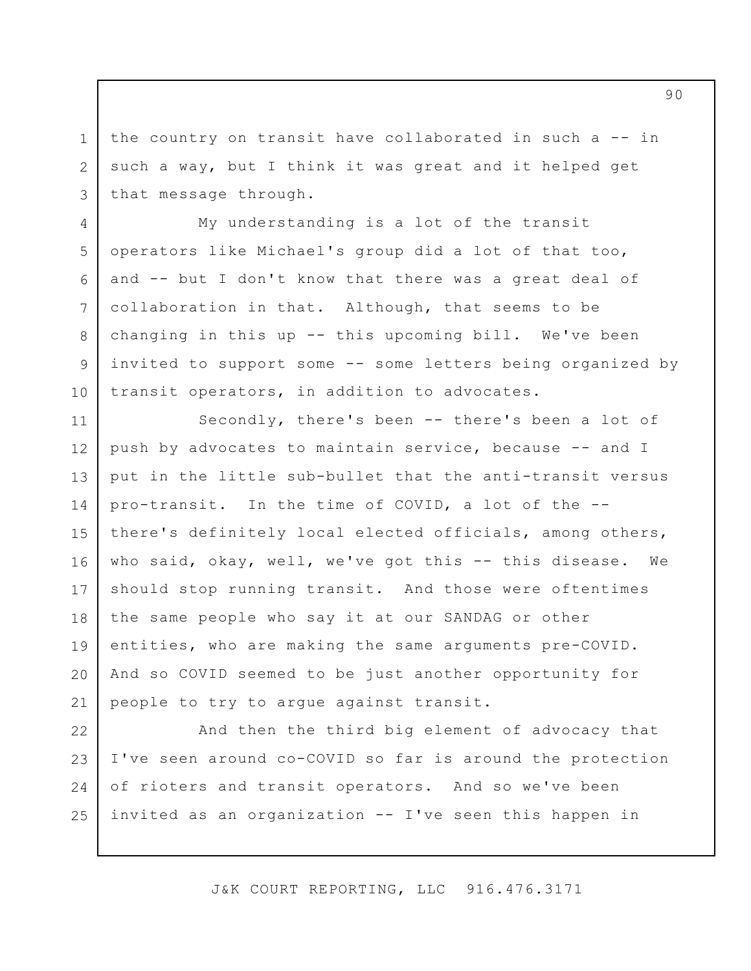the country on transit have collaborated in such a -- in such a way, but I think it was great and it helped get that message through.

1

2

3

4

5

6

7

8

9

10

My understanding is a lot of the transit operators like Michael's group did a lot of that too, and -- but I don't know that there was a great deal of collaboration in that. Although, that seems to be changing in this up -- this upcoming bill. We've been invited to support some -- some letters being organized by transit operators, in addition to advocates.

11 12 13 14 15 16 17 18 19 20 21 Secondly, there's been -- there's been a lot of push by advocates to maintain service, because -- and I put in the little sub-bullet that the anti-transit versus pro-transit. In the time of COVID, a lot of the - there's definitely local elected officials, among others, who said, okay, well, we've got this -- this disease. We should stop running transit. And those were oftentimes the same people who say it at our SANDAG or other entities, who are making the same arguments pre-COVID. And so COVID seemed to be just another opportunity for people to try to argue against transit.

22 23 24 25 And then the third big element of advocacy that I've seen around co-COVID so far is around the protection of rioters and transit operators. And so we've been invited as an organization -- I've seen this happen in

J&K COURT REPORTING, LLC 916.476.3171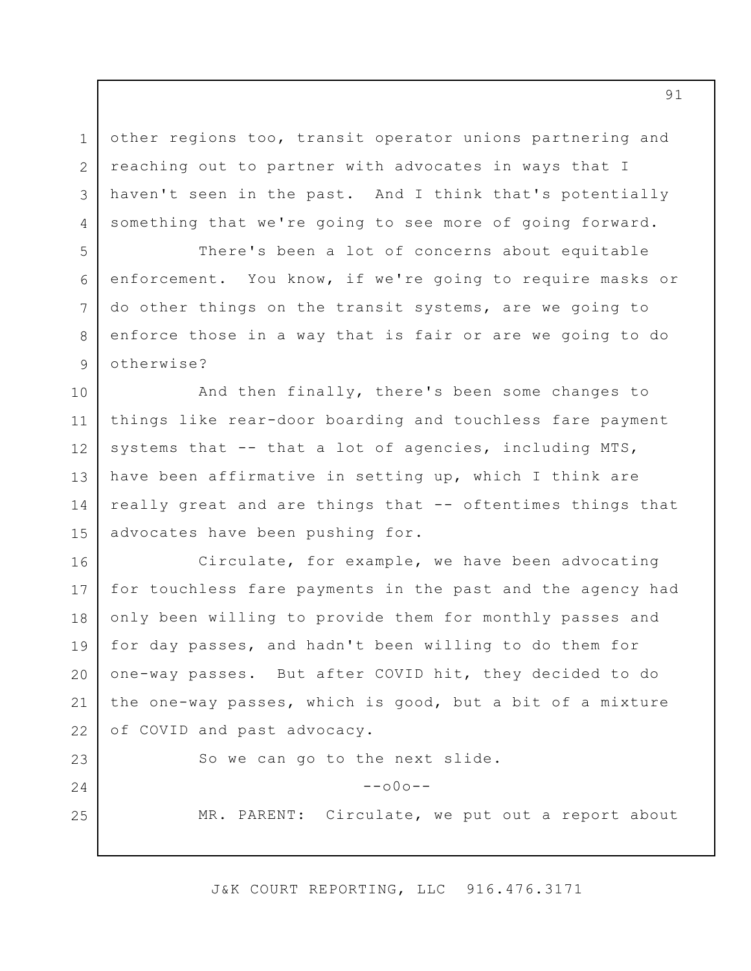3 other regions too, transit operator unions partnering and reaching out to partner with advocates in ways that I haven't seen in the past. And I think that's potentially something that we're going to see more of going forward.

1

2

4

5

6

7

8

9

23

24

25

There's been a lot of concerns about equitable enforcement. You know, if we're going to require masks or do other things on the transit systems, are we going to enforce those in a way that is fair or are we going to do otherwise?

10 11 12 13 14 15 And then finally, there's been some changes to things like rear-door boarding and touchless fare payment systems that -- that a lot of agencies, including MTS, have been affirmative in setting up, which I think are really great and are things that -- oftentimes things that advocates have been pushing for.

16 17 18 19 20 21 22 Circulate, for example, we have been advocating for touchless fare payments in the past and the agency had only been willing to provide them for monthly passes and for day passes, and hadn't been willing to do them for one-way passes. But after COVID hit, they decided to do the one-way passes, which is good, but a bit of a mixture of COVID and past advocacy.

So we can go to the next slide.

 $--000--$ 

MR. PARENT: Circulate, we put out a report about

J&K COURT REPORTING, LLC 916.476.3171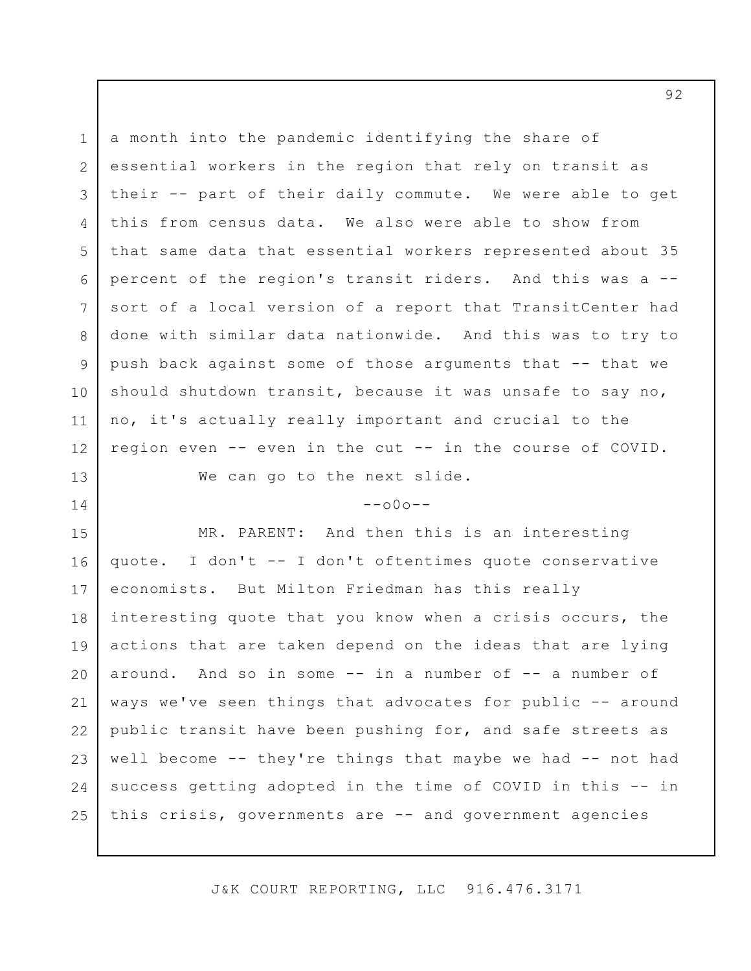1 2 3 4 5 6 7 8 9 10 11 12 a month into the pandemic identifying the share of essential workers in the region that rely on transit as their -- part of their daily commute. We were able to get this from census data. We also were able to show from that same data that essential workers represented about 35 percent of the region's transit riders. And this was a - sort of a local version of a report that TransitCenter had done with similar data nationwide. And this was to try to push back against some of those arguments that -- that we should shutdown transit, because it was unsafe to say no, no, it's actually really important and crucial to the region even -- even in the cut -- in the course of COVID.

We can go to the next slide.

13

14

 $--000--$ 

15 16 17 18 19 20 21 22 23 24 25 MR. PARENT: And then this is an interesting quote. I don't -- I don't oftentimes quote conservative economists. But Milton Friedman has this really interesting quote that you know when a crisis occurs, the actions that are taken depend on the ideas that are lying around. And so in some -- in a number of -- a number of ways we've seen things that advocates for public -- around public transit have been pushing for, and safe streets as well become -- they're things that maybe we had -- not had success getting adopted in the time of COVID in this -- in this crisis, governments are -- and government agencies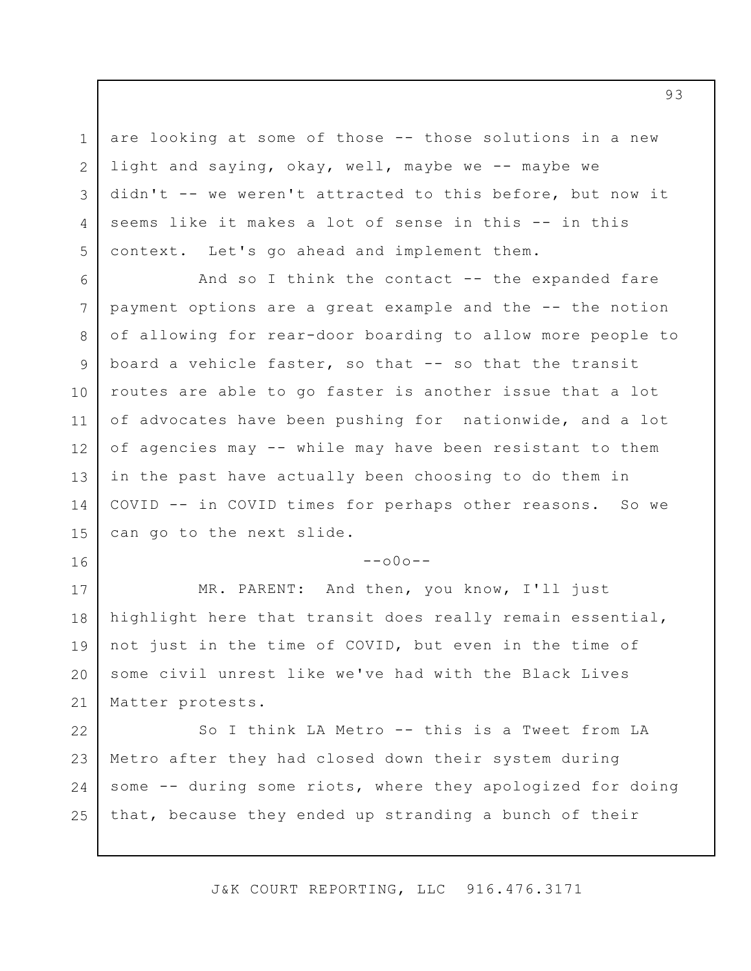are looking at some of those -- those solutions in a new light and saying, okay, well, maybe we -- maybe we didn't -- we weren't attracted to this before, but now it seems like it makes a lot of sense in this -- in this context. Let's go ahead and implement them.

1

2

3

4

5

16

6 7 8 9 10 11 12 13 14 15 And so I think the contact  $--$  the expanded fare payment options are a great example and the -- the notion of allowing for rear-door boarding to allow more people to board a vehicle faster, so that -- so that the transit routes are able to go faster is another issue that a lot of advocates have been pushing for nationwide, and a lot of agencies may -- while may have been resistant to them in the past have actually been choosing to do them in COVID -- in COVID times for perhaps other reasons. So we can go to the next slide.

 $--000--$ 

17 18 19 20 21 MR. PARENT: And then, you know, I'll just highlight here that transit does really remain essential, not just in the time of COVID, but even in the time of some civil unrest like we've had with the Black Lives Matter protests.

22 23 24 25 So I think LA Metro -- this is a Tweet from LA Metro after they had closed down their system during some -- during some riots, where they apologized for doing that, because they ended up stranding a bunch of their

J&K COURT REPORTING, LLC 916.476.3171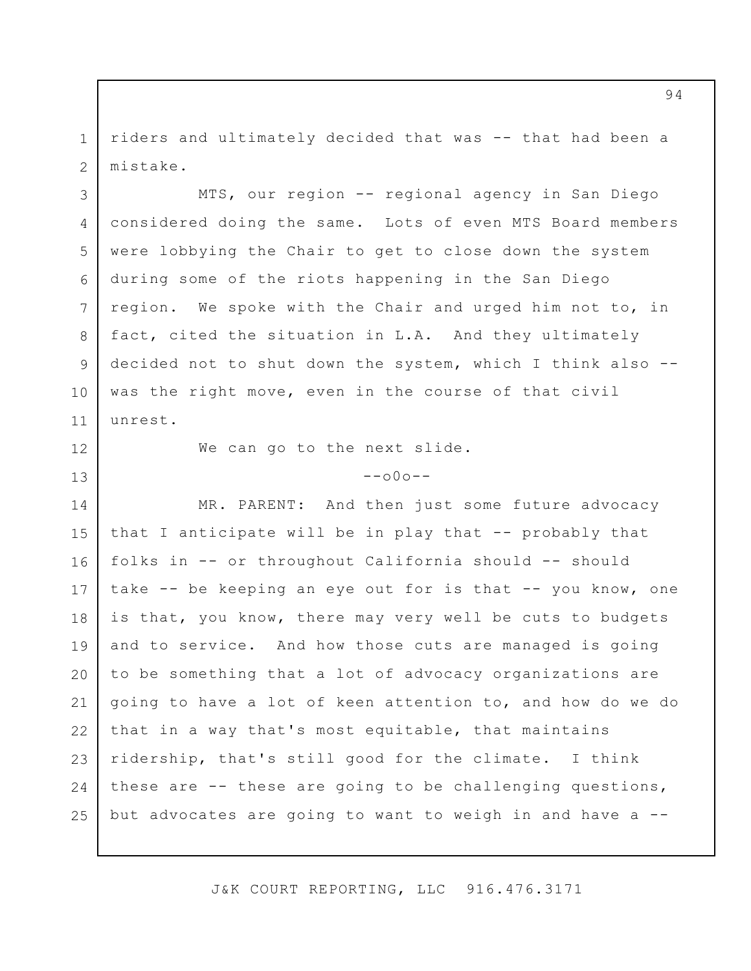1 2 riders and ultimately decided that was -- that had been a mistake.

3 4 5 6 7 8 9 10 11 MTS, our region -- regional agency in San Diego considered doing the same. Lots of even MTS Board members were lobbying the Chair to get to close down the system during some of the riots happening in the San Diego region. We spoke with the Chair and urged him not to, in fact, cited the situation in L.A. And they ultimately decided not to shut down the system, which I think also - was the right move, even in the course of that civil unrest.

12

13

We can go to the next slide.

#### $--000--$

14 15 16 17 18 19 20 21 22 23 24 25 MR. PARENT: And then just some future advocacy that I anticipate will be in play that -- probably that folks in -- or throughout California should -- should take -- be keeping an eye out for is that -- you know, one is that, you know, there may very well be cuts to budgets and to service. And how those cuts are managed is going to be something that a lot of advocacy organizations are going to have a lot of keen attention to, and how do we do that in a way that's most equitable, that maintains ridership, that's still good for the climate. I think these are -- these are going to be challenging questions, but advocates are going to want to weigh in and have a --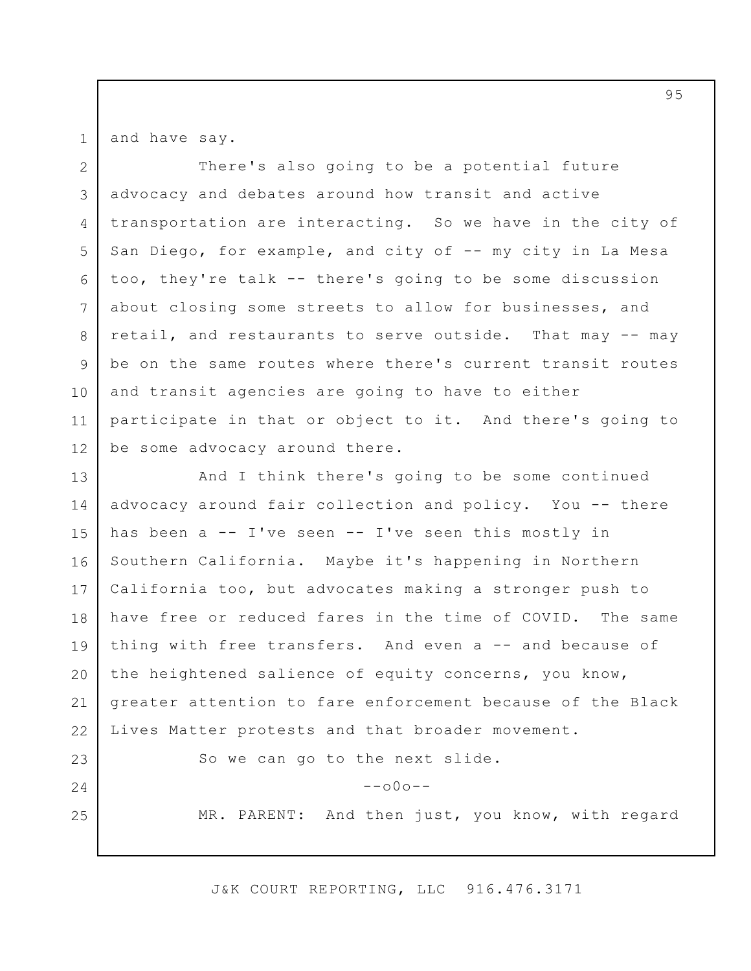1

23

24

25

and have say.

2 3 4 5 6 7 8 9 10 11 12 There's also going to be a potential future advocacy and debates around how transit and active transportation are interacting. So we have in the city of San Diego, for example, and city of -- my city in La Mesa too, they're talk -- there's going to be some discussion about closing some streets to allow for businesses, and retail, and restaurants to serve outside. That may -- may be on the same routes where there's current transit routes and transit agencies are going to have to either participate in that or object to it. And there's going to be some advocacy around there.

13 14 15 16 17 18 19 20 21 22 And I think there's going to be some continued advocacy around fair collection and policy. You -- there has been a -- I've seen -- I've seen this mostly in Southern California. Maybe it's happening in Northern California too, but advocates making a stronger push to have free or reduced fares in the time of COVID. The same thing with free transfers. And even a -- and because of the heightened salience of equity concerns, you know, greater attention to fare enforcement because of the Black Lives Matter protests and that broader movement.

So we can go to the next slide.

 $--000--$ 

MR. PARENT: And then just, you know, with regard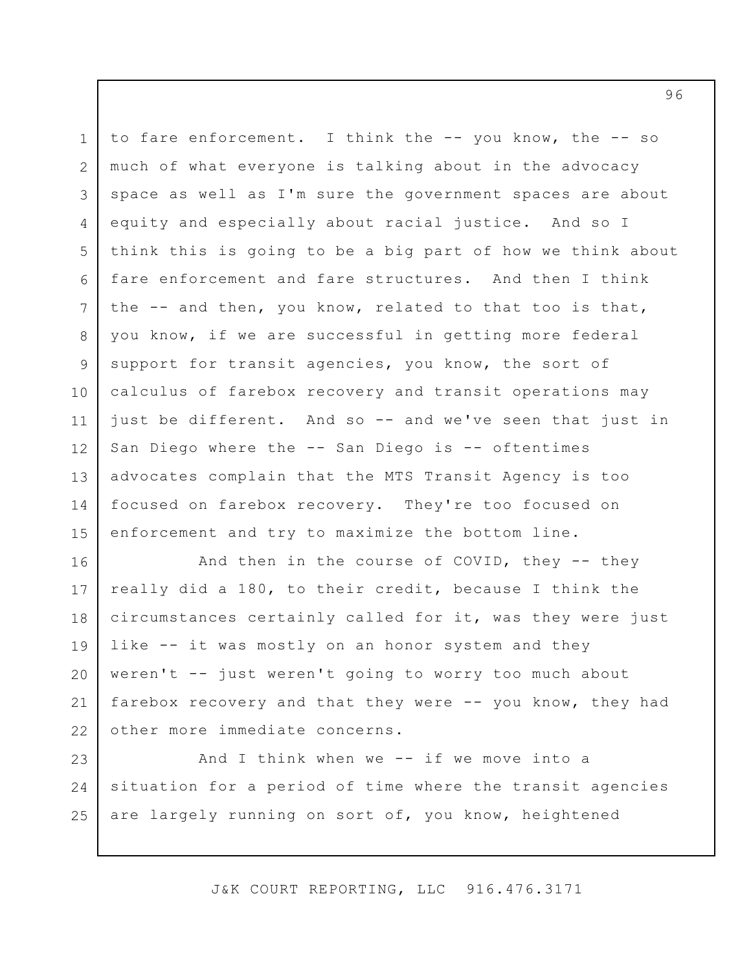1 2 3 4 5 6 7 8 9 10 11 12 13 14 15 to fare enforcement. I think the -- you know, the -- so much of what everyone is talking about in the advocacy space as well as I'm sure the government spaces are about equity and especially about racial justice. And so I think this is going to be a big part of how we think about fare enforcement and fare structures. And then I think the -- and then, you know, related to that too is that, you know, if we are successful in getting more federal support for transit agencies, you know, the sort of calculus of farebox recovery and transit operations may just be different. And so -- and we've seen that just in San Diego where the -- San Diego is -- oftentimes advocates complain that the MTS Transit Agency is too focused on farebox recovery. They're too focused on enforcement and try to maximize the bottom line.

16 17 18 19 20 21 22 And then in the course of COVID, they -- they really did a 180, to their credit, because I think the circumstances certainly called for it, was they were just like -- it was mostly on an honor system and they weren't -- just weren't going to worry too much about farebox recovery and that they were -- you know, they had other more immediate concerns.

23 24 25 And I think when we  $--$  if we move into a situation for a period of time where the transit agencies are largely running on sort of, you know, heightened

J&K COURT REPORTING, LLC 916.476.3171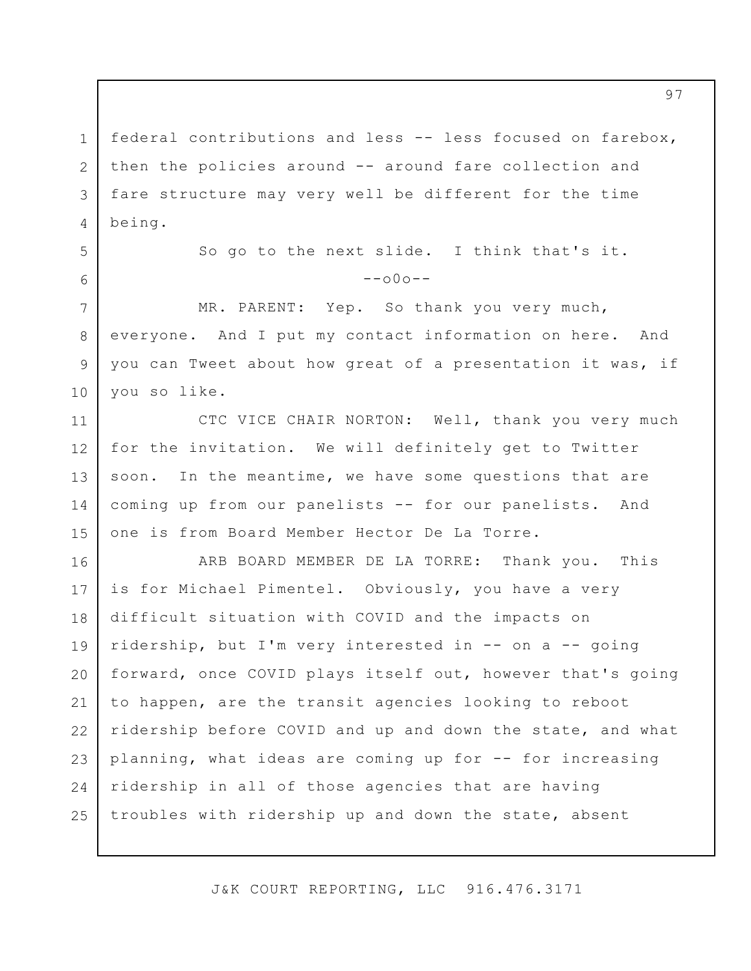1 2 3 4 federal contributions and less -- less focused on farebox, then the policies around -- around fare collection and fare structure may very well be different for the time being.

5

6

7

8

9

10

So go to the next slide. I think that's it.  $--000--$ 

MR. PARENT: Yep. So thank you very much, everyone. And I put my contact information on here. And you can Tweet about how great of a presentation it was, if you so like.

11 12 13 14 15 CTC VICE CHAIR NORTON: Well, thank you very much for the invitation. We will definitely get to Twitter soon. In the meantime, we have some questions that are coming up from our panelists -- for our panelists. And one is from Board Member Hector De La Torre.

16 17 18 19 20 21 22 23 24 25 ARB BOARD MEMBER DE LA TORRE: Thank you. This is for Michael Pimentel. Obviously, you have a very difficult situation with COVID and the impacts on ridership, but I'm very interested in -- on a -- going forward, once COVID plays itself out, however that's going to happen, are the transit agencies looking to reboot ridership before COVID and up and down the state, and what planning, what ideas are coming up for -- for increasing ridership in all of those agencies that are having troubles with ridership up and down the state, absent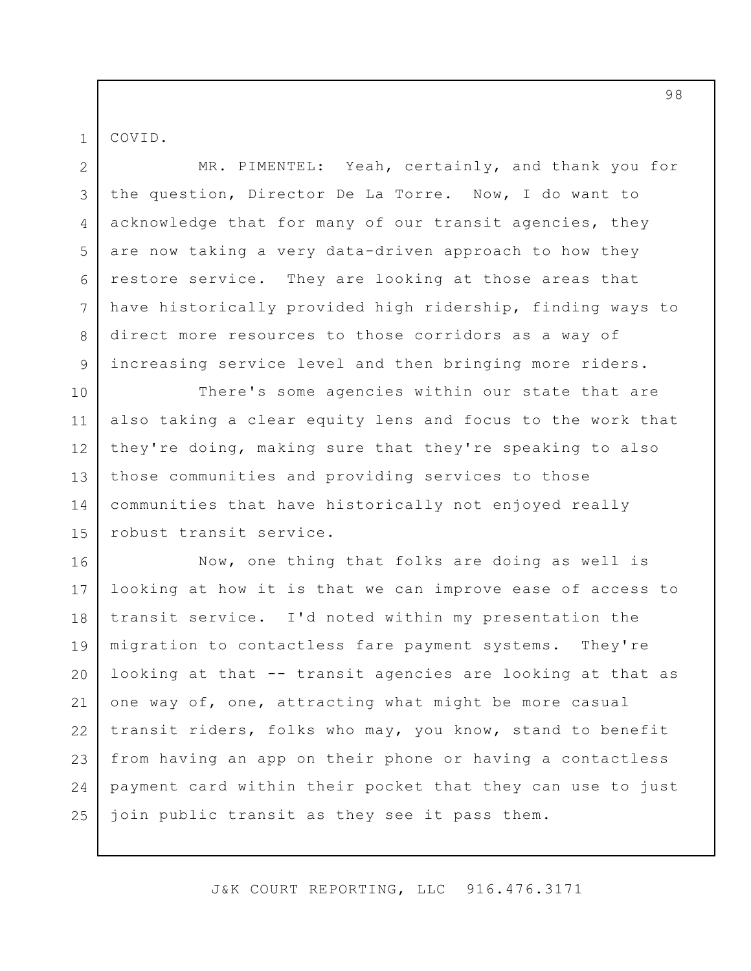COVID.

1

2 3 4 5 6 7 8 9 MR. PIMENTEL: Yeah, certainly, and thank you for the question, Director De La Torre. Now, I do want to acknowledge that for many of our transit agencies, they are now taking a very data-driven approach to how they restore service. They are looking at those areas that have historically provided high ridership, finding ways to direct more resources to those corridors as a way of increasing service level and then bringing more riders.

10 11 12 13 14 15 There's some agencies within our state that are also taking a clear equity lens and focus to the work that they're doing, making sure that they're speaking to also those communities and providing services to those communities that have historically not enjoyed really robust transit service.

16 17 18 19 20 21 22 23 24 25 Now, one thing that folks are doing as well is looking at how it is that we can improve ease of access to transit service. I'd noted within my presentation the migration to contactless fare payment systems. They're looking at that -- transit agencies are looking at that as one way of, one, attracting what might be more casual transit riders, folks who may, you know, stand to benefit from having an app on their phone or having a contactless payment card within their pocket that they can use to just join public transit as they see it pass them.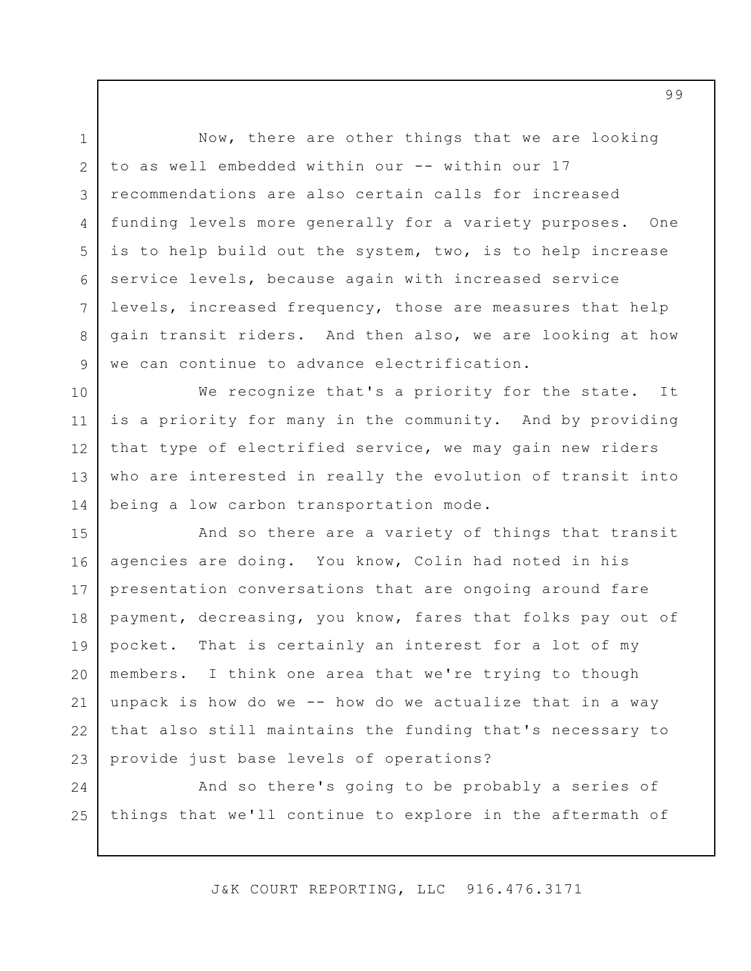Now, there are other things that we are looking to as well embedded within our -- within our 17 recommendations are also certain calls for increased funding levels more generally for a variety purposes. One is to help build out the system, two, is to help increase service levels, because again with increased service levels, increased frequency, those are measures that help gain transit riders. And then also, we are looking at how we can continue to advance electrification.

10 11 12 13 14 We recognize that's a priority for the state. It is a priority for many in the community. And by providing that type of electrified service, we may gain new riders who are interested in really the evolution of transit into being a low carbon transportation mode.

15 16 17 18 19 20 21 22 23 And so there are a variety of things that transit agencies are doing. You know, Colin had noted in his presentation conversations that are ongoing around fare payment, decreasing, you know, fares that folks pay out of pocket. That is certainly an interest for a lot of my members. I think one area that we're trying to though unpack is how do we -- how do we actualize that in a way that also still maintains the funding that's necessary to provide just base levels of operations?

24 25 And so there's going to be probably a series of things that we'll continue to explore in the aftermath of

J&K COURT REPORTING, LLC 916.476.3171

1 2

3

4

5

6

7

8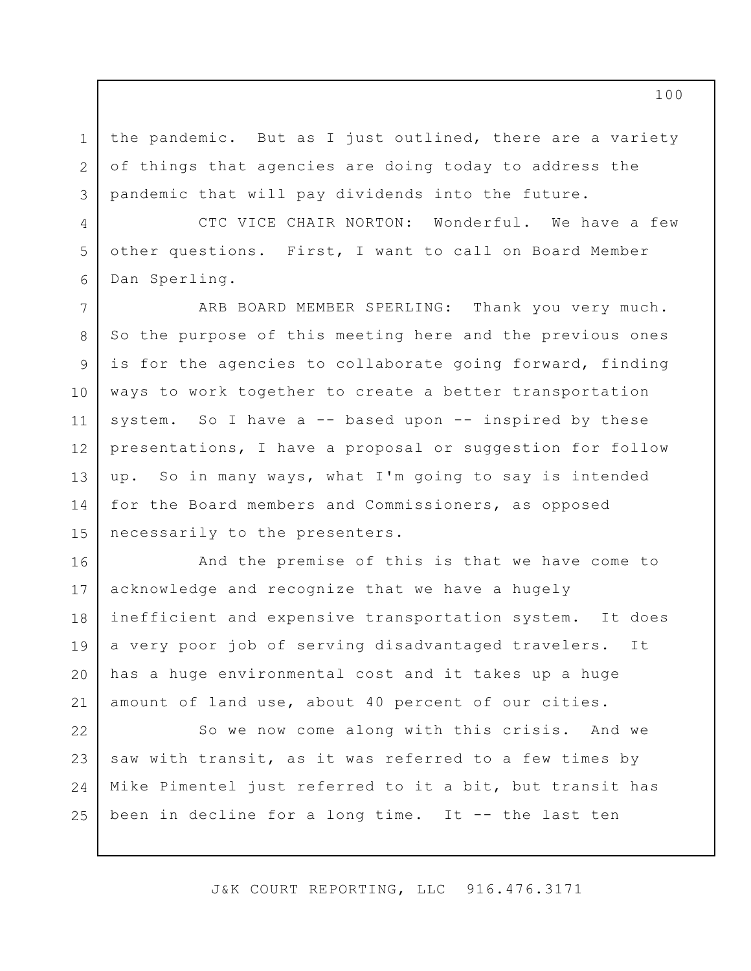the pandemic. But as I just outlined, there are a variety of things that agencies are doing today to address the pandemic that will pay dividends into the future.

1

2

3

4

5

6

CTC VICE CHAIR NORTON: Wonderful. We have a few other questions. First, I want to call on Board Member Dan Sperling.

7 8 9 10 11 12 13 14 15 ARB BOARD MEMBER SPERLING: Thank you very much. So the purpose of this meeting here and the previous ones is for the agencies to collaborate going forward, finding ways to work together to create a better transportation system. So I have a -- based upon -- inspired by these presentations, I have a proposal or suggestion for follow up. So in many ways, what I'm going to say is intended for the Board members and Commissioners, as opposed necessarily to the presenters.

16 17 18 19 20 21 And the premise of this is that we have come to acknowledge and recognize that we have a hugely inefficient and expensive transportation system. It does a very poor job of serving disadvantaged travelers. It has a huge environmental cost and it takes up a huge amount of land use, about 40 percent of our cities.

22 23 24 25 So we now come along with this crisis. And we saw with transit, as it was referred to a few times by Mike Pimentel just referred to it a bit, but transit has been in decline for a long time. It -- the last ten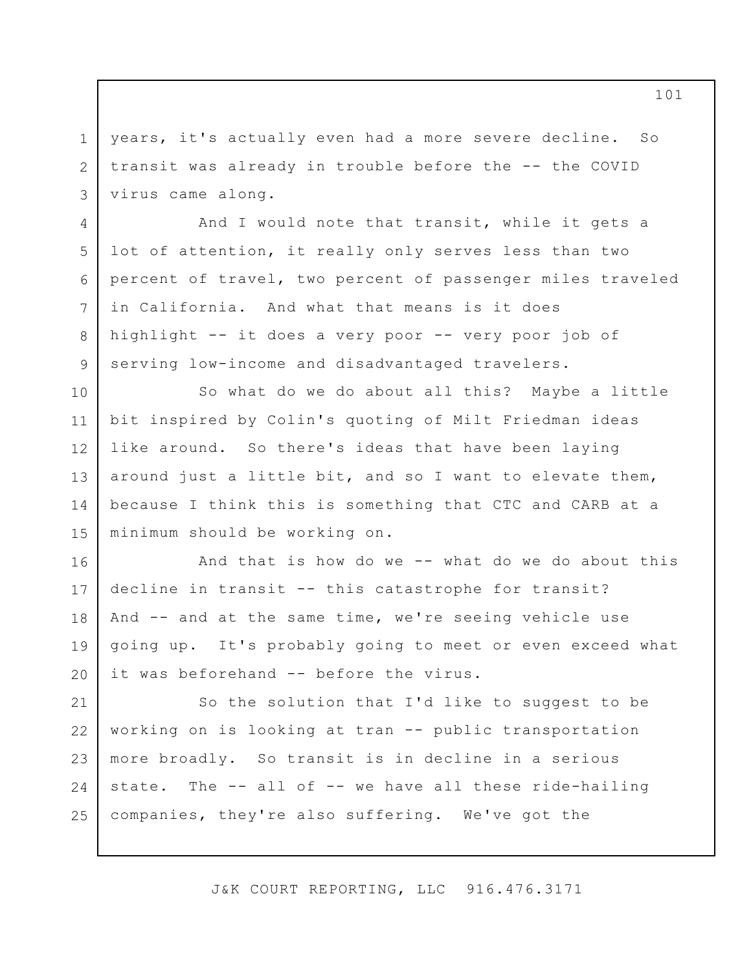years, it's actually even had a more severe decline. So transit was already in trouble before the -- the COVID virus came along.

1

2

3

4

5

6

7

8

9

And I would note that transit, while it gets a lot of attention, it really only serves less than two percent of travel, two percent of passenger miles traveled in California. And what that means is it does highlight -- it does a very poor -- very poor job of serving low-income and disadvantaged travelers.

10 11 12 13 14 15 So what do we do about all this? Maybe a little bit inspired by Colin's quoting of Milt Friedman ideas like around. So there's ideas that have been laying around just a little bit, and so I want to elevate them, because I think this is something that CTC and CARB at a minimum should be working on.

16 17 18 19 20 And that is how do we -- what do we do about this decline in transit -- this catastrophe for transit? And -- and at the same time, we're seeing vehicle use going up. It's probably going to meet or even exceed what it was beforehand -- before the virus.

21 22 23 24 25 So the solution that I'd like to suggest to be working on is looking at tran -- public transportation more broadly. So transit is in decline in a serious state. The -- all of -- we have all these ride-hailing companies, they're also suffering. We've got the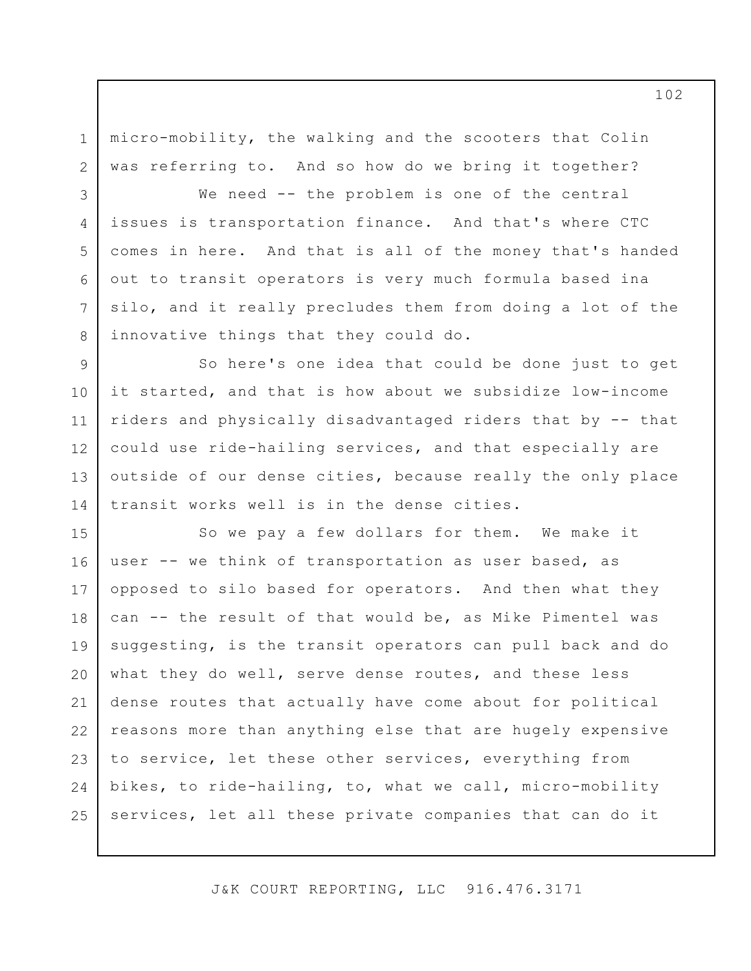micro-mobility, the walking and the scooters that Colin was referring to. And so how do we bring it together?

1

2

3

4

5

6

7

8

We need -- the problem is one of the central issues is transportation finance. And that's where CTC comes in here. And that is all of the money that's handed out to transit operators is very much formula based ina silo, and it really precludes them from doing a lot of the innovative things that they could do.

9 10 11 12 13 14 So here's one idea that could be done just to get it started, and that is how about we subsidize low-income riders and physically disadvantaged riders that by -- that could use ride-hailing services, and that especially are outside of our dense cities, because really the only place transit works well is in the dense cities.

15 16 17 18 19 20 21 22 23 24 25 So we pay a few dollars for them. We make it user -- we think of transportation as user based, as opposed to silo based for operators. And then what they can -- the result of that would be, as Mike Pimentel was suggesting, is the transit operators can pull back and do what they do well, serve dense routes, and these less dense routes that actually have come about for political reasons more than anything else that are hugely expensive to service, let these other services, everything from bikes, to ride-hailing, to, what we call, micro-mobility services, let all these private companies that can do it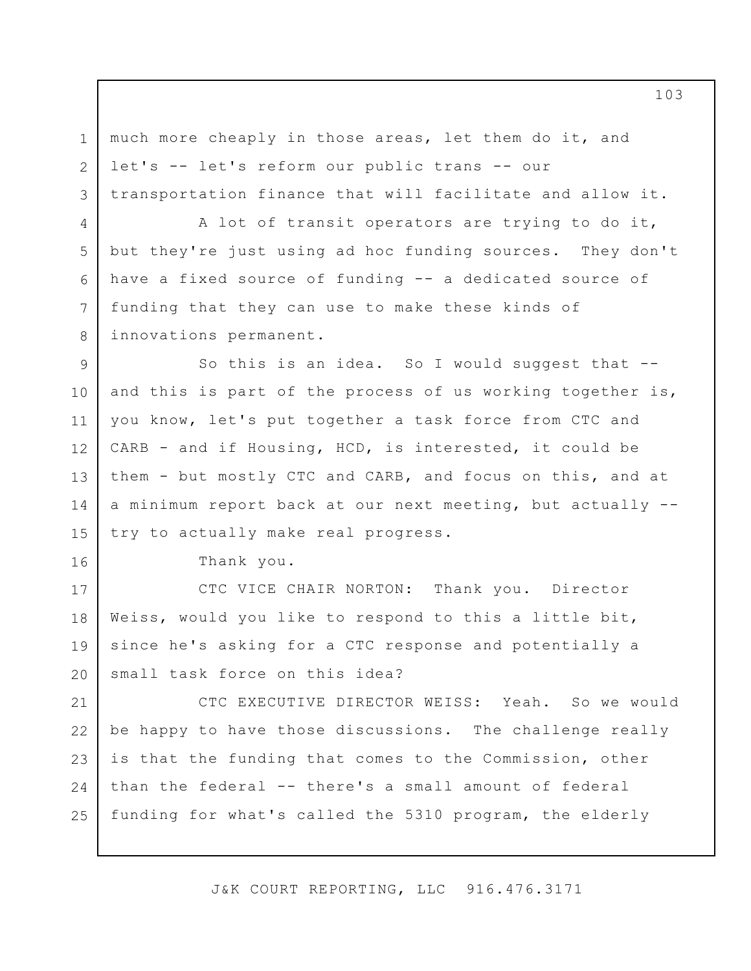much more cheaply in those areas, let them do it, and let's -- let's reform our public trans -- our transportation finance that will facilitate and allow it.

A lot of transit operators are trying to do it, but they're just using ad hoc funding sources. They don't have a fixed source of funding -- a dedicated source of funding that they can use to make these kinds of innovations permanent.

9 10 11 12 13 14 15 So this is an idea. So I would suggest that -and this is part of the process of us working together is, you know, let's put together a task force from CTC and CARB - and if Housing, HCD, is interested, it could be them - but mostly CTC and CARB, and focus on this, and at a minimum report back at our next meeting, but actually - try to actually make real progress.

Thank you.

1

2

3

4

5

6

7

8

16

17 18 19 20 CTC VICE CHAIR NORTON: Thank you. Director Weiss, would you like to respond to this a little bit, since he's asking for a CTC response and potentially a small task force on this idea?

21 22 23 24 25 CTC EXECUTIVE DIRECTOR WEISS: Yeah. So we would be happy to have those discussions. The challenge really is that the funding that comes to the Commission, other than the federal -- there's a small amount of federal funding for what's called the 5310 program, the elderly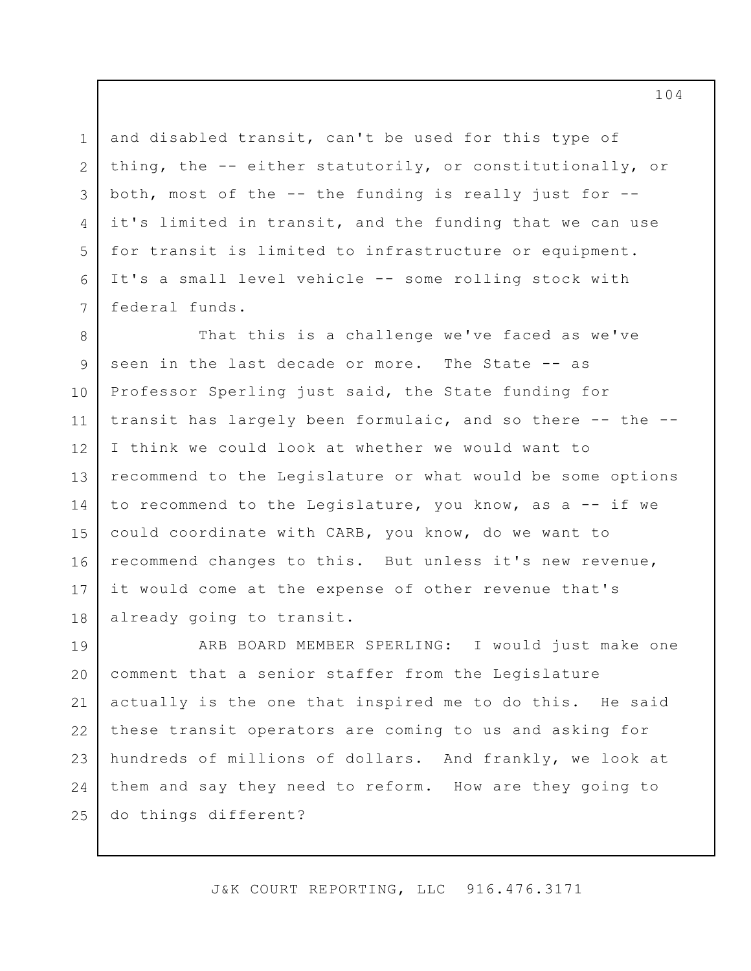and disabled transit, can't be used for this type of thing, the -- either statutorily, or constitutionally, or both, most of the -- the funding is really just for - it's limited in transit, and the funding that we can use for transit is limited to infrastructure or equipment. It's a small level vehicle -- some rolling stock with federal funds.

1

2

3

4

5

6

7

8 9 10 11 12 13 14 15 16 17 18 That this is a challenge we've faced as we've seen in the last decade or more. The State -- as Professor Sperling just said, the State funding for transit has largely been formulaic, and so there -- the --I think we could look at whether we would want to recommend to the Legislature or what would be some options to recommend to the Legislature, you know, as a -- if we could coordinate with CARB, you know, do we want to recommend changes to this. But unless it's new revenue, it would come at the expense of other revenue that's already going to transit.

19 20 21 22 23 24 25 ARB BOARD MEMBER SPERLING: I would just make one comment that a senior staffer from the Legislature actually is the one that inspired me to do this. He said these transit operators are coming to us and asking for hundreds of millions of dollars. And frankly, we look at them and say they need to reform. How are they going to do things different?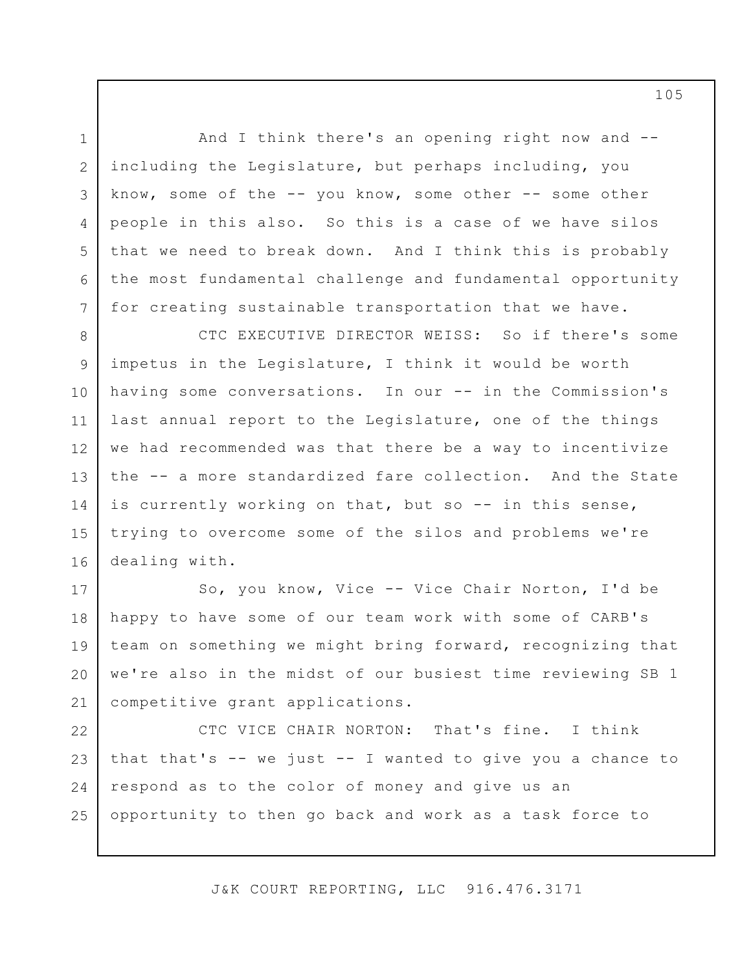And I think there's an opening right now and - including the Legislature, but perhaps including, you know, some of the -- you know, some other -- some other people in this also. So this is a case of we have silos that we need to break down. And I think this is probably the most fundamental challenge and fundamental opportunity for creating sustainable transportation that we have.

1

2

3

4

5

6

7

8 9 10 11 12 13 14 15 16 CTC EXECUTIVE DIRECTOR WEISS: So if there's some impetus in the Legislature, I think it would be worth having some conversations. In our -- in the Commission's last annual report to the Legislature, one of the things we had recommended was that there be a way to incentivize the -- a more standardized fare collection. And the State is currently working on that, but so -- in this sense, trying to overcome some of the silos and problems we're dealing with.

17 18 19 20 21 So, you know, Vice -- Vice Chair Norton, I'd be happy to have some of our team work with some of CARB's team on something we might bring forward, recognizing that we're also in the midst of our busiest time reviewing SB 1 competitive grant applications.

22 23 24 25 CTC VICE CHAIR NORTON: That's fine. I think that that's  $--$  we just  $--$  I wanted to give you a chance to respond as to the color of money and give us an opportunity to then go back and work as a task force to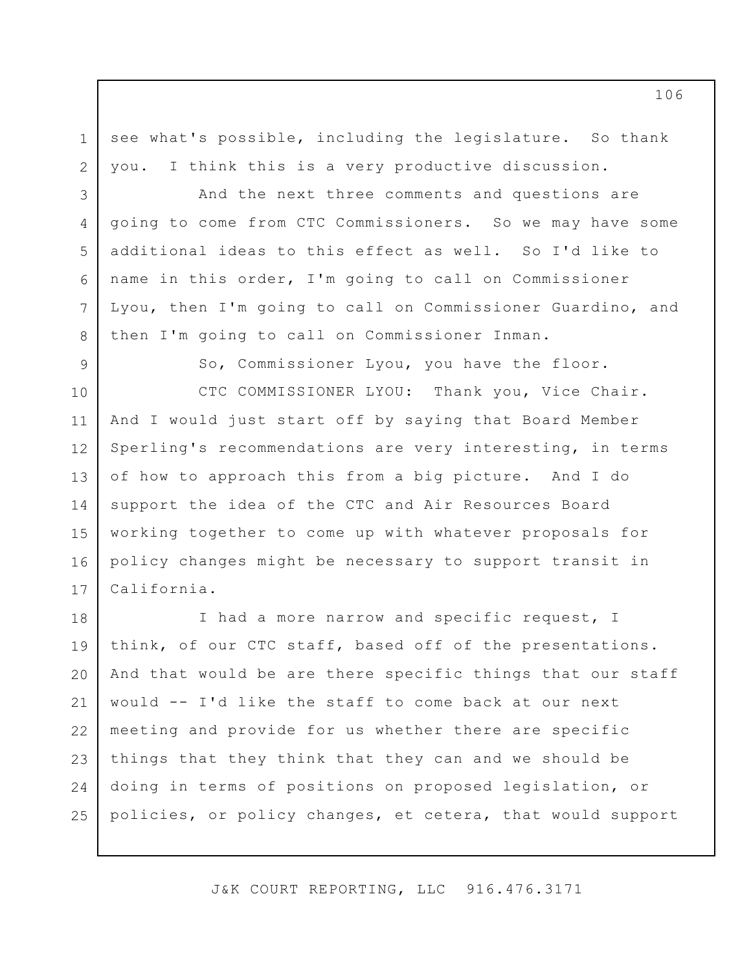see what's possible, including the legislature. So thank you. I think this is a very productive discussion.

And the next three comments and questions are going to come from CTC Commissioners. So we may have some additional ideas to this effect as well. So I'd like to name in this order, I'm going to call on Commissioner Lyou, then I'm going to call on Commissioner Guardino, and then I'm going to call on Commissioner Inman.

9

1

2

3

4

5

6

7

8

So, Commissioner Lyou, you have the floor.

10 11 12 13 14 15 16 17 CTC COMMISSIONER LYOU: Thank you, Vice Chair. And I would just start off by saying that Board Member Sperling's recommendations are very interesting, in terms of how to approach this from a big picture. And I do support the idea of the CTC and Air Resources Board working together to come up with whatever proposals for policy changes might be necessary to support transit in California.

18 19 20 21 22 23 24 25 I had a more narrow and specific request, I think, of our CTC staff, based off of the presentations. And that would be are there specific things that our staff would -- I'd like the staff to come back at our next meeting and provide for us whether there are specific things that they think that they can and we should be doing in terms of positions on proposed legislation, or policies, or policy changes, et cetera, that would support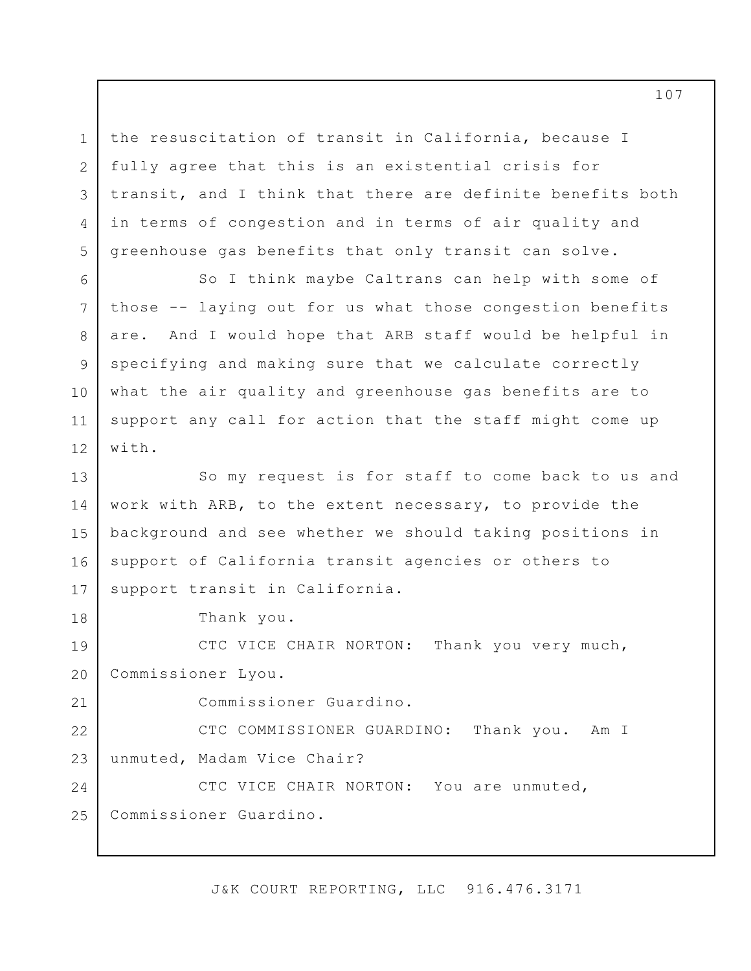the resuscitation of transit in California, because I fully agree that this is an existential crisis for transit, and I think that there are definite benefits both in terms of congestion and in terms of air quality and greenhouse gas benefits that only transit can solve.

6 7 8 9 10 11 12 So I think maybe Caltrans can help with some of those -- laying out for us what those congestion benefits are. And I would hope that ARB staff would be helpful in specifying and making sure that we calculate correctly what the air quality and greenhouse gas benefits are to support any call for action that the staff might come up with.

13 14 15 16 17 So my request is for staff to come back to us and work with ARB, to the extent necessary, to provide the background and see whether we should taking positions in support of California transit agencies or others to support transit in California.

Thank you.

1

2

3

4

5

18

21

19 20 CTC VICE CHAIR NORTON: Thank you very much, Commissioner Lyou.

Commissioner Guardino.

22 23 CTC COMMISSIONER GUARDINO: Thank you. Am I unmuted, Madam Vice Chair?

24 25 CTC VICE CHAIR NORTON: You are unmuted, Commissioner Guardino.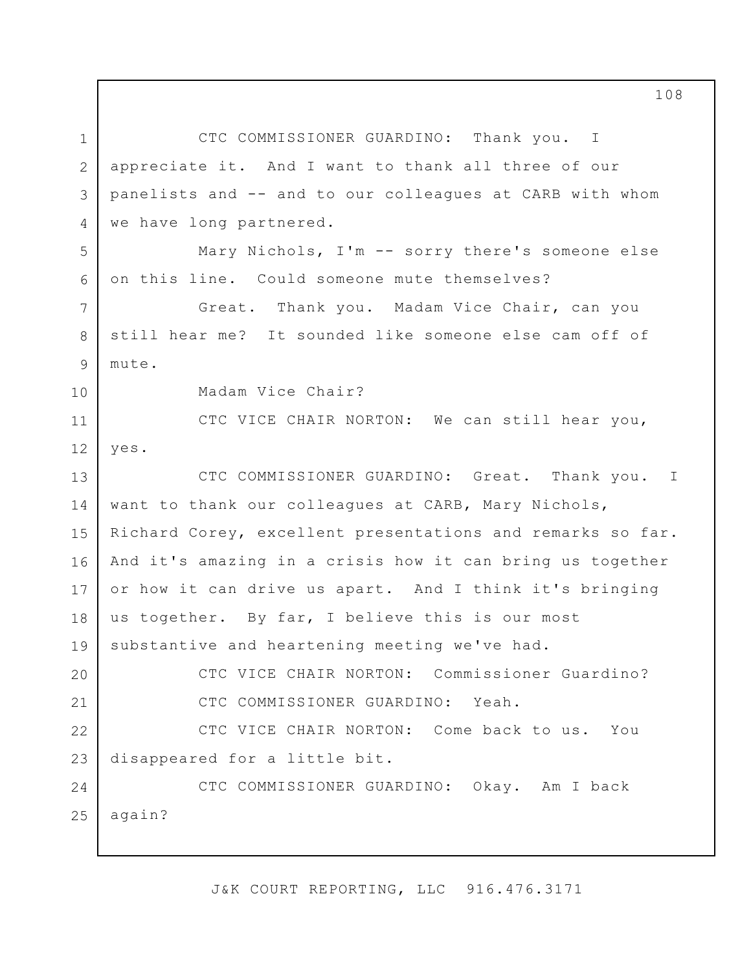1 2 3 4 5 6 7 8 9 10 11 12 13 14 15 16 17 18 19 20 21 22 23 24 25 CTC COMMISSIONER GUARDINO: Thank you. I appreciate it. And I want to thank all three of our panelists and -- and to our colleagues at CARB with whom we have long partnered. Mary Nichols, I'm -- sorry there's someone else on this line. Could someone mute themselves? Great. Thank you. Madam Vice Chair, can you still hear me? It sounded like someone else cam off of mute. Madam Vice Chair? CTC VICE CHAIR NORTON: We can still hear you, yes. CTC COMMISSIONER GUARDINO: Great. Thank you. want to thank our colleagues at CARB, Mary Nichols, Richard Corey, excellent presentations and remarks so far. And it's amazing in a crisis how it can bring us together or how it can drive us apart. And I think it's bringing us together. By far, I believe this is our most substantive and heartening meeting we've had. CTC VICE CHAIR NORTON: Commissioner Guardino? CTC COMMISSIONER GUARDINO: Yeah. CTC VICE CHAIR NORTON: Come back to us. You disappeared for a little bit. CTC COMMISSIONER GUARDINO: Okay. Am I back again? I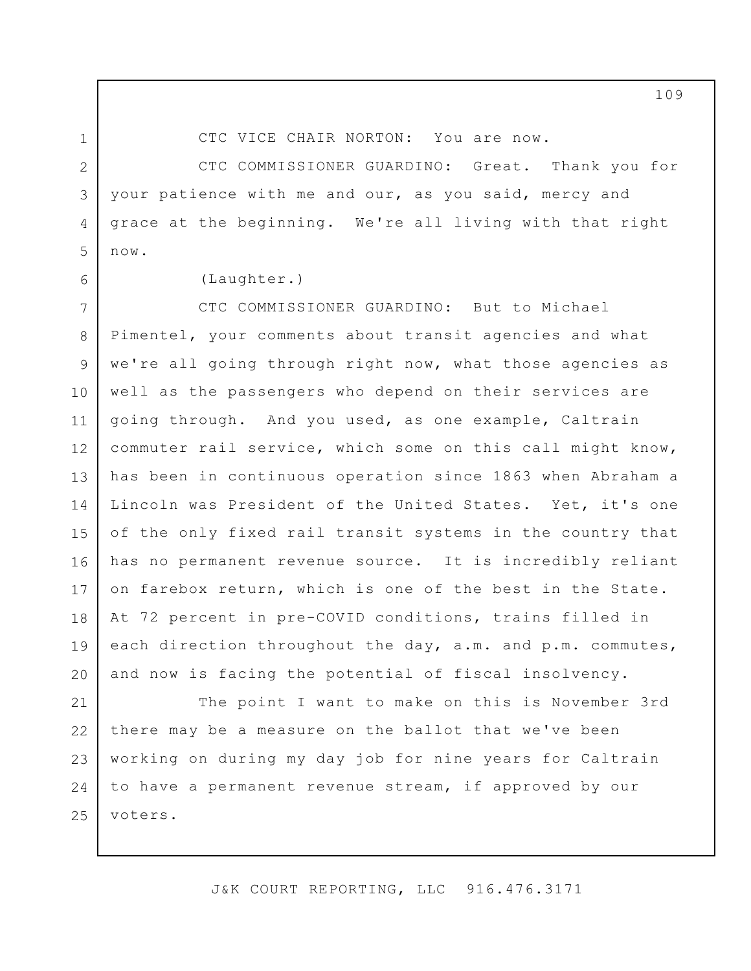1 2

4

5

6

CTC VICE CHAIR NORTON: You are now.

3 CTC COMMISSIONER GUARDINO: Great. Thank you for your patience with me and our, as you said, mercy and grace at the beginning. We're all living with that right now.

(Laughter.)

7 8 9 10 11 12 13 14 15 16 17 18 19 20 CTC COMMISSIONER GUARDINO: But to Michael Pimentel, your comments about transit agencies and what we're all going through right now, what those agencies as well as the passengers who depend on their services are going through. And you used, as one example, Caltrain commuter rail service, which some on this call might know, has been in continuous operation since 1863 when Abraham a Lincoln was President of the United States. Yet, it's one of the only fixed rail transit systems in the country that has no permanent revenue source. It is incredibly reliant on farebox return, which is one of the best in the State. At 72 percent in pre-COVID conditions, trains filled in each direction throughout the day, a.m. and p.m. commutes, and now is facing the potential of fiscal insolvency.

21 22 23 24 25 The point I want to make on this is November 3rd there may be a measure on the ballot that we've been working on during my day job for nine years for Caltrain to have a permanent revenue stream, if approved by our voters.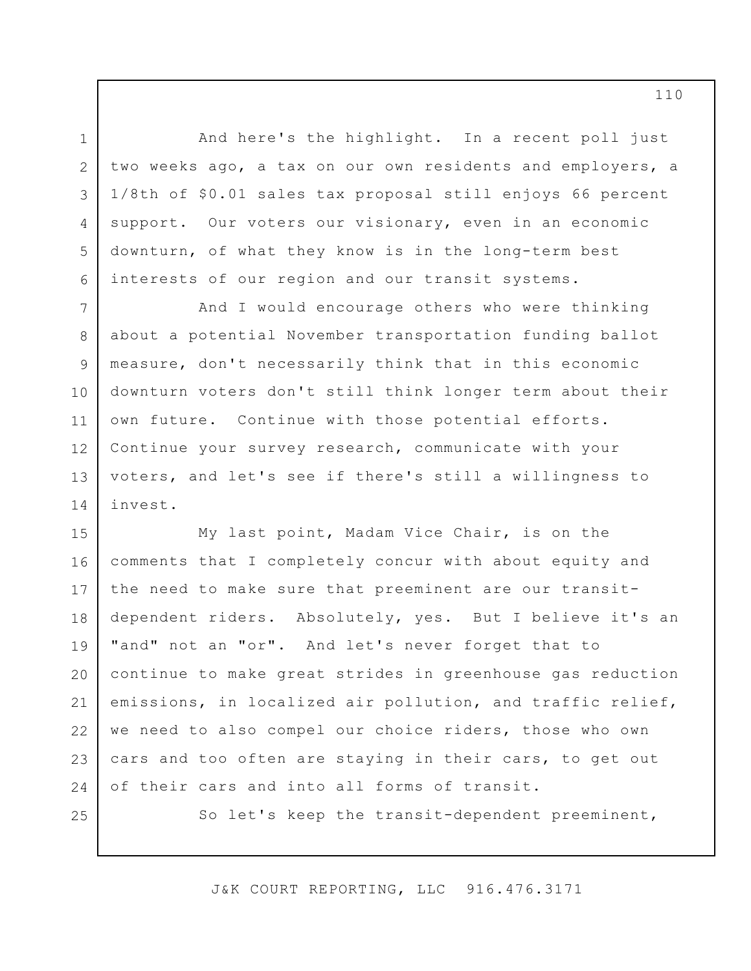And here's the highlight. In a recent poll just two weeks ago, a tax on our own residents and employers, a 1/8th of \$0.01 sales tax proposal still enjoys 66 percent support. Our voters our visionary, even in an economic downturn, of what they know is in the long-term best interests of our region and our transit systems.

7 8 9 10 11 12 13 14 And I would encourage others who were thinking about a potential November transportation funding ballot measure, don't necessarily think that in this economic downturn voters don't still think longer term about their own future. Continue with those potential efforts. Continue your survey research, communicate with your voters, and let's see if there's still a willingness to invest.

15 16 17 18 19 20 21 22 23 24 My last point, Madam Vice Chair, is on the comments that I completely concur with about equity and the need to make sure that preeminent are our transitdependent riders. Absolutely, yes. But I believe it's an "and" not an "or". And let's never forget that to continue to make great strides in greenhouse gas reduction emissions, in localized air pollution, and traffic relief, we need to also compel our choice riders, those who own cars and too often are staying in their cars, to get out of their cars and into all forms of transit.

25

1

2

3

4

5

6

So let's keep the transit-dependent preeminent,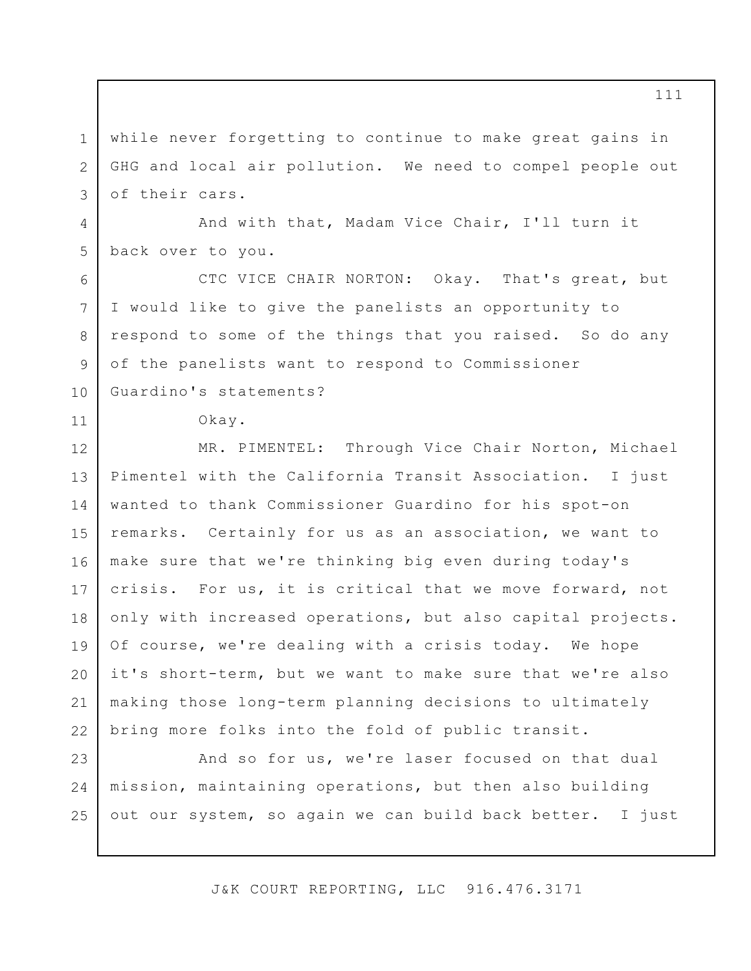1 2 3 while never forgetting to continue to make great gains in GHG and local air pollution. We need to compel people out of their cars.

4 5 And with that, Madam Vice Chair, I'll turn it back over to you.

CTC VICE CHAIR NORTON: Okay. That's great, but I would like to give the panelists an opportunity to respond to some of the things that you raised. So do any of the panelists want to respond to Commissioner Guardino's statements?

Okay.

6

7

8

9

10

11

12 13 14 15 16 17 18 19 20 21 22 MR. PIMENTEL: Through Vice Chair Norton, Michael Pimentel with the California Transit Association. I just wanted to thank Commissioner Guardino for his spot-on remarks. Certainly for us as an association, we want to make sure that we're thinking big even during today's crisis. For us, it is critical that we move forward, not only with increased operations, but also capital projects. Of course, we're dealing with a crisis today. We hope it's short-term, but we want to make sure that we're also making those long-term planning decisions to ultimately bring more folks into the fold of public transit.

23 24 25 And so for us, we're laser focused on that dual mission, maintaining operations, but then also building out our system, so again we can build back better. I just

J&K COURT REPORTING, LLC 916.476.3171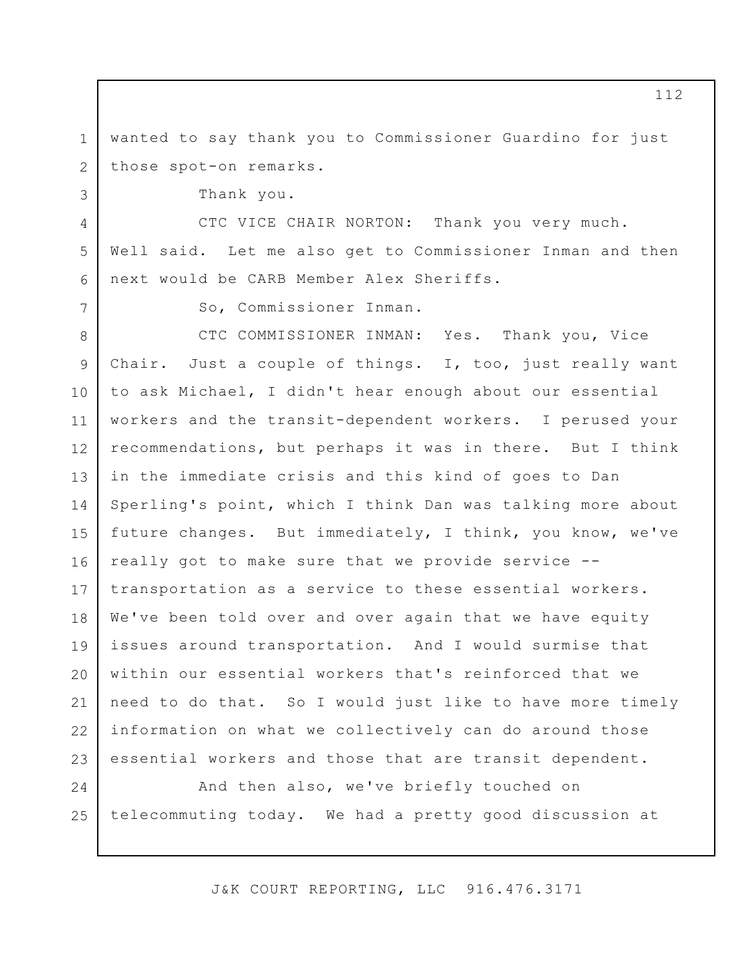1 2 wanted to say thank you to Commissioner Guardino for just those spot-on remarks.

Thank you.

3

4

5

6

7

CTC VICE CHAIR NORTON: Thank you very much. Well said. Let me also get to Commissioner Inman and then next would be CARB Member Alex Sheriffs.

So, Commissioner Inman.

8 9 10 11 12 13 14 15 16 17 18 19 20 21 22 23 CTC COMMISSIONER INMAN: Yes. Thank you, Vice Chair. Just a couple of things. I, too, just really want to ask Michael, I didn't hear enough about our essential workers and the transit-dependent workers. I perused your recommendations, but perhaps it was in there. But I think in the immediate crisis and this kind of goes to Dan Sperling's point, which I think Dan was talking more about future changes. But immediately, I think, you know, we've really got to make sure that we provide service - transportation as a service to these essential workers. We've been told over and over again that we have equity issues around transportation. And I would surmise that within our essential workers that's reinforced that we need to do that. So I would just like to have more timely information on what we collectively can do around those essential workers and those that are transit dependent.

24 25 And then also, we've briefly touched on telecommuting today. We had a pretty good discussion at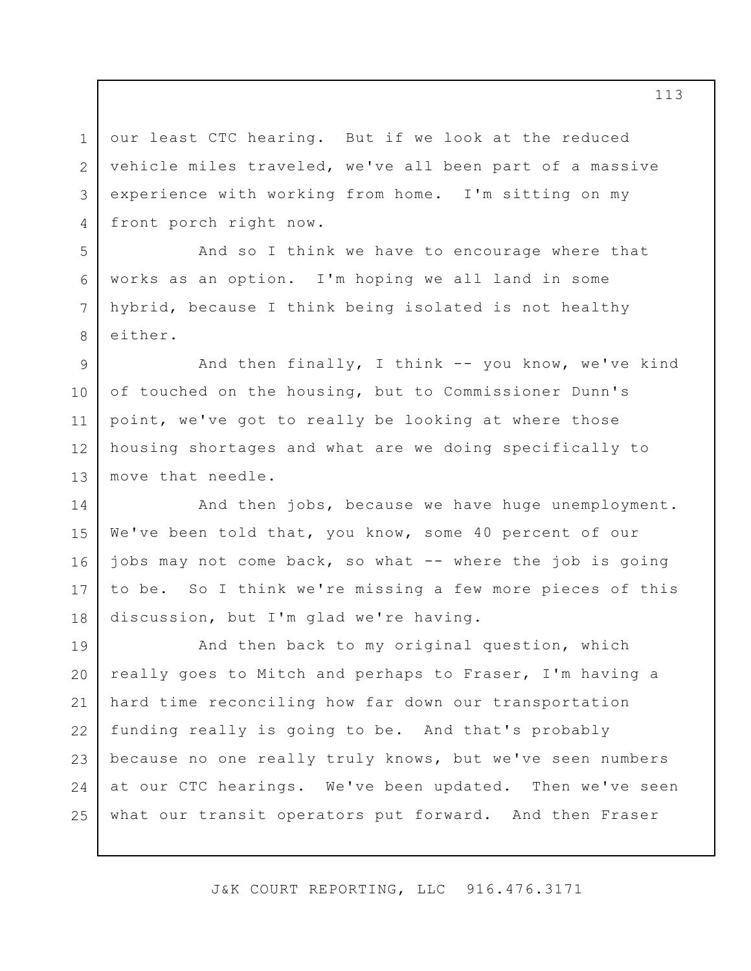1 2 3 4 our least CTC hearing. But if we look at the reduced vehicle miles traveled, we've all been part of a massive experience with working from home. I'm sitting on my front porch right now.

And so I think we have to encourage where that works as an option. I'm hoping we all land in some hybrid, because I think being isolated is not healthy either.

5

6

7

8

9 10 11 12 13 And then finally, I think -- you know, we've kind of touched on the housing, but to Commissioner Dunn's point, we've got to really be looking at where those housing shortages and what are we doing specifically to move that needle.

14 15 16 17 18 And then jobs, because we have huge unemployment. We've been told that, you know, some 40 percent of our jobs may not come back, so what -- where the job is going to be. So I think we're missing a few more pieces of this discussion, but I'm glad we're having.

19 20 21 22 23 24 25 And then back to my original question, which really goes to Mitch and perhaps to Fraser, I'm having a hard time reconciling how far down our transportation funding really is going to be. And that's probably because no one really truly knows, but we've seen numbers at our CTC hearings. We've been updated. Then we've seen what our transit operators put forward. And then Fraser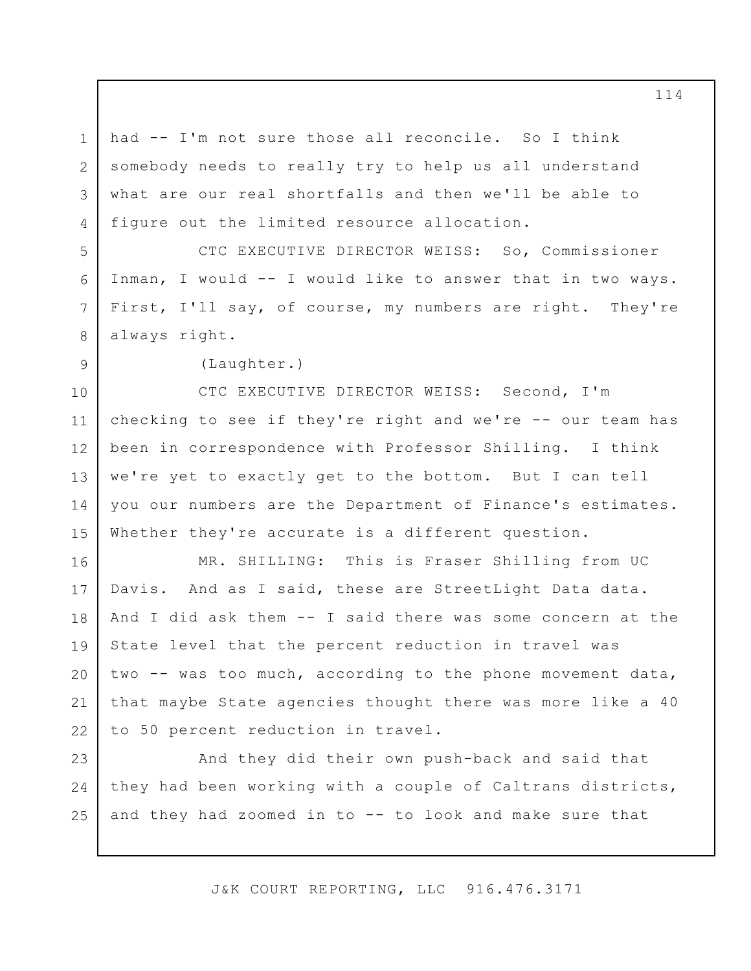had -- I'm not sure those all reconcile. So I think somebody needs to really try to help us all understand what are our real shortfalls and then we'll be able to figure out the limited resource allocation.

CTC EXECUTIVE DIRECTOR WEISS: So, Commissioner Inman, I would -- I would like to answer that in two ways. First, I'll say, of course, my numbers are right. They're always right.

(Laughter.)

1

2

3

4

5

6

7

8

9

10 11 12 13 14 15 CTC EXECUTIVE DIRECTOR WEISS: Second, I'm checking to see if they're right and we're -- our team has been in correspondence with Professor Shilling. I think we're yet to exactly get to the bottom. But I can tell you our numbers are the Department of Finance's estimates. Whether they're accurate is a different question.

16 17 18 19 20 21 22 MR. SHILLING: This is Fraser Shilling from UC Davis. And as I said, these are StreetLight Data data. And I did ask them -- I said there was some concern at the State level that the percent reduction in travel was two -- was too much, according to the phone movement data, that maybe State agencies thought there was more like a 40 to 50 percent reduction in travel.

23 24 25 And they did their own push-back and said that they had been working with a couple of Caltrans districts, and they had zoomed in to -- to look and make sure that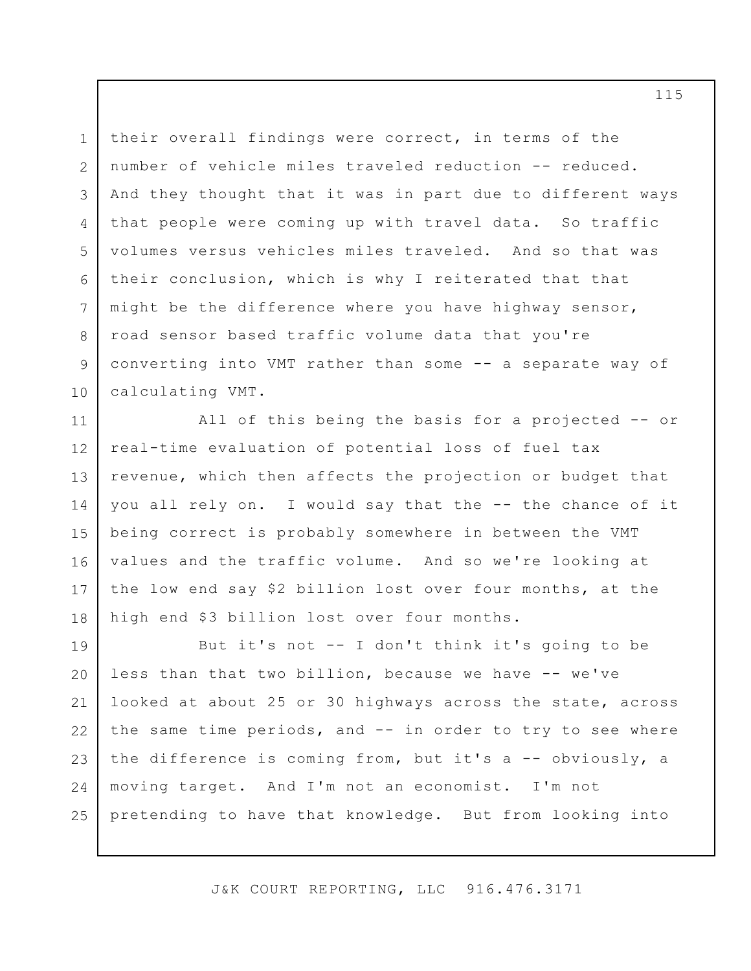1 2 3 4 5 6 7 8 9 10 their overall findings were correct, in terms of the number of vehicle miles traveled reduction -- reduced. And they thought that it was in part due to different ways that people were coming up with travel data. So traffic volumes versus vehicles miles traveled. And so that was their conclusion, which is why I reiterated that that might be the difference where you have highway sensor, road sensor based traffic volume data that you're converting into VMT rather than some -- a separate way of calculating VMT.

11 12 13 14 15 16 17 18 All of this being the basis for a projected -- or real-time evaluation of potential loss of fuel tax revenue, which then affects the projection or budget that you all rely on. I would say that the -- the chance of it being correct is probably somewhere in between the VMT values and the traffic volume. And so we're looking at the low end say \$2 billion lost over four months, at the high end \$3 billion lost over four months.

19 20 21 22 23 24 25 But it's not -- I don't think it's going to be less than that two billion, because we have -- we've looked at about 25 or 30 highways across the state, across the same time periods, and -- in order to try to see where the difference is coming from, but it's a -- obviously, a moving target. And I'm not an economist. I'm not pretending to have that knowledge. But from looking into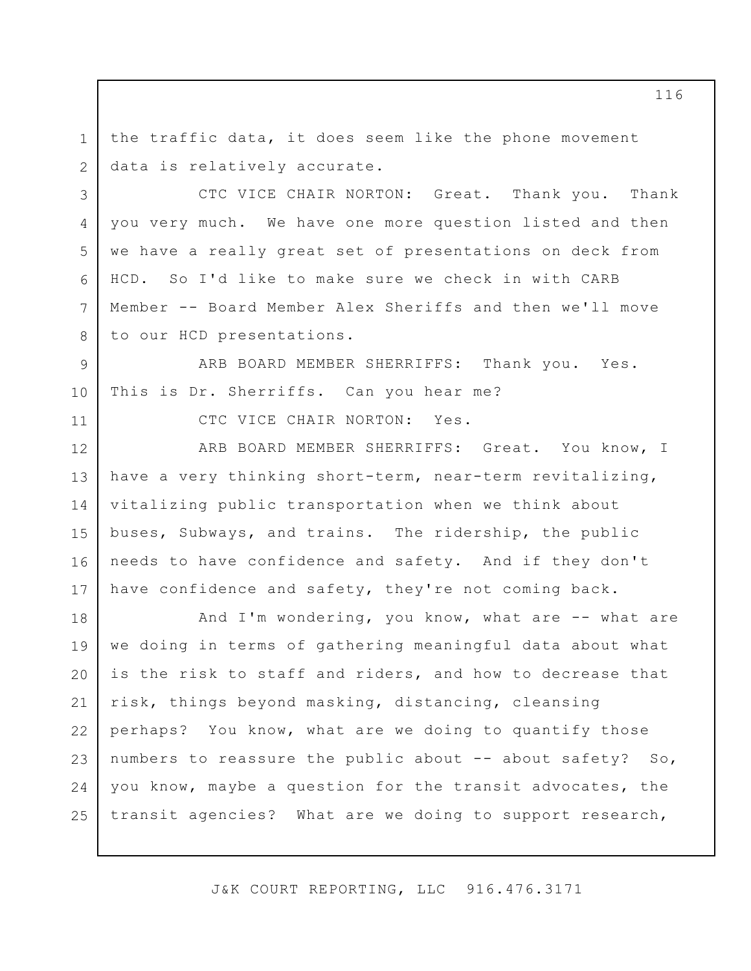1 2 the traffic data, it does seem like the phone movement data is relatively accurate.

CTC VICE CHAIR NORTON: Great. Thank you. Thank you very much. We have one more question listed and then we have a really great set of presentations on deck from HCD. So I'd like to make sure we check in with CARB Member -- Board Member Alex Sheriffs and then we'll move to our HCD presentations.

9 10 ARB BOARD MEMBER SHERRIFFS: Thank you. Yes. This is Dr. Sherriffs. Can you hear me?

11

3

4

5

6

7

8

CTC VICE CHAIR NORTON: Yes.

12 13 14 15 16 17 ARB BOARD MEMBER SHERRIFFS: Great. You know, I have a very thinking short-term, near-term revitalizing, vitalizing public transportation when we think about buses, Subways, and trains. The ridership, the public needs to have confidence and safety. And if they don't have confidence and safety, they're not coming back.

18 19 20 21 22 23 24 25 And I'm wondering, you know, what are -- what are we doing in terms of gathering meaningful data about what is the risk to staff and riders, and how to decrease that risk, things beyond masking, distancing, cleansing perhaps? You know, what are we doing to quantify those numbers to reassure the public about -- about safety? So, you know, maybe a question for the transit advocates, the transit agencies? What are we doing to support research,

J&K COURT REPORTING, LLC 916.476.3171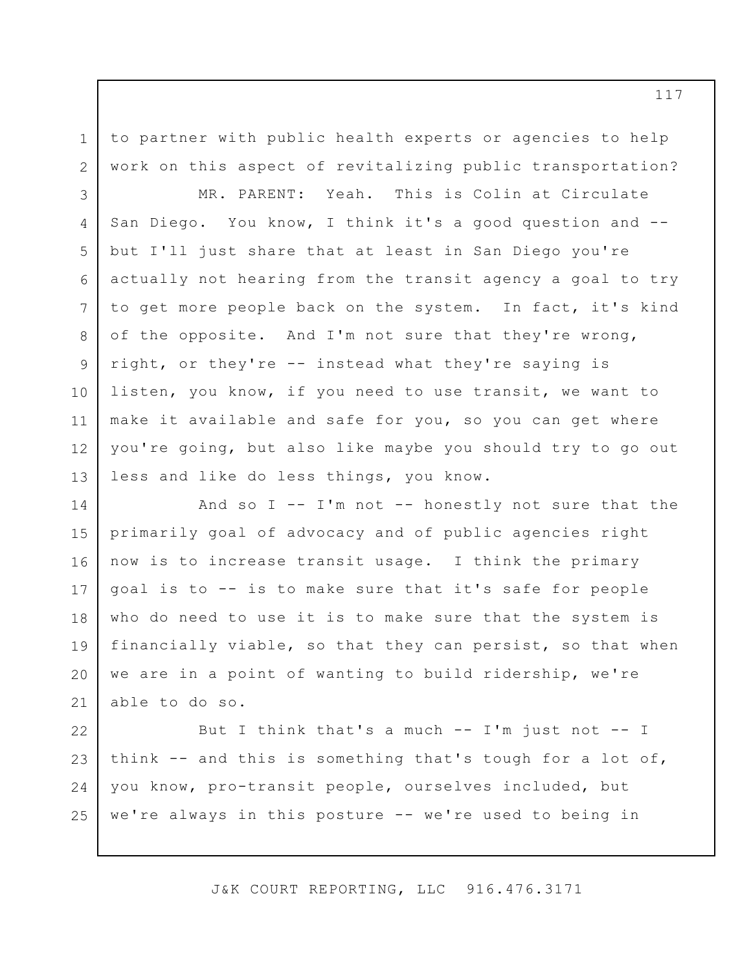to partner with public health experts or agencies to help work on this aspect of revitalizing public transportation?

1

2

3 4 5 6 7 8 9 10 11 12 13 MR. PARENT: Yeah. This is Colin at Circulate San Diego. You know, I think it's a good question and - but I'll just share that at least in San Diego you're actually not hearing from the transit agency a goal to try to get more people back on the system. In fact, it's kind of the opposite. And I'm not sure that they're wrong, right, or they're -- instead what they're saying is listen, you know, if you need to use transit, we want to make it available and safe for you, so you can get where you're going, but also like maybe you should try to go out less and like do less things, you know.

14 15 16 17 18 19 20 21 And so  $I$  --  $I'm$  not -- honestly not sure that the primarily goal of advocacy and of public agencies right now is to increase transit usage. I think the primary goal is to -- is to make sure that it's safe for people who do need to use it is to make sure that the system is financially viable, so that they can persist, so that when we are in a point of wanting to build ridership, we're able to do so.

22 23 24 25 But I think that's a much  $--$  I'm just not  $--$  I think -- and this is something that's tough for a lot of, you know, pro-transit people, ourselves included, but we're always in this posture -- we're used to being in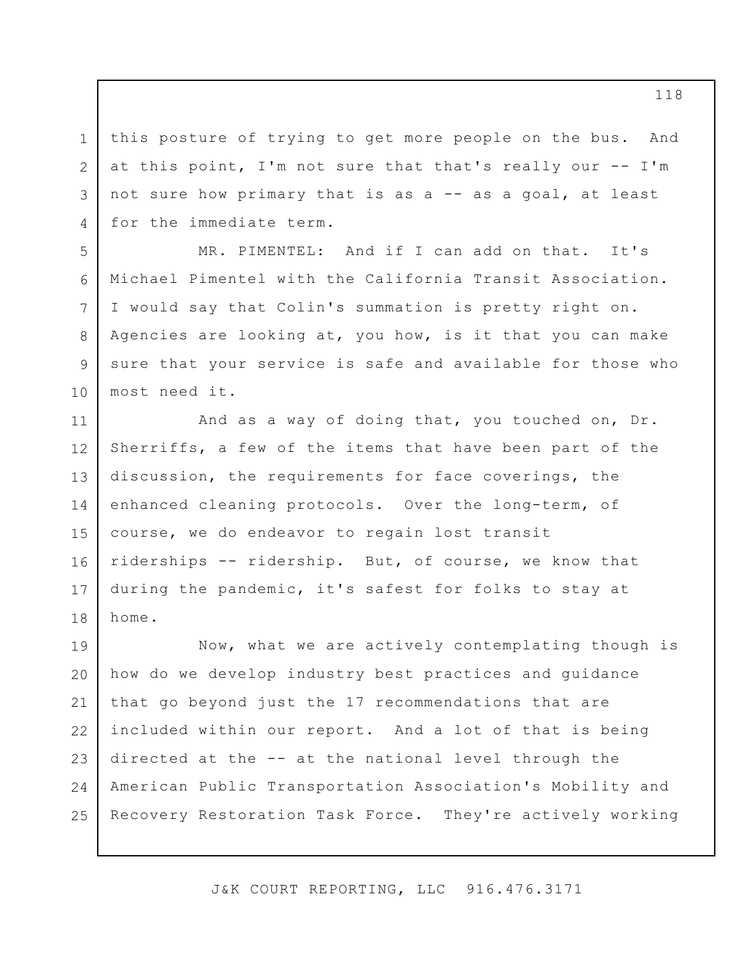3 this posture of trying to get more people on the bus. And at this point, I'm not sure that that's really our -- I'm not sure how primary that is as a -- as a goal, at least for the immediate term.

1

2

4

5

6

7

8

9

10

MR. PIMENTEL: And if I can add on that. It's Michael Pimentel with the California Transit Association. I would say that Colin's summation is pretty right on. Agencies are looking at, you how, is it that you can make sure that your service is safe and available for those who most need it.

11 12 13 14 15 16 17 18 And as a way of doing that, you touched on, Dr. Sherriffs, a few of the items that have been part of the discussion, the requirements for face coverings, the enhanced cleaning protocols. Over the long-term, of course, we do endeavor to regain lost transit riderships -- ridership. But, of course, we know that during the pandemic, it's safest for folks to stay at home.

19 20 21 22 23 24 25 Now, what we are actively contemplating though is how do we develop industry best practices and guidance that go beyond just the 17 recommendations that are included within our report. And a lot of that is being directed at the -- at the national level through the American Public Transportation Association's Mobility and Recovery Restoration Task Force. They're actively working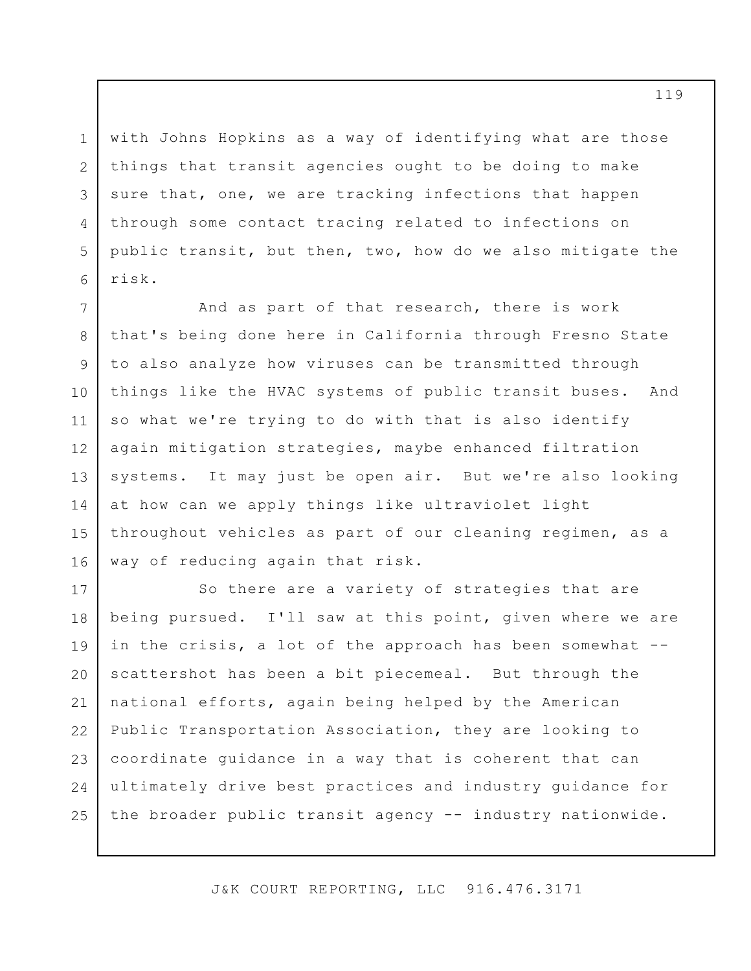with Johns Hopkins as a way of identifying what are those things that transit agencies ought to be doing to make sure that, one, we are tracking infections that happen through some contact tracing related to infections on public transit, but then, two, how do we also mitigate the risk.

1

2

3

4

5

6

7 8 9 10 11 12 13 14 15 16 And as part of that research, there is work that's being done here in California through Fresno State to also analyze how viruses can be transmitted through things like the HVAC systems of public transit buses. And so what we're trying to do with that is also identify again mitigation strategies, maybe enhanced filtration systems. It may just be open air. But we're also looking at how can we apply things like ultraviolet light throughout vehicles as part of our cleaning regimen, as a way of reducing again that risk.

17 18 19 20 21 22 23 24 25 So there are a variety of strategies that are being pursued. I'll saw at this point, given where we are in the crisis, a lot of the approach has been somewhat -scattershot has been a bit piecemeal. But through the national efforts, again being helped by the American Public Transportation Association, they are looking to coordinate guidance in a way that is coherent that can ultimately drive best practices and industry guidance for the broader public transit agency -- industry nationwide.

J&K COURT REPORTING, LLC 916.476.3171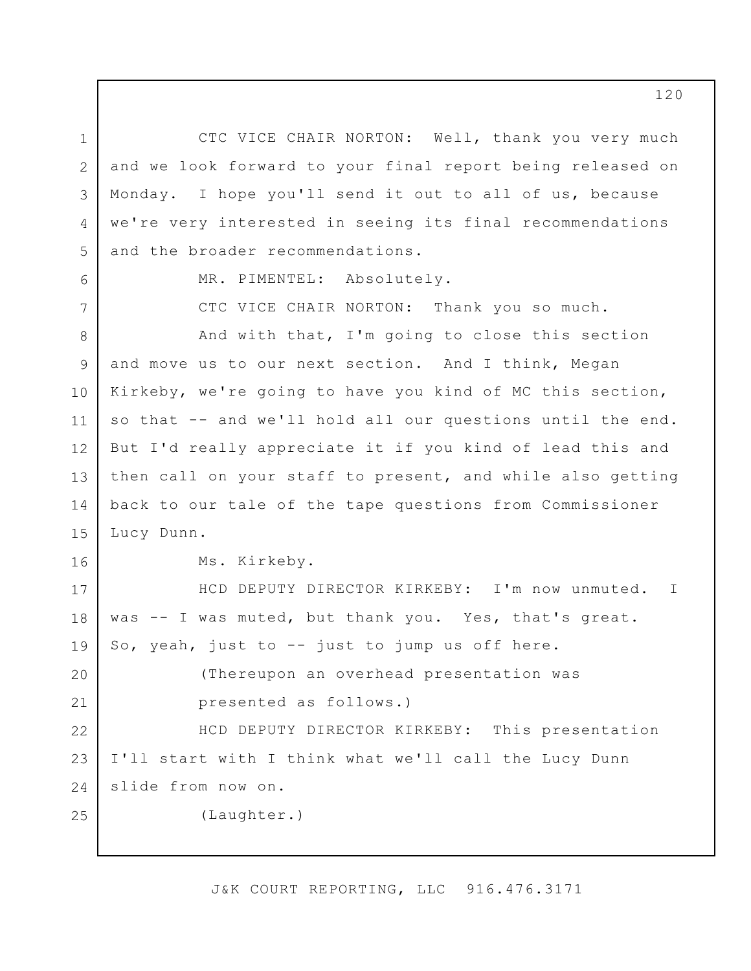1 2 3 4 5 CTC VICE CHAIR NORTON: Well, thank you very much and we look forward to your final report being released on Monday. I hope you'll send it out to all of us, because we're very interested in seeing its final recommendations and the broader recommendations.

6

7

16

17

18

19

20

21

25

MR. PIMENTEL: Absolutely.

CTC VICE CHAIR NORTON: Thank you so much.

8 9 10 11 12 13 14 15 And with that, I'm going to close this section and move us to our next section. And I think, Megan Kirkeby, we're going to have you kind of MC this section, so that -- and we'll hold all our questions until the end. But I'd really appreciate it if you kind of lead this and then call on your staff to present, and while also getting back to our tale of the tape questions from Commissioner Lucy Dunn.

Ms. Kirkeby.

HCD DEPUTY DIRECTOR KIRKEBY: I'm now unmuted. was -- I was muted, but thank you. Yes, that's great. So, yeah, just to -- just to jump us off here. I

> (Thereupon an overhead presentation was presented as follows.)

22 23 24 HCD DEPUTY DIRECTOR KIRKEBY: This presentation I'll start with I think what we'll call the Lucy Dunn slide from now on.

(Laughter.)

J&K COURT REPORTING, LLC 916.476.3171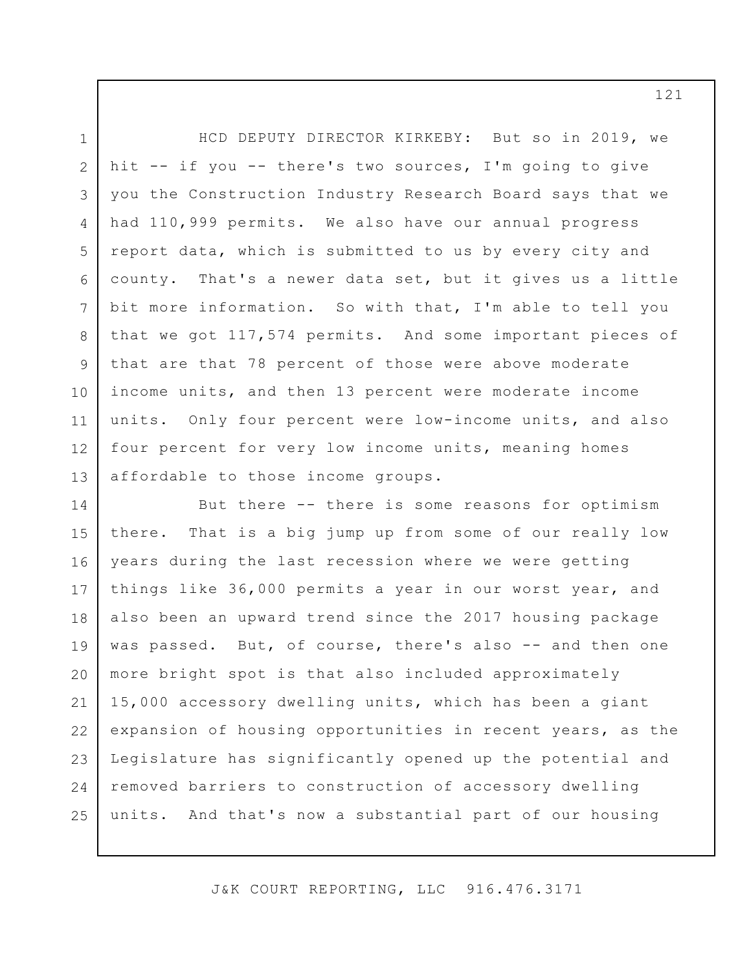1 2 3 4 5 6 7 8 9 10 11 12 13 HCD DEPUTY DIRECTOR KIRKEBY: But so in 2019, we hit -- if you -- there's two sources, I'm going to give you the Construction Industry Research Board says that we had 110,999 permits. We also have our annual progress report data, which is submitted to us by every city and county. That's a newer data set, but it gives us a little bit more information. So with that, I'm able to tell you that we got 117,574 permits. And some important pieces of that are that 78 percent of those were above moderate income units, and then 13 percent were moderate income units. Only four percent were low-income units, and also four percent for very low income units, meaning homes affordable to those income groups.

14 15 16 17 18 19 20 21 22 23 24 25 But there -- there is some reasons for optimism there. That is a big jump up from some of our really low years during the last recession where we were getting things like 36,000 permits a year in our worst year, and also been an upward trend since the 2017 housing package was passed. But, of course, there's also -- and then one more bright spot is that also included approximately 15,000 accessory dwelling units, which has been a giant expansion of housing opportunities in recent years, as the Legislature has significantly opened up the potential and removed barriers to construction of accessory dwelling units. And that's now a substantial part of our housing

J&K COURT REPORTING, LLC 916.476.3171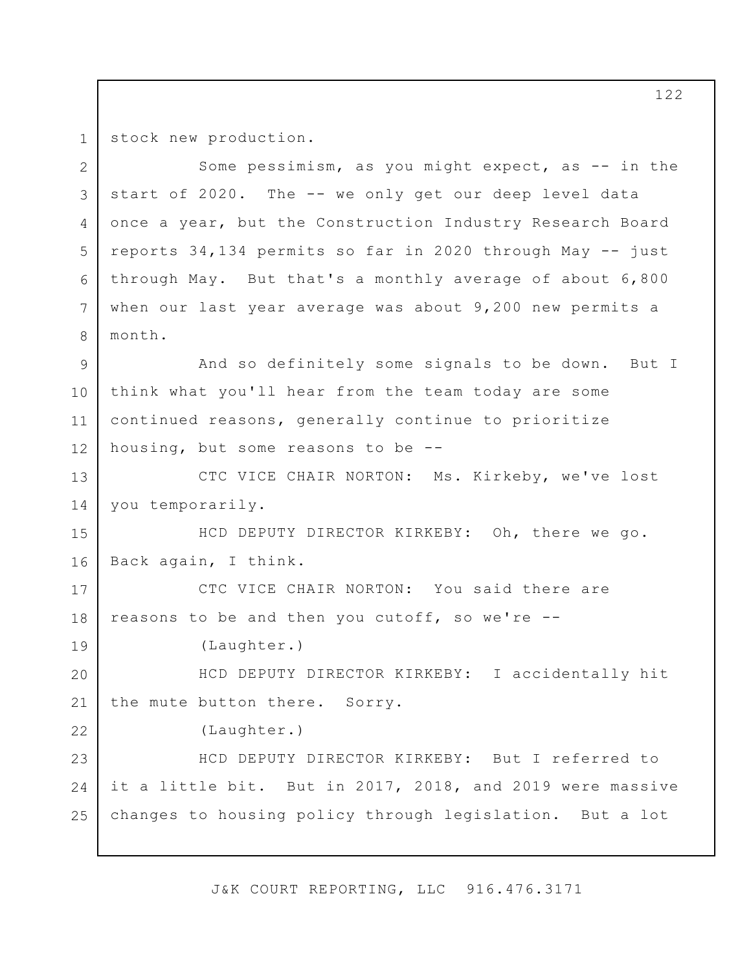1 2

4

5

7

8

19

22

stock new production.

3 6 Some pessimism, as you might expect, as -- in the start of 2020. The -- we only get our deep level data once a year, but the Construction Industry Research Board reports 34,134 permits so far in 2020 through May -- just through May. But that's a monthly average of about 6,800 when our last year average was about 9,200 new permits a month.

9 10 11 12 And so definitely some signals to be down. But I think what you'll hear from the team today are some continued reasons, generally continue to prioritize housing, but some reasons to be --

13 14 CTC VICE CHAIR NORTON: Ms. Kirkeby, we've lost you temporarily.

15 16 HCD DEPUTY DIRECTOR KIRKEBY: Oh, there we go. Back again, I think.

17 18 CTC VICE CHAIR NORTON: You said there are reasons to be and then you cutoff, so we're --

(Laughter.)

20 21 HCD DEPUTY DIRECTOR KIRKEBY: I accidentally hit the mute button there. Sorry.

(Laughter.)

23 24 25 HCD DEPUTY DIRECTOR KIRKEBY: But I referred to it a little bit. But in 2017, 2018, and 2019 were massive changes to housing policy through legislation. But a lot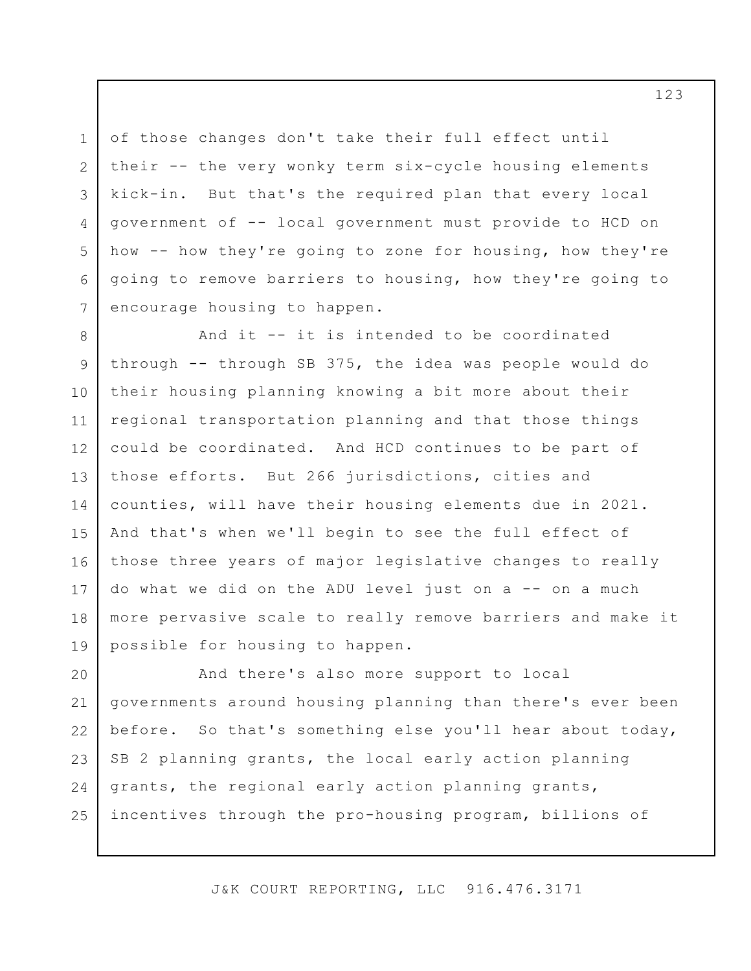of those changes don't take their full effect until their -- the very wonky term six-cycle housing elements kick-in. But that's the required plan that every local government of -- local government must provide to HCD on how -- how they're going to zone for housing, how they're going to remove barriers to housing, how they're going to encourage housing to happen.

1

2

3

4

5

6

7

8 9 10 11 12 13 14 15 16 17 18 19 And it -- it is intended to be coordinated through -- through SB 375, the idea was people would do their housing planning knowing a bit more about their regional transportation planning and that those things could be coordinated. And HCD continues to be part of those efforts. But 266 jurisdictions, cities and counties, will have their housing elements due in 2021. And that's when we'll begin to see the full effect of those three years of major legislative changes to really do what we did on the ADU level just on  $a$  -- on a much more pervasive scale to really remove barriers and make it possible for housing to happen.

20 21 22 23 24 25 And there's also more support to local governments around housing planning than there's ever been before. So that's something else you'll hear about today, SB 2 planning grants, the local early action planning grants, the regional early action planning grants, incentives through the pro-housing program, billions of

J&K COURT REPORTING, LLC 916.476.3171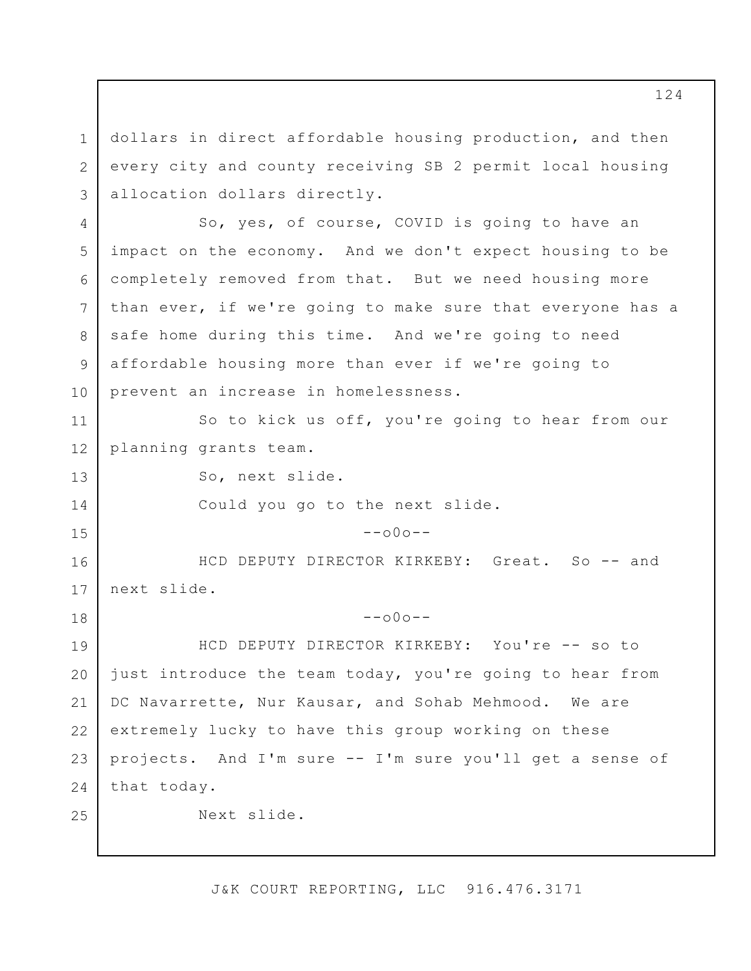1 2 3 4 5 6 7 8 9 10 11 12 13 14 15 16 17 18 19 20 21 22 23 24 25 dollars in direct affordable housing production, and then every city and county receiving SB 2 permit local housing allocation dollars directly. So, yes, of course, COVID is going to have an impact on the economy. And we don't expect housing to be completely removed from that. But we need housing more than ever, if we're going to make sure that everyone has a safe home during this time. And we're going to need affordable housing more than ever if we're going to prevent an increase in homelessness. So to kick us off, you're going to hear from our planning grants team. So, next slide. Could you go to the next slide.  $--000--$ HCD DEPUTY DIRECTOR KIRKEBY: Great. So -- and next slide.  $--000--$ HCD DEPUTY DIRECTOR KIRKEBY: You're -- so to just introduce the team today, you're going to hear from DC Navarrette, Nur Kausar, and Sohab Mehmood. We are extremely lucky to have this group working on these projects. And I'm sure -- I'm sure you'll get a sense of that today. Next slide.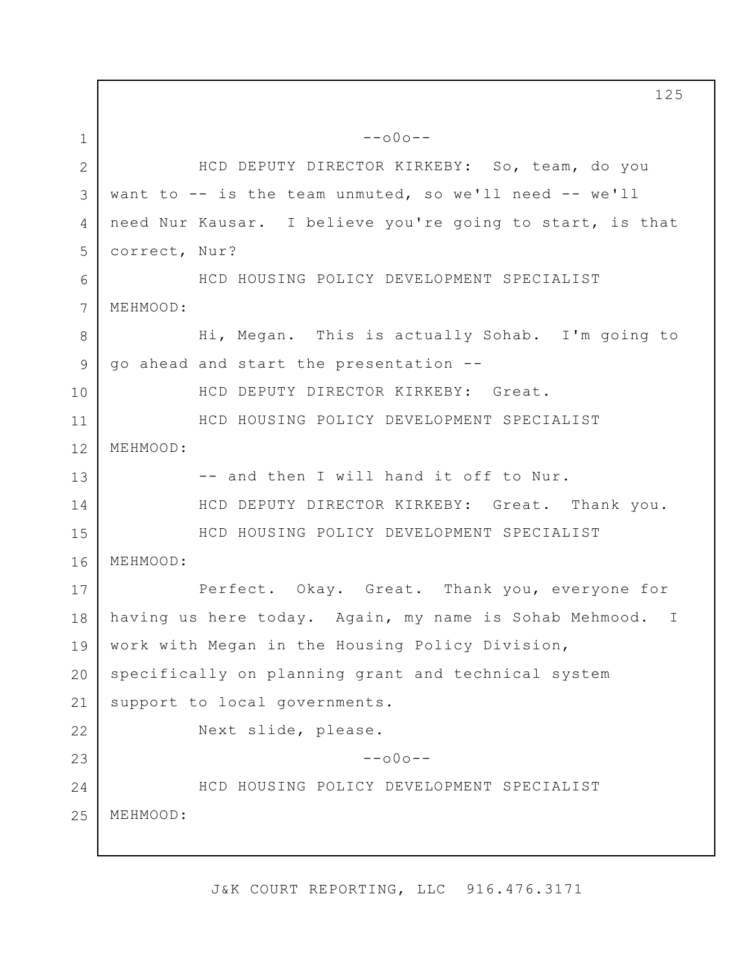1 2 3 4 5 6 7 8 9 10 11 12 13 14 15 16 17 18 19 20 21 22 23 24 25 --o0o-- HCD DEPUTY DIRECTOR KIRKEBY: So, team, do you want to -- is the team unmuted, so we'll need -- we'll need Nur Kausar. I believe you're going to start, is that correct, Nur? HCD HOUSING POLICY DEVELOPMENT SPECIALIST MEHMOOD: Hi, Megan. This is actually Sohab. I'm going to go ahead and start the presentation -- HCD DEPUTY DIRECTOR KIRKEBY: Great. HCD HOUSING POLICY DEVELOPMENT SPECIALIST MEHMOOD: -- and then I will hand it off to Nur. HCD DEPUTY DIRECTOR KIRKEBY: Great. Thank you. HCD HOUSING POLICY DEVELOPMENT SPECIALIST MEHMOOD: Perfect. Okay. Great. Thank you, everyone for having us here today. Again, my name is Sohab Mehmood. I work with Megan in the Housing Policy Division, specifically on planning grant and technical system support to local governments. Next slide, please.  $--000--$ HCD HOUSING POLICY DEVELOPMENT SPECIALIST MEHMOOD: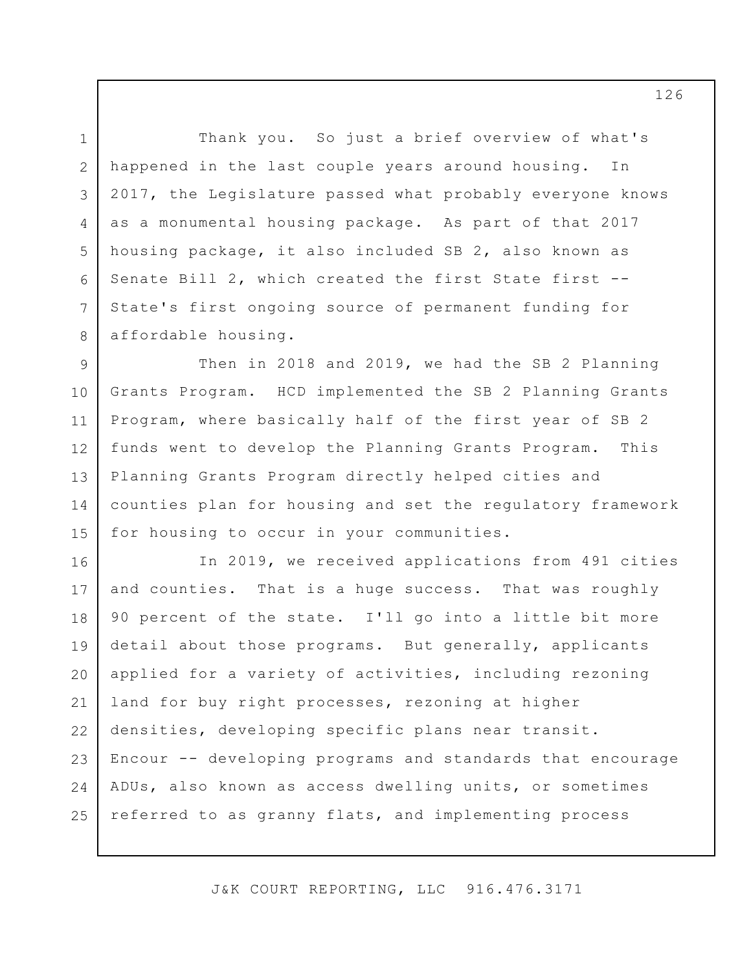Thank you. So just a brief overview of what's happened in the last couple years around housing. In 2017, the Legislature passed what probably everyone knows as a monumental housing package. As part of that 2017 housing package, it also included SB 2, also known as Senate Bill 2, which created the first State first -- State's first ongoing source of permanent funding for affordable housing.

1

2

3

4

5

6

7

8

9 10 11 12 13 14 15 Then in 2018 and 2019, we had the SB 2 Planning Grants Program. HCD implemented the SB 2 Planning Grants Program, where basically half of the first year of SB 2 funds went to develop the Planning Grants Program. This Planning Grants Program directly helped cities and counties plan for housing and set the regulatory framework for housing to occur in your communities.

16 17 18 19 20 21 22 23 24 25 In 2019, we received applications from 491 cities and counties. That is a huge success. That was roughly 90 percent of the state. I'll go into a little bit more detail about those programs. But generally, applicants applied for a variety of activities, including rezoning land for buy right processes, rezoning at higher densities, developing specific plans near transit. Encour -- developing programs and standards that encourage ADUs, also known as access dwelling units, or sometimes referred to as granny flats, and implementing process

J&K COURT REPORTING, LLC 916.476.3171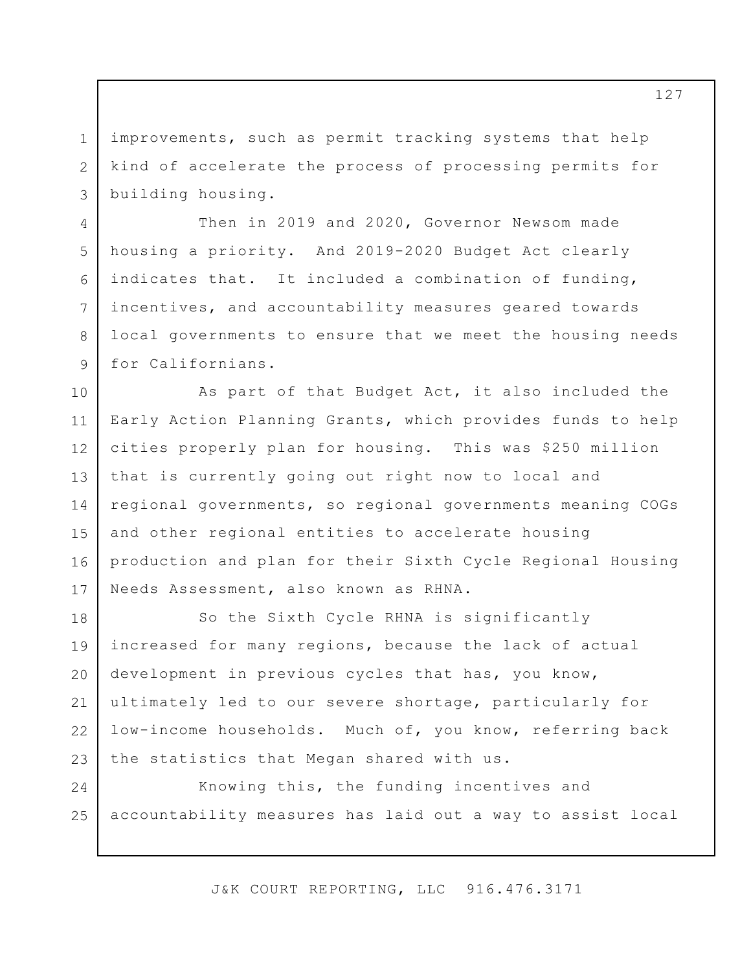improvements, such as permit tracking systems that help kind of accelerate the process of processing permits for building housing.

1

2

3

4

5

6

7

8

9

Then in 2019 and 2020, Governor Newsom made housing a priority. And 2019-2020 Budget Act clearly indicates that. It included a combination of funding, incentives, and accountability measures geared towards local governments to ensure that we meet the housing needs for Californians.

10 11 12 13 14 15 16 17 As part of that Budget Act, it also included the Early Action Planning Grants, which provides funds to help cities properly plan for housing. This was \$250 million that is currently going out right now to local and regional governments, so regional governments meaning COGs and other regional entities to accelerate housing production and plan for their Sixth Cycle Regional Housing Needs Assessment, also known as RHNA.

18 19 20 21 22 23 So the Sixth Cycle RHNA is significantly increased for many regions, because the lack of actual development in previous cycles that has, you know, ultimately led to our severe shortage, particularly for low-income households. Much of, you know, referring back the statistics that Megan shared with us.

24 25 Knowing this, the funding incentives and accountability measures has laid out a way to assist local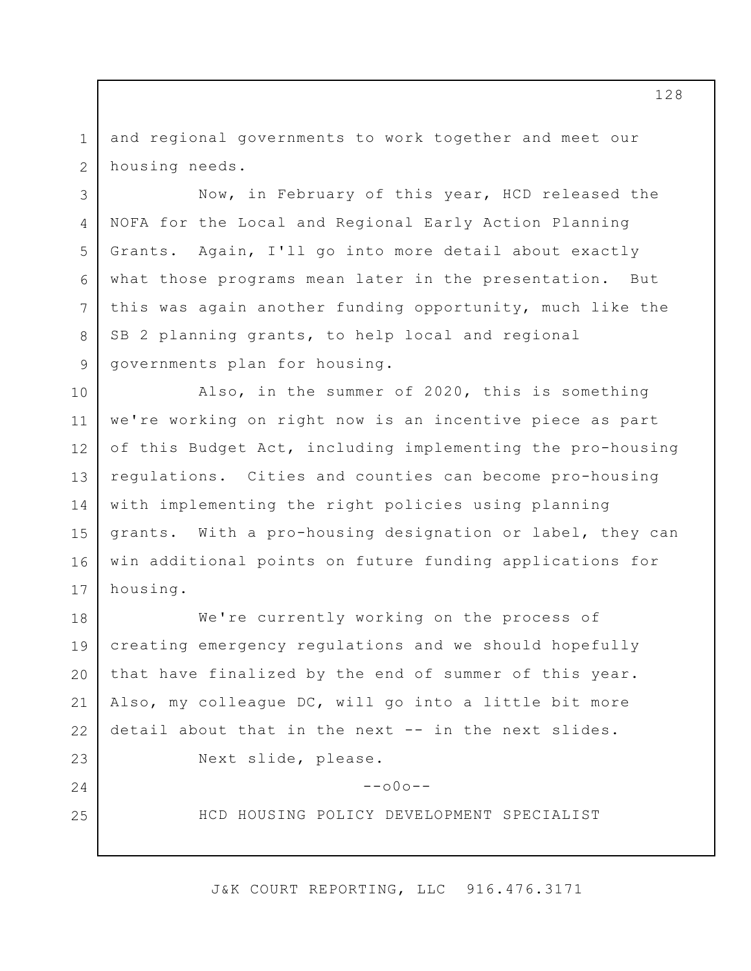1 2 and regional governments to work together and meet our housing needs.

3

4

5

6

7

8

9

10

11

12

13

14

15

16

17

23

24

25

Now, in February of this year, HCD released the NOFA for the Local and Regional Early Action Planning Grants. Again, I'll go into more detail about exactly what those programs mean later in the presentation. But this was again another funding opportunity, much like the SB 2 planning grants, to help local and regional governments plan for housing.

Also, in the summer of 2020, this is something we're working on right now is an incentive piece as part of this Budget Act, including implementing the pro-housing regulations. Cities and counties can become pro-housing with implementing the right policies using planning grants. With a pro-housing designation or label, they can win additional points on future funding applications for housing.

18 19 20 21 22 We're currently working on the process of creating emergency regulations and we should hopefully that have finalized by the end of summer of this year. Also, my colleague DC, will go into a little bit more detail about that in the next -- in the next slides.

Next slide, please.

 $--000--$ 

HCD HOUSING POLICY DEVELOPMENT SPECIALIST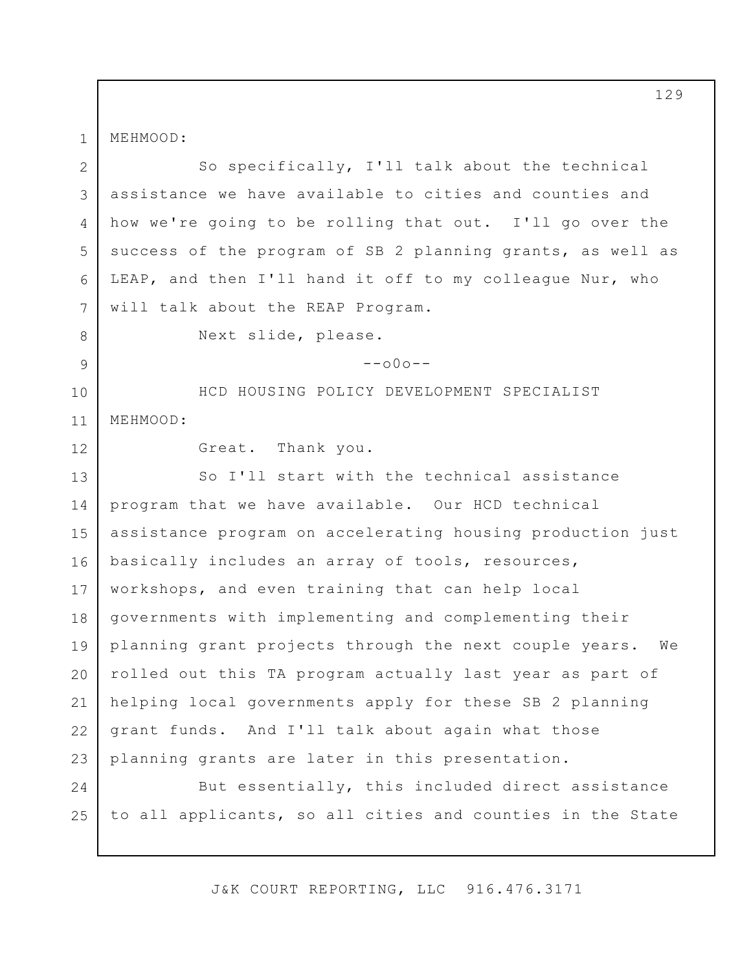MEHMOOD:

1

2 3 4 5 6 7 So specifically, I'll talk about the technical assistance we have available to cities and counties and how we're going to be rolling that out. I'll go over the success of the program of SB 2 planning grants, as well as LEAP, and then I'll hand it off to my colleague Nur, who will talk about the REAP Program.

Next slide, please.

 $--000--$ 

10 11 HCD HOUSING POLICY DEVELOPMENT SPECIALIST MEHMOOD:

12

8

9

Great. Thank you.

13 14 15 16 17 18 19 20 21 22 23 So I'll start with the technical assistance program that we have available. Our HCD technical assistance program on accelerating housing production just basically includes an array of tools, resources, workshops, and even training that can help local governments with implementing and complementing their planning grant projects through the next couple years. We rolled out this TA program actually last year as part of helping local governments apply for these SB 2 planning grant funds. And I'll talk about again what those planning grants are later in this presentation.

24 25 But essentially, this included direct assistance to all applicants, so all cities and counties in the State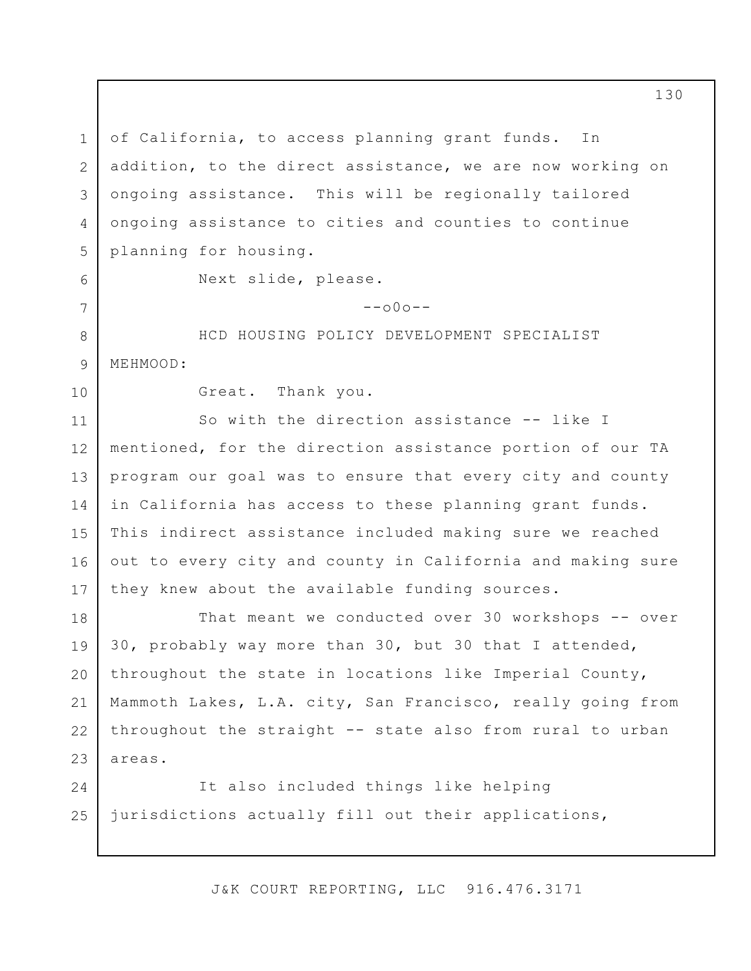1 2 3 4 5 of California, to access planning grant funds. In addition, to the direct assistance, we are now working on ongoing assistance. This will be regionally tailored ongoing assistance to cities and counties to continue planning for housing.

6

7

8

9

Next slide, please.

 $--000--$ 

HCD HOUSING POLICY DEVELOPMENT SPECIALIST MEHMOOD:

10

Great. Thank you.

11 12 13 14 15 16 17 So with the direction assistance -- like I mentioned, for the direction assistance portion of our TA program our goal was to ensure that every city and county in California has access to these planning grant funds. This indirect assistance included making sure we reached out to every city and county in California and making sure they knew about the available funding sources.

18 19 20 21 22 23 That meant we conducted over 30 workshops -- over 30, probably way more than 30, but 30 that I attended, throughout the state in locations like Imperial County, Mammoth Lakes, L.A. city, San Francisco, really going from throughout the straight -- state also from rural to urban areas.

24 25 It also included things like helping jurisdictions actually fill out their applications,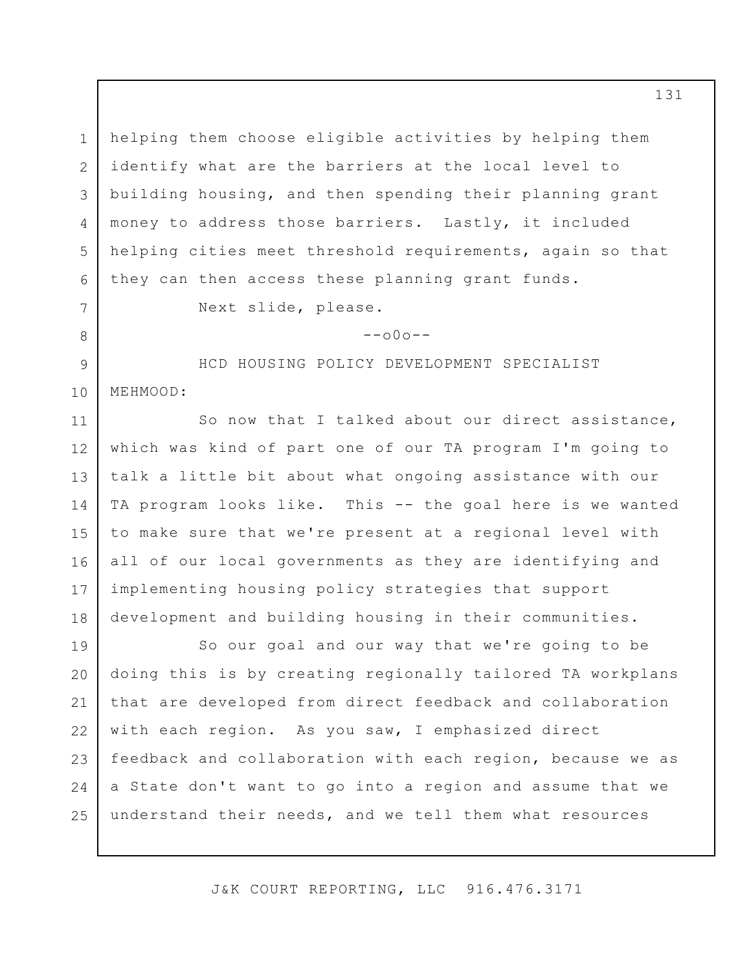1 2 3 4 5 6 helping them choose eligible activities by helping them identify what are the barriers at the local level to building housing, and then spending their planning grant money to address those barriers. Lastly, it included helping cities meet threshold requirements, again so that they can then access these planning grant funds.

Next slide, please.

7

8

9

10

 $--000--$ 

HCD HOUSING POLICY DEVELOPMENT SPECIALIST MEHMOOD:

11 12 13 14 15 16 17 18 So now that I talked about our direct assistance, which was kind of part one of our TA program I'm going to talk a little bit about what ongoing assistance with our TA program looks like. This -- the goal here is we wanted to make sure that we're present at a regional level with all of our local governments as they are identifying and implementing housing policy strategies that support development and building housing in their communities.

19 20 21 22 23 24 25 So our goal and our way that we're going to be doing this is by creating regionally tailored TA workplans that are developed from direct feedback and collaboration with each region. As you saw, I emphasized direct feedback and collaboration with each region, because we as a State don't want to go into a region and assume that we understand their needs, and we tell them what resources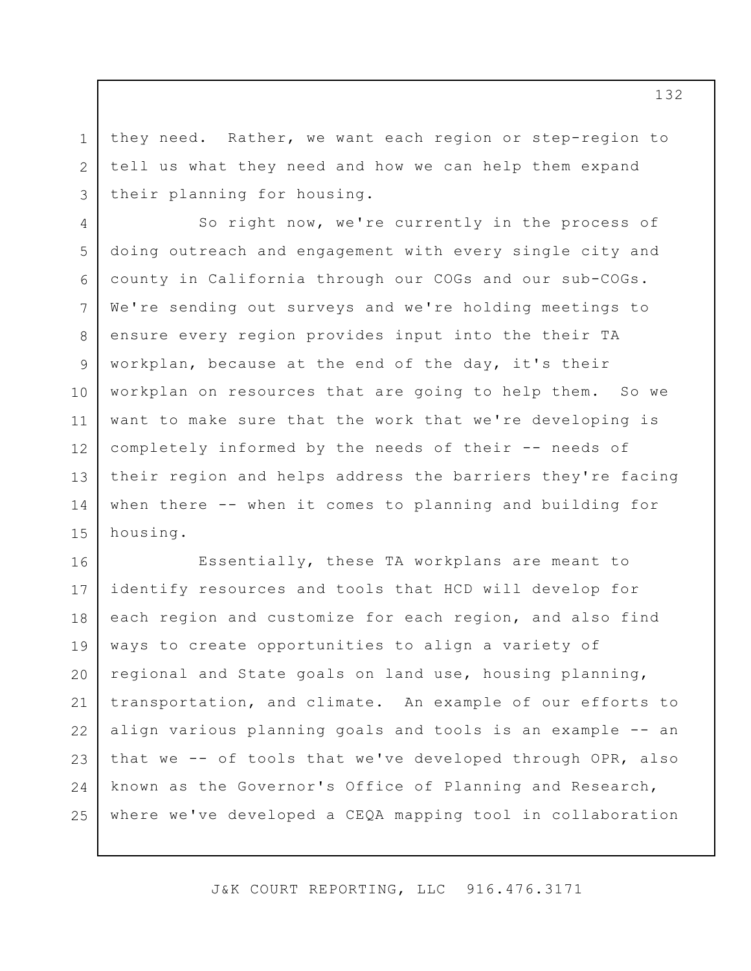they need. Rather, we want each region or step-region to tell us what they need and how we can help them expand their planning for housing.

1

2

3

4 5 6 7 8 9 10 11 12 13 14 15 So right now, we're currently in the process of doing outreach and engagement with every single city and county in California through our COGs and our sub-COGs. We're sending out surveys and we're holding meetings to ensure every region provides input into the their TA workplan, because at the end of the day, it's their workplan on resources that are going to help them. So we want to make sure that the work that we're developing is completely informed by the needs of their -- needs of their region and helps address the barriers they're facing when there -- when it comes to planning and building for housing.

16 17 18 19 20 21 22 23 24 25 Essentially, these TA workplans are meant to identify resources and tools that HCD will develop for each region and customize for each region, and also find ways to create opportunities to align a variety of regional and State goals on land use, housing planning, transportation, and climate. An example of our efforts to align various planning goals and tools is an example -- an that we -- of tools that we've developed through OPR, also known as the Governor's Office of Planning and Research, where we've developed a CEQA mapping tool in collaboration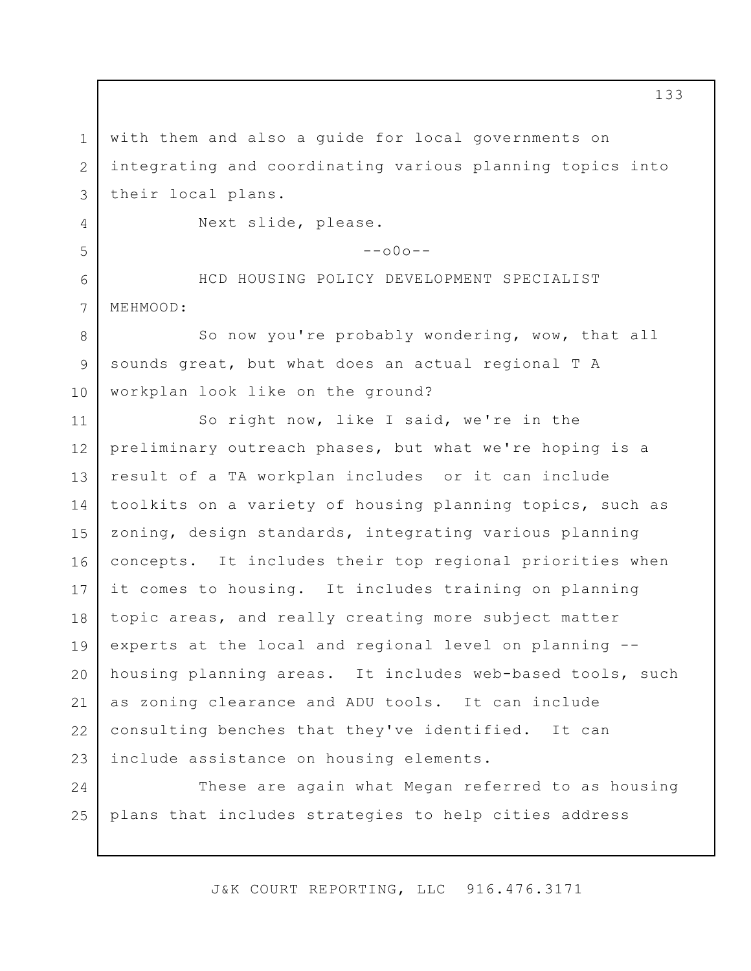1 2 3 4 5 6 7 8 9 10 11 12 13 14 15 16 17 18 19 20 21 22 23 with them and also a guide for local governments on integrating and coordinating various planning topics into their local plans. Next slide, please.  $--000--$ HCD HOUSING POLICY DEVELOPMENT SPECIALIST MEHMOOD: So now you're probably wondering, wow, that all sounds great, but what does an actual regional T A workplan look like on the ground? So right now, like I said, we're in the preliminary outreach phases, but what we're hoping is a result of a TA workplan includes or it can include toolkits on a variety of housing planning topics, such as zoning, design standards, integrating various planning concepts. It includes their top regional priorities when it comes to housing. It includes training on planning topic areas, and really creating more subject matter experts at the local and regional level on planning - housing planning areas. It includes web-based tools, such as zoning clearance and ADU tools. It can include consulting benches that they've identified. It can include assistance on housing elements.

24 25 These are again what Megan referred to as housing plans that includes strategies to help cities address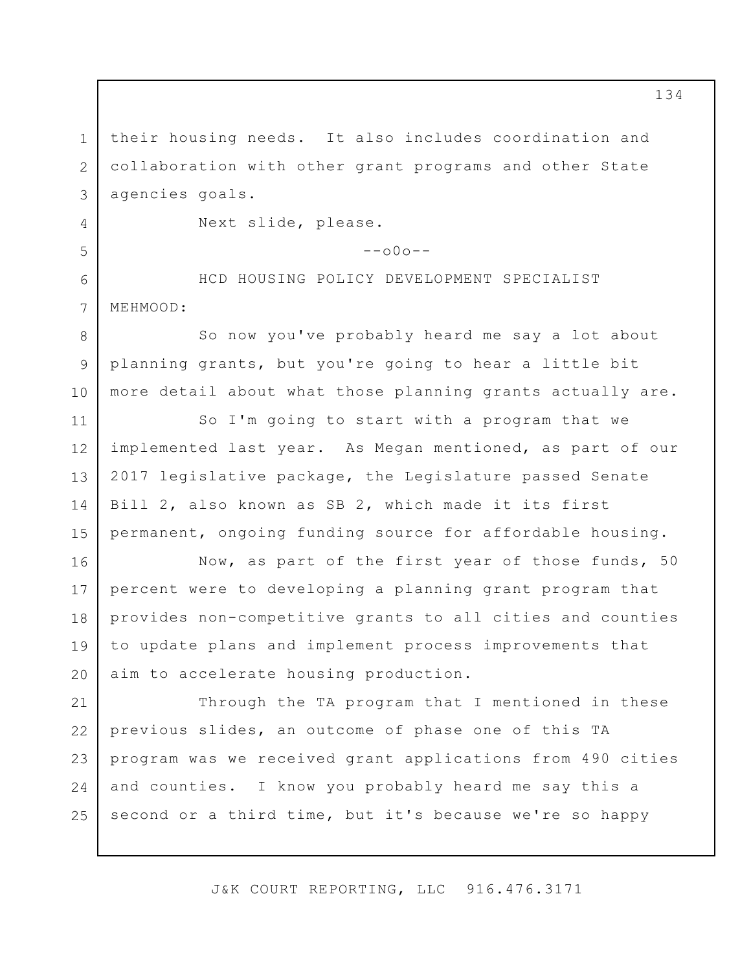1 2 3 4 5 6 7 8 9 10 11 their housing needs. It also includes coordination and collaboration with other grant programs and other State agencies goals. Next slide, please.  $--000--$ HCD HOUSING POLICY DEVELOPMENT SPECIALIST MEHMOOD: So now you've probably heard me say a lot about planning grants, but you're going to hear a little bit more detail about what those planning grants actually are. So I'm going to start with a program that we

12 13 14 15 implemented last year. As Megan mentioned, as part of our 2017 legislative package, the Legislature passed Senate Bill 2, also known as SB 2, which made it its first permanent, ongoing funding source for affordable housing.

16 17 18 19 20 Now, as part of the first year of those funds, 50 percent were to developing a planning grant program that provides non-competitive grants to all cities and counties to update plans and implement process improvements that aim to accelerate housing production.

21 22 23 24 25 Through the TA program that I mentioned in these previous slides, an outcome of phase one of this TA program was we received grant applications from 490 cities and counties. I know you probably heard me say this a second or a third time, but it's because we're so happy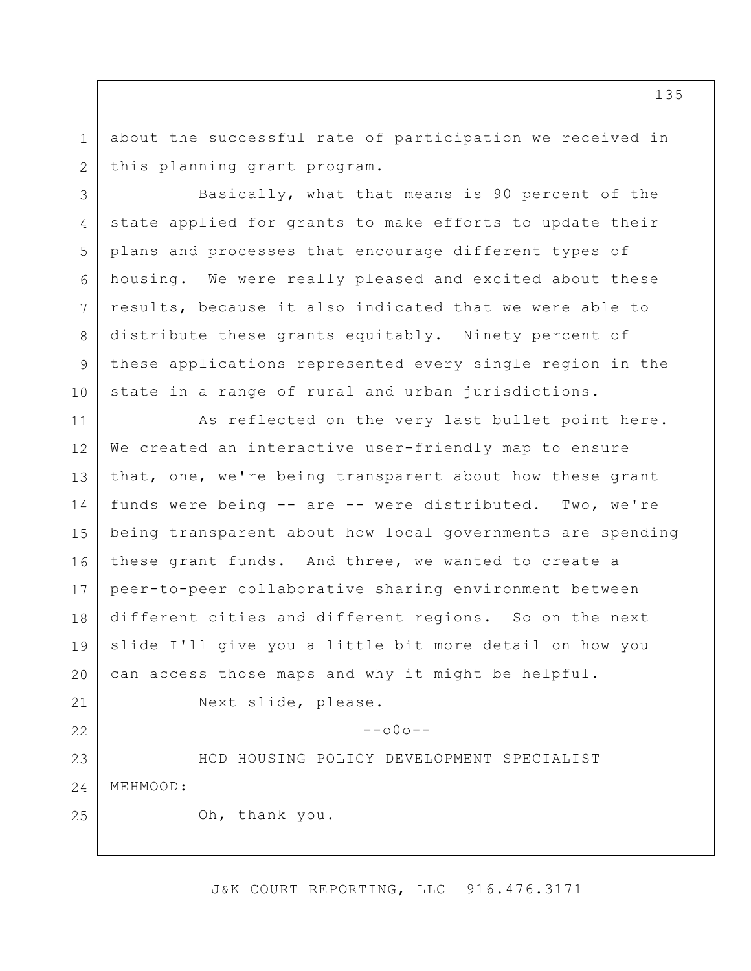1 2 about the successful rate of participation we received in this planning grant program.

3 4 5 6 7 8 9 10 Basically, what that means is 90 percent of the state applied for grants to make efforts to update their plans and processes that encourage different types of housing. We were really pleased and excited about these results, because it also indicated that we were able to distribute these grants equitably. Ninety percent of these applications represented every single region in the state in a range of rural and urban jurisdictions.

11 12 13 14 15 16 17 18 19 20 21 As reflected on the very last bullet point here. We created an interactive user-friendly map to ensure that, one, we're being transparent about how these grant funds were being -- are -- were distributed. Two, we're being transparent about how local governments are spending these grant funds. And three, we wanted to create a peer-to-peer collaborative sharing environment between different cities and different regions. So on the next slide I'll give you a little bit more detail on how you can access those maps and why it might be helpful. Next slide, please.

 $--000--$ 

23 24 HCD HOUSING POLICY DEVELOPMENT SPECIALIST MEHMOOD:

Oh, thank you.

22

25

J&K COURT REPORTING, LLC 916.476.3171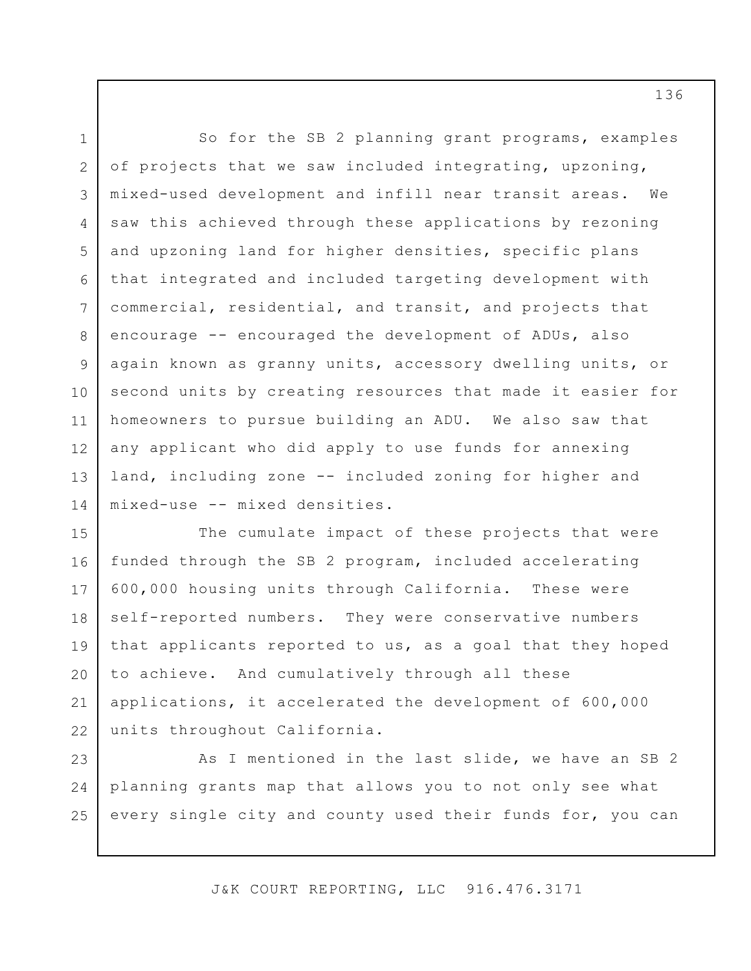1 2 3 4 5 6 7 8 9 10 11 12 13 14 So for the SB 2 planning grant programs, examples of projects that we saw included integrating, upzoning, mixed-used development and infill near transit areas. We saw this achieved through these applications by rezoning and upzoning land for higher densities, specific plans that integrated and included targeting development with commercial, residential, and transit, and projects that encourage -- encouraged the development of ADUs, also again known as granny units, accessory dwelling units, or second units by creating resources that made it easier for homeowners to pursue building an ADU. We also saw that any applicant who did apply to use funds for annexing land, including zone -- included zoning for higher and mixed-use -- mixed densities.

15 16 17 18 19 20 21 22 The cumulate impact of these projects that were funded through the SB 2 program, included accelerating 600,000 housing units through California. These were self-reported numbers. They were conservative numbers that applicants reported to us, as a goal that they hoped to achieve. And cumulatively through all these applications, it accelerated the development of 600,000 units throughout California.

23 24 25 As I mentioned in the last slide, we have an SB 2 planning grants map that allows you to not only see what every single city and county used their funds for, you can

J&K COURT REPORTING, LLC 916.476.3171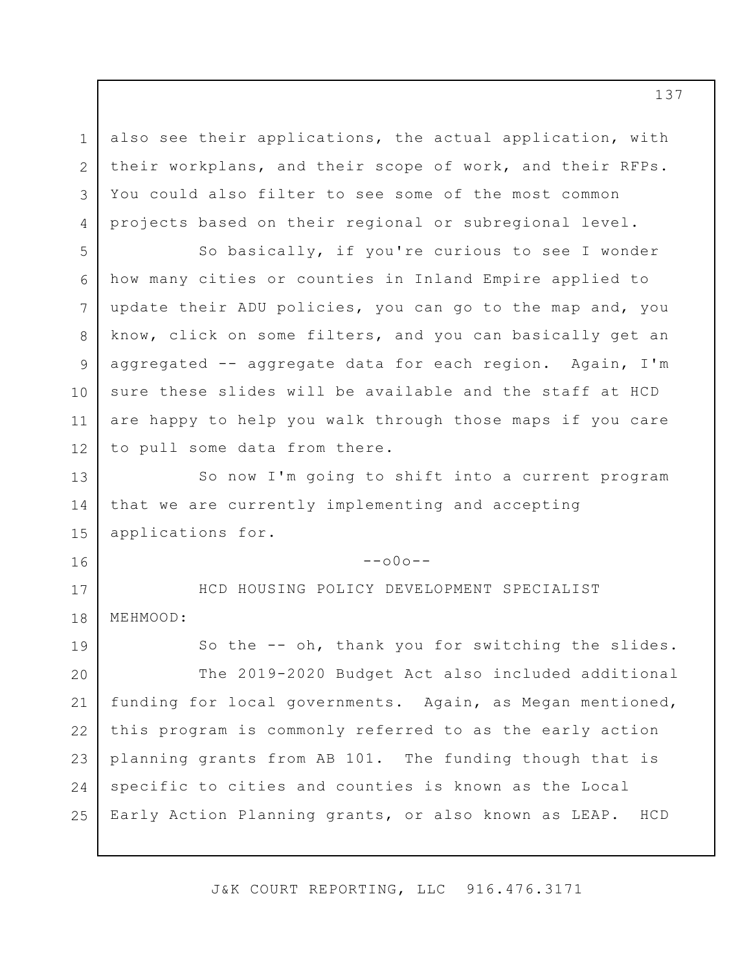also see their applications, the actual application, with their workplans, and their scope of work, and their RFPs. You could also filter to see some of the most common projects based on their regional or subregional level.

1

2

3

4

16

5 6 7 8 9 10 11 12 So basically, if you're curious to see I wonder how many cities or counties in Inland Empire applied to update their ADU policies, you can go to the map and, you know, click on some filters, and you can basically get an aggregated -- aggregate data for each region. Again, I'm sure these slides will be available and the staff at HCD are happy to help you walk through those maps if you care to pull some data from there.

13 14 15 So now I'm going to shift into a current program that we are currently implementing and accepting applications for.

 $--000--$ 

17 18 HCD HOUSING POLICY DEVELOPMENT SPECIALIST MEHMOOD:

19 20 21 22 23 24 25 So the -- oh, thank you for switching the slides. The 2019-2020 Budget Act also included additional funding for local governments. Again, as Megan mentioned, this program is commonly referred to as the early action planning grants from AB 101. The funding though that is specific to cities and counties is known as the Local Early Action Planning grants, or also known as LEAP. HCD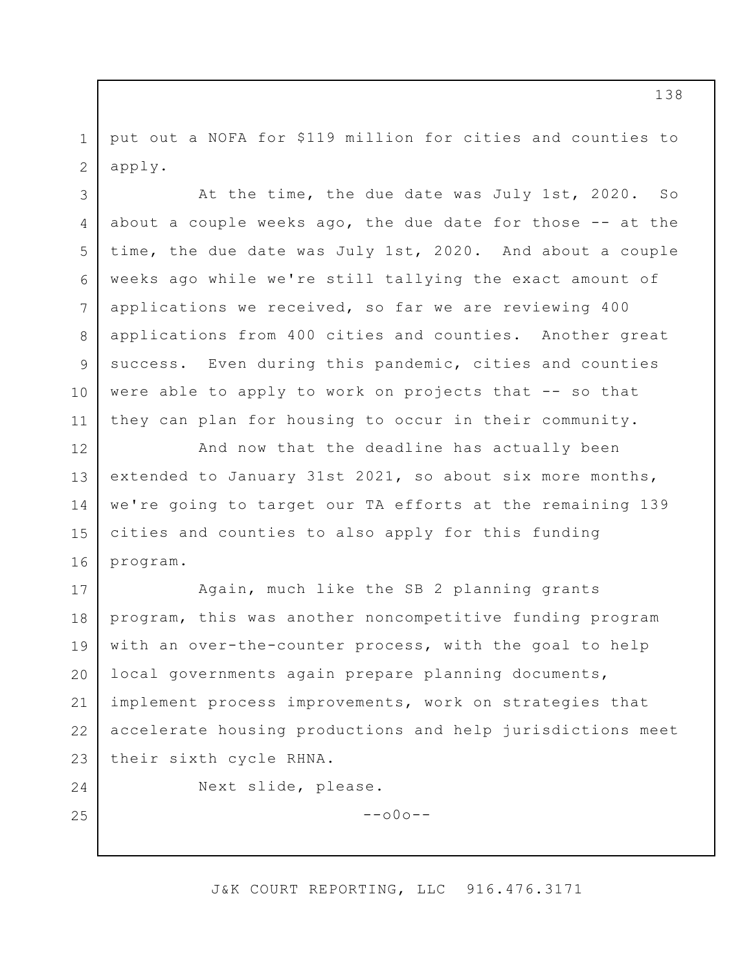1 2 put out a NOFA for \$119 million for cities and counties to apply.

3 4 5 6 7 8 9 10 11 At the time, the due date was July 1st, 2020. So about a couple weeks ago, the due date for those  $-$ - at the time, the due date was July 1st, 2020. And about a couple weeks ago while we're still tallying the exact amount of applications we received, so far we are reviewing 400 applications from 400 cities and counties. Another great success. Even during this pandemic, cities and counties were able to apply to work on projects that -- so that they can plan for housing to occur in their community.

12 13 14 15 16 And now that the deadline has actually been extended to January 31st 2021, so about six more months, we're going to target our TA efforts at the remaining 139 cities and counties to also apply for this funding program.

17 18 19 20 21 22 23 Again, much like the SB 2 planning grants program, this was another noncompetitive funding program with an over-the-counter process, with the goal to help local governments again prepare planning documents, implement process improvements, work on strategies that accelerate housing productions and help jurisdictions meet their sixth cycle RHNA.

24

25

Next slide, please.

 $--000--$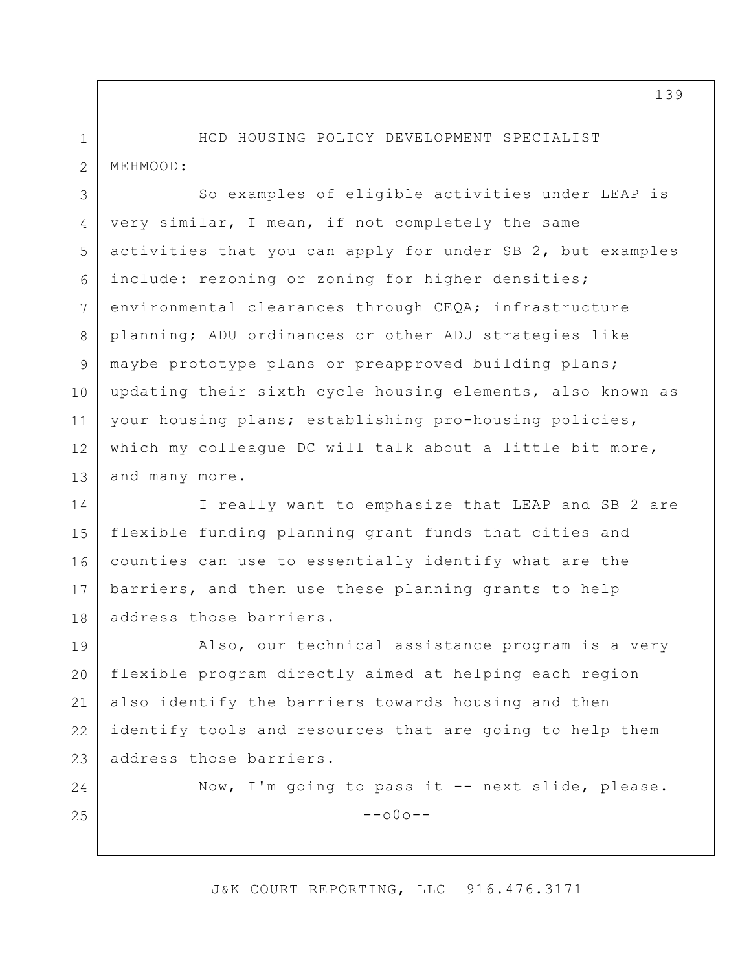1 2 HCD HOUSING POLICY DEVELOPMENT SPECIALIST MEHMOOD:

3 4 5 6 7 8 9 10 11 12 13 So examples of eligible activities under LEAP is very similar, I mean, if not completely the same activities that you can apply for under SB 2, but examples include: rezoning or zoning for higher densities; environmental clearances through CEQA; infrastructure planning; ADU ordinances or other ADU strategies like maybe prototype plans or preapproved building plans; updating their sixth cycle housing elements, also known as your housing plans; establishing pro-housing policies, which my colleague DC will talk about a little bit more, and many more.

14 15 16 17 18 I really want to emphasize that LEAP and SB 2 are flexible funding planning grant funds that cities and counties can use to essentially identify what are the barriers, and then use these planning grants to help address those barriers.

19 20 21 22 23 Also, our technical assistance program is a very flexible program directly aimed at helping each region also identify the barriers towards housing and then identify tools and resources that are going to help them address those barriers.

24

25

Now, I'm going to pass it -- next slide, please.  $--000--$ 

J&K COURT REPORTING, LLC 916.476.3171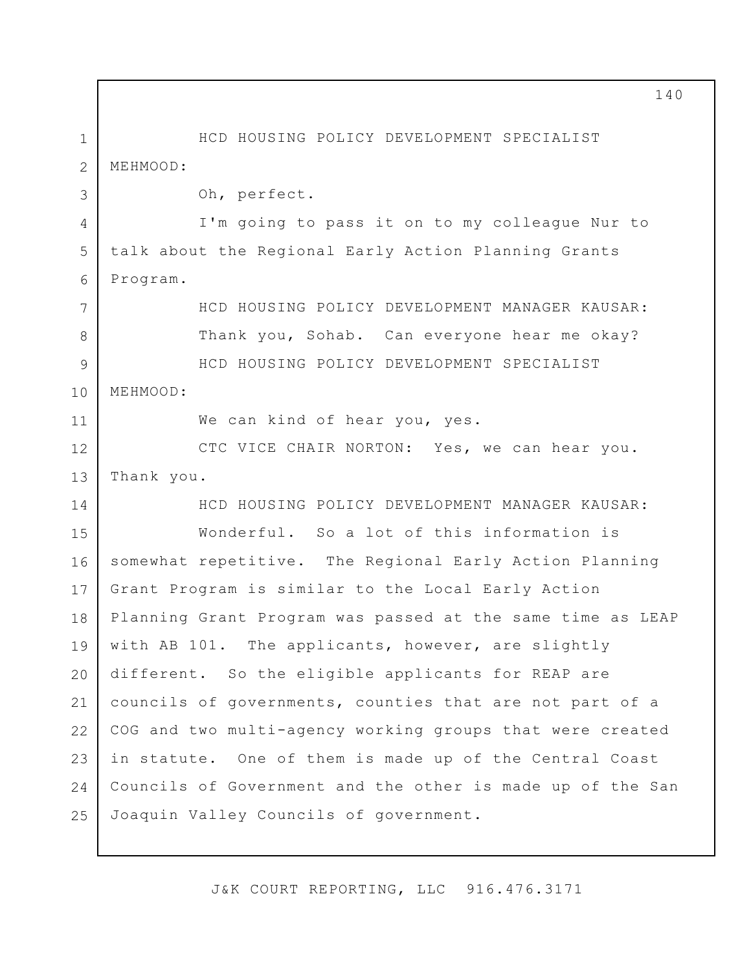1 2 3 4 5 6 7 8 9 10 11 12 13 14 15 16 17 18 19 20 21 22 23 24 25 HCD HOUSING POLICY DEVELOPMENT SPECIALIST MEHMOOD: Oh, perfect. I'm going to pass it on to my colleague Nur to talk about the Regional Early Action Planning Grants Program. HCD HOUSING POLICY DEVELOPMENT MANAGER KAUSAR: Thank you, Sohab. Can everyone hear me okay? HCD HOUSING POLICY DEVELOPMENT SPECIALIST MEHMOOD: We can kind of hear you, yes. CTC VICE CHAIR NORTON: Yes, we can hear you. Thank you. HCD HOUSING POLICY DEVELOPMENT MANAGER KAUSAR: Wonderful. So a lot of this information is somewhat repetitive. The Regional Early Action Planning Grant Program is similar to the Local Early Action Planning Grant Program was passed at the same time as LEAP with AB 101. The applicants, however, are slightly different. So the eligible applicants for REAP are councils of governments, counties that are not part of a COG and two multi-agency working groups that were created in statute. One of them is made up of the Central Coast Councils of Government and the other is made up of the San Joaquin Valley Councils of government.

J&K COURT REPORTING, LLC 916.476.3171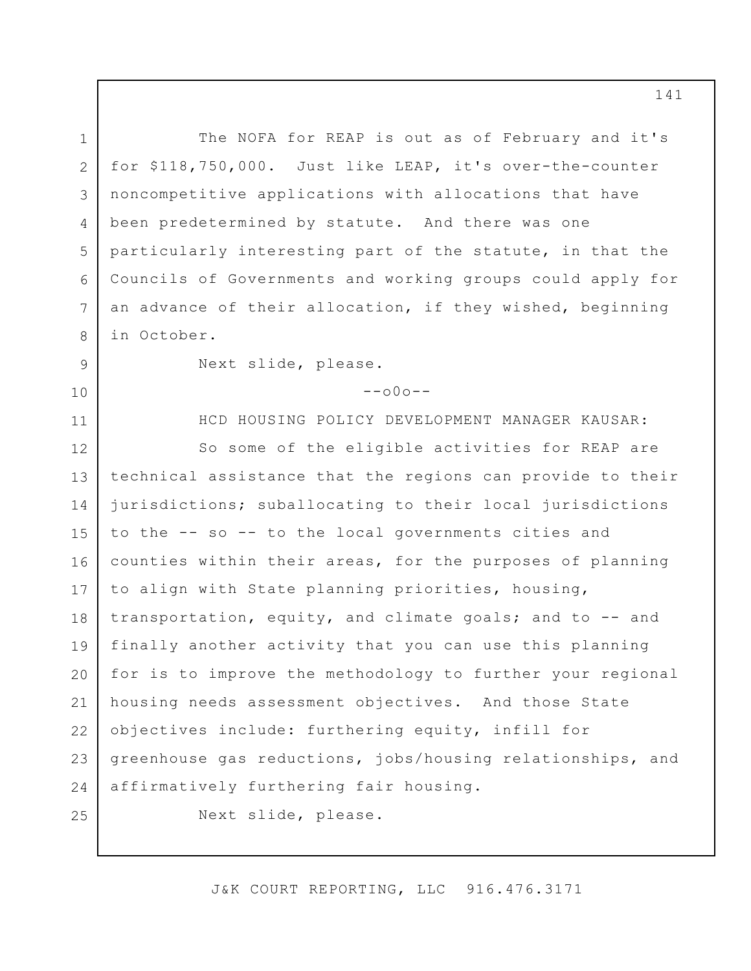1 2 3 4 5 6 7 8 9 10 11 12 13 14 15 16 17 18 19 20 21 22 23 24 25 The NOFA for REAP is out as of February and it's for \$118,750,000. Just like LEAP, it's over-the-counter noncompetitive applications with allocations that have been predetermined by statute. And there was one particularly interesting part of the statute, in that the Councils of Governments and working groups could apply for an advance of their allocation, if they wished, beginning in October. Next slide, please.  $--000--$ HCD HOUSING POLICY DEVELOPMENT MANAGER KAUSAR: So some of the eligible activities for REAP are technical assistance that the regions can provide to their jurisdictions; suballocating to their local jurisdictions to the -- so -- to the local governments cities and counties within their areas, for the purposes of planning to align with State planning priorities, housing, transportation, equity, and climate goals; and to -- and finally another activity that you can use this planning for is to improve the methodology to further your regional housing needs assessment objectives. And those State objectives include: furthering equity, infill for greenhouse gas reductions, jobs/housing relationships, and affirmatively furthering fair housing. Next slide, please.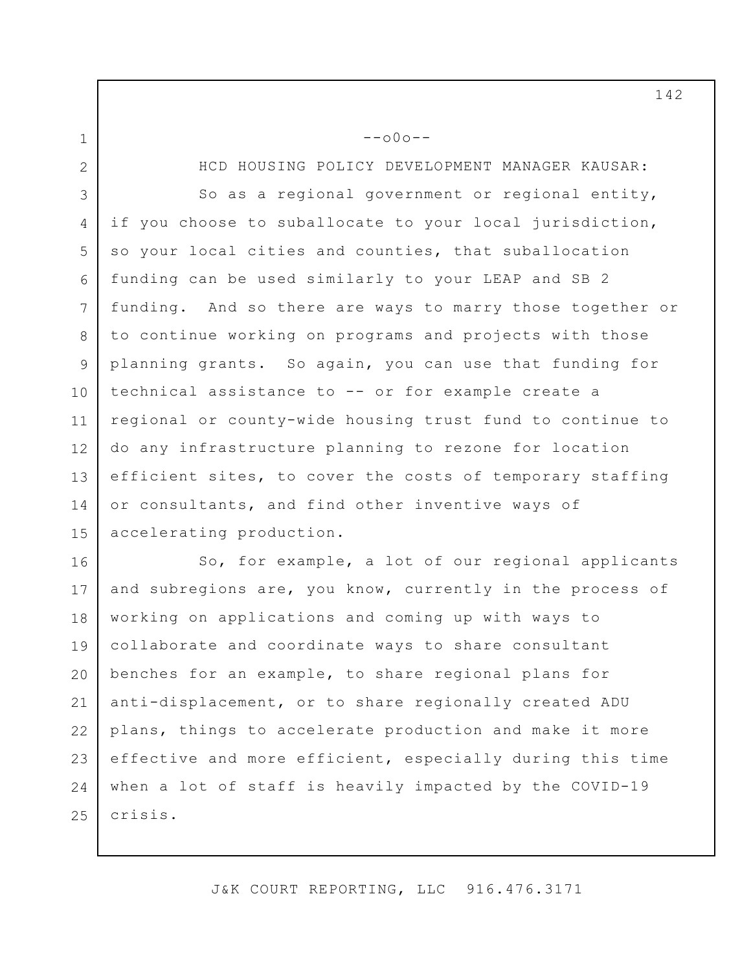1

2 3 4 5 6 7 8 9 10 11 12 13 14 15 HCD HOUSING POLICY DEVELOPMENT MANAGER KAUSAR: So as a regional government or regional entity, if you choose to suballocate to your local jurisdiction, so your local cities and counties, that suballocation funding can be used similarly to your LEAP and SB 2 funding. And so there are ways to marry those together or to continue working on programs and projects with those planning grants. So again, you can use that funding for technical assistance to -- or for example create a regional or county-wide housing trust fund to continue to do any infrastructure planning to rezone for location efficient sites, to cover the costs of temporary staffing or consultants, and find other inventive ways of accelerating production.

 $--000--$ 

16 17 18 19 20 21 22 23 24 25 So, for example, a lot of our regional applicants and subregions are, you know, currently in the process of working on applications and coming up with ways to collaborate and coordinate ways to share consultant benches for an example, to share regional plans for anti-displacement, or to share regionally created ADU plans, things to accelerate production and make it more effective and more efficient, especially during this time when a lot of staff is heavily impacted by the COVID-19 crisis.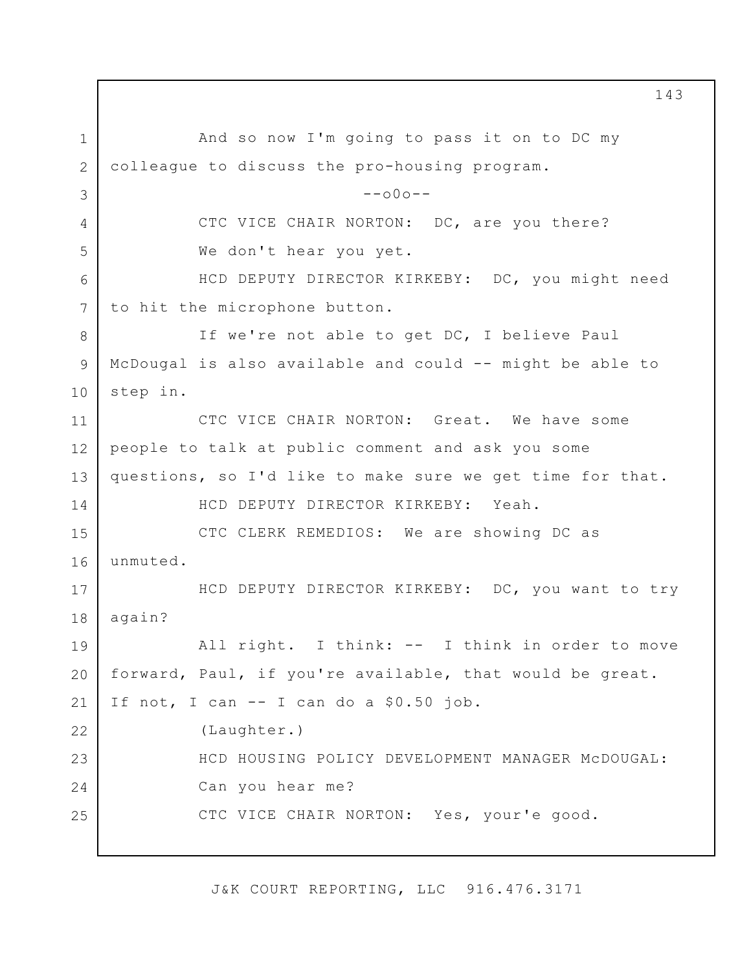1 2 3 4 5 6 7 8 9 10 11 12 13 14 15 16 17 18 19 20 21 22 23 24 25 143 And so now I'm going to pass it on to DC my colleague to discuss the pro-housing program.  $--000--$ CTC VICE CHAIR NORTON: DC, are you there? We don't hear you yet. HCD DEPUTY DIRECTOR KIRKEBY: DC, you might need to hit the microphone button. If we're not able to get DC, I believe Paul McDougal is also available and could -- might be able to step in. CTC VICE CHAIR NORTON: Great. We have some people to talk at public comment and ask you some questions, so I'd like to make sure we get time for that. HCD DEPUTY DIRECTOR KIRKEBY: Yeah. CTC CLERK REMEDIOS: We are showing DC as unmuted. HCD DEPUTY DIRECTOR KIRKEBY: DC, you want to try again? All right. I think: -- I think in order to move forward, Paul, if you're available, that would be great. If not, I can -- I can do a \$0.50 job. (Laughter.) HCD HOUSING POLICY DEVELOPMENT MANAGER McDOUGAL: Can you hear me? CTC VICE CHAIR NORTON: Yes, your'e good.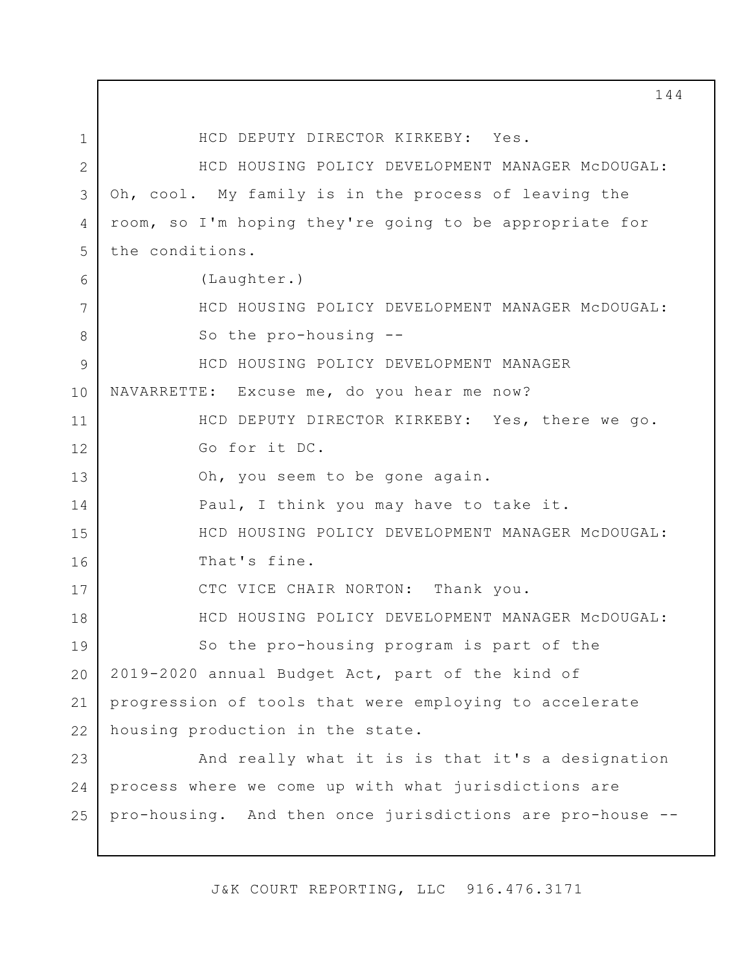1 2 3 4 5 6 7 8 9 10 11 12 13 14 15 16 17 18 19 20 21 22 23 24 25 HCD DEPUTY DIRECTOR KIRKEBY: Yes. HCD HOUSING POLICY DEVELOPMENT MANAGER McDOUGAL: Oh, cool. My family is in the process of leaving the room, so I'm hoping they're going to be appropriate for the conditions. (Laughter.) HCD HOUSING POLICY DEVELOPMENT MANAGER McDOUGAL: So the pro-housing -- HCD HOUSING POLICY DEVELOPMENT MANAGER NAVARRETTE: Excuse me, do you hear me now? HCD DEPUTY DIRECTOR KIRKEBY: Yes, there we go. Go for it DC. Oh, you seem to be gone again. Paul, I think you may have to take it. HCD HOUSING POLICY DEVELOPMENT MANAGER McDOUGAL: That's fine. CTC VICE CHAIR NORTON: Thank you. HCD HOUSING POLICY DEVELOPMENT MANAGER McDOUGAL: So the pro-housing program is part of the 2019-2020 annual Budget Act, part of the kind of progression of tools that were employing to accelerate housing production in the state. And really what it is is that it's a designation process where we come up with what jurisdictions are pro-housing. And then once jurisdictions are pro-house --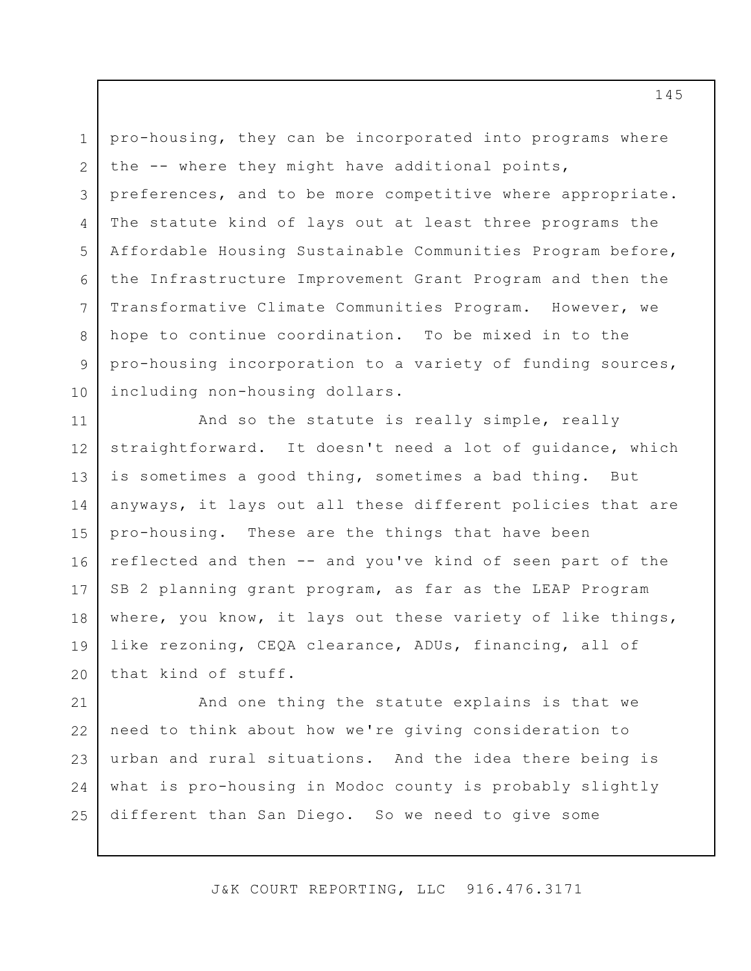1 2 3 4 5 6 7 8 9 10 pro-housing, they can be incorporated into programs where the -- where they might have additional points, preferences, and to be more competitive where appropriate. The statute kind of lays out at least three programs the Affordable Housing Sustainable Communities Program before, the Infrastructure Improvement Grant Program and then the Transformative Climate Communities Program. However, we hope to continue coordination. To be mixed in to the pro-housing incorporation to a variety of funding sources, including non-housing dollars.

11 12 13 14 15 16 17 18 19 20 And so the statute is really simple, really straightforward. It doesn't need a lot of guidance, which is sometimes a good thing, sometimes a bad thing. But anyways, it lays out all these different policies that are pro-housing. These are the things that have been reflected and then -- and you've kind of seen part of the SB 2 planning grant program, as far as the LEAP Program where, you know, it lays out these variety of like things, like rezoning, CEQA clearance, ADUs, financing, all of that kind of stuff.

21 22 23 24 25 And one thing the statute explains is that we need to think about how we're giving consideration to urban and rural situations. And the idea there being is what is pro-housing in Modoc county is probably slightly different than San Diego. So we need to give some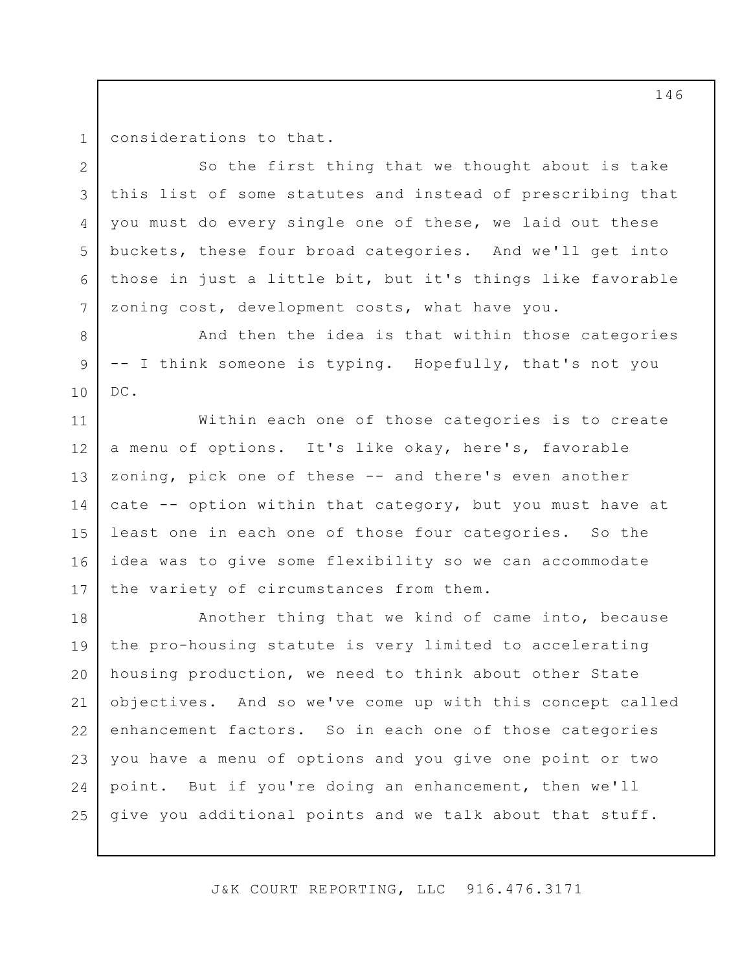1 2

4

8

9

10

considerations to that.

3 5 6 7 So the first thing that we thought about is take this list of some statutes and instead of prescribing that you must do every single one of these, we laid out these buckets, these four broad categories. And we'll get into those in just a little bit, but it's things like favorable zoning cost, development costs, what have you.

And then the idea is that within those categories -- I think someone is typing. Hopefully, that's not you DC.

11 12 13 14 15 16 17 Within each one of those categories is to create a menu of options. It's like okay, here's, favorable zoning, pick one of these -- and there's even another cate -- option within that category, but you must have at least one in each one of those four categories. So the idea was to give some flexibility so we can accommodate the variety of circumstances from them.

18 19 20 21 22 23 24 25 Another thing that we kind of came into, because the pro-housing statute is very limited to accelerating housing production, we need to think about other State objectives. And so we've come up with this concept called enhancement factors. So in each one of those categories you have a menu of options and you give one point or two point. But if you're doing an enhancement, then we'll give you additional points and we talk about that stuff.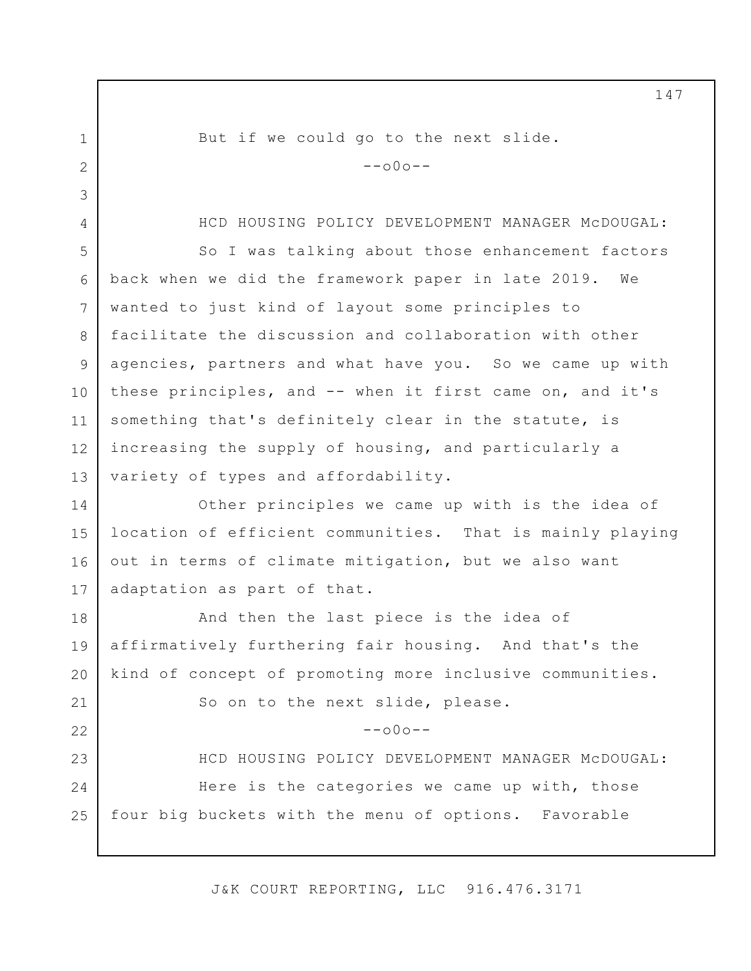1 2 3 4 5 6 7 8 9 10 11 12 13 14 15 16 17 18 19 20 21 22 23 24 25 But if we could go to the next slide.  $--000--$ HCD HOUSING POLICY DEVELOPMENT MANAGER McDOUGAL: So I was talking about those enhancement factors back when we did the framework paper in late 2019. We wanted to just kind of layout some principles to facilitate the discussion and collaboration with other agencies, partners and what have you. So we came up with these principles, and -- when it first came on, and it's something that's definitely clear in the statute, is increasing the supply of housing, and particularly a variety of types and affordability. Other principles we came up with is the idea of location of efficient communities. That is mainly playing out in terms of climate mitigation, but we also want adaptation as part of that. And then the last piece is the idea of affirmatively furthering fair housing. And that's the kind of concept of promoting more inclusive communities. So on to the next slide, please.  $--000--$ HCD HOUSING POLICY DEVELOPMENT MANAGER McDOUGAL: Here is the categories we came up with, those four big buckets with the menu of options. Favorable

J&K COURT REPORTING, LLC 916.476.3171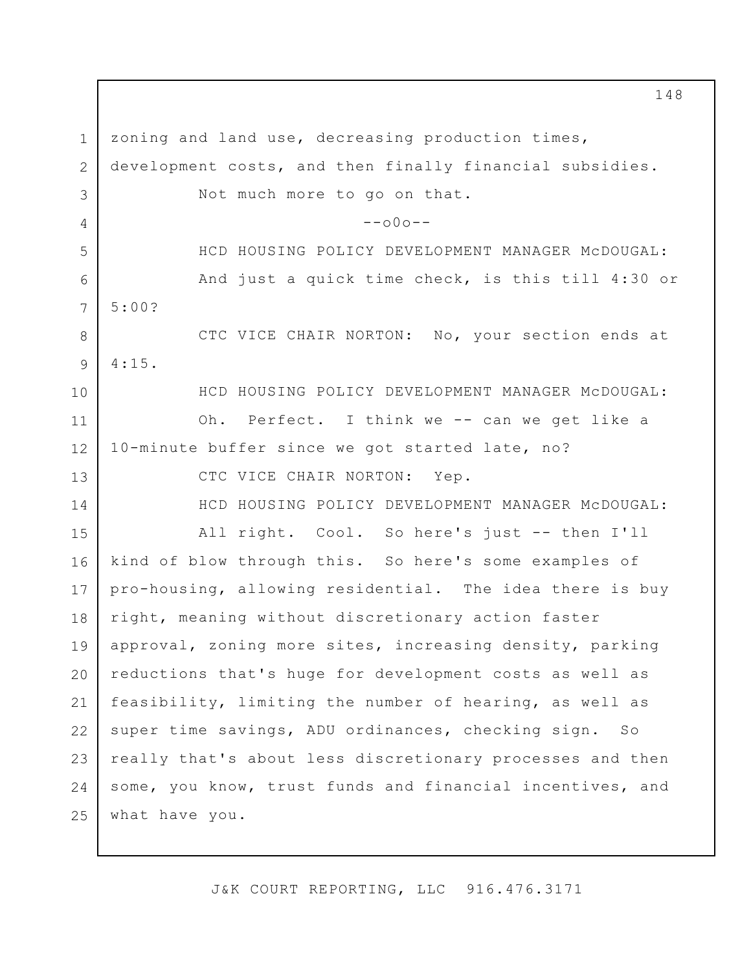1 2 3 4 5 6 7 8 9 10 11 12 13 14 15 16 17 18 19 20 21 22 23 24 25 zoning and land use, decreasing production times, development costs, and then finally financial subsidies. Not much more to go on that.  $--000--$ HCD HOUSING POLICY DEVELOPMENT MANAGER McDOUGAL: And just a quick time check, is this till 4:30 or 5:00? CTC VICE CHAIR NORTON: No, your section ends at 4:15. HCD HOUSING POLICY DEVELOPMENT MANAGER McDOUGAL: Oh. Perfect. I think we -- can we get like a 10-minute buffer since we got started late, no? CTC VICE CHAIR NORTON: Yep. HCD HOUSING POLICY DEVELOPMENT MANAGER McDOUGAL: All right. Cool. So here's just -- then I'll kind of blow through this. So here's some examples of pro-housing, allowing residential. The idea there is buy right, meaning without discretionary action faster approval, zoning more sites, increasing density, parking reductions that's huge for development costs as well as feasibility, limiting the number of hearing, as well as super time savings, ADU ordinances, checking sign. So really that's about less discretionary processes and then some, you know, trust funds and financial incentives, and what have you.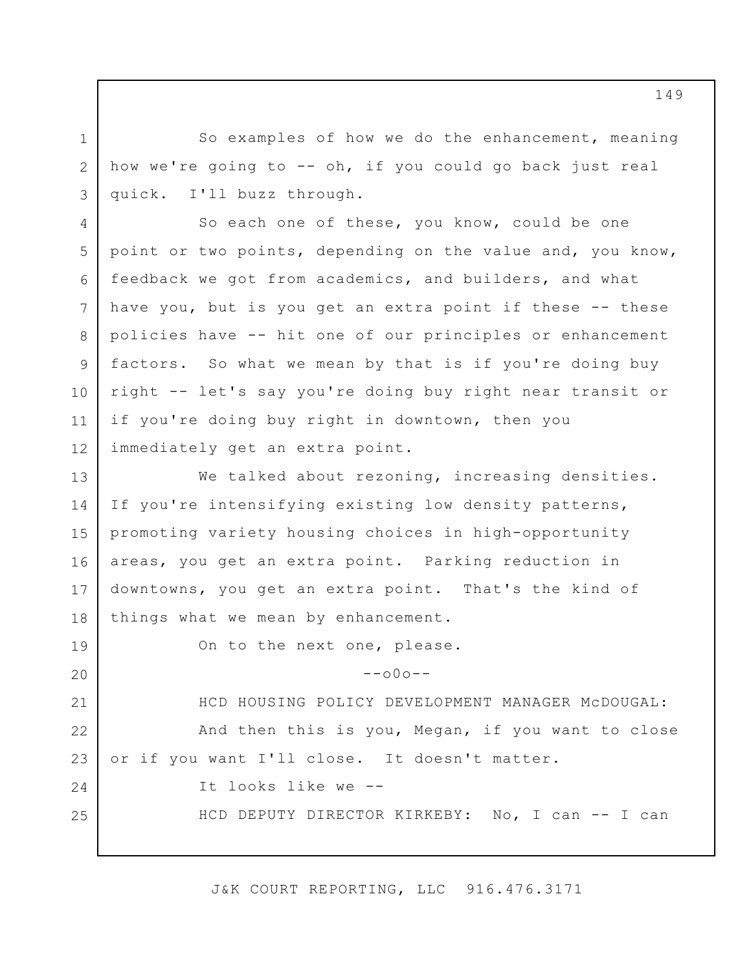So examples of how we do the enhancement, meaning how we're going to -- oh, if you could go back just real quick. I'll buzz through.

1

2

3

4 5 6 7 8 9 10 11 12 So each one of these, you know, could be one point or two points, depending on the value and, you know, feedback we got from academics, and builders, and what have you, but is you get an extra point if these -- these policies have -- hit one of our principles or enhancement factors. So what we mean by that is if you're doing buy right -- let's say you're doing buy right near transit or if you're doing buy right in downtown, then you immediately get an extra point.

13 14 15 16 17 18 We talked about rezoning, increasing densities. If you're intensifying existing low density patterns, promoting variety housing choices in high-opportunity areas, you get an extra point. Parking reduction in downtowns, you get an extra point. That's the kind of things what we mean by enhancement.

19 20 21 22 23 24 25 On to the next one, please.  $--000--$ HCD HOUSING POLICY DEVELOPMENT MANAGER McDOUGAL: And then this is you, Megan, if you want to close or if you want I'll close. It doesn't matter. It looks like we -- HCD DEPUTY DIRECTOR KIRKEBY: No, I can -- I can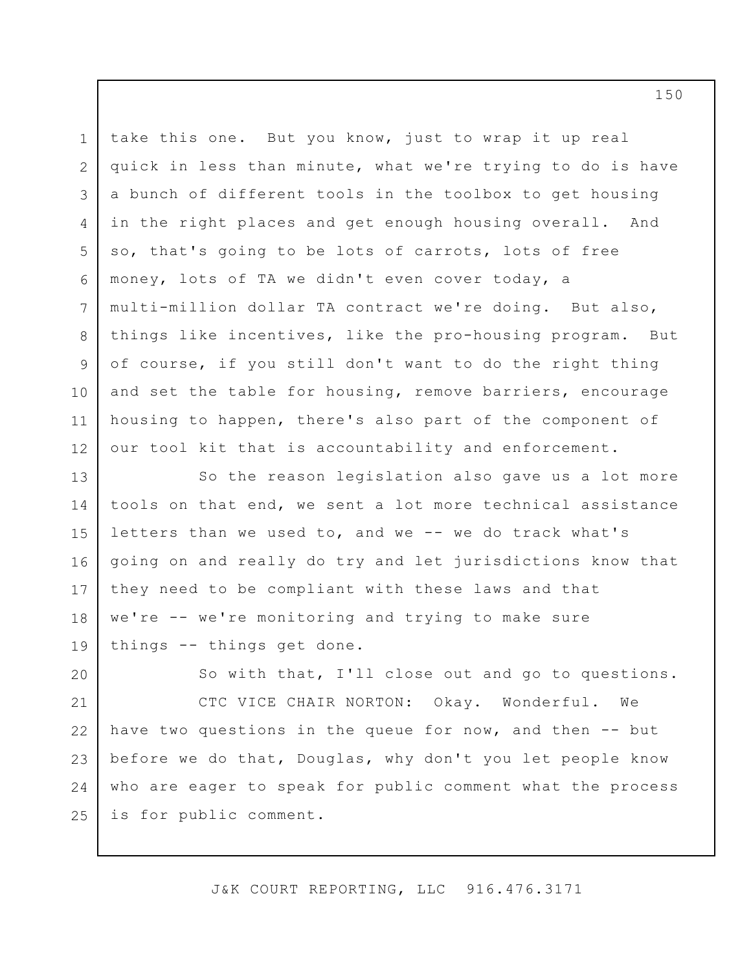3 5 6 take this one. But you know, just to wrap it up real quick in less than minute, what we're trying to do is have a bunch of different tools in the toolbox to get housing in the right places and get enough housing overall. And so, that's going to be lots of carrots, lots of free money, lots of TA we didn't even cover today, a multi-million dollar TA contract we're doing. But also, things like incentives, like the pro-housing program. But of course, if you still don't want to do the right thing and set the table for housing, remove barriers, encourage housing to happen, there's also part of the component of our tool kit that is accountability and enforcement.

1

2

4

7

8

9

10

11

12

13 14 15 16 17 18 19 So the reason legislation also gave us a lot more tools on that end, we sent a lot more technical assistance letters than we used to, and we -- we do track what's going on and really do try and let jurisdictions know that they need to be compliant with these laws and that we're -- we're monitoring and trying to make sure things -- things get done.

20 21 22 23 24 25 So with that, I'll close out and go to questions. CTC VICE CHAIR NORTON: Okay. Wonderful. We have two questions in the queue for now, and then -- but before we do that, Douglas, why don't you let people know who are eager to speak for public comment what the process is for public comment.

J&K COURT REPORTING, LLC 916.476.3171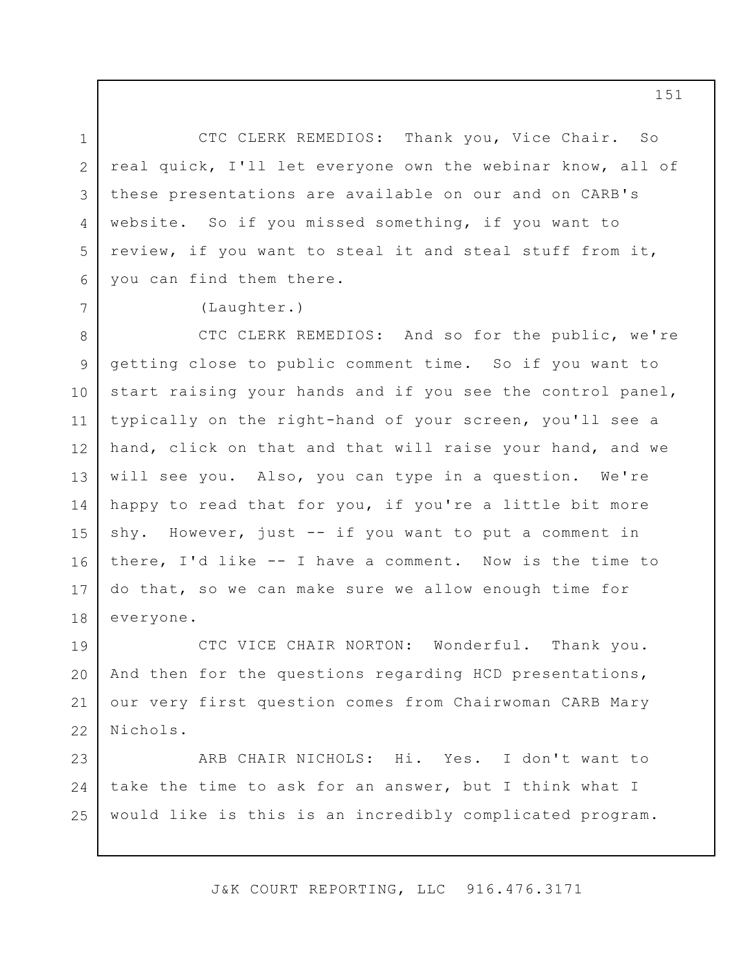1 2 3 4 5 6 CTC CLERK REMEDIOS: Thank you, Vice Chair. So real quick, I'll let everyone own the webinar know, all of these presentations are available on our and on CARB's website. So if you missed something, if you want to review, if you want to steal it and steal stuff from it, you can find them there.

(Laughter.)

7

8 9 10 11 12 13 14 15 16 17 18 CTC CLERK REMEDIOS: And so for the public, we're getting close to public comment time. So if you want to start raising your hands and if you see the control panel, typically on the right-hand of your screen, you'll see a hand, click on that and that will raise your hand, and we will see you. Also, you can type in a question. We're happy to read that for you, if you're a little bit more shy. However, just -- if you want to put a comment in there, I'd like -- I have a comment. Now is the time to do that, so we can make sure we allow enough time for everyone.

19 20 21 22 CTC VICE CHAIR NORTON: Wonderful. Thank you. And then for the questions regarding HCD presentations, our very first question comes from Chairwoman CARB Mary Nichols.

23 24 25 ARB CHAIR NICHOLS: Hi. Yes. I don't want to take the time to ask for an answer, but I think what I would like is this is an incredibly complicated program.

J&K COURT REPORTING, LLC 916.476.3171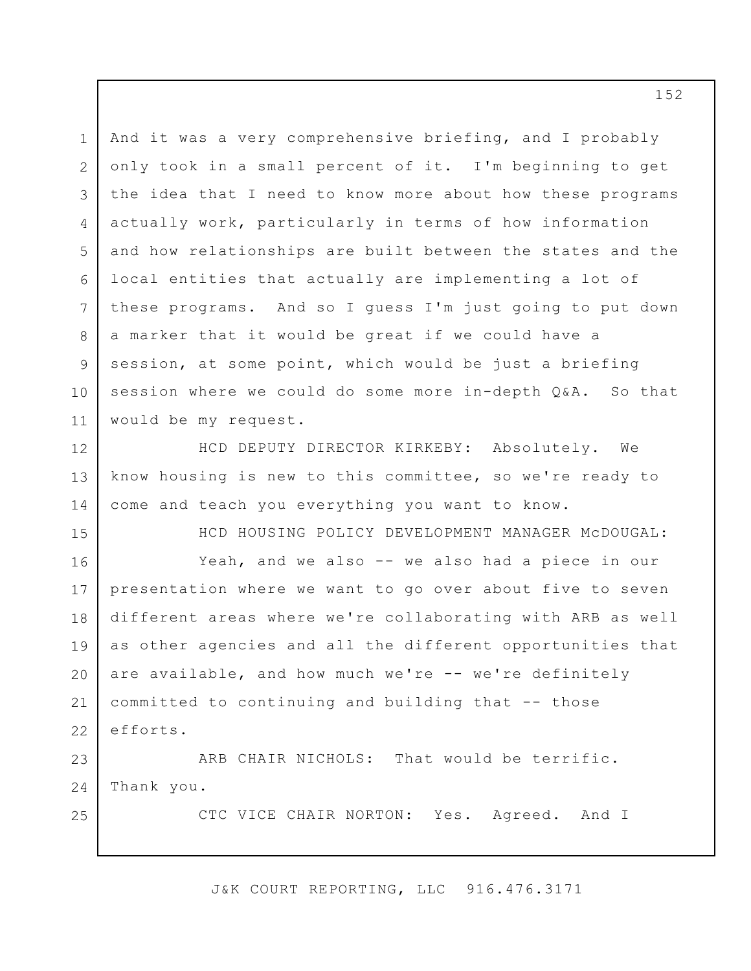1 2 3 4 5 6 7 8 9 10 11 And it was a very comprehensive briefing, and I probably only took in a small percent of it. I'm beginning to get the idea that I need to know more about how these programs actually work, particularly in terms of how information and how relationships are built between the states and the local entities that actually are implementing a lot of these programs. And so I guess I'm just going to put down a marker that it would be great if we could have a session, at some point, which would be just a briefing session where we could do some more in-depth Q&A. So that would be my request.

12 13 14 HCD DEPUTY DIRECTOR KIRKEBY: Absolutely. We know housing is new to this committee, so we're ready to come and teach you everything you want to know.

15

25

HCD HOUSING POLICY DEVELOPMENT MANAGER McDOUGAL:

16 17 18 19 20 21 22 Yeah, and we also -- we also had a piece in our presentation where we want to go over about five to seven different areas where we're collaborating with ARB as well as other agencies and all the different opportunities that are available, and how much we're -- we're definitely committed to continuing and building that -- those efforts.

23 24 ARB CHAIR NICHOLS: That would be terrific. Thank you.

CTC VICE CHAIR NORTON: Yes. Agreed. And I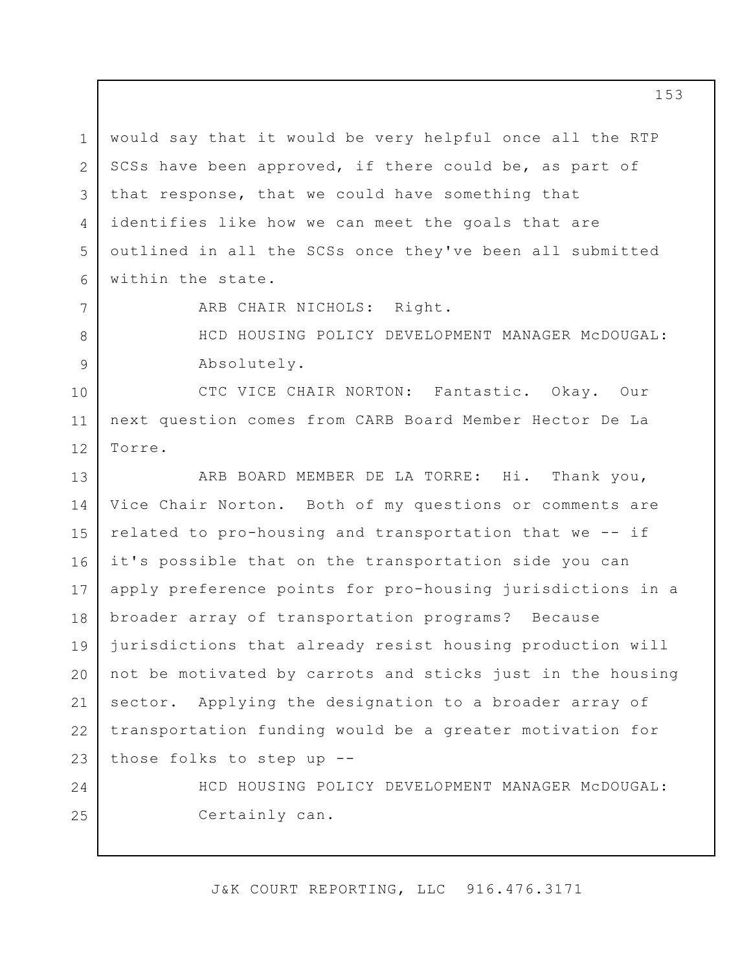1 2 3 4 5 6 would say that it would be very helpful once all the RTP SCSs have been approved, if there could be, as part of that response, that we could have something that identifies like how we can meet the goals that are outlined in all the SCSs once they've been all submitted within the state.

7

8

9

24

25

ARB CHAIR NICHOLS: Right.

HCD HOUSING POLICY DEVELOPMENT MANAGER McDOUGAL: Absolutely.

10 11 12 CTC VICE CHAIR NORTON: Fantastic. Okay. Our next question comes from CARB Board Member Hector De La Torre.

13 14 15 16 17 18 19 20 21 22 23 ARB BOARD MEMBER DE LA TORRE: Hi. Thank you, Vice Chair Norton. Both of my questions or comments are related to pro-housing and transportation that we -- if it's possible that on the transportation side you can apply preference points for pro-housing jurisdictions in a broader array of transportation programs? Because jurisdictions that already resist housing production will not be motivated by carrots and sticks just in the housing sector. Applying the designation to a broader array of transportation funding would be a greater motivation for those folks to step up --

> HCD HOUSING POLICY DEVELOPMENT MANAGER McDOUGAL: Certainly can.

J&K COURT REPORTING, LLC 916.476.3171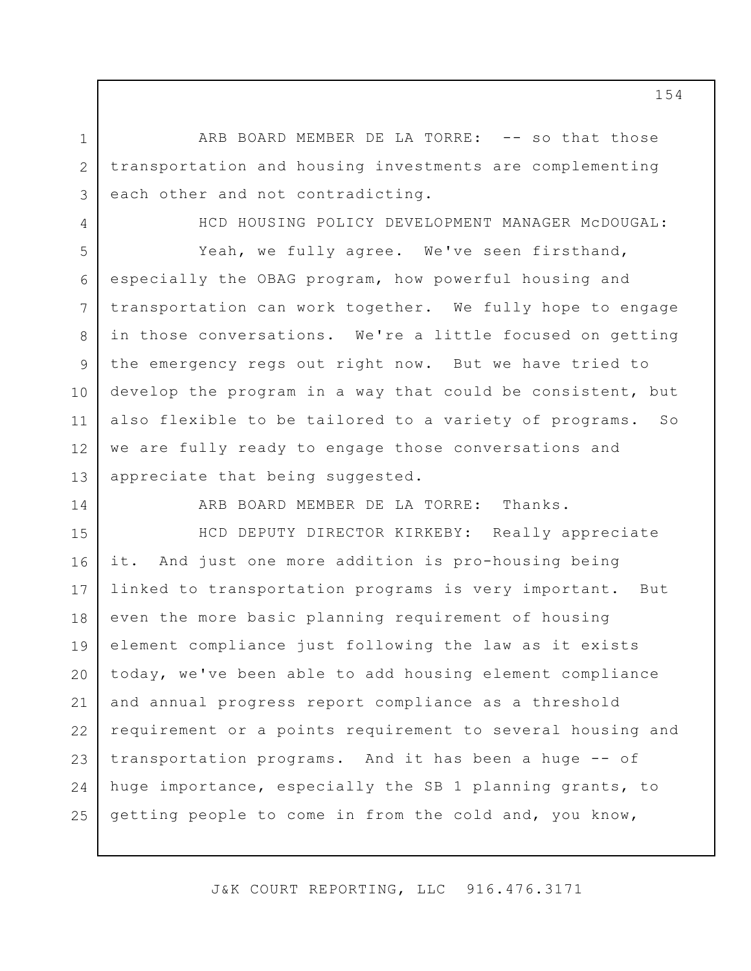ARB BOARD MEMBER DE LA TORRE: -- so that those transportation and housing investments are complementing each other and not contradicting.

HCD HOUSING POLICY DEVELOPMENT MANAGER McDOUGAL:

13 Yeah, we fully agree. We've seen firsthand, especially the OBAG program, how powerful housing and transportation can work together. We fully hope to engage in those conversations. We're a little focused on getting the emergency regs out right now. But we have tried to develop the program in a way that could be consistent, but also flexible to be tailored to a variety of programs. So we are fully ready to engage those conversations and appreciate that being suggested.

14

1

2

3

4

5

6

7

8

9

10

11

12

ARB BOARD MEMBER DE LA TORRE: Thanks.

15 16 17 18 19 20 21 22 23 24 25 HCD DEPUTY DIRECTOR KIRKEBY: Really appreciate it. And just one more addition is pro-housing being linked to transportation programs is very important. But even the more basic planning requirement of housing element compliance just following the law as it exists today, we've been able to add housing element compliance and annual progress report compliance as a threshold requirement or a points requirement to several housing and transportation programs. And it has been a huge -- of huge importance, especially the SB 1 planning grants, to getting people to come in from the cold and, you know,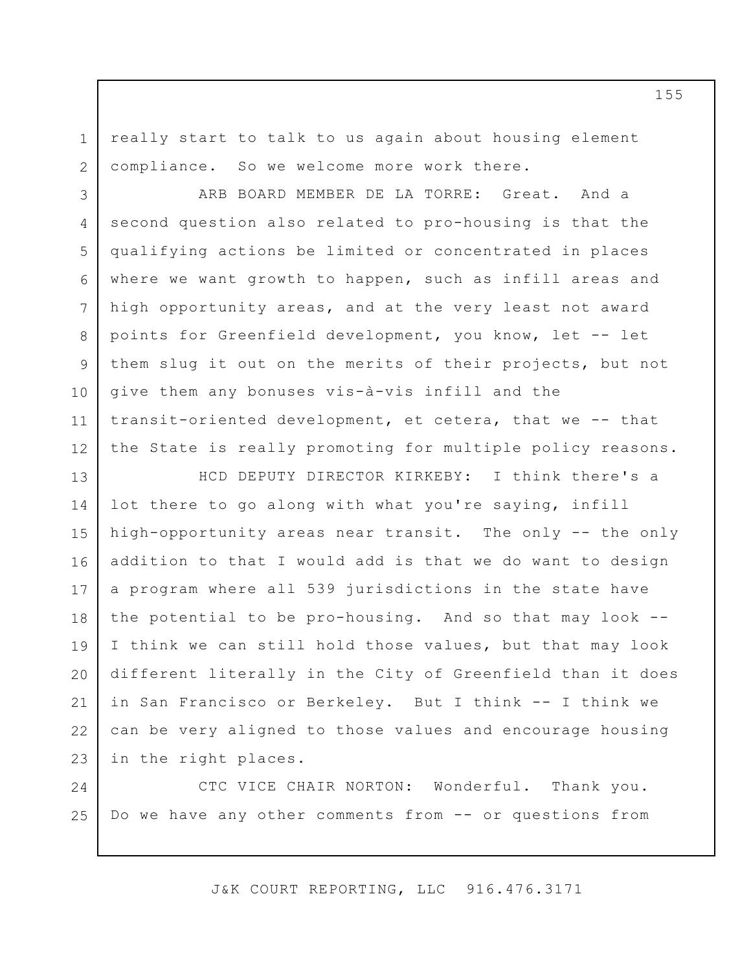really start to talk to us again about housing element compliance. So we welcome more work there.

1

2

3 4 5 6 7 8 9 10 11 12 ARB BOARD MEMBER DE LA TORRE: Great. And a second question also related to pro-housing is that the qualifying actions be limited or concentrated in places where we want growth to happen, such as infill areas and high opportunity areas, and at the very least not award points for Greenfield development, you know, let -- let them slug it out on the merits of their projects, but not give them any bonuses vis-à-vis infill and the transit-oriented development, et cetera, that we -- that the State is really promoting for multiple policy reasons.

13 14 15 16 17 18 19 20 21 22 23 HCD DEPUTY DIRECTOR KIRKEBY: I think there's a lot there to go along with what you're saying, infill high-opportunity areas near transit. The only -- the only addition to that I would add is that we do want to design a program where all 539 jurisdictions in the state have the potential to be pro-housing. And so that may look -- I think we can still hold those values, but that may look different literally in the City of Greenfield than it does in San Francisco or Berkeley. But I think -- I think we can be very aligned to those values and encourage housing in the right places.

24 25 CTC VICE CHAIR NORTON: Wonderful. Thank you. Do we have any other comments from -- or questions from

J&K COURT REPORTING, LLC 916.476.3171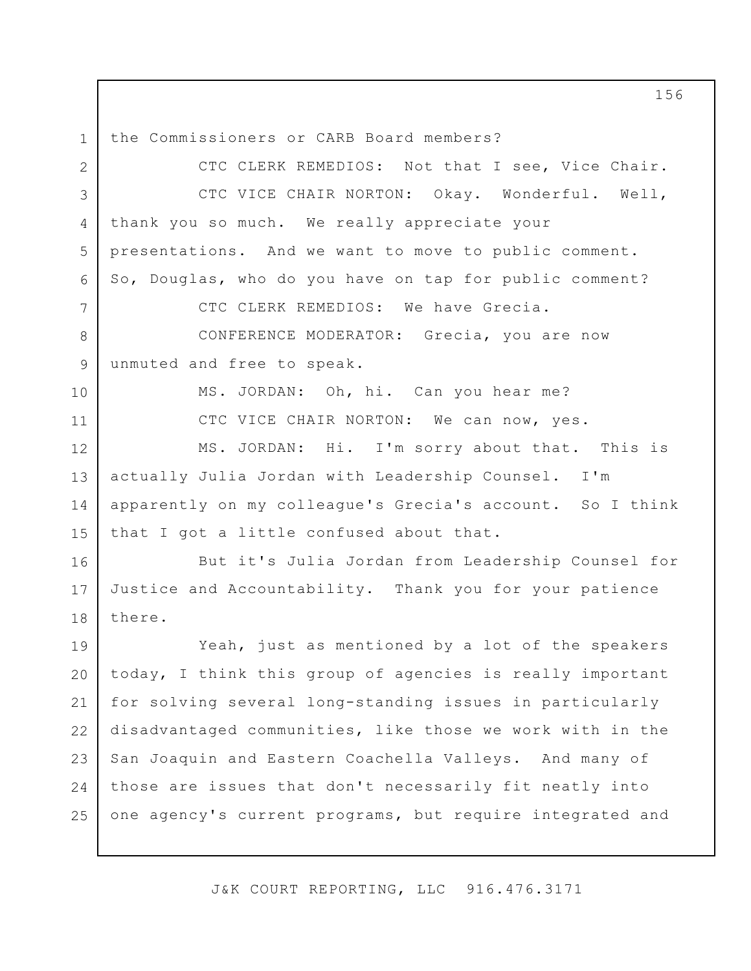1 the Commissioners or CARB Board members?

10

11

2 3 4 5 6 7 CTC CLERK REMEDIOS: Not that I see, Vice Chair. CTC VICE CHAIR NORTON: Okay. Wonderful. Well, thank you so much. We really appreciate your presentations. And we want to move to public comment. So, Douglas, who do you have on tap for public comment? CTC CLERK REMEDIOS: We have Grecia. CONFERENCE MODERATOR: Grecia, you are now

8 9 unmuted and free to speak.

> MS. JORDAN: Oh, hi. Can you hear me? CTC VICE CHAIR NORTON: We can now, yes.

12 13 14 15 MS. JORDAN: Hi. I'm sorry about that. This is actually Julia Jordan with Leadership Counsel. I'm apparently on my colleague's Grecia's account. So I think that I got a little confused about that.

16 17 18 But it's Julia Jordan from Leadership Counsel for Justice and Accountability. Thank you for your patience there.

19 20 21 22 23 24 25 Yeah, just as mentioned by a lot of the speakers today, I think this group of agencies is really important for solving several long-standing issues in particularly disadvantaged communities, like those we work with in the San Joaquin and Eastern Coachella Valleys. And many of those are issues that don't necessarily fit neatly into one agency's current programs, but require integrated and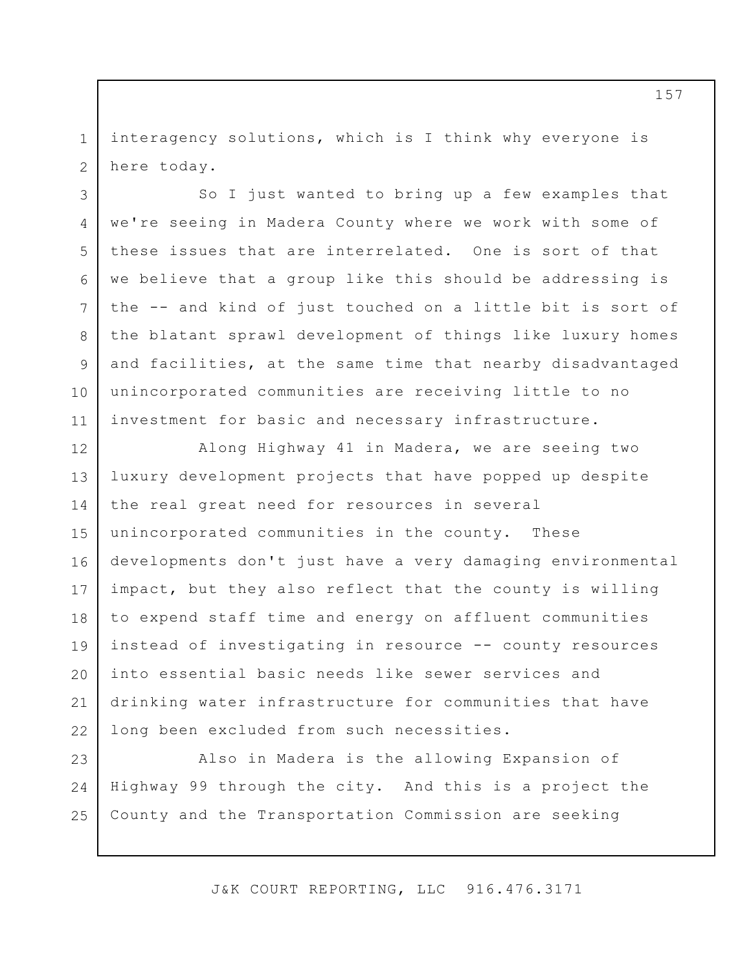1 2 interagency solutions, which is I think why everyone is here today.

3

4

5

6

7

8

9

10

11

So I just wanted to bring up a few examples that we're seeing in Madera County where we work with some of these issues that are interrelated. One is sort of that we believe that a group like this should be addressing is the -- and kind of just touched on a little bit is sort of the blatant sprawl development of things like luxury homes and facilities, at the same time that nearby disadvantaged unincorporated communities are receiving little to no investment for basic and necessary infrastructure.

12 13 14 15 16 17 18 19 20 21 22 Along Highway 41 in Madera, we are seeing two luxury development projects that have popped up despite the real great need for resources in several unincorporated communities in the county. These developments don't just have a very damaging environmental impact, but they also reflect that the county is willing to expend staff time and energy on affluent communities instead of investigating in resource -- county resources into essential basic needs like sewer services and drinking water infrastructure for communities that have long been excluded from such necessities.

23 24 25 Also in Madera is the allowing Expansion of Highway 99 through the city. And this is a project the County and the Transportation Commission are seeking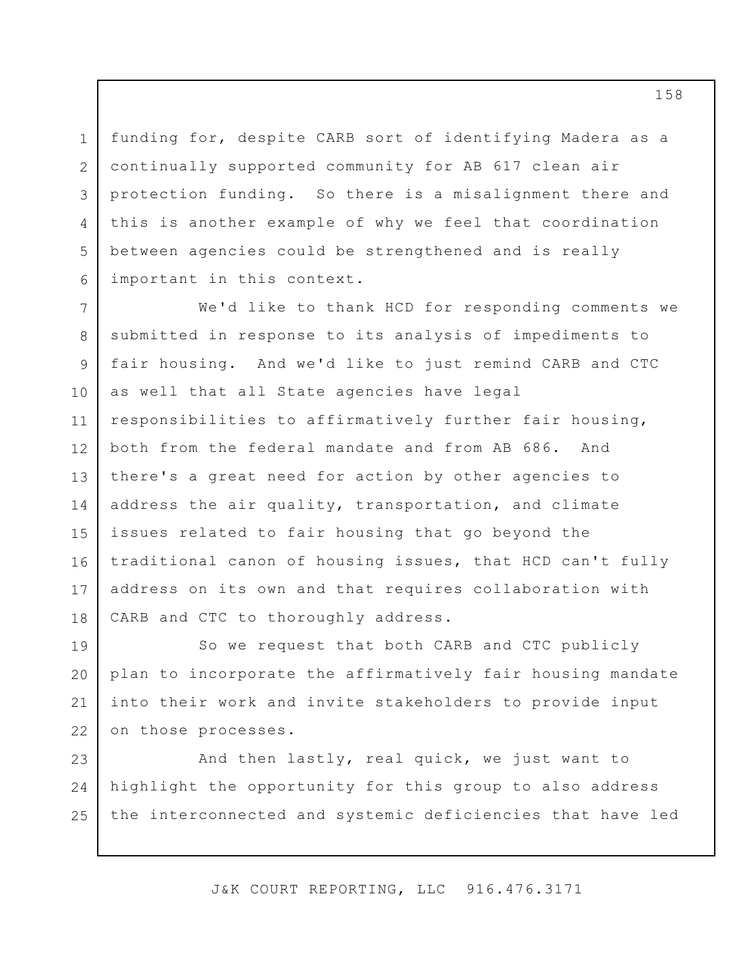funding for, despite CARB sort of identifying Madera as a continually supported community for AB 617 clean air protection funding. So there is a misalignment there and this is another example of why we feel that coordination between agencies could be strengthened and is really important in this context.

1

2

3

4

5

6

7 8 9 10 11 12 13 14 15 16 17 18 We'd like to thank HCD for responding comments we submitted in response to its analysis of impediments to fair housing. And we'd like to just remind CARB and CTC as well that all State agencies have legal responsibilities to affirmatively further fair housing, both from the federal mandate and from AB 686. And there's a great need for action by other agencies to address the air quality, transportation, and climate issues related to fair housing that go beyond the traditional canon of housing issues, that HCD can't fully address on its own and that requires collaboration with CARB and CTC to thoroughly address.

19 20 21 22 So we request that both CARB and CTC publicly plan to incorporate the affirmatively fair housing mandate into their work and invite stakeholders to provide input on those processes.

23 24 25 And then lastly, real quick, we just want to highlight the opportunity for this group to also address the interconnected and systemic deficiencies that have led

J&K COURT REPORTING, LLC 916.476.3171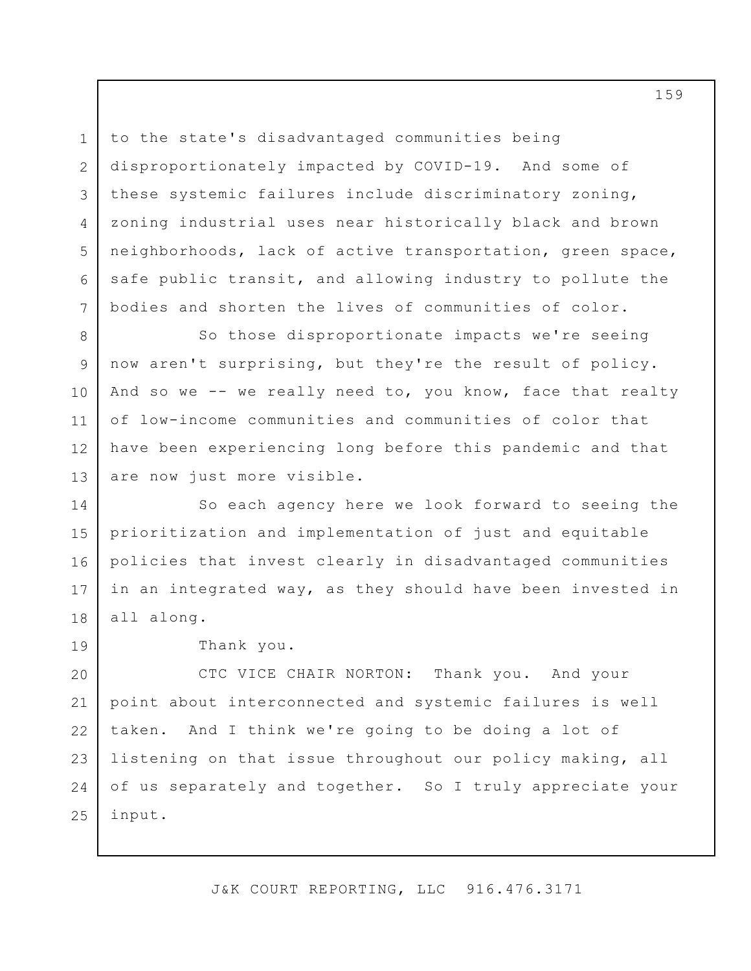to the state's disadvantaged communities being disproportionately impacted by COVID-19. And some of these systemic failures include discriminatory zoning, zoning industrial uses near historically black and brown neighborhoods, lack of active transportation, green space, safe public transit, and allowing industry to pollute the bodies and shorten the lives of communities of color.

8 9 10 11 12 13 So those disproportionate impacts we're seeing now aren't surprising, but they're the result of policy. And so we -- we really need to, you know, face that realty of low-income communities and communities of color that have been experiencing long before this pandemic and that are now just more visible.

14 15 16 17 18 So each agency here we look forward to seeing the prioritization and implementation of just and equitable policies that invest clearly in disadvantaged communities in an integrated way, as they should have been invested in all along.

19

1

2

3

4

5

6

7

Thank you.

20 21 22 23 24 25 CTC VICE CHAIR NORTON: Thank you. And your point about interconnected and systemic failures is well taken. And I think we're going to be doing a lot of listening on that issue throughout our policy making, all of us separately and together. So I truly appreciate your input.

J&K COURT REPORTING, LLC 916.476.3171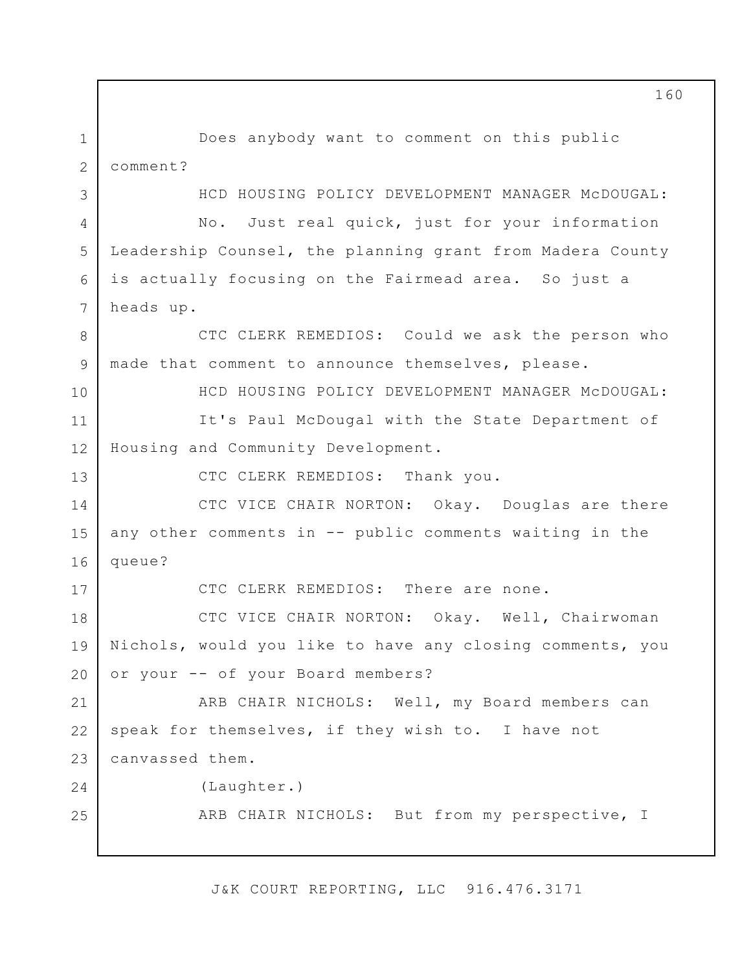1 2 3 4 5 6 7 8 9 10 11 12 13 14 15 16 17 18 19 20 21 22 23 24 25 Does anybody want to comment on this public comment? HCD HOUSING POLICY DEVELOPMENT MANAGER McDOUGAL: No. Just real quick, just for your information Leadership Counsel, the planning grant from Madera County is actually focusing on the Fairmead area. So just a heads up. CTC CLERK REMEDIOS: Could we ask the person who made that comment to announce themselves, please. HCD HOUSING POLICY DEVELOPMENT MANAGER McDOUGAL: It's Paul McDougal with the State Department of Housing and Community Development. CTC CLERK REMEDIOS: Thank you. CTC VICE CHAIR NORTON: Okay. Douglas are there any other comments in -- public comments waiting in the queue? CTC CLERK REMEDIOS: There are none. CTC VICE CHAIR NORTON: Okay. Well, Chairwoman Nichols, would you like to have any closing comments, you or your -- of your Board members? ARB CHAIR NICHOLS: Well, my Board members can speak for themselves, if they wish to. I have not canvassed them. (Laughter.) ARB CHAIR NICHOLS: But from my perspective, I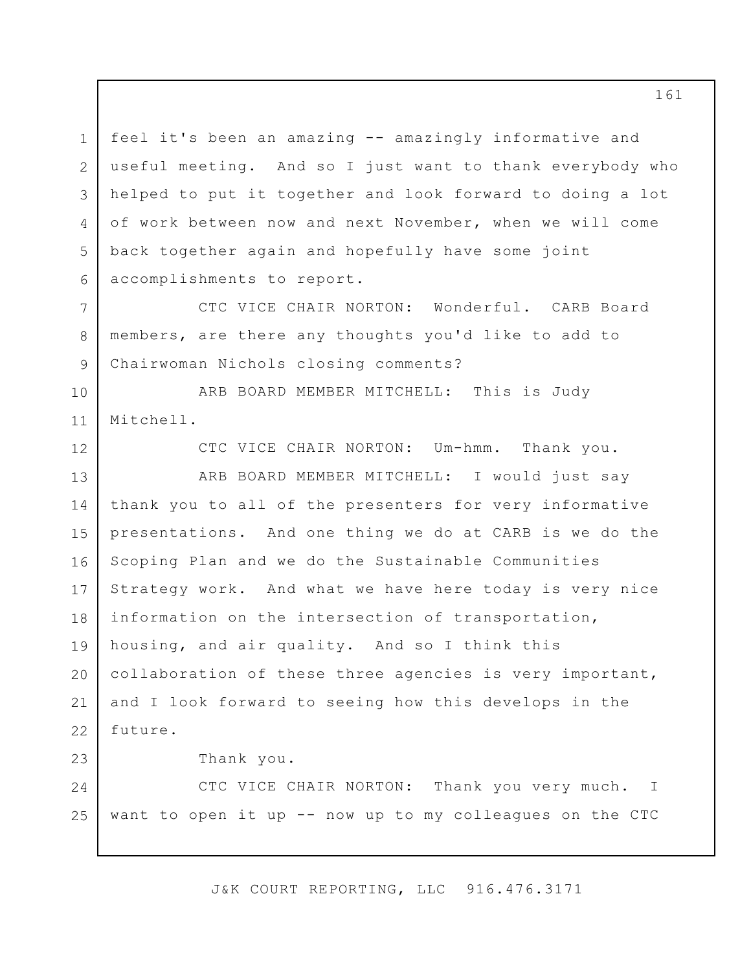1 2 3 4 5 6 feel it's been an amazing -- amazingly informative and useful meeting. And so I just want to thank everybody who helped to put it together and look forward to doing a lot of work between now and next November, when we will come back together again and hopefully have some joint accomplishments to report.

CTC VICE CHAIR NORTON: Wonderful. CARB Board members, are there any thoughts you'd like to add to Chairwoman Nichols closing comments?

10 11 ARB BOARD MEMBER MITCHELL: This is Judy Mitchell.

CTC VICE CHAIR NORTON: Um-hmm. Thank you.

13 14 15 16 17 18 19 20 21 22 ARB BOARD MEMBER MITCHELL: I would just say thank you to all of the presenters for very informative presentations. And one thing we do at CARB is we do the Scoping Plan and we do the Sustainable Communities Strategy work. And what we have here today is very nice information on the intersection of transportation, housing, and air quality. And so I think this collaboration of these three agencies is very important, and I look forward to seeing how this develops in the future.

Thank you.

7

8

9

12

23

24 25 CTC VICE CHAIR NORTON: Thank you very much. want to open it up -- now up to my colleagues on the CTC I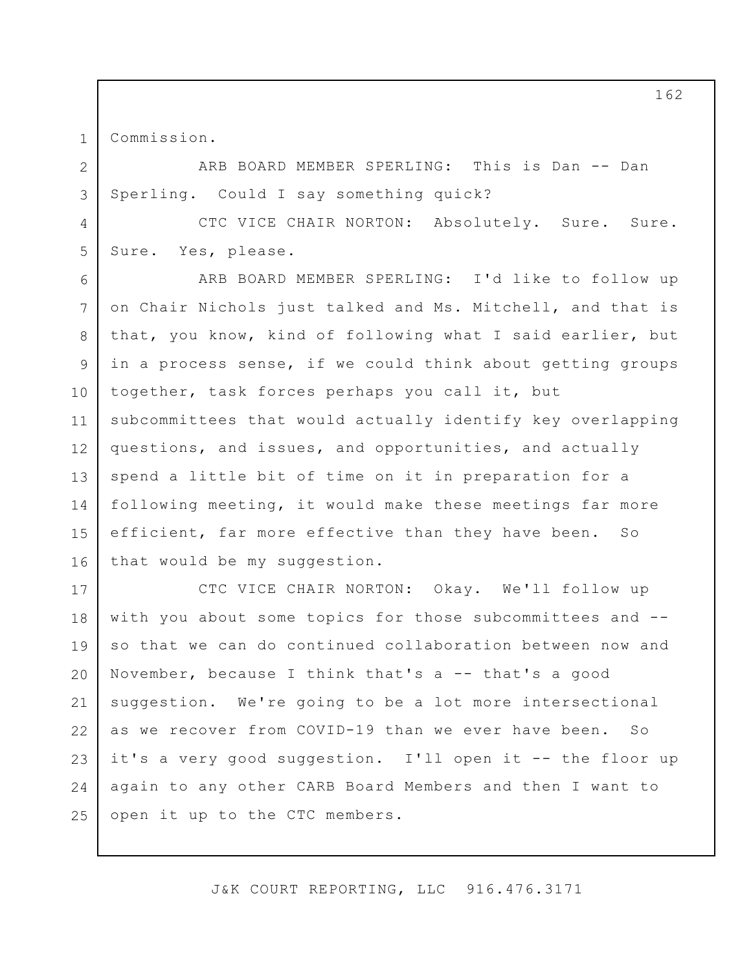1 2

3

4

5

Commission.

ARB BOARD MEMBER SPERLING: This is Dan -- Dan Sperling. Could I say something quick?

CTC VICE CHAIR NORTON: Absolutely. Sure. Sure. Sure. Yes, please.

6 7 8 9 10 11 12 13 14 15 16 ARB BOARD MEMBER SPERLING: I'd like to follow up on Chair Nichols just talked and Ms. Mitchell, and that is that, you know, kind of following what I said earlier, but in a process sense, if we could think about getting groups together, task forces perhaps you call it, but subcommittees that would actually identify key overlapping questions, and issues, and opportunities, and actually spend a little bit of time on it in preparation for a following meeting, it would make these meetings far more efficient, far more effective than they have been. So that would be my suggestion.

17 18 19 20 21 22 23 24 25 CTC VICE CHAIR NORTON: Okay. We'll follow up with you about some topics for those subcommittees and - so that we can do continued collaboration between now and November, because I think that's a  $--$  that's a good suggestion. We're going to be a lot more intersectional as we recover from COVID-19 than we ever have been. So it's a very good suggestion. I'll open it -- the floor up again to any other CARB Board Members and then I want to open it up to the CTC members.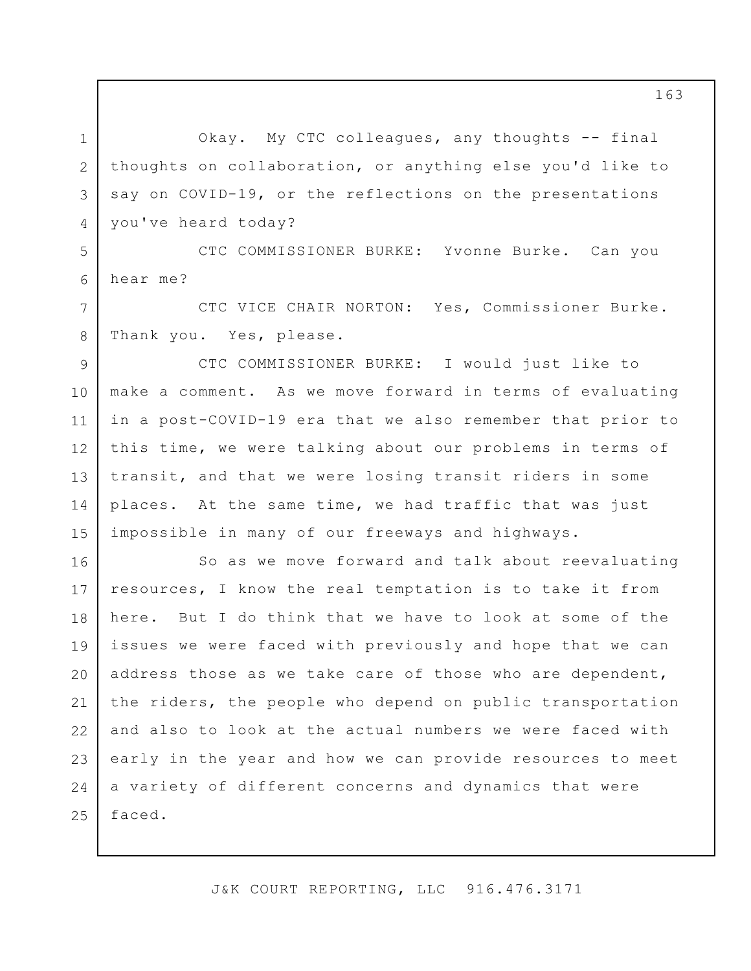Okay. My CTC colleagues, any thoughts -- final thoughts on collaboration, or anything else you'd like to say on COVID-19, or the reflections on the presentations you've heard today?

1

2

3

4

7

8

5 6 CTC COMMISSIONER BURKE: Yvonne Burke. Can you hear me?

CTC VICE CHAIR NORTON: Yes, Commissioner Burke. Thank you. Yes, please.

9 10 11 12 13 14 15 CTC COMMISSIONER BURKE: I would just like to make a comment. As we move forward in terms of evaluating in a post-COVID-19 era that we also remember that prior to this time, we were talking about our problems in terms of transit, and that we were losing transit riders in some places. At the same time, we had traffic that was just impossible in many of our freeways and highways.

16 17 18 19 20 21 22 23 24 25 So as we move forward and talk about reevaluating resources, I know the real temptation is to take it from here. But I do think that we have to look at some of the issues we were faced with previously and hope that we can address those as we take care of those who are dependent, the riders, the people who depend on public transportation and also to look at the actual numbers we were faced with early in the year and how we can provide resources to meet a variety of different concerns and dynamics that were faced.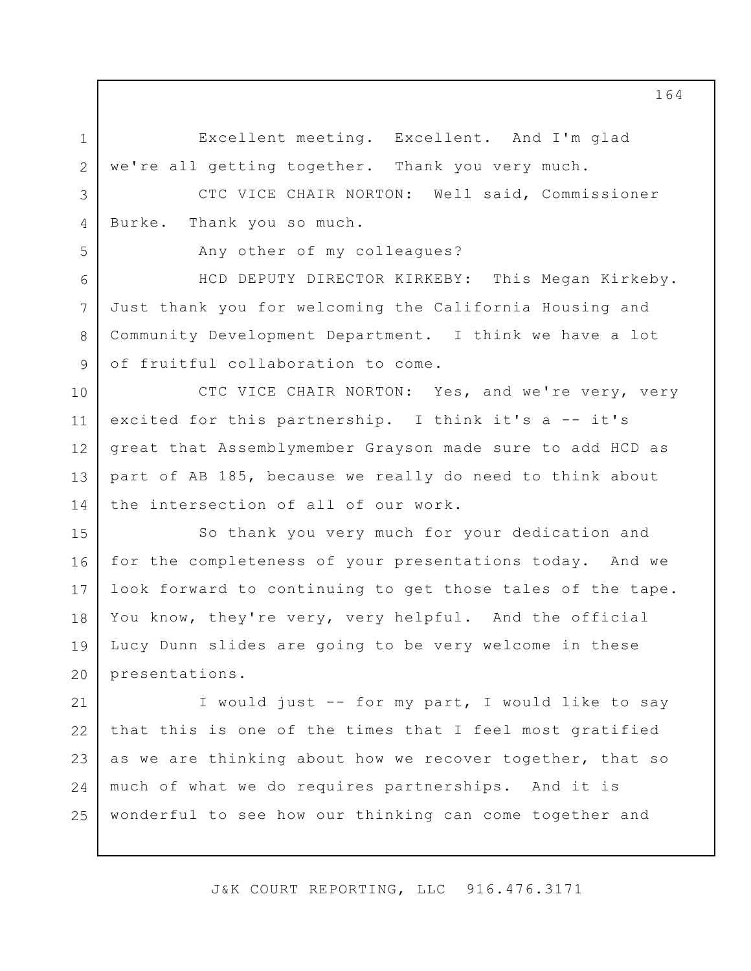Excellent meeting. Excellent. And I'm glad we're all getting together. Thank you very much.

CTC VICE CHAIR NORTON: Well said, Commissioner Burke. Thank you so much.

Any other of my colleagues?

1

2

3

4

5

6

7

8

9

HCD DEPUTY DIRECTOR KIRKEBY: This Megan Kirkeby. Just thank you for welcoming the California Housing and Community Development Department. I think we have a lot of fruitful collaboration to come.

10 11 12 13 14 CTC VICE CHAIR NORTON: Yes, and we're very, very excited for this partnership. I think it's a -- it's great that Assemblymember Grayson made sure to add HCD as part of AB 185, because we really do need to think about the intersection of all of our work.

15 16 17 18 19 20 So thank you very much for your dedication and for the completeness of your presentations today. And we look forward to continuing to get those tales of the tape. You know, they're very, very helpful. And the official Lucy Dunn slides are going to be very welcome in these presentations.

21 22 23 24 25 I would just -- for my part, I would like to say that this is one of the times that I feel most gratified as we are thinking about how we recover together, that so much of what we do requires partnerships. And it is wonderful to see how our thinking can come together and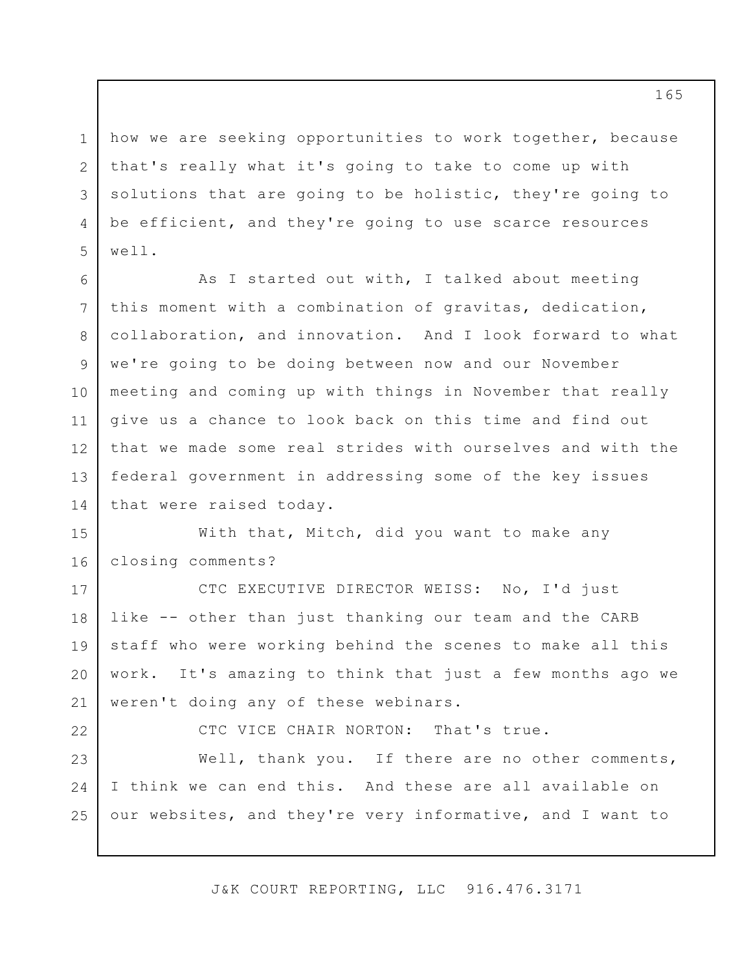1 2 3 4 5 how we are seeking opportunities to work together, because that's really what it's going to take to come up with solutions that are going to be holistic, they're going to be efficient, and they're going to use scarce resources well.

6 7 8 9 10 11 12 13 14 As I started out with, I talked about meeting this moment with a combination of gravitas, dedication, collaboration, and innovation. And I look forward to what we're going to be doing between now and our November meeting and coming up with things in November that really give us a chance to look back on this time and find out that we made some real strides with ourselves and with the federal government in addressing some of the key issues that were raised today.

15 16 With that, Mitch, did you want to make any closing comments?

17 18 19 20 21 CTC EXECUTIVE DIRECTOR WEISS: No, I'd just like -- other than just thanking our team and the CARB staff who were working behind the scenes to make all this work. It's amazing to think that just a few months ago we weren't doing any of these webinars.

22

CTC VICE CHAIR NORTON: That's true.

23 24 25 Well, thank you. If there are no other comments, I think we can end this. And these are all available on our websites, and they're very informative, and I want to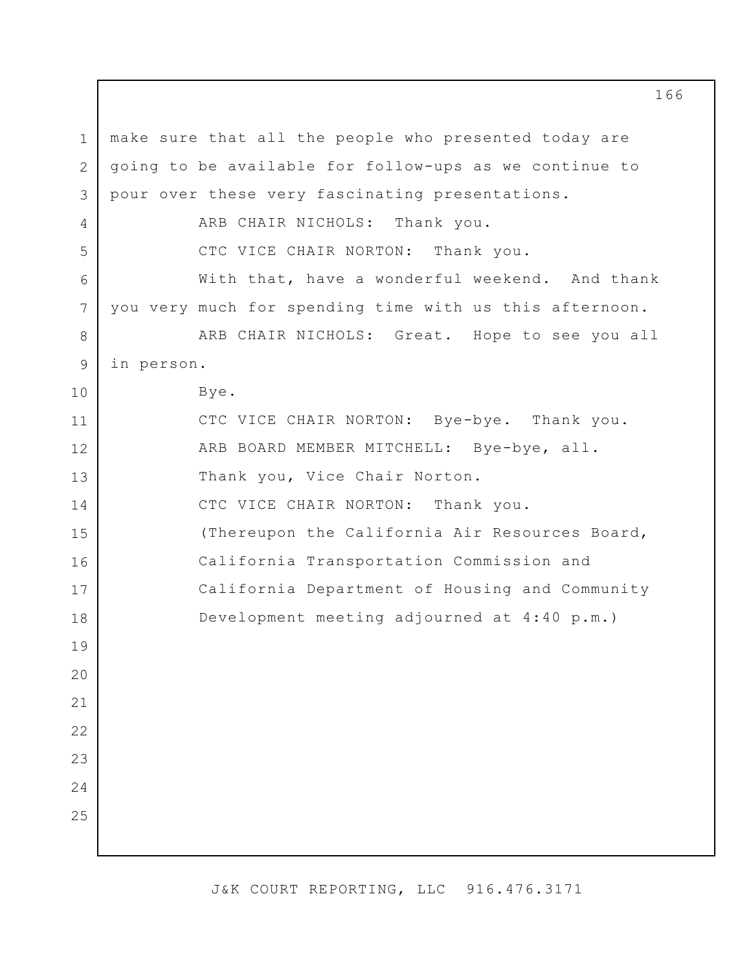1 2 3 4 5 6 7 8 9 10 11 12 13 14 15 16 17 18 19 20 21 22 23 24 25 make sure that all the people who presented today are going to be available for follow-ups as we continue to pour over these very fascinating presentations. ARB CHAIR NICHOLS: Thank you. CTC VICE CHAIR NORTON: Thank you. With that, have a wonderful weekend. And thank you very much for spending time with us this afternoon. ARB CHAIR NICHOLS: Great. Hope to see you all in person. Bye. CTC VICE CHAIR NORTON: Bye-bye. Thank you. ARB BOARD MEMBER MITCHELL: Bye-bye, all. Thank you, Vice Chair Norton. CTC VICE CHAIR NORTON: Thank you. (Thereupon the California Air Resources Board, California Transportation Commission and California Department of Housing and Community Development meeting adjourned at 4:40 p.m.)